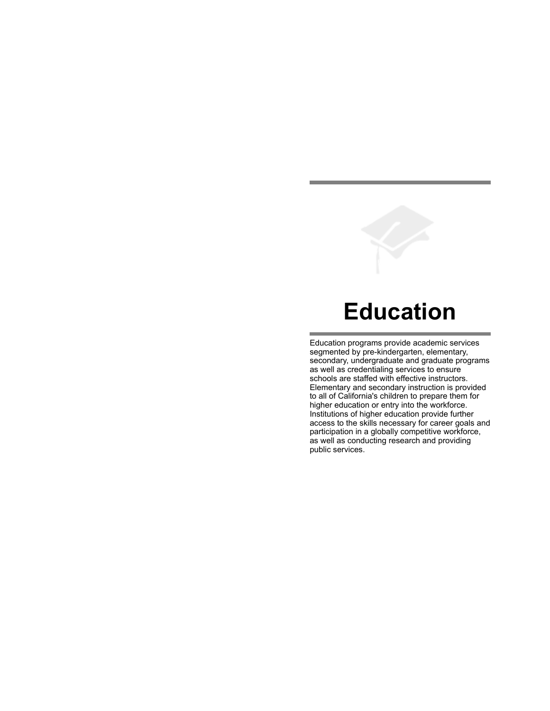# **Education**

Education programs provide academic services segmented by pre-kindergarten, elementary, secondary, undergraduate and graduate programs as well as credentialing services to ensure schools are staffed with effective instructors. Elementary and secondary instruction is provided to all of California's children to prepare them for higher education or entry into the workforce. Institutions of higher education provide further access to the skills necessary for career goals and participation in a globally competitive workforce, as well as conducting research and providing public services.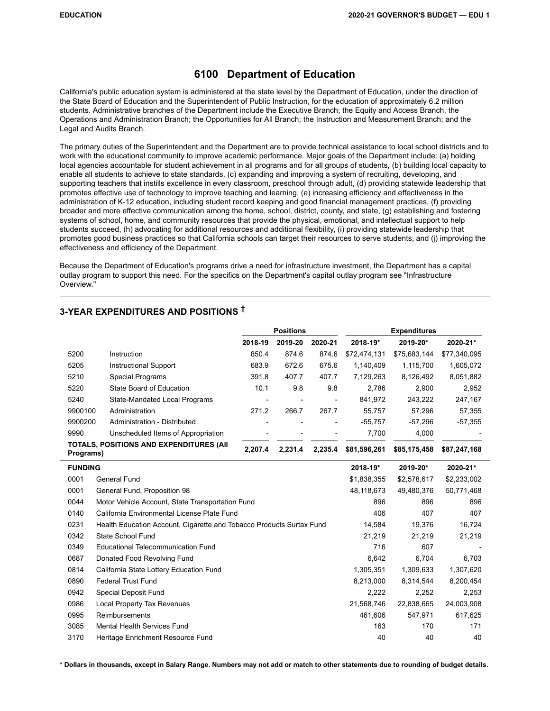# **6100 Department of Education**

California's public education system is administered at the state level by the Department of Education, under the direction of the State Board of Education and the Superintendent of Public Instruction, for the education of approximately 6.2 million students. Administrative branches of the Department include the Executive Branch; the Equity and Access Branch, the Operations and Administration Branch; the Opportunities for All Branch; the Instruction and Measurement Branch; and the Legal and Audits Branch.

The primary duties of the Superintendent and the Department are to provide technical assistance to local school districts and to work with the educational community to improve academic performance. Major goals of the Department include: (a) holding local agencies accountable for student achievement in all programs and for all groups of students, (b) building local capacity to enable all students to achieve to state standards, (c) expanding and improving a system of recruiting, developing, and supporting teachers that instills excellence in every classroom, preschool through adult, (d) providing statewide leadership that promotes effective use of technology to improve teaching and learning, (e) increasing efficiency and effectiveness in the administration of K-12 education, including student record keeping and good financial management practices, (f) providing broader and more effective communication among the home, school, district, county, and state, (g) establishing and fostering systems of school, home, and community resources that provide the physical, emotional, and intellectual support to help students succeed, (h) advocating for additional resources and additional flexibility, (i) providing statewide leadership that promotes good business practices so that California schools can target their resources to serve students, and (j) improving the effectiveness and efficiency of the Department.

Because the Department of Education's programs drive a need for infrastructure investment, the Department has a capital outlay program to support this need. For the specifics on the Department's capital outlay program see "Infrastructure Overview."

# **3-YEAR EXPENDITURES AND POSITIONS †**

|                |                                                                      |                    | <b>Positions</b> |         | <b>Expenditures</b> |              |              |  |
|----------------|----------------------------------------------------------------------|--------------------|------------------|---------|---------------------|--------------|--------------|--|
|                |                                                                      | 2018-19            | 2019-20          | 2020-21 | 2018-19*            | 2019-20*     | 2020-21*     |  |
| 5200           | Instruction                                                          | 850.4              | 874.6            | 874.6   | \$72,474,131        | \$75,683,144 | \$77,340,095 |  |
| 5205           | Instructional Support                                                | 683.9              | 672.6            | 675.6   | 1,140,409           | 1,115,700    | 1,605,072    |  |
| 5210           | Special Programs                                                     | 391.8              | 407.7            | 407.7   | 7,129,263           | 8,126,492    | 8,051,882    |  |
| 5220           | State Board of Education                                             | 10.1               | 9.8              | 9.8     | 2,786               | 2.900        | 2,952        |  |
| 5240           | State-Mandated Local Programs                                        |                    |                  |         | 841,972             | 243,222      | 247,167      |  |
| 9900100        | Administration                                                       | 271.2              | 266.7            | 267.7   | 55,757              | 57,296       | 57,355       |  |
| 9900200        | Administration - Distributed                                         |                    |                  |         | $-55,757$           | $-57,296$    | $-57,355$    |  |
| 9990           | Unscheduled Items of Appropriation                                   |                    |                  |         | 7,700               | 4,000        |              |  |
| Programs)      | TOTALS, POSITIONS AND EXPENDITURES (AII                              | 2,207.4<br>2,231.4 |                  | 2,235.4 | \$81,596,261        | \$85,175,458 | \$87,247,168 |  |
| <b>FUNDING</b> |                                                                      |                    |                  |         | 2018-19*            | 2019-20*     | 2020-21*     |  |
| 0001           | <b>General Fund</b>                                                  |                    |                  |         | \$1,838,355         | \$2,578,617  | \$2,233,002  |  |
| 0001           | General Fund, Proposition 98                                         |                    |                  |         | 48,118,673          | 49,480,376   | 50,771,468   |  |
| 0044           | Motor Vehicle Account, State Transportation Fund                     |                    |                  |         | 896                 | 896          | 896          |  |
| 0140           | California Environmental License Plate Fund                          |                    |                  |         | 406                 | 407          | 407          |  |
| 0231           | Health Education Account, Cigarette and Tobacco Products Surtax Fund |                    |                  |         | 14,584              | 19,376       | 16,724       |  |
| 0342           | State School Fund                                                    |                    |                  |         | 21,219              | 21,219       | 21,219       |  |
| 0349           | <b>Educational Telecommunication Fund</b>                            |                    |                  |         | 716                 | 607          |              |  |
| 0687           | Donated Food Revolving Fund                                          |                    |                  |         | 6,642               | 6,704        | 6,703        |  |
| 0814           | California State Lottery Education Fund                              |                    |                  |         | 1,305,351           | 1,309,633    | 1,307,620    |  |

**\* Dollars in thousands, except in Salary Range. Numbers may not add or match to other statements due to rounding of budget details.**

0890 Federal Trust Fund 8,213,000 8,314,544 8,200,454 0942 Special Deposit Fund 2,222 2,253 2,253 2,253 0986 Local Property Tax Revenues 21,568,746 22,838,665 24,003,908 0995 Reimbursements 461,606 547,971 617,625 3085 Mental Health Services Fund 163 171 170 171 3170 Heritage Enrichment Resource Fund 40 40 40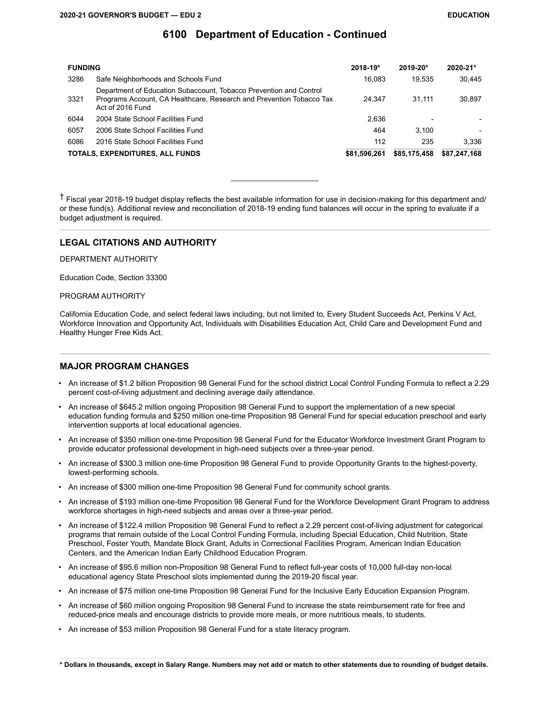| <b>FUNDING</b> |                                                                                                                                                                | 2018-19*     | 2019-20*     | 2020-21*     |
|----------------|----------------------------------------------------------------------------------------------------------------------------------------------------------------|--------------|--------------|--------------|
| 3286           | Safe Neighborhoods and Schools Fund                                                                                                                            | 16.083       | 19.535       | 30.445       |
| 3321           | Department of Education Subaccount, Tobacco Prevention and Control<br>Programs Account, CA Healthcare, Research and Prevention Tobacco Tax<br>Act of 2016 Fund | 24.347       | 31.111       | 30.897       |
| 6044           | 2004 State School Facilities Fund                                                                                                                              | 2.636        |              |              |
| 6057           | 2006 State School Facilities Fund                                                                                                                              | 464          | 3.100        |              |
| 6086           | 2016 State School Facilities Fund                                                                                                                              | 112          | 235          | 3.336        |
|                | TOTALS, EXPENDITURES, ALL FUNDS                                                                                                                                | \$81.596.261 | \$85,175,458 | \$87,247,168 |

 $\uparrow$  Fiscal vear 2018-19 budget display reflects the best available information for use in decision-making for this department and/ or these fund(s). Additional review and reconciliation of 2018-19 ending fund balances will occur in the spring to evaluate if a budget adjustment is required.

#### **LEGAL CITATIONS AND AUTHORITY**

DEPARTMENT AUTHORITY

Education Code, Section 33300

PROGRAM AUTHORITY

California Education Code, and select federal laws including, but not limited to, Every Student Succeeds Act, Perkins V Act, Workforce Innovation and Opportunity Act, Individuals with Disabilities Education Act, Child Care and Development Fund and Healthy Hunger Free Kids Act.

#### **MAJOR PROGRAM CHANGES**

- An increase of \$1.2 billion Proposition 98 General Fund for the school district Local Control Funding Formula to reflect a 2.29 percent cost-of-living adjustment and declining average daily attendance.
- An increase of \$645.2 million ongoing Proposition 98 General Fund to support the implementation of a new special education funding formula and \$250 million one-time Proposition 98 General Fund for special education preschool and early intervention supports at local educational agencies.
- An increase of \$350 million one-time Proposition 98 General Fund for the Educator Workforce Investment Grant Program to provide educator professional development in high-need subjects over a three-year period.
- An increase of \$300.3 million one-time Proposition 98 General Fund to provide Opportunity Grants to the highest-poverty, lowest-performing schools.
- An increase of \$300 million one-time Proposition 98 General Fund for community school grants.
- An increase of \$193 million one-time Proposition 98 General Fund for the Workforce Development Grant Program to address workforce shortages in high-need subjects and areas over a three-year period.
- An increase of \$122.4 million Proposition 98 General Fund to reflect a 2.29 percent cost-of-living adjustment for categorical programs that remain outside of the Local Control Funding Formula, including Special Education, Child Nutrition, State Preschool, Foster Youth, Mandate Block Grant, Adults in Correctional Facilities Program, American Indian Education Centers, and the American Indian Early Childhood Education Program.
- An increase of \$95.6 million non-Proposition 98 General Fund to reflect full-year costs of 10,000 full-day non-local educational agency State Preschool slots implemented during the 2019-20 fiscal year.
- An increase of \$75 million one-time Proposition 98 General Fund for the Inclusive Early Education Expansion Program.
- An increase of \$60 million ongoing Proposition 98 General Fund to increase the state reimbursement rate for free and reduced-price meals and encourage districts to provide more meals, or more nutritious meals, to students.
- An increase of \$53 million Proposition 98 General Fund for a state literacy program.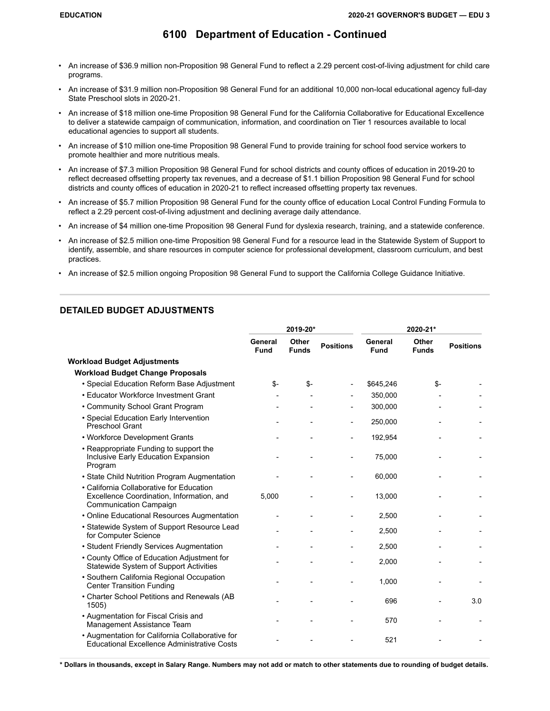- An increase of \$36.9 million non-Proposition 98 General Fund to reflect a 2.29 percent cost-of-living adjustment for child care programs.
- An increase of \$31.9 million non-Proposition 98 General Fund for an additional 10,000 non-local educational agency full-day State Preschool slots in 2020-21.
- An increase of \$18 million one-time Proposition 98 General Fund for the California Collaborative for Educational Excellence to deliver a statewide campaign of communication, information, and coordination on Tier 1 resources available to local educational agencies to support all students.
- An increase of \$10 million one-time Proposition 98 General Fund to provide training for school food service workers to promote healthier and more nutritious meals.
- An increase of \$7.3 million Proposition 98 General Fund for school districts and county offices of education in 2019-20 to reflect decreased offsetting property tax revenues, and a decrease of \$1.1 billion Proposition 98 General Fund for school districts and county offices of education in 2020-21 to reflect increased offsetting property tax revenues.
- An increase of \$5.7 million Proposition 98 General Fund for the county office of education Local Control Funding Formula to reflect a 2.29 percent cost-of-living adjustment and declining average daily attendance.
- An increase of \$4 million one-time Proposition 98 General Fund for dyslexia research, training, and a statewide conference.
- An increase of \$2.5 million one-time Proposition 98 General Fund for a resource lead in the Statewide System of Support to identify, assemble, and share resources in computer science for professional development, classroom curriculum, and best practices.
- An increase of \$2.5 million ongoing Proposition 98 General Fund to support the California College Guidance Initiative.

### **DETAILED BUDGET ADJUSTMENTS**

|                                                                                                                        |                        | 2019-20*              |                  | 2020-21*        |                       |                  |  |
|------------------------------------------------------------------------------------------------------------------------|------------------------|-----------------------|------------------|-----------------|-----------------------|------------------|--|
|                                                                                                                        | General<br><b>Fund</b> | Other<br><b>Funds</b> | <b>Positions</b> | General<br>Fund | Other<br><b>Funds</b> | <b>Positions</b> |  |
| <b>Workload Budget Adjustments</b>                                                                                     |                        |                       |                  |                 |                       |                  |  |
| <b>Workload Budget Change Proposals</b>                                                                                |                        |                       |                  |                 |                       |                  |  |
| • Special Education Reform Base Adjustment                                                                             | \$-                    | $S-$                  |                  | \$645,246       | \$-                   |                  |  |
| • Educator Workforce Investment Grant                                                                                  |                        |                       |                  | 350,000         |                       |                  |  |
| • Community School Grant Program                                                                                       |                        |                       |                  | 300,000         |                       |                  |  |
| • Special Education Early Intervention<br>Preschool Grant                                                              |                        |                       |                  | 250,000         |                       |                  |  |
| • Workforce Development Grants                                                                                         |                        |                       |                  | 192,954         |                       |                  |  |
| • Reappropriate Funding to support the<br>Inclusive Early Education Expansion<br>Program                               |                        |                       |                  | 75,000          |                       |                  |  |
| • State Child Nutrition Program Augmentation                                                                           |                        |                       |                  | 60,000          |                       |                  |  |
| • California Collaborative for Education<br>Excellence Coordination, Information, and<br><b>Communication Campaign</b> | 5,000                  |                       |                  | 13,000          |                       |                  |  |
| • Online Educational Resources Augmentation                                                                            |                        |                       |                  | 2,500           |                       |                  |  |
| • Statewide System of Support Resource Lead<br>for Computer Science                                                    |                        |                       |                  | 2,500           |                       |                  |  |
| • Student Friendly Services Augmentation                                                                               |                        |                       |                  | 2,500           |                       |                  |  |
| • County Office of Education Adjustment for<br>Statewide System of Support Activities                                  |                        |                       |                  | 2,000           |                       |                  |  |
| • Southern California Regional Occupation<br><b>Center Transition Funding</b>                                          |                        |                       |                  | 1,000           |                       |                  |  |
| • Charter School Petitions and Renewals (AB<br>1505)                                                                   |                        |                       |                  | 696             |                       | 3.0              |  |
| • Augmentation for Fiscal Crisis and<br>Management Assistance Team                                                     |                        |                       |                  | 570             |                       |                  |  |
| • Augmentation for California Collaborative for<br>Educational Excellence Administrative Costs                         |                        |                       |                  | 521             |                       |                  |  |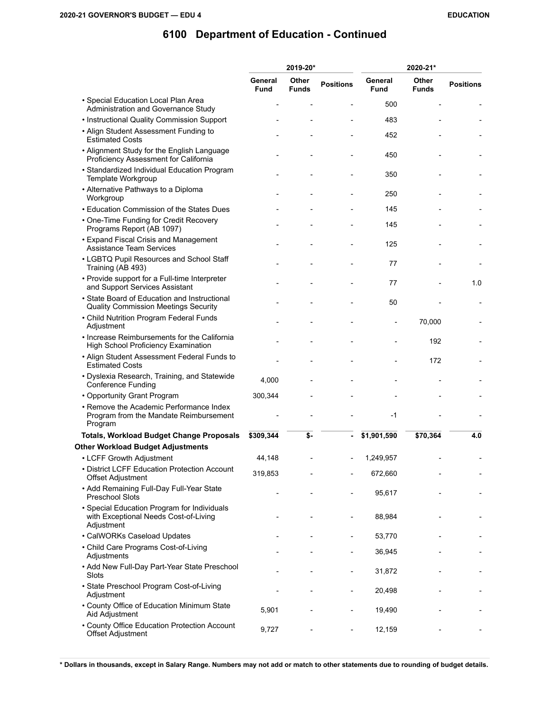|                                                                                                    |                        | 2019-20*              |                  | 2020-21*               |                       |                  |  |
|----------------------------------------------------------------------------------------------------|------------------------|-----------------------|------------------|------------------------|-----------------------|------------------|--|
|                                                                                                    | General<br><b>Fund</b> | Other<br><b>Funds</b> | <b>Positions</b> | General<br><b>Fund</b> | Other<br><b>Funds</b> | <b>Positions</b> |  |
| • Special Education Local Plan Area<br>Administration and Governance Study                         |                        |                       |                  | 500                    |                       |                  |  |
| • Instructional Quality Commission Support                                                         |                        |                       |                  | 483                    |                       |                  |  |
| • Align Student Assessment Funding to<br><b>Estimated Costs</b>                                    |                        |                       |                  | 452                    |                       |                  |  |
| • Alignment Study for the English Language<br>Proficiency Assessment for California                |                        |                       |                  | 450                    |                       |                  |  |
| • Standardized Individual Education Program<br>Template Workgroup                                  |                        |                       |                  | 350                    |                       |                  |  |
| • Alternative Pathways to a Diploma<br>Workgroup                                                   |                        |                       |                  | 250                    |                       |                  |  |
| • Education Commission of the States Dues                                                          |                        |                       |                  | 145                    |                       |                  |  |
| • One-Time Funding for Credit Recovery<br>Programs Report (AB 1097)                                |                        |                       |                  | 145                    |                       |                  |  |
| • Expand Fiscal Crisis and Management<br><b>Assistance Team Services</b>                           |                        |                       |                  | 125                    |                       |                  |  |
| • LGBTQ Pupil Resources and School Staff<br>Training (AB 493)                                      |                        |                       |                  | 77                     |                       |                  |  |
| • Provide support for a Full-time Interpreter<br>and Support Services Assistant                    |                        |                       |                  | 77                     |                       | 1.0              |  |
| • State Board of Education and Instructional<br>Quality Commission Meetings Security               |                        |                       |                  | 50                     |                       |                  |  |
| • Child Nutrition Program Federal Funds<br>Adjustment                                              |                        |                       |                  |                        | 70,000                |                  |  |
| • Increase Reimbursements for the California<br><b>High School Proficiency Examination</b>         |                        |                       |                  |                        | 192                   |                  |  |
| • Align Student Assessment Federal Funds to<br><b>Estimated Costs</b>                              |                        |                       |                  |                        | 172                   |                  |  |
| • Dyslexia Research, Training, and Statewide<br><b>Conference Funding</b>                          | 4,000                  |                       |                  |                        |                       |                  |  |
| • Opportunity Grant Program                                                                        | 300,344                |                       |                  |                        |                       |                  |  |
| • Remove the Academic Performance Index<br>Program from the Mandate Reimbursement<br>Program       |                        |                       |                  | -1                     |                       |                  |  |
| <b>Totals, Workload Budget Change Proposals</b>                                                    | \$309,344              | \$-                   |                  | \$1,901,590            | \$70,364              | 4.0              |  |
| <b>Other Workload Budget Adjustments</b>                                                           |                        |                       |                  |                        |                       |                  |  |
| • LCFF Growth Adjustment                                                                           | 44,148                 |                       |                  | 1,249,957              |                       |                  |  |
| • District LCFF Education Protection Account<br>Offset Adjustment                                  | 319,853                |                       |                  | 672,660                |                       |                  |  |
| • Add Remaining Full-Day Full-Year State<br><b>Preschool Slots</b>                                 |                        |                       |                  | 95,617                 |                       |                  |  |
| • Special Education Program for Individuals<br>with Exceptional Needs Cost-of-Living<br>Adjustment |                        |                       |                  | 88,984                 |                       |                  |  |
| • CalWORKs Caseload Updates                                                                        |                        |                       |                  | 53,770                 |                       |                  |  |
| • Child Care Programs Cost-of-Living<br>Adjustments                                                |                        |                       |                  | 36,945                 |                       |                  |  |
| • Add New Full-Day Part-Year State Preschool<br>Slots                                              |                        |                       |                  | 31,872                 |                       |                  |  |
| • State Preschool Program Cost-of-Living<br>Adjustment                                             |                        |                       |                  | 20,498                 |                       |                  |  |
| • County Office of Education Minimum State<br>Aid Adjustment                                       | 5,901                  |                       |                  | 19,490                 |                       |                  |  |
| • County Office Education Protection Account<br>Offset Adjustment                                  | 9,727                  |                       |                  | 12,159                 |                       |                  |  |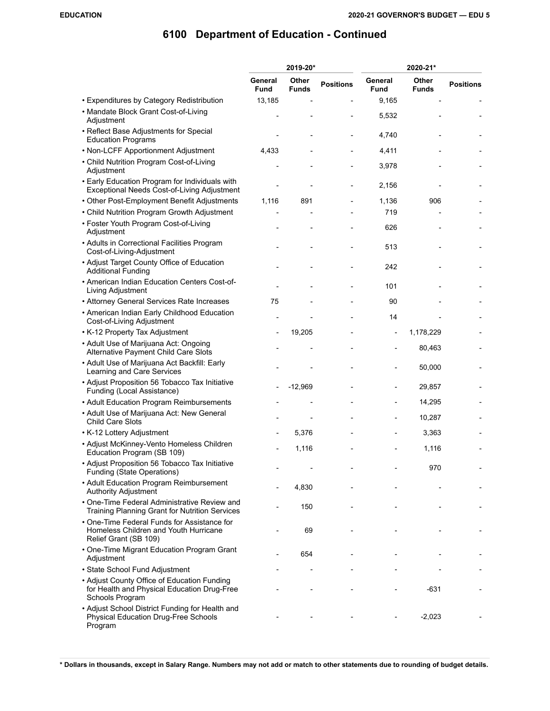|                                                                                                               |                        | 2019-20*              | 2020-21*         |                              |                       |                  |  |  |
|---------------------------------------------------------------------------------------------------------------|------------------------|-----------------------|------------------|------------------------------|-----------------------|------------------|--|--|
|                                                                                                               | General<br><b>Fund</b> | Other<br><b>Funds</b> | <b>Positions</b> | General<br><b>Fund</b>       | Other<br><b>Funds</b> | <b>Positions</b> |  |  |
| • Expenditures by Category Redistribution                                                                     | 13,185                 |                       |                  | 9,165                        |                       |                  |  |  |
| • Mandate Block Grant Cost-of-Living<br>Adjustment                                                            |                        |                       |                  | 5,532                        |                       |                  |  |  |
| • Reflect Base Adjustments for Special<br><b>Education Programs</b>                                           |                        |                       |                  | 4,740                        |                       |                  |  |  |
| • Non-LCFF Apportionment Adjustment                                                                           | 4,433                  |                       |                  | 4,411                        |                       |                  |  |  |
| • Child Nutrition Program Cost-of-Living<br>Adjustment                                                        |                        |                       |                  | 3,978                        |                       |                  |  |  |
| • Early Education Program for Individuals with<br>Exceptional Needs Cost-of-Living Adjustment                 |                        |                       |                  | 2,156                        |                       |                  |  |  |
| • Other Post-Employment Benefit Adjustments                                                                   | 1,116                  | 891                   |                  | 1,136                        | 906                   |                  |  |  |
| • Child Nutrition Program Growth Adjustment                                                                   |                        |                       |                  | 719                          |                       |                  |  |  |
| • Foster Youth Program Cost-of-Living<br>Adjustment                                                           |                        |                       |                  | 626                          |                       |                  |  |  |
| • Adults in Correctional Facilities Program<br>Cost-of-Living-Adjustment                                      |                        |                       |                  | 513                          |                       |                  |  |  |
| • Adjust Target County Office of Education<br><b>Additional Funding</b>                                       |                        |                       |                  | 242                          |                       |                  |  |  |
| • American Indian Education Centers Cost-of-<br>Living Adjustment                                             |                        |                       |                  | 101                          |                       |                  |  |  |
| • Attorney General Services Rate Increases                                                                    | 75                     |                       |                  | 90                           |                       |                  |  |  |
| • American Indian Early Childhood Education<br>Cost-of-Living Adjustment                                      |                        |                       |                  | 14                           |                       |                  |  |  |
| • K-12 Property Tax Adjustment                                                                                |                        | 19,205                |                  | $\qquad \qquad \blacksquare$ | 1,178,229             |                  |  |  |
| • Adult Use of Marijuana Act: Ongoing<br>Alternative Payment Child Care Slots                                 |                        |                       |                  |                              | 80,463                |                  |  |  |
| • Adult Use of Marijuana Act Backfill: Early<br>Learning and Care Services                                    |                        |                       |                  |                              | 50,000                |                  |  |  |
| • Adjust Proposition 56 Tobacco Tax Initiative<br>Funding (Local Assistance)                                  |                        | $-12,969$             |                  |                              | 29,857                |                  |  |  |
| • Adult Education Program Reimbursements                                                                      |                        |                       |                  |                              | 14,295                |                  |  |  |
| • Adult Use of Marijuana Act: New General<br><b>Child Care Slots</b>                                          |                        |                       |                  |                              | 10,287                |                  |  |  |
| • K-12 Lottery Adjustment                                                                                     |                        | 5,376                 |                  |                              | 3,363                 |                  |  |  |
| • Adjust McKinney-Vento Homeless Children<br>Education Program (SB 109)                                       |                        | 1,116                 |                  |                              | 1,116                 |                  |  |  |
| • Adjust Proposition 56 Tobacco Tax Initiative<br>Funding (State Operations)                                  |                        |                       |                  |                              | 970                   |                  |  |  |
| • Adult Education Program Reimbursement<br><b>Authority Adjustment</b>                                        |                        | 4,830                 |                  |                              |                       |                  |  |  |
| • One-Time Federal Administrative Review and<br>Training Planning Grant for Nutrition Services                |                        | 150                   |                  |                              |                       |                  |  |  |
| • One-Time Federal Funds for Assistance for<br>Homeless Children and Youth Hurricane<br>Relief Grant (SB 109) |                        | 69                    |                  |                              |                       |                  |  |  |
| • One-Time Migrant Education Program Grant<br>Adjustment                                                      |                        | 654                   |                  |                              |                       |                  |  |  |
| • State School Fund Adjustment                                                                                |                        |                       |                  |                              |                       |                  |  |  |
| • Adjust County Office of Education Funding<br>for Health and Physical Education Drug-Free<br>Schools Program |                        |                       |                  |                              | $-631$                |                  |  |  |
| • Adjust School District Funding for Health and<br><b>Physical Education Drug-Free Schools</b><br>Program     |                        |                       |                  |                              | $-2,023$              |                  |  |  |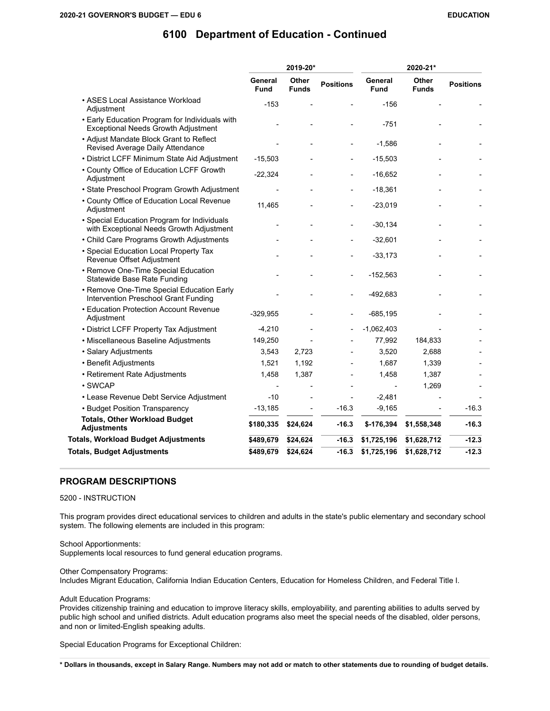|                                                                                              |                        | 2019-20*<br>2020-21*  |                  |                        |                       |                  |
|----------------------------------------------------------------------------------------------|------------------------|-----------------------|------------------|------------------------|-----------------------|------------------|
|                                                                                              | General<br><b>Fund</b> | Other<br><b>Funds</b> | <b>Positions</b> | General<br><b>Fund</b> | Other<br><b>Funds</b> | <b>Positions</b> |
| • ASES Local Assistance Workload<br>Adjustment                                               | $-153$                 |                       |                  | $-156$                 |                       |                  |
| • Early Education Program for Individuals with<br><b>Exceptional Needs Growth Adjustment</b> |                        |                       |                  | $-751$                 |                       |                  |
| • Adjust Mandate Block Grant to Reflect<br>Revised Average Daily Attendance                  |                        |                       |                  | $-1,586$               |                       |                  |
| • District LCFF Minimum State Aid Adjustment                                                 | $-15,503$              |                       |                  | $-15,503$              |                       |                  |
| • County Office of Education LCFF Growth<br>Adjustment                                       | $-22,324$              |                       |                  | $-16,652$              |                       |                  |
| • State Preschool Program Growth Adjustment                                                  |                        |                       |                  | $-18,361$              |                       |                  |
| • County Office of Education Local Revenue<br>Adjustment                                     | 11,465                 |                       |                  | $-23,019$              |                       |                  |
| • Special Education Program for Individuals<br>with Exceptional Needs Growth Adjustment      |                        |                       |                  | $-30,134$              |                       |                  |
| • Child Care Programs Growth Adjustments                                                     |                        |                       |                  | $-32,601$              |                       |                  |
| • Special Education Local Property Tax<br>Revenue Offset Adjustment                          |                        |                       |                  | $-33,173$              |                       |                  |
| • Remove One-Time Special Education<br>Statewide Base Rate Funding                           |                        |                       |                  | $-152,563$             |                       |                  |
| • Remove One-Time Special Education Early<br>Intervention Preschool Grant Funding            |                        |                       |                  | $-492,683$             |                       |                  |
| • Education Protection Account Revenue<br>Adjustment                                         | $-329,955$             |                       |                  | $-685,195$             |                       |                  |
| • District LCFF Property Tax Adjustment                                                      | $-4,210$               |                       |                  | $-1,062,403$           |                       |                  |
| • Miscellaneous Baseline Adjustments                                                         | 149,250                |                       |                  | 77,992                 | 184,833               |                  |
| · Salary Adjustments                                                                         | 3,543                  | 2,723                 |                  | 3,520                  | 2,688                 |                  |
| • Benefit Adjustments                                                                        | 1,521                  | 1,192                 |                  | 1,687                  | 1,339                 |                  |
| • Retirement Rate Adjustments                                                                | 1,458                  | 1,387                 |                  | 1,458                  | 1,387                 |                  |
| · SWCAP                                                                                      |                        |                       |                  |                        | 1,269                 |                  |
| • Lease Revenue Debt Service Adjustment                                                      | $-10$                  |                       |                  | $-2,481$               |                       |                  |
| • Budget Position Transparency                                                               | $-13,185$              |                       | $-16.3$          | $-9,165$               |                       | -16.3            |
| <b>Totals, Other Workload Budget</b><br><b>Adjustments</b>                                   | \$180,335              | \$24,624              | $-16.3$          | \$-176,394             | \$1,558,348           | $-16.3$          |
| <b>Totals, Workload Budget Adjustments</b>                                                   | \$489,679              | \$24,624              | $-16.3$          | \$1,725,196            | \$1,628,712           | $-12.3$          |
| <b>Totals, Budget Adjustments</b>                                                            | \$489,679              | \$24,624              | $-16.3$          | \$1,725,196            | \$1,628,712           | $-12.3$          |

#### **PROGRAM DESCRIPTIONS**

5200 - INSTRUCTION

This program provides direct educational services to children and adults in the state's public elementary and secondary school system. The following elements are included in this program:

School Apportionments: Supplements local resources to fund general education programs.

Other Compensatory Programs:

Includes Migrant Education, California Indian Education Centers, Education for Homeless Children, and Federal Title I.

Adult Education Programs:

Provides citizenship training and education to improve literacy skills, employability, and parenting abilities to adults served by public high school and unified districts. Adult education programs also meet the special needs of the disabled, older persons, and non or limited-English speaking adults.

Special Education Programs for Exceptional Children: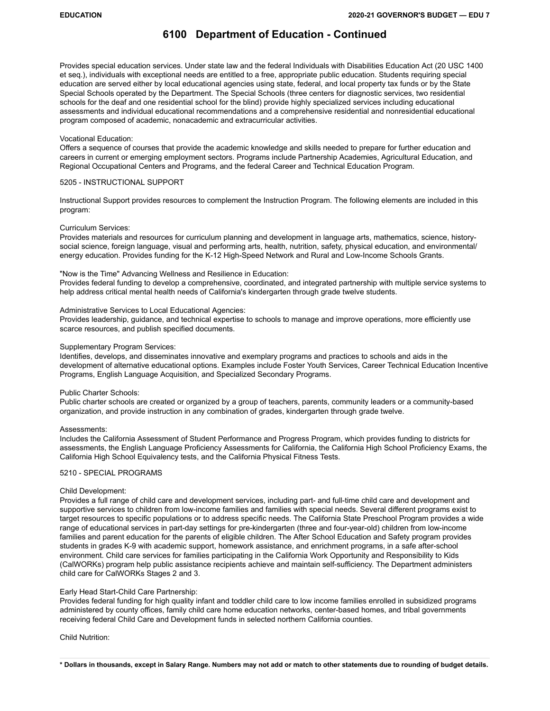Provides special education services. Under state law and the federal Individuals with Disabilities Education Act (20 USC 1400 et seq.), individuals with exceptional needs are entitled to a free, appropriate public education. Students requiring special education are served either by local educational agencies using state, federal, and local property tax funds or by the State Special Schools operated by the Department. The Special Schools (three centers for diagnostic services, two residential schools for the deaf and one residential school for the blind) provide highly specialized services including educational assessments and individual educational recommendations and a comprehensive residential and nonresidential educational program composed of academic, nonacademic and extracurricular activities.

#### Vocational Education:

Offers a sequence of courses that provide the academic knowledge and skills needed to prepare for further education and careers in current or emerging employment sectors. Programs include Partnership Academies, Agricultural Education, and Regional Occupational Centers and Programs, and the federal Career and Technical Education Program.

#### 5205 - INSTRUCTIONAL SUPPORT

Instructional Support provides resources to complement the Instruction Program. The following elements are included in this program:

#### Curriculum Services:

Provides materials and resources for curriculum planning and development in language arts, mathematics, science, historysocial science, foreign language, visual and performing arts, health, nutrition, safety, physical education, and environmental/ energy education. Provides funding for the K-12 High-Speed Network and Rural and Low-Income Schools Grants.

#### "Now is the Time" Advancing Wellness and Resilience in Education:

Provides federal funding to develop a comprehensive, coordinated, and integrated partnership with multiple service systems to help address critical mental health needs of California's kindergarten through grade twelve students.

#### Administrative Services to Local Educational Agencies:

Provides leadership, guidance, and technical expertise to schools to manage and improve operations, more efficiently use scarce resources, and publish specified documents.

#### Supplementary Program Services:

Identifies, develops, and disseminates innovative and exemplary programs and practices to schools and aids in the development of alternative educational options. Examples include Foster Youth Services, Career Technical Education Incentive Programs, English Language Acquisition, and Specialized Secondary Programs.

#### Public Charter Schools:

Public charter schools are created or organized by a group of teachers, parents, community leaders or a community-based organization, and provide instruction in any combination of grades, kindergarten through grade twelve.

#### Assessments:

Includes the California Assessment of Student Performance and Progress Program, which provides funding to districts for assessments, the English Language Proficiency Assessments for California, the California High School Proficiency Exams, the California High School Equivalency tests, and the California Physical Fitness Tests.

#### 5210 - SPECIAL PROGRAMS

#### Child Development:

Provides a full range of child care and development services, including part- and full-time child care and development and supportive services to children from low-income families and families with special needs. Several different programs exist to target resources to specific populations or to address specific needs. The California State Preschool Program provides a wide range of educational services in part-day settings for pre-kindergarten (three and four-year-old) children from low-income families and parent education for the parents of eligible children. The After School Education and Safety program provides students in grades K-9 with academic support, homework assistance, and enrichment programs, in a safe after-school environment. Child care services for families participating in the California Work Opportunity and Responsibility to Kids (CalWORKs) program help public assistance recipients achieve and maintain self-sufficiency. The Department administers child care for CalWORKs Stages 2 and 3.

#### Early Head Start-Child Care Partnership:

Provides federal funding for high quality infant and toddler child care to low income families enrolled in subsidized programs administered by county offices, family child care home education networks, center-based homes, and tribal governments receiving federal Child Care and Development funds in selected northern California counties.

#### Child Nutrition: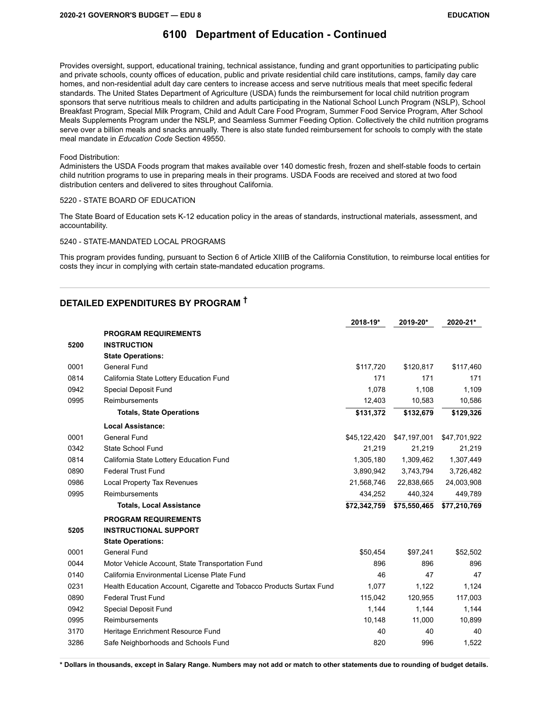Provides oversight, support, educational training, technical assistance, funding and grant opportunities to participating public and private schools, county offices of education, public and private residential child care institutions, camps, family day care homes, and non-residential adult day care centers to increase access and serve nutritious meals that meet specific federal standards. The United States Department of Agriculture (USDA) funds the reimbursement for local child nutrition program sponsors that serve nutritious meals to children and adults participating in the National School Lunch Program (NSLP), School Breakfast Program, Special Milk Program, Child and Adult Care Food Program, Summer Food Service Program, After School Meals Supplements Program under the NSLP, and Seamless Summer Feeding Option. Collectively the child nutrition programs serve over a billion meals and snacks annually. There is also state funded reimbursement for schools to comply with the state meal mandate in *Education Code* Section 49550.

#### Food Distribution:

Administers the USDA Foods program that makes available over 140 domestic fresh, frozen and shelf-stable foods to certain child nutrition programs to use in preparing meals in their programs. USDA Foods are received and stored at two food distribution centers and delivered to sites throughout California.

#### 5220 - STATE BOARD OF EDUCATION

The State Board of Education sets K-12 education policy in the areas of standards, instructional materials, assessment, and accountability.

#### 5240 - STATE-MANDATED LOCAL PROGRAMS

This program provides funding, pursuant to Section 6 of Article XIIIB of the California Constitution, to reimburse local entities for costs they incur in complying with certain state-mandated education programs.

### **DETAILED EXPENDITURES BY PROGRAM †**

|      |                                                                      | 2018-19*     | 2019-20*     | 2020-21*     |
|------|----------------------------------------------------------------------|--------------|--------------|--------------|
|      | <b>PROGRAM REQUIREMENTS</b>                                          |              |              |              |
| 5200 | <b>INSTRUCTION</b>                                                   |              |              |              |
|      | <b>State Operations:</b>                                             |              |              |              |
| 0001 | General Fund                                                         | \$117,720    | \$120,817    | \$117,460    |
| 0814 | California State Lottery Education Fund                              | 171          | 171          | 171          |
| 0942 | <b>Special Deposit Fund</b>                                          | 1.078        | 1,108        | 1,109        |
| 0995 | Reimbursements                                                       | 12,403       | 10,583       | 10,586       |
|      | <b>Totals, State Operations</b>                                      | \$131,372    | \$132,679    | \$129,326    |
|      | <b>Local Assistance:</b>                                             |              |              |              |
| 0001 | <b>General Fund</b>                                                  | \$45,122,420 | \$47,197,001 | \$47,701,922 |
| 0342 | State School Fund                                                    | 21,219       | 21,219       | 21,219       |
| 0814 | California State Lottery Education Fund                              | 1,305,180    | 1,309,462    | 1,307,449    |
| 0890 | <b>Federal Trust Fund</b>                                            | 3,890,942    | 3,743,794    | 3,726,482    |
| 0986 | <b>Local Property Tax Revenues</b>                                   | 21,568,746   | 22,838,665   | 24,003,908   |
| 0995 | <b>Reimbursements</b>                                                | 434,252      | 440,324      | 449,789      |
|      | <b>Totals, Local Assistance</b>                                      | \$72,342,759 | \$75,550,465 | \$77,210,769 |
|      | <b>PROGRAM REQUIREMENTS</b>                                          |              |              |              |
| 5205 | <b>INSTRUCTIONAL SUPPORT</b>                                         |              |              |              |
|      | <b>State Operations:</b>                                             |              |              |              |
| 0001 | General Fund                                                         | \$50,454     | \$97,241     | \$52,502     |
| 0044 | Motor Vehicle Account, State Transportation Fund                     | 896          | 896          | 896          |
| 0140 | California Environmental License Plate Fund                          | 46           | 47           | 47           |
| 0231 | Health Education Account, Cigarette and Tobacco Products Surtax Fund | 1,077        | 1,122        | 1,124        |
| 0890 | <b>Federal Trust Fund</b>                                            | 115,042      | 120,955      | 117,003      |
| 0942 | <b>Special Deposit Fund</b>                                          | 1,144        | 1,144        | 1,144        |
| 0995 | Reimbursements                                                       | 10,148       | 11,000       | 10,899       |
| 3170 | Heritage Enrichment Resource Fund                                    | 40           | 40           | 40           |
| 3286 | Safe Neighborhoods and Schools Fund                                  | 820          | 996          | 1,522        |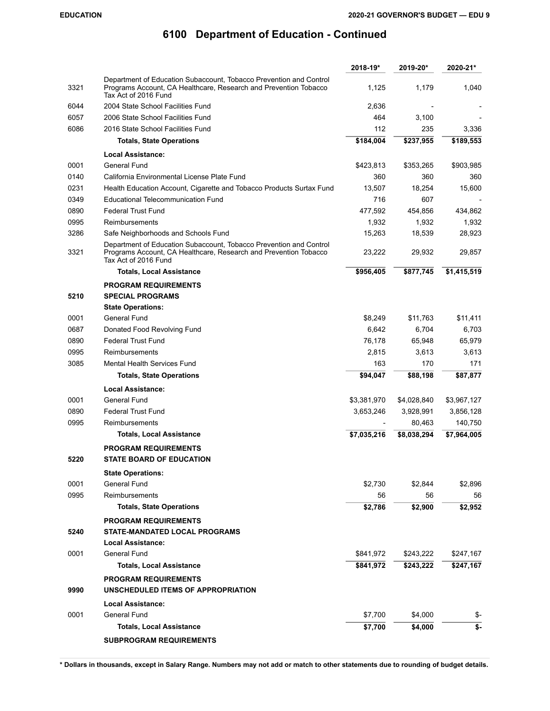|      |                                                                                                                                                                | 2018-19*    | 2019-20*    | 2020-21*    |
|------|----------------------------------------------------------------------------------------------------------------------------------------------------------------|-------------|-------------|-------------|
| 3321 | Department of Education Subaccount, Tobacco Prevention and Control<br>Programs Account, CA Healthcare, Research and Prevention Tobacco<br>Tax Act of 2016 Fund | 1,125       | 1,179       | 1,040       |
| 6044 | 2004 State School Facilities Fund                                                                                                                              | 2,636       |             |             |
| 6057 | 2006 State School Facilities Fund                                                                                                                              | 464         | 3.100       |             |
| 6086 | 2016 State School Facilities Fund                                                                                                                              | 112         | 235         | 3,336       |
|      | <b>Totals, State Operations</b>                                                                                                                                | \$184,004   | \$237,955   | \$189,553   |
|      | <b>Local Assistance:</b>                                                                                                                                       |             |             |             |
| 0001 | <b>General Fund</b>                                                                                                                                            | \$423,813   | \$353,265   | \$903,985   |
| 0140 | California Environmental License Plate Fund                                                                                                                    | 360         | 360         | 360         |
| 0231 | Health Education Account, Cigarette and Tobacco Products Surtax Fund                                                                                           | 13,507      | 18,254      | 15,600      |
| 0349 | <b>Educational Telecommunication Fund</b>                                                                                                                      | 716         | 607         |             |
| 0890 | <b>Federal Trust Fund</b>                                                                                                                                      | 477,592     | 454,856     | 434,862     |
| 0995 | Reimbursements                                                                                                                                                 | 1,932       | 1,932       | 1,932       |
| 3286 | Safe Neighborhoods and Schools Fund                                                                                                                            | 15,263      | 18,539      | 28,923      |
| 3321 | Department of Education Subaccount, Tobacco Prevention and Control<br>Programs Account, CA Healthcare, Research and Prevention Tobacco<br>Tax Act of 2016 Fund | 23,222      | 29,932      | 29,857      |
|      | Totals, Local Assistance                                                                                                                                       | \$956,405   | \$877,745   | \$1,415,519 |
| 5210 | <b>PROGRAM REQUIREMENTS</b><br><b>SPECIAL PROGRAMS</b>                                                                                                         |             |             |             |
|      | <b>State Operations:</b>                                                                                                                                       |             |             |             |
| 0001 | General Fund                                                                                                                                                   | \$8,249     | \$11,763    | \$11,411    |
| 0687 | Donated Food Revolving Fund                                                                                                                                    | 6,642       | 6,704       | 6,703       |
| 0890 | <b>Federal Trust Fund</b>                                                                                                                                      | 76,178      | 65,948      | 65,979      |
| 0995 | Reimbursements                                                                                                                                                 | 2,815       | 3,613       | 3,613       |
| 3085 | Mental Health Services Fund                                                                                                                                    | 163         | 170         | 171         |
|      | <b>Totals, State Operations</b>                                                                                                                                | \$94,047    | \$88,198    | \$87,877    |
|      | <b>Local Assistance:</b>                                                                                                                                       |             |             |             |
| 0001 | <b>General Fund</b>                                                                                                                                            | \$3,381,970 | \$4,028,840 | \$3,967,127 |
| 0890 | <b>Federal Trust Fund</b>                                                                                                                                      | 3,653,246   | 3,928,991   | 3,856,128   |
| 0995 | Reimbursements                                                                                                                                                 |             | 80,463      | 140,750     |
|      | <b>Totals, Local Assistance</b>                                                                                                                                | \$7,035,216 | \$8,038,294 | \$7,964,005 |
|      | <b>PROGRAM REQUIREMENTS</b>                                                                                                                                    |             |             |             |
| 5220 | <b>STATE BOARD OF EDUCATION</b>                                                                                                                                |             |             |             |
|      | <b>State Operations:</b>                                                                                                                                       |             |             |             |
| 0001 | General Fund                                                                                                                                                   | \$2,730     | \$2,844     | \$2,896     |
| 0995 | <b>Reimbursements</b>                                                                                                                                          | 56          | 56          | 56          |
|      | <b>Totals, State Operations</b>                                                                                                                                | \$2,786     | \$2,900     | \$2,952     |
|      | <b>PROGRAM REQUIREMENTS</b>                                                                                                                                    |             |             |             |
| 5240 | STATE-MANDATED LOCAL PROGRAMS                                                                                                                                  |             |             |             |
|      | <b>Local Assistance:</b>                                                                                                                                       |             |             |             |
| 0001 | General Fund                                                                                                                                                   | \$841,972   | \$243,222   | \$247,167   |
|      | <b>Totals, Local Assistance</b>                                                                                                                                | \$841,972   | \$243,222   | \$247,167   |
| 9990 | <b>PROGRAM REQUIREMENTS</b><br>UNSCHEDULED ITEMS OF APPROPRIATION                                                                                              |             |             |             |
|      | <b>Local Assistance:</b>                                                                                                                                       |             |             |             |
| 0001 | General Fund                                                                                                                                                   | \$7,700     | \$4,000     | \$-         |
|      | <b>Totals, Local Assistance</b>                                                                                                                                | \$7,700     | \$4,000     | \$-         |
|      | <b>SUBPROGRAM REQUIREMENTS</b>                                                                                                                                 |             |             |             |
|      |                                                                                                                                                                |             |             |             |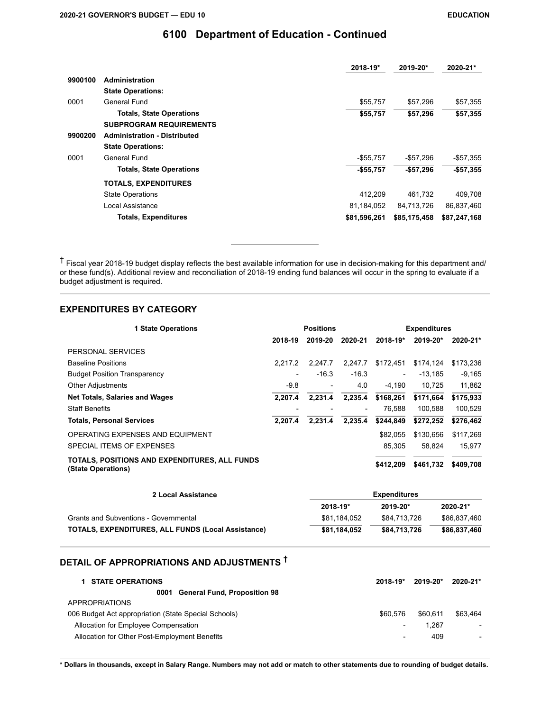|         |                                     | 2018-19*     | 2019-20*     | 2020-21*     |
|---------|-------------------------------------|--------------|--------------|--------------|
| 9900100 | <b>Administration</b>               |              |              |              |
|         | <b>State Operations:</b>            |              |              |              |
| 0001    | General Fund                        | \$55,757     | \$57,296     | \$57,355     |
|         | <b>Totals, State Operations</b>     | \$55,757     | \$57,296     | \$57,355     |
|         | <b>SUBPROGRAM REQUIREMENTS</b>      |              |              |              |
| 9900200 | <b>Administration - Distributed</b> |              |              |              |
|         | <b>State Operations:</b>            |              |              |              |
| 0001    | General Fund                        | $-$55,757$   | $-$57,296$   | $-$57,355$   |
|         | <b>Totals, State Operations</b>     | $-$55,757$   | $-$57,296$   | $-$57,355$   |
|         | <b>TOTALS, EXPENDITURES</b>         |              |              |              |
|         | <b>State Operations</b>             | 412,209      | 461,732      | 409,708      |
|         | Local Assistance                    | 81,184,052   | 84,713,726   | 86,837,460   |
|         | <b>Totals, Expenditures</b>         | \$81,596,261 | \$85,175,458 | \$87,247,168 |

† Fiscal year 2018-19 budget display reflects the best available information for use in decision-making for this department and/ or these fund(s). Additional review and reconciliation of 2018-19 ending fund balances will occur in the spring to evaluate if a budget adjustment is required.

### **EXPENDITURES BY CATEGORY**

| <b>1 State Operations</b>                                           | <b>Positions</b>         |         |                          |                          |           | <b>Expenditures</b> |  |  |
|---------------------------------------------------------------------|--------------------------|---------|--------------------------|--------------------------|-----------|---------------------|--|--|
|                                                                     | 2018-19                  | 2019-20 | 2020-21                  | 2018-19*                 | 2019-20*  | 2020-21*            |  |  |
| PERSONAL SERVICES                                                   |                          |         |                          |                          |           |                     |  |  |
| <b>Baseline Positions</b>                                           | 2.217.2                  | 2.247.7 | 2.247.7                  | \$172.451                | \$174.124 | \$173,236           |  |  |
| <b>Budget Position Transparency</b>                                 | $\overline{\phantom{0}}$ | $-16.3$ | $-16.3$                  | $\overline{\phantom{a}}$ | $-13.185$ | $-9,165$            |  |  |
| <b>Other Adjustments</b>                                            | $-9.8$                   |         | 4.0                      | $-4.190$                 | 10.725    | 11,862              |  |  |
| <b>Net Totals, Salaries and Wages</b>                               | 2.207.4                  | 2.231.4 | 2.235.4                  | \$168,261                | \$171.664 | \$175,933           |  |  |
| <b>Staff Benefits</b>                                               |                          |         | $\overline{\phantom{a}}$ | 76.588                   | 100.588   | 100.529             |  |  |
| <b>Totals, Personal Services</b>                                    | 2.207.4                  | 2.231.4 | 2.235.4                  | \$244.849                | \$272,252 | \$276,462           |  |  |
| OPERATING EXPENSES AND EQUIPMENT                                    |                          |         |                          | \$82.055                 | \$130,656 | \$117,269           |  |  |
| SPECIAL ITEMS OF EXPENSES                                           |                          |         |                          | 85.305                   | 58.824    | 15.977              |  |  |
| TOTALS, POSITIONS AND EXPENDITURES, ALL FUNDS<br>(State Operations) |                          |         |                          | \$412.209                | \$461,732 | \$409,708           |  |  |

| 2 Local Assistance                                        | Expenditures |              |              |
|-----------------------------------------------------------|--------------|--------------|--------------|
|                                                           | 2018-19*     | $2019 - 20*$ | 2020-21*     |
| Grants and Subventions - Governmental                     | \$81.184.052 | \$84.713.726 | \$86.837.460 |
| <b>TOTALS, EXPENDITURES, ALL FUNDS (Local Assistance)</b> | \$81,184,052 | \$84,713,726 | \$86,837,460 |

## **DETAIL OF APPROPRIATIONS AND ADJUSTMENTS †**

| <b>STATE OPERATIONS</b>                              | $2018 - 19*$             | 2019-20* | 2020-21*                 |
|------------------------------------------------------|--------------------------|----------|--------------------------|
| <b>General Fund, Proposition 98</b><br>0001          |                          |          |                          |
| <b>APPROPRIATIONS</b>                                |                          |          |                          |
| 006 Budget Act appropriation (State Special Schools) | \$60.576                 | \$60.611 | \$63.464                 |
| Allocation for Employee Compensation                 | $\overline{\phantom{a}}$ | 1.267    | $\overline{\phantom{0}}$ |
| Allocation for Other Post-Employment Benefits        | $\overline{\phantom{a}}$ | 409      | $\overline{\phantom{a}}$ |
|                                                      |                          |          |                          |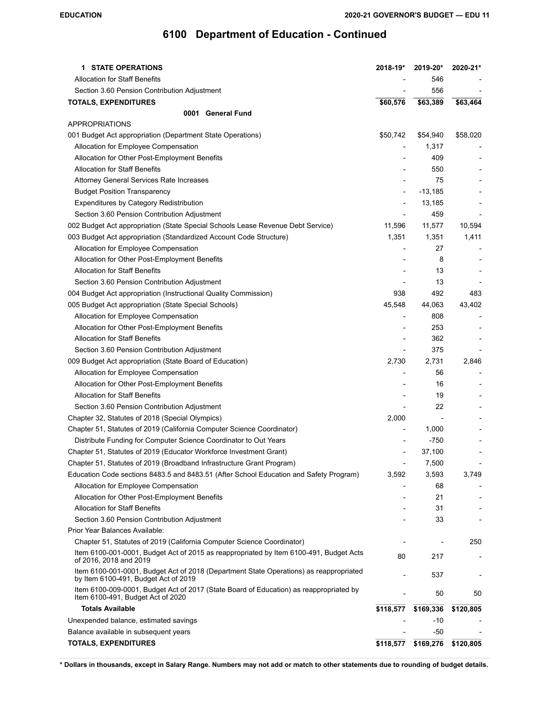| <b>STATE OPERATIONS</b><br>1.                                                                                                  | 2018-19*                 | 2019-20*                 | 2020-21*                 |
|--------------------------------------------------------------------------------------------------------------------------------|--------------------------|--------------------------|--------------------------|
| <b>Allocation for Staff Benefits</b>                                                                                           |                          | 546                      |                          |
| Section 3.60 Pension Contribution Adjustment                                                                                   |                          | 556                      |                          |
| <b>TOTALS, EXPENDITURES</b>                                                                                                    | \$60,576                 | \$63,389                 | \$63,464                 |
| 0001 General Fund                                                                                                              |                          |                          |                          |
| <b>APPROPRIATIONS</b>                                                                                                          |                          |                          |                          |
| 001 Budget Act appropriation (Department State Operations)                                                                     | \$50,742                 | \$54,940                 | \$58,020                 |
| Allocation for Employee Compensation                                                                                           |                          | 1,317                    |                          |
| Allocation for Other Post-Employment Benefits                                                                                  |                          | 409                      |                          |
| <b>Allocation for Staff Benefits</b>                                                                                           |                          | 550                      |                          |
| Attorney General Services Rate Increases                                                                                       |                          | 75                       |                          |
| <b>Budget Position Transparency</b>                                                                                            | $\overline{\phantom{0}}$ | $-13,185$                |                          |
| <b>Expenditures by Category Redistribution</b>                                                                                 |                          | 13,185                   |                          |
| Section 3.60 Pension Contribution Adjustment                                                                                   |                          | 459                      |                          |
| 002 Budget Act appropriation (State Special Schools Lease Revenue Debt Service)                                                | 11,596                   | 11,577                   | 10,594                   |
| 003 Budget Act appropriation (Standardized Account Code Structure)                                                             | 1,351                    | 1,351                    | 1,411                    |
| Allocation for Employee Compensation                                                                                           |                          | 27                       |                          |
| Allocation for Other Post-Employment Benefits                                                                                  |                          | 8                        |                          |
| <b>Allocation for Staff Benefits</b>                                                                                           |                          | 13                       |                          |
| Section 3.60 Pension Contribution Adjustment                                                                                   |                          | 13                       |                          |
| 004 Budget Act appropriation (Instructional Quality Commission)                                                                | 938                      | 492                      | 483                      |
| 005 Budget Act appropriation (State Special Schools)                                                                           | 45,548                   | 44,063                   | 43,402                   |
| Allocation for Employee Compensation                                                                                           |                          | 808                      |                          |
| Allocation for Other Post-Employment Benefits                                                                                  |                          | 253                      |                          |
| <b>Allocation for Staff Benefits</b>                                                                                           |                          | 362                      |                          |
| Section 3.60 Pension Contribution Adjustment                                                                                   |                          | 375                      |                          |
| 009 Budget Act appropriation (State Board of Education)                                                                        | 2,730                    | 2,731                    | 2,846                    |
| Allocation for Employee Compensation                                                                                           |                          | 56                       |                          |
| Allocation for Other Post-Employment Benefits                                                                                  |                          | 16                       |                          |
| <b>Allocation for Staff Benefits</b>                                                                                           |                          | 19                       |                          |
| Section 3.60 Pension Contribution Adjustment                                                                                   |                          | 22                       |                          |
| Chapter 32, Statutes of 2018 (Special Olympics)                                                                                | 2,000                    | $\overline{\phantom{0}}$ |                          |
| Chapter 51, Statutes of 2019 (California Computer Science Coordinator)                                                         |                          | 1,000                    |                          |
| Distribute Funding for Computer Science Coordinator to Out Years                                                               | $\overline{a}$           | $-750$                   |                          |
| Chapter 51, Statutes of 2019 (Educator Workforce Investment Grant)                                                             |                          | 37,100                   |                          |
| Chapter 51, Statutes of 2019 (Broadband Infrastructure Grant Program)                                                          |                          | 7,500                    |                          |
| Education Code sections 8483.5 and 8483.51 (After School Education and Safety Program)                                         | 3,592                    | 3,593                    | 3,749                    |
| Allocation for Employee Compensation                                                                                           |                          | 68                       |                          |
| Allocation for Other Post-Employment Benefits                                                                                  |                          | 21                       |                          |
| <b>Allocation for Staff Benefits</b>                                                                                           |                          | 31                       |                          |
| Section 3.60 Pension Contribution Adjustment                                                                                   |                          | 33                       |                          |
| Prior Year Balances Available:                                                                                                 |                          |                          |                          |
| Chapter 51, Statutes of 2019 (California Computer Science Coordinator)                                                         |                          |                          | 250                      |
| Item 6100-001-0001, Budget Act of 2015 as reappropriated by Item 6100-491, Budget Acts<br>of 2016, 2018 and 2019               | 80                       | 217                      |                          |
| Item 6100-001-0001, Budget Act of 2018 (Department State Operations) as reappropriated<br>by Item 6100-491, Budget Act of 2019 |                          | 537                      | $\overline{\phantom{a}}$ |
| Item 6100-009-0001, Budget Act of 2017 (State Board of Education) as reappropriated by<br>Item 6100-491, Budget Act of 2020    |                          | 50                       | 50                       |
| <b>Totals Available</b>                                                                                                        | \$118,577                | \$169,336                | \$120,805                |
| Unexpended balance, estimated savings                                                                                          |                          | -10                      |                          |
| Balance available in subsequent years                                                                                          |                          | -50                      |                          |
| <b>TOTALS, EXPENDITURES</b>                                                                                                    | \$118,577                | \$169,276                | \$120,805                |
|                                                                                                                                |                          |                          |                          |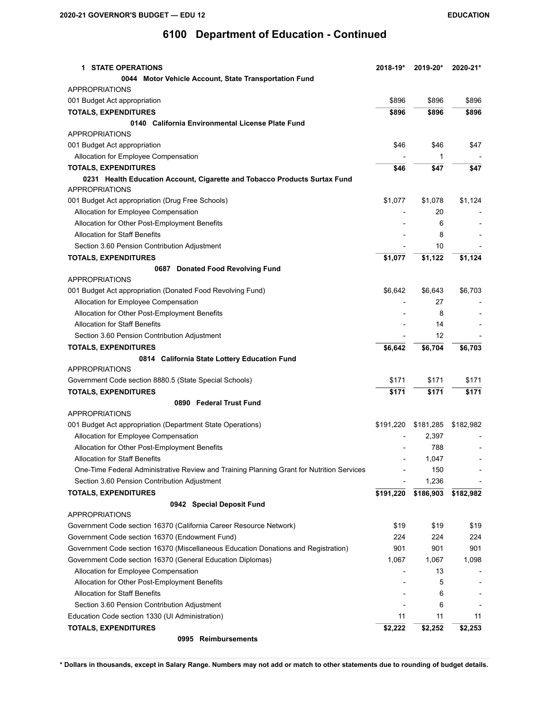| <b>1 STATE OPERATIONS</b>                                                                          | 2018-19*  | 2019-20*  | 2020-21*                 |
|----------------------------------------------------------------------------------------------------|-----------|-----------|--------------------------|
| 0044 Motor Vehicle Account, State Transportation Fund                                              |           |           |                          |
| <b>APPROPRIATIONS</b>                                                                              |           |           |                          |
| 001 Budget Act appropriation                                                                       | \$896     | \$896     | \$896                    |
| <b>TOTALS, EXPENDITURES</b>                                                                        | \$896     | \$896     | \$896                    |
| 0140 California Environmental License Plate Fund                                                   |           |           |                          |
| <b>APPROPRIATIONS</b>                                                                              |           |           |                          |
| 001 Budget Act appropriation                                                                       | \$46      | \$46      | \$47                     |
| Allocation for Employee Compensation                                                               |           | 1         |                          |
| <b>TOTALS, EXPENDITURES</b>                                                                        | \$46      | \$47      | \$47                     |
| 0231 Health Education Account, Cigarette and Tobacco Products Surtax Fund<br><b>APPROPRIATIONS</b> |           |           |                          |
| 001 Budget Act appropriation (Drug Free Schools)                                                   | \$1,077   | \$1,078   | \$1,124                  |
| Allocation for Employee Compensation                                                               |           | 20        |                          |
| Allocation for Other Post-Employment Benefits                                                      |           | 6         |                          |
| <b>Allocation for Staff Benefits</b>                                                               |           | 8         |                          |
| Section 3.60 Pension Contribution Adjustment                                                       |           | 10        |                          |
| <b>TOTALS, EXPENDITURES</b>                                                                        | \$1,077   | \$1,122   | \$1,124                  |
| 0687 Donated Food Revolving Fund                                                                   |           |           |                          |
| <b>APPROPRIATIONS</b>                                                                              |           |           |                          |
| 001 Budget Act appropriation (Donated Food Revolving Fund)                                         | \$6,642   | \$6,643   | \$6,703                  |
| Allocation for Employee Compensation                                                               |           | 27        |                          |
| Allocation for Other Post-Employment Benefits                                                      |           | 8         |                          |
| <b>Allocation for Staff Benefits</b>                                                               |           | 14        | $\overline{\phantom{a}}$ |
| Section 3.60 Pension Contribution Adjustment                                                       |           | 12        |                          |
| <b>TOTALS, EXPENDITURES</b>                                                                        | \$6,642   | \$6,704   | \$6,703                  |
| 0814 California State Lottery Education Fund                                                       |           |           |                          |
| <b>APPROPRIATIONS</b>                                                                              |           |           |                          |
| Government Code section 8880.5 (State Special Schools)                                             | \$171     | \$171     | \$171                    |
| <b>TOTALS, EXPENDITURES</b>                                                                        | \$171     | \$171     | \$171                    |
| 0890 Federal Trust Fund                                                                            |           |           |                          |
| <b>APPROPRIATIONS</b>                                                                              |           |           |                          |
| 001 Budget Act appropriation (Department State Operations)                                         | \$191,220 | \$181,285 | \$182,982                |
| Allocation for Employee Compensation                                                               |           | 2,397     |                          |
| Allocation for Other Post-Employment Benefits                                                      |           | 788       |                          |
| <b>Allocation for Staff Benefits</b>                                                               |           | 1,047     | $\overline{\phantom{a}}$ |
| One-Time Federal Administrative Review and Training Planning Grant for Nutrition Services          |           | 150       |                          |
| Section 3.60 Pension Contribution Adjustment                                                       |           | 1,236     |                          |
| <b>TOTALS, EXPENDITURES</b>                                                                        | \$191,220 | \$186,903 | \$182,982                |
| 0942 Special Deposit Fund                                                                          |           |           |                          |
| <b>APPROPRIATIONS</b>                                                                              |           |           |                          |
| Government Code section 16370 (California Career Resource Network)                                 | \$19      | \$19      | \$19                     |
| Government Code section 16370 (Endowment Fund)                                                     | 224       | 224       | 224                      |
| Government Code section 16370 (Miscellaneous Education Donations and Registration)                 | 901       | 901       | 901                      |
| Government Code section 16370 (General Education Diplomas)                                         | 1,067     | 1,067     | 1,098                    |
| Allocation for Employee Compensation                                                               |           | 13        |                          |
| Allocation for Other Post-Employment Benefits                                                      |           | 5         |                          |
| <b>Allocation for Staff Benefits</b>                                                               |           | 6         | $\overline{\phantom{a}}$ |
| Section 3.60 Pension Contribution Adjustment                                                       |           | 6         |                          |
| Education Code section 1330 (UI Administration)                                                    | 11        | 11        | 11                       |
| <b>TOTALS, EXPENDITURES</b>                                                                        | \$2,222   | \$2,252   | \$2,253                  |
| 0995 Reimbursements                                                                                |           |           |                          |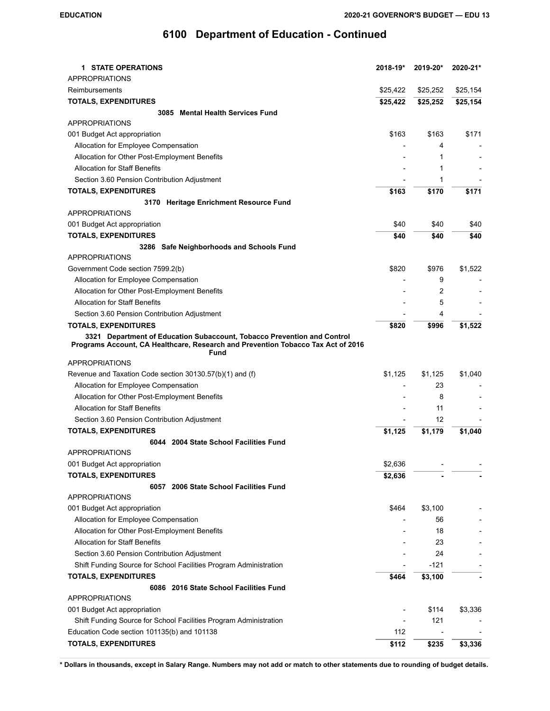| <b>1 STATE OPERATIONS</b>                                                                                                                                           | 2018-19*                 | 2019-20* | 2020-21*                 |
|---------------------------------------------------------------------------------------------------------------------------------------------------------------------|--------------------------|----------|--------------------------|
| <b>APPROPRIATIONS</b>                                                                                                                                               |                          |          |                          |
| Reimbursements                                                                                                                                                      | \$25,422                 | \$25,252 | \$25,154                 |
| <b>TOTALS, EXPENDITURES</b>                                                                                                                                         | \$25,422                 | \$25,252 | \$25,154                 |
| 3085 Mental Health Services Fund                                                                                                                                    |                          |          |                          |
| <b>APPROPRIATIONS</b>                                                                                                                                               |                          |          |                          |
| 001 Budget Act appropriation                                                                                                                                        | \$163                    | \$163    | \$171                    |
| Allocation for Employee Compensation                                                                                                                                |                          | 4        |                          |
| Allocation for Other Post-Employment Benefits                                                                                                                       |                          | 1        |                          |
| <b>Allocation for Staff Benefits</b>                                                                                                                                |                          | 1        |                          |
| Section 3.60 Pension Contribution Adjustment                                                                                                                        |                          | 1        |                          |
| <b>TOTALS, EXPENDITURES</b>                                                                                                                                         | \$163                    | \$170    | \$171                    |
| 3170 Heritage Enrichment Resource Fund                                                                                                                              |                          |          |                          |
| <b>APPROPRIATIONS</b>                                                                                                                                               |                          |          |                          |
| 001 Budget Act appropriation                                                                                                                                        | \$40                     | \$40     | \$40                     |
| <b>TOTALS, EXPENDITURES</b>                                                                                                                                         | \$40                     | \$40     | \$40                     |
| 3286 Safe Neighborhoods and Schools Fund                                                                                                                            |                          |          |                          |
| <b>APPROPRIATIONS</b>                                                                                                                                               |                          |          |                          |
| Government Code section 7599.2(b)                                                                                                                                   | \$820                    | \$976    | \$1,522                  |
| Allocation for Employee Compensation                                                                                                                                |                          | 9        | $\overline{\phantom{a}}$ |
| Allocation for Other Post-Employment Benefits                                                                                                                       |                          | 2        |                          |
| <b>Allocation for Staff Benefits</b>                                                                                                                                |                          | 5        |                          |
| Section 3.60 Pension Contribution Adjustment                                                                                                                        |                          | 4        |                          |
| <b>TOTALS, EXPENDITURES</b>                                                                                                                                         | \$820                    | \$996    | \$1,522                  |
| 3321 Department of Education Subaccount, Tobacco Prevention and Control<br>Programs Account, CA Healthcare, Research and Prevention Tobacco Tax Act of 2016<br>Fund |                          |          |                          |
| <b>APPROPRIATIONS</b>                                                                                                                                               |                          |          |                          |
| Revenue and Taxation Code section 30130.57(b)(1) and (f)                                                                                                            | \$1,125                  | \$1,125  | \$1,040                  |
| Allocation for Employee Compensation                                                                                                                                | $\overline{\phantom{a}}$ | 23       |                          |
| Allocation for Other Post-Employment Benefits                                                                                                                       |                          | 8        |                          |
| <b>Allocation for Staff Benefits</b>                                                                                                                                |                          | 11       |                          |
| Section 3.60 Pension Contribution Adjustment                                                                                                                        |                          | 12       |                          |
| <b>TOTALS, EXPENDITURES</b>                                                                                                                                         | \$1,125                  | \$1,179  | \$1,040                  |
| 6044 2004 State School Facilities Fund                                                                                                                              |                          |          |                          |
| <b>APPROPRIATIONS</b>                                                                                                                                               |                          |          |                          |
| 001 Budget Act appropriation                                                                                                                                        | \$2,636                  |          |                          |
| <b>TOTALS, EXPENDITURES</b>                                                                                                                                         | \$2,636                  |          |                          |
| 6057 2006 State School Facilities Fund                                                                                                                              |                          |          |                          |
| <b>APPROPRIATIONS</b>                                                                                                                                               |                          |          |                          |
| 001 Budget Act appropriation                                                                                                                                        | \$464                    | \$3,100  |                          |
| Allocation for Employee Compensation                                                                                                                                |                          | 56       |                          |
| Allocation for Other Post-Employment Benefits                                                                                                                       |                          | 18       |                          |
| <b>Allocation for Staff Benefits</b>                                                                                                                                |                          | 23       |                          |
| Section 3.60 Pension Contribution Adjustment                                                                                                                        |                          | 24       |                          |
| Shift Funding Source for School Facilities Program Administration                                                                                                   |                          | -121     |                          |
| <b>TOTALS, EXPENDITURES</b>                                                                                                                                         | \$464                    | \$3,100  |                          |
| 6086 2016 State School Facilities Fund                                                                                                                              |                          |          |                          |
| <b>APPROPRIATIONS</b>                                                                                                                                               |                          |          |                          |
| 001 Budget Act appropriation                                                                                                                                        |                          | \$114    | \$3,336                  |
| Shift Funding Source for School Facilities Program Administration                                                                                                   |                          | 121      |                          |
| Education Code section 101135(b) and 101138                                                                                                                         | 112                      |          |                          |
| <b>TOTALS, EXPENDITURES</b>                                                                                                                                         | \$112                    | \$235    | \$3,336                  |
|                                                                                                                                                                     |                          |          |                          |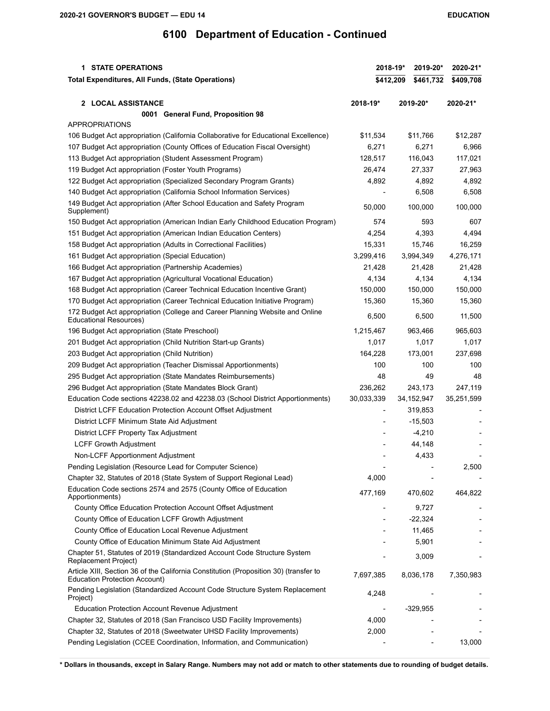| <b>1 STATE OPERATIONS</b>                                                                                                     | 2018-19*<br>2019-20* |                        | 2020-21*     |                          |  |
|-------------------------------------------------------------------------------------------------------------------------------|----------------------|------------------------|--------------|--------------------------|--|
| Total Expenditures, All Funds, (State Operations)                                                                             |                      | \$412,209<br>\$461,732 |              | \$409,708                |  |
| 2 LOCAL ASSISTANCE                                                                                                            | 2018-19*             | 2019-20*               |              | 2020-21*                 |  |
| 0001 General Fund, Proposition 98                                                                                             |                      |                        |              |                          |  |
| <b>APPROPRIATIONS</b>                                                                                                         |                      |                        |              |                          |  |
| 106 Budget Act appropriation (California Collaborative for Educational Excellence)                                            | \$11,534             |                        | \$11,766     | \$12,287                 |  |
| 107 Budget Act appropriation (County Offices of Education Fiscal Oversight)                                                   | 6,271                |                        | 6,271        | 6,966                    |  |
| 113 Budget Act appropriation (Student Assessment Program)                                                                     | 128,517              |                        | 116,043      | 117,021                  |  |
| 119 Budget Act appropriation (Foster Youth Programs)                                                                          | 26,474               |                        | 27,337       | 27,963                   |  |
| 122 Budget Act appropriation (Specialized Secondary Program Grants)                                                           | 4,892                |                        | 4,892        | 4,892                    |  |
| 140 Budget Act appropriation (California School Information Services)                                                         |                      |                        | 6,508        | 6,508                    |  |
| 149 Budget Act appropriation (After School Education and Safety Program<br>Supplement)                                        | 50,000               |                        | 100,000      | 100,000                  |  |
| 150 Budget Act appropriation (American Indian Early Childhood Education Program)                                              | 574                  |                        | 593          | 607                      |  |
| 151 Budget Act appropriation (American Indian Education Centers)                                                              | 4,254                |                        | 4,393        | 4,494                    |  |
| 158 Budget Act appropriation (Adults in Correctional Facilities)                                                              | 15,331               |                        | 15,746       | 16,259                   |  |
| 161 Budget Act appropriation (Special Education)                                                                              | 3,299,416            |                        | 3,994,349    | 4,276,171                |  |
| 166 Budget Act appropriation (Partnership Academies)                                                                          | 21,428               |                        | 21,428       | 21,428                   |  |
| 167 Budget Act appropriation (Agricultural Vocational Education)                                                              | 4,134                |                        | 4,134        | 4,134                    |  |
| 168 Budget Act appropriation (Career Technical Education Incentive Grant)                                                     | 150,000              |                        | 150,000      | 150,000                  |  |
| 170 Budget Act appropriation (Career Technical Education Initiative Program)                                                  | 15,360               |                        | 15,360       | 15,360                   |  |
| 172 Budget Act appropriation (College and Career Planning Website and Online<br><b>Educational Resources)</b>                 | 6,500                |                        | 6,500        | 11,500                   |  |
| 196 Budget Act appropriation (State Preschool)                                                                                | 1,215,467            |                        | 963,466      | 965,603                  |  |
| 201 Budget Act appropriation (Child Nutrition Start-up Grants)                                                                | 1,017                |                        | 1,017        | 1,017                    |  |
| 203 Budget Act appropriation (Child Nutrition)                                                                                | 164,228              |                        | 173,001      | 237,698                  |  |
| 209 Budget Act appropriation (Teacher Dismissal Apportionments)                                                               | 100                  |                        | 100          | 100                      |  |
| 295 Budget Act appropriation (State Mandates Reimbursements)                                                                  | 48                   |                        | 49           | 48                       |  |
| 296 Budget Act appropriation (State Mandates Block Grant)                                                                     | 236,262              |                        | 243,173      | 247,119                  |  |
| Education Code sections 42238.02 and 42238.03 (School District Apportionments)                                                | 30,033,339           |                        | 34, 152, 947 | 35,251,599               |  |
| District LCFF Education Protection Account Offset Adjustment                                                                  | $\overline{a}$       |                        | 319,853      | $\overline{\phantom{a}}$ |  |
| District LCFF Minimum State Aid Adjustment                                                                                    |                      |                        | $-15,503$    |                          |  |
| District LCFF Property Tax Adjustment                                                                                         |                      |                        | $-4,210$     |                          |  |
| <b>LCFF Growth Adjustment</b>                                                                                                 |                      |                        | 44,148       |                          |  |
| Non-LCFF Apportionment Adjustment                                                                                             |                      |                        | 4,433        |                          |  |
| Pending Legislation (Resource Lead for Computer Science)                                                                      |                      |                        |              | 2,500                    |  |
| Chapter 32, Statutes of 2018 (State System of Support Regional Lead)                                                          | 4,000                |                        |              |                          |  |
| Education Code sections 2574 and 2575 (County Office of Education<br>Apportionments)                                          | 477,169              |                        | 470,602      | 464,822                  |  |
| County Office Education Protection Account Offset Adjustment                                                                  |                      |                        | 9,727        |                          |  |
| County Office of Education LCFF Growth Adjustment                                                                             |                      |                        | $-22,324$    |                          |  |
| County Office of Education Local Revenue Adjustment                                                                           |                      |                        | 11,465       |                          |  |
| County Office of Education Minimum State Aid Adjustment                                                                       |                      |                        | 5,901        |                          |  |
| Chapter 51, Statutes of 2019 (Standardized Account Code Structure System<br>Replacement Project)                              |                      |                        | 3,009        |                          |  |
| Article XIII, Section 36 of the California Constitution (Proposition 30) (transfer to<br><b>Education Protection Account)</b> | 7,697,385            |                        | 8,036,178    | 7,350,983                |  |
| Pending Legislation (Standardized Account Code Structure System Replacement<br>Project)                                       | 4,248                |                        |              |                          |  |
| Education Protection Account Revenue Adjustment                                                                               |                      |                        | $-329,955$   |                          |  |
| Chapter 32, Statutes of 2018 (San Francisco USD Facility Improvements)                                                        | 4,000                |                        |              |                          |  |
| Chapter 32, Statutes of 2018 (Sweetwater UHSD Facility Improvements)                                                          | 2,000                |                        |              |                          |  |
| Pending Legislation (CCEE Coordination, Information, and Communication)                                                       |                      |                        |              | 13,000                   |  |
|                                                                                                                               |                      |                        |              |                          |  |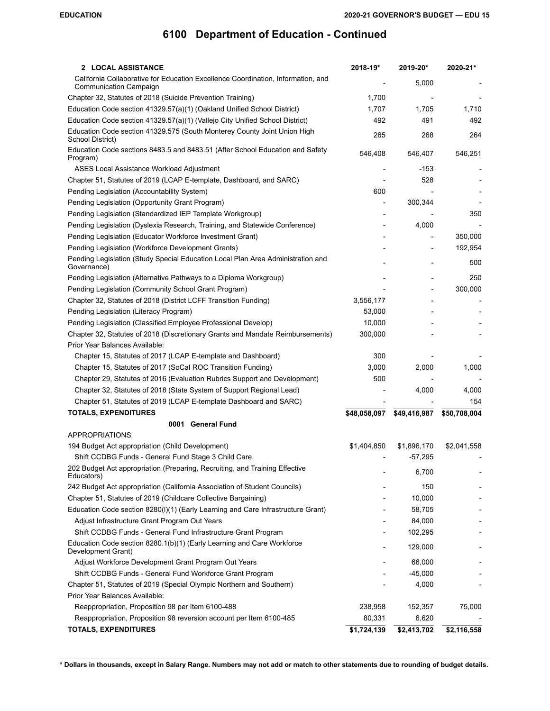| 2 LOCAL ASSISTANCE                                                                                                | 2018-19*     | 2019-20*     | 2020-21*     |
|-------------------------------------------------------------------------------------------------------------------|--------------|--------------|--------------|
| California Collaborative for Education Excellence Coordination, Information, and<br><b>Communication Campaign</b> |              | 5,000        |              |
| Chapter 32, Statutes of 2018 (Suicide Prevention Training)                                                        | 1,700        |              |              |
| Education Code section 41329.57(a)(1) (Oakland Unified School District)                                           | 1,707        | 1,705        | 1,710        |
| Education Code section 41329.57(a)(1) (Vallejo City Unified School District)                                      | 492          | 491          | 492          |
| Education Code section 41329.575 (South Monterey County Joint Union High<br>School District)                      | 265          | 268          | 264          |
| Education Code sections 8483.5 and 8483.51 (After School Education and Safety<br>Program)                         | 546,408      | 546,407      | 546,251      |
| ASES Local Assistance Workload Adjustment                                                                         |              | $-153$       |              |
| Chapter 51, Statutes of 2019 (LCAP E-template, Dashboard, and SARC)                                               |              | 528          |              |
| Pending Legislation (Accountability System)                                                                       | 600          |              |              |
| Pending Legislation (Opportunity Grant Program)                                                                   |              | 300,344      |              |
| Pending Legislation (Standardized IEP Template Workgroup)                                                         |              |              | 350          |
| Pending Legislation (Dyslexia Research, Training, and Statewide Conference)                                       |              | 4,000        |              |
| Pending Legislation (Educator Workforce Investment Grant)                                                         |              |              | 350,000      |
| Pending Legislation (Workforce Development Grants)                                                                |              |              | 192,954      |
| Pending Legislation (Study Special Education Local Plan Area Administration and<br>Governance)                    |              |              | 500          |
| Pending Legislation (Alternative Pathways to a Diploma Workgroup)                                                 |              |              | 250          |
| Pending Legislation (Community School Grant Program)                                                              |              |              | 300,000      |
| Chapter 32, Statutes of 2018 (District LCFF Transition Funding)                                                   | 3,556,177    |              |              |
| Pending Legislation (Literacy Program)                                                                            | 53,000       |              |              |
| Pending Legislation (Classified Employee Professional Develop)                                                    | 10,000       |              |              |
| Chapter 32, Statutes of 2018 (Discretionary Grants and Mandate Reimbursements)                                    | 300,000      |              |              |
| Prior Year Balances Available:                                                                                    |              |              |              |
| Chapter 15, Statutes of 2017 (LCAP E-template and Dashboard)                                                      | 300          |              |              |
| Chapter 15, Statutes of 2017 (SoCal ROC Transition Funding)                                                       | 3,000        | 2,000        | 1,000        |
| Chapter 29, Statutes of 2016 (Evaluation Rubrics Support and Development)                                         | 500          |              |              |
| Chapter 32, Statutes of 2018 (State System of Support Regional Lead)                                              |              | 4,000        | 4,000        |
| Chapter 51, Statutes of 2019 (LCAP E-template Dashboard and SARC)                                                 |              |              | 154          |
| <b>TOTALS, EXPENDITURES</b>                                                                                       | \$48,058,097 | \$49,416,987 | \$50,708,004 |
| 0001 General Fund                                                                                                 |              |              |              |
| <b>APPROPRIATIONS</b>                                                                                             |              |              |              |
| 194 Budget Act appropriation (Child Development)                                                                  | \$1,404,850  | \$1,896,170  | \$2,041,558  |
| Shift CCDBG Funds - General Fund Stage 3 Child Care                                                               |              | $-57,295$    |              |
| 202 Budget Act appropriation (Preparing, Recruiting, and Training Effective<br>Educators)                         |              | 6,700        |              |
| 242 Budget Act appropriation (California Association of Student Councils)                                         |              | 150          |              |
| Chapter 51, Statutes of 2019 (Childcare Collective Bargaining)                                                    |              | 10,000       |              |
| Education Code section 8280(I)(1) (Early Learning and Care Infrastructure Grant)                                  |              | 58,705       |              |
| Adjust Infrastructure Grant Program Out Years                                                                     |              | 84,000       |              |
| Shift CCDBG Funds - General Fund Infrastructure Grant Program                                                     |              | 102,295      |              |
| Education Code section 8280.1(b)(1) (Early Learning and Care Workforce                                            |              |              |              |
| Development Grant)                                                                                                |              | 129,000      |              |
| Adjust Workforce Development Grant Program Out Years                                                              |              | 66,000       |              |
| Shift CCDBG Funds - General Fund Workforce Grant Program                                                          |              | $-45,000$    |              |
| Chapter 51, Statutes of 2019 (Special Olympic Northern and Southern)                                              |              | 4,000        |              |
| Prior Year Balances Available:                                                                                    |              |              |              |
| Reappropriation, Proposition 98 per Item 6100-488                                                                 | 238,958      | 152,357      | 75,000       |
| Reappropriation, Proposition 98 reversion account per Item 6100-485                                               | 80,331       | 6,620        |              |
| <b>TOTALS, EXPENDITURES</b>                                                                                       | \$1,724,139  | \$2,413,702  | \$2,116,558  |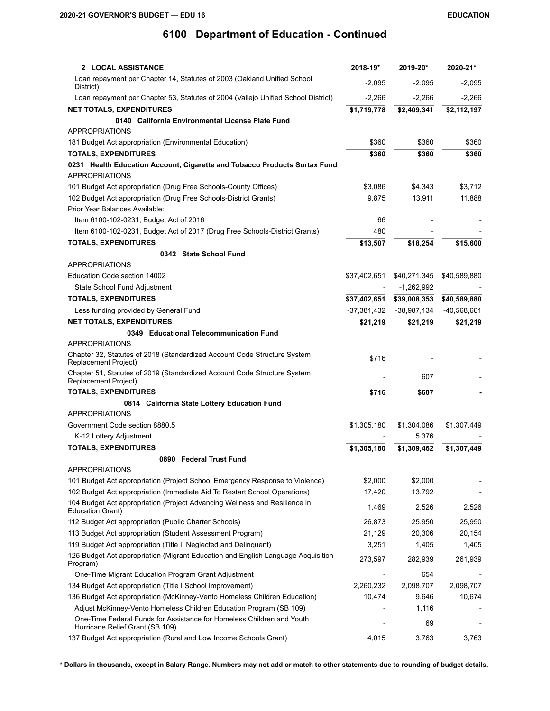| 2 LOCAL ASSISTANCE                                                                                       | 2018-19*      | 2019-20*     | 2020-21*     |
|----------------------------------------------------------------------------------------------------------|---------------|--------------|--------------|
| Loan repayment per Chapter 14, Statutes of 2003 (Oakland Unified School<br>District)                     | $-2,095$      | $-2,095$     | $-2,095$     |
| Loan repayment per Chapter 53, Statutes of 2004 (Vallejo Unified School District)                        | $-2,266$      | $-2,266$     | $-2,266$     |
| <b>NET TOTALS, EXPENDITURES</b>                                                                          | \$1,719,778   | \$2,409,341  | \$2,112,197  |
| 0140 California Environmental License Plate Fund                                                         |               |              |              |
| <b>APPROPRIATIONS</b>                                                                                    |               |              |              |
| 181 Budget Act appropriation (Environmental Education)                                                   | \$360         | \$360        | \$360        |
| <b>TOTALS, EXPENDITURES</b>                                                                              | \$360         | \$360        | \$360        |
| 0231 Health Education Account, Cigarette and Tobacco Products Surtax Fund                                |               |              |              |
| <b>APPROPRIATIONS</b>                                                                                    |               |              |              |
| 101 Budget Act appropriation (Drug Free Schools-County Offices)                                          | \$3,086       | \$4,343      | \$3,712      |
| 102 Budget Act appropriation (Drug Free Schools-District Grants)                                         | 9,875         | 13,911       | 11,888       |
| Prior Year Balances Available:                                                                           |               |              |              |
| Item 6100-102-0231, Budget Act of 2016                                                                   | 66            |              |              |
| Item 6100-102-0231, Budget Act of 2017 (Drug Free Schools-District Grants)                               | 480           |              |              |
| <b>TOTALS, EXPENDITURES</b>                                                                              | \$13,507      | \$18,254     | \$15,600     |
| 0342 State School Fund                                                                                   |               |              |              |
| <b>APPROPRIATIONS</b>                                                                                    |               |              |              |
| Education Code section 14002                                                                             | \$37,402,651  | \$40,271,345 | \$40,589,880 |
| State School Fund Adjustment                                                                             |               | -1,262,992   |              |
| <b>TOTALS, EXPENDITURES</b>                                                                              | \$37,402,651  | \$39,008,353 | \$40,589,880 |
| Less funding provided by General Fund                                                                    | $-37,381,432$ | -38,987,134  | -40,568,661  |
| <b>NET TOTALS, EXPENDITURES</b>                                                                          | \$21,219      | \$21,219     | \$21,219     |
| 0349 Educational Telecommunication Fund                                                                  |               |              |              |
| <b>APPROPRIATIONS</b>                                                                                    |               |              |              |
| Chapter 32, Statutes of 2018 (Standardized Account Code Structure System<br>Replacement Project)         | \$716         |              |              |
| Chapter 51, Statutes of 2019 (Standardized Account Code Structure System<br>Replacement Project)         |               | 607          |              |
| <b>TOTALS, EXPENDITURES</b>                                                                              | \$716         | \$607        |              |
| 0814 California State Lottery Education Fund                                                             |               |              |              |
| <b>APPROPRIATIONS</b>                                                                                    |               |              |              |
| Government Code section 8880.5                                                                           | \$1,305,180   | \$1,304,086  | \$1,307,449  |
| K-12 Lottery Adjustment                                                                                  |               | 5,376        |              |
| <b>TOTALS, EXPENDITURES</b>                                                                              | \$1,305,180   | \$1,309,462  | \$1,307,449  |
| 0890 Federal Trust Fund                                                                                  |               |              |              |
| APPROPRIATIONS                                                                                           |               |              |              |
| 101 Budget Act appropriation (Project School Emergency Response to Violence)                             | \$2,000       | \$2,000      |              |
| 102 Budget Act appropriation (Immediate Aid To Restart School Operations)                                | 17,420        | 13,792       |              |
| 104 Budget Act appropriation (Project Advancing Wellness and Resilience in<br>Education Grant)           | 1,469         | 2,526        | 2,526        |
| 112 Budget Act appropriation (Public Charter Schools)                                                    | 26,873        | 25,950       | 25,950       |
| 113 Budget Act appropriation (Student Assessment Program)                                                | 21,129        | 20,306       | 20,154       |
| 119 Budget Act appropriation (Title I, Neglected and Delinquent)                                         | 3,251         | 1,405        | 1,405        |
| 125 Budget Act appropriation (Migrant Education and English Language Acquisition<br>Program)             | 273,597       | 282,939      | 261,939      |
| One-Time Migrant Education Program Grant Adjustment                                                      |               | 654          |              |
| 134 Budget Act appropriation (Title I School Improvement)                                                | 2,260,232     | 2,098,707    | 2,098,707    |
| 136 Budget Act appropriation (McKinney-Vento Homeless Children Education)                                | 10,474        | 9,646        | 10,674       |
| Adjust McKinney-Vento Homeless Children Education Program (SB 109)                                       |               | 1,116        |              |
| One-Time Federal Funds for Assistance for Homeless Children and Youth<br>Hurricane Relief Grant (SB 109) |               | 69           |              |
| 137 Budget Act appropriation (Rural and Low Income Schools Grant)                                        | 4,015         | 3,763        | 3,763        |
|                                                                                                          |               |              |              |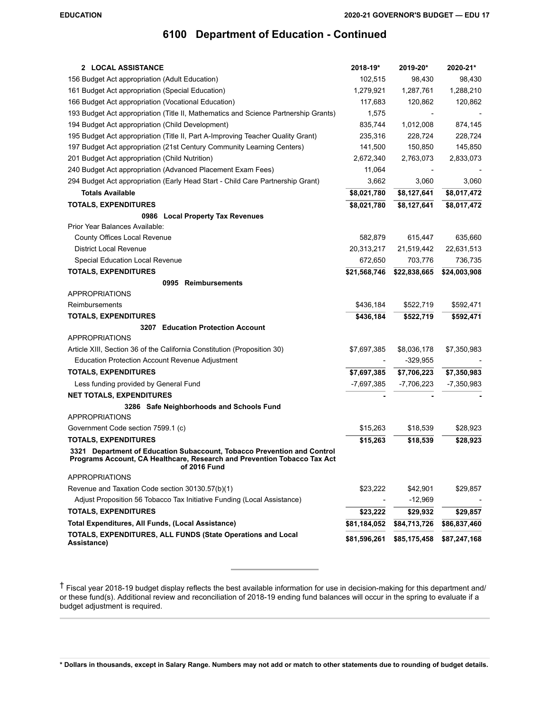| 2 LOCAL ASSISTANCE                                                                       | 2018-19*     | 2019-20*     | 2020-21*     |
|------------------------------------------------------------------------------------------|--------------|--------------|--------------|
| 156 Budget Act appropriation (Adult Education)                                           | 102,515      | 98,430       | 98,430       |
| 161 Budget Act appropriation (Special Education)                                         | 1,279,921    | 1,287,761    | 1,288,210    |
| 166 Budget Act appropriation (Vocational Education)                                      | 117,683      | 120,862      | 120,862      |
| 193 Budget Act appropriation (Title II, Mathematics and Science Partnership Grants)      | 1,575        |              |              |
| 194 Budget Act appropriation (Child Development)                                         | 835,744      | 1,012,008    | 874,145      |
| 195 Budget Act appropriation (Title II, Part A-Improving Teacher Quality Grant)          | 235,316      | 228,724      | 228,724      |
| 197 Budget Act appropriation (21st Century Community Learning Centers)                   | 141,500      | 150,850      | 145,850      |
| 201 Budget Act appropriation (Child Nutrition)                                           | 2,672,340    | 2,763,073    | 2,833,073    |
| 240 Budget Act appropriation (Advanced Placement Exam Fees)                              | 11,064       |              |              |
| 294 Budget Act appropriation (Early Head Start - Child Care Partnership Grant)           | 3,662        | 3,060        | 3,060        |
| <b>Totals Available</b>                                                                  | \$8,021,780  | \$8,127,641  | \$8,017,472  |
| <b>TOTALS, EXPENDITURES</b>                                                              | \$8,021,780  | \$8,127,641  | \$8,017,472  |
| 0986 Local Property Tax Revenues                                                         |              |              |              |
| Prior Year Balances Available:                                                           |              |              |              |
| County Offices Local Revenue                                                             | 582,879      | 615,447      | 635,660      |
| <b>District Local Revenue</b>                                                            | 20,313,217   | 21,519,442   | 22,631,513   |
| Special Education Local Revenue                                                          | 672,650      | 703,776      | 736,735      |
| <b>TOTALS, EXPENDITURES</b>                                                              | \$21,568,746 | \$22,838,665 | \$24,003,908 |
| 0995 Reimbursements                                                                      |              |              |              |
| <b>APPROPRIATIONS</b>                                                                    |              |              |              |
| Reimbursements                                                                           | \$436,184    | \$522,719    | \$592,471    |
| <b>TOTALS, EXPENDITURES</b>                                                              | \$436,184    | \$522,719    | \$592,471    |
| 3207 Education Protection Account                                                        |              |              |              |
| <b>APPROPRIATIONS</b>                                                                    |              |              |              |
| Article XIII, Section 36 of the California Constitution (Proposition 30)                 | \$7,697,385  | \$8,036,178  | \$7,350,983  |
| Education Protection Account Revenue Adjustment                                          |              | -329,955     |              |
| <b>TOTALS, EXPENDITURES</b>                                                              | \$7,697,385  | \$7,706,223  | \$7,350,983  |
| Less funding provided by General Fund                                                    | $-7,697,385$ | $-7,706,223$ | $-7,350,983$ |
| <b>NET TOTALS, EXPENDITURES</b>                                                          |              |              |              |
| 3286 Safe Neighborhoods and Schools Fund<br><b>APPROPRIATIONS</b>                        |              |              |              |
| Government Code section 7599.1 (c)                                                       | \$15,263     | \$18,539     | \$28,923     |
| <b>TOTALS, EXPENDITURES</b>                                                              | \$15,263     | \$18,539     | \$28,923     |
| 3321 Department of Education Subaccount, Tobacco Prevention and Control                  |              |              |              |
| Programs Account, CA Healthcare, Research and Prevention Tobacco Tax Act<br>of 2016 Fund |              |              |              |
| <b>APPROPRIATIONS</b>                                                                    |              |              |              |
| Revenue and Taxation Code section 30130.57(b)(1)                                         | \$23,222     | \$42,901     | \$29,857     |
| Adjust Proposition 56 Tobacco Tax Initiative Funding (Local Assistance)                  |              | $-12,969$    |              |
| <b>TOTALS, EXPENDITURES</b>                                                              | \$23,222     | \$29,932     | \$29,857     |
| Total Expenditures, All Funds, (Local Assistance)                                        | \$81,184,052 | \$84,713,726 | \$86,837,460 |
| TOTALS, EXPENDITURES, ALL FUNDS (State Operations and Local                              | \$81,596,261 |              |              |
| Assistance)                                                                              |              | \$85,175,458 | \$87,247,168 |

† Fiscal year 2018-19 budget display reflects the best available information for use in decision-making for this department and/ or these fund(s). Additional review and reconciliation of 2018-19 ending fund balances will occur in the spring to evaluate if a budget adjustment is required.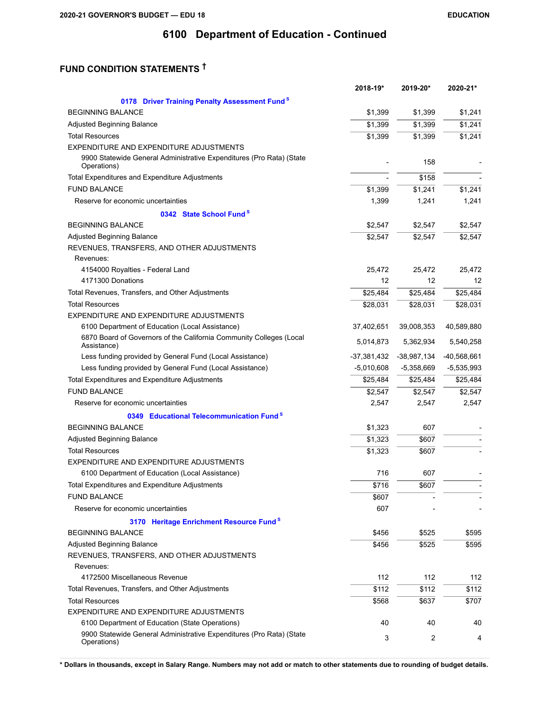# **FUND CONDITION STATEMENTS †**

|                                                                                                                         | 2018-19*      | 2019-20*      | 2020-21*      |
|-------------------------------------------------------------------------------------------------------------------------|---------------|---------------|---------------|
| 0178 Driver Training Penalty Assessment Fund <sup>S</sup>                                                               |               |               |               |
| <b>BEGINNING BALANCE</b>                                                                                                | \$1,399       | \$1,399       | \$1,241       |
| Adjusted Beginning Balance                                                                                              | \$1,399       | \$1,399       | \$1,241       |
| <b>Total Resources</b>                                                                                                  | \$1,399       | \$1,399       | \$1,241       |
| EXPENDITURE AND EXPENDITURE ADJUSTMENTS                                                                                 |               |               |               |
| 9900 Statewide General Administrative Expenditures (Pro Rata) (State<br>Operations)                                     |               | 158           |               |
| Total Expenditures and Expenditure Adjustments                                                                          |               | \$158         |               |
| <b>FUND BALANCE</b>                                                                                                     | \$1,399       | \$1,241       | \$1,241       |
| Reserve for economic uncertainties                                                                                      | 1,399         | 1,241         | 1,241         |
| 0342 State School Fund <sup>S</sup>                                                                                     |               |               |               |
| <b>BEGINNING BALANCE</b>                                                                                                | \$2,547       | \$2,547       | \$2,547       |
| Adjusted Beginning Balance                                                                                              | \$2,547       | \$2,547       | \$2,547       |
| REVENUES, TRANSFERS, AND OTHER ADJUSTMENTS<br>Revenues:                                                                 |               |               |               |
| 4154000 Royalties - Federal Land                                                                                        | 25,472        | 25,472        | 25,472        |
| 4171300 Donations                                                                                                       | 12            | 12            | 12            |
| Total Revenues, Transfers, and Other Adjustments                                                                        | \$25,484      | \$25,484      | \$25,484      |
| <b>Total Resources</b>                                                                                                  | \$28,031      | \$28,031      | \$28,031      |
| EXPENDITURE AND EXPENDITURE ADJUSTMENTS                                                                                 |               |               |               |
| 6100 Department of Education (Local Assistance)                                                                         | 37,402,651    | 39,008,353    | 40,589,880    |
| 6870 Board of Governors of the California Community Colleges (Local<br>Assistance)                                      | 5,014,873     | 5,362,934     | 5,540,258     |
| Less funding provided by General Fund (Local Assistance)                                                                | $-37,381,432$ | $-38,987,134$ | $-40,568,661$ |
| Less funding provided by General Fund (Local Assistance)                                                                | $-5,010,608$  | $-5,358,669$  | $-5,535,993$  |
| Total Expenditures and Expenditure Adjustments                                                                          | \$25,484      | \$25,484      | \$25,484      |
| <b>FUND BALANCE</b>                                                                                                     | \$2,547       | \$2,547       | \$2,547       |
| Reserve for economic uncertainties                                                                                      | 2,547         | 2,547         | 2,547         |
| 0349 Educational Telecommunication Fund <sup>S</sup>                                                                    |               |               |               |
| <b>BEGINNING BALANCE</b>                                                                                                | \$1,323       | 607           |               |
| Adjusted Beginning Balance                                                                                              | \$1,323       | \$607         |               |
| <b>Total Resources</b>                                                                                                  | \$1,323       | \$607         |               |
| EXPENDITURE AND EXPENDITURE ADJUSTMENTS                                                                                 |               |               |               |
| 6100 Department of Education (Local Assistance)                                                                         | 716           | 607           |               |
| Total Expenditures and Expenditure Adjustments                                                                          | $\sqrt{$716}$ | \$607         |               |
| <b>FUND BALANCE</b>                                                                                                     | \$607         |               |               |
| Reserve for economic uncertainties                                                                                      | 607           |               |               |
| 3170 Heritage Enrichment Resource Fund <sup>S</sup>                                                                     |               |               |               |
| <b>BEGINNING BALANCE</b>                                                                                                | \$456         | \$525         | \$595         |
| Adjusted Beginning Balance                                                                                              | \$456         | \$525         | \$595         |
| REVENUES, TRANSFERS, AND OTHER ADJUSTMENTS                                                                              |               |               |               |
| Revenues:                                                                                                               |               |               |               |
| 4172500 Miscellaneous Revenue                                                                                           | 112           | 112           | 112           |
| Total Revenues, Transfers, and Other Adjustments                                                                        | \$112         | \$112         | \$112         |
| <b>Total Resources</b>                                                                                                  | \$568         | \$637         | \$707         |
| EXPENDITURE AND EXPENDITURE ADJUSTMENTS                                                                                 | 40            | 40            | 40            |
| 6100 Department of Education (State Operations)<br>9900 Statewide General Administrative Expenditures (Pro Rata) (State |               |               |               |
| Operations)                                                                                                             | 3             | 2             | 4             |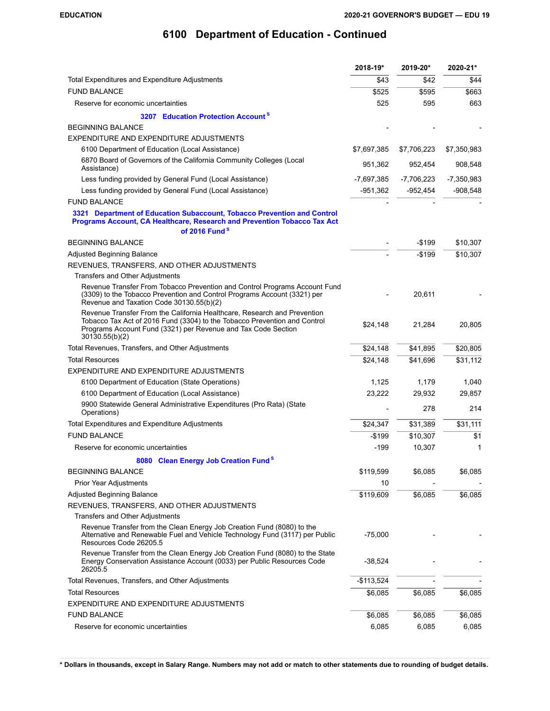|                                                                                                                                                                                                                                          | 2018-19*    | 2019-20*     | 2020-21*     |
|------------------------------------------------------------------------------------------------------------------------------------------------------------------------------------------------------------------------------------------|-------------|--------------|--------------|
| Total Expenditures and Expenditure Adjustments                                                                                                                                                                                           | \$43        | \$42         | \$44         |
| <b>FUND BALANCE</b>                                                                                                                                                                                                                      | \$525       | \$595        | \$663        |
| Reserve for economic uncertainties                                                                                                                                                                                                       | 525         | 595          | 663          |
| 3207 Education Protection Account <sup>8</sup>                                                                                                                                                                                           |             |              |              |
| <b>BEGINNING BALANCE</b>                                                                                                                                                                                                                 |             |              |              |
| EXPENDITURE AND EXPENDITURE ADJUSTMENTS                                                                                                                                                                                                  |             |              |              |
| 6100 Department of Education (Local Assistance)                                                                                                                                                                                          | \$7,697,385 | \$7,706,223  | \$7,350,983  |
| 6870 Board of Governors of the California Community Colleges (Local<br>Assistance)                                                                                                                                                       | 951,362     | 952,454      | 908,548      |
| Less funding provided by General Fund (Local Assistance)                                                                                                                                                                                 | -7,697,385  | $-7,706,223$ | $-7,350,983$ |
| Less funding provided by General Fund (Local Assistance)                                                                                                                                                                                 | $-951,362$  | -952,454     | $-908,548$   |
| <b>FUND BALANCE</b>                                                                                                                                                                                                                      |             |              |              |
| 3321 Department of Education Subaccount, Tobacco Prevention and Control<br>Programs Account, CA Healthcare, Research and Prevention Tobacco Tax Act                                                                                      |             |              |              |
| of 2016 Fund <sup>S</sup>                                                                                                                                                                                                                |             |              |              |
| <b>BEGINNING BALANCE</b>                                                                                                                                                                                                                 |             | $-$ \$199    | \$10,307     |
| Adjusted Beginning Balance                                                                                                                                                                                                               |             | $-$199$      | \$10,307     |
| REVENUES, TRANSFERS, AND OTHER ADJUSTMENTS                                                                                                                                                                                               |             |              |              |
| Transfers and Other Adjustments<br>Revenue Transfer From Tobacco Prevention and Control Programs Account Fund<br>(3309) to the Tobacco Prevention and Control Programs Account (3321) per<br>Revenue and Taxation Code 30130.55(b)(2)    |             | 20,611       |              |
| Revenue Transfer From the California Healthcare, Research and Prevention<br>Tobacco Tax Act of 2016 Fund (3304) to the Tobacco Prevention and Control<br>Programs Account Fund (3321) per Revenue and Tax Code Section<br>30130.55(b)(2) | \$24,148    | 21,284       | 20,805       |
| Total Revenues, Transfers, and Other Adjustments                                                                                                                                                                                         | \$24,148    | \$41,895     | \$20,805     |
| <b>Total Resources</b>                                                                                                                                                                                                                   | \$24,148    | \$41,696     | \$31,112     |
| EXPENDITURE AND EXPENDITURE ADJUSTMENTS                                                                                                                                                                                                  |             |              |              |
| 6100 Department of Education (State Operations)                                                                                                                                                                                          | 1,125       | 1,179        | 1,040        |
| 6100 Department of Education (Local Assistance)                                                                                                                                                                                          | 23,222      | 29,932       | 29,857       |
| 9900 Statewide General Administrative Expenditures (Pro Rata) (State<br>Operations)                                                                                                                                                      |             | 278          | 214          |
| Total Expenditures and Expenditure Adjustments                                                                                                                                                                                           | \$24,347    | \$31,389     | \$31,111     |
| <b>FUND BALANCE</b>                                                                                                                                                                                                                      | -\$199      | \$10,307     | \$1          |
| Reserve for economic uncertainties                                                                                                                                                                                                       | $-199$      | 10,307       | 1            |
| 8080 Clean Energy Job Creation Fund <sup>8</sup>                                                                                                                                                                                         |             |              |              |
| <b>BEGINNING BALANCE</b>                                                                                                                                                                                                                 | \$119,599   | \$6,085      | \$6,085      |
| <b>Prior Year Adjustments</b>                                                                                                                                                                                                            | 10          |              |              |
| Adjusted Beginning Balance                                                                                                                                                                                                               | \$119,609   | \$6,085      | \$6,085      |
| REVENUES, TRANSFERS, AND OTHER ADJUSTMENTS                                                                                                                                                                                               |             |              |              |
| <b>Transfers and Other Adjustments</b>                                                                                                                                                                                                   |             |              |              |
| Revenue Transfer from the Clean Energy Job Creation Fund (8080) to the<br>Alternative and Renewable Fuel and Vehicle Technology Fund (3117) per Public<br>Resources Code 26205.5                                                         | $-75,000$   |              |              |
| Revenue Transfer from the Clean Energy Job Creation Fund (8080) to the State<br>Energy Conservation Assistance Account (0033) per Public Resources Code<br>26205.5                                                                       | $-38,524$   |              |              |
| Total Revenues, Transfers, and Other Adjustments                                                                                                                                                                                         | $-$113,524$ |              |              |
| <b>Total Resources</b>                                                                                                                                                                                                                   | \$6,085     | \$6,085      | \$6,085      |
| EXPENDITURE AND EXPENDITURE ADJUSTMENTS                                                                                                                                                                                                  |             |              |              |
| <b>FUND BALANCE</b>                                                                                                                                                                                                                      | \$6,085     | \$6,085      | \$6,085      |
| Reserve for economic uncertainties                                                                                                                                                                                                       | 6,085       | 6,085        | 6,085        |
|                                                                                                                                                                                                                                          |             |              |              |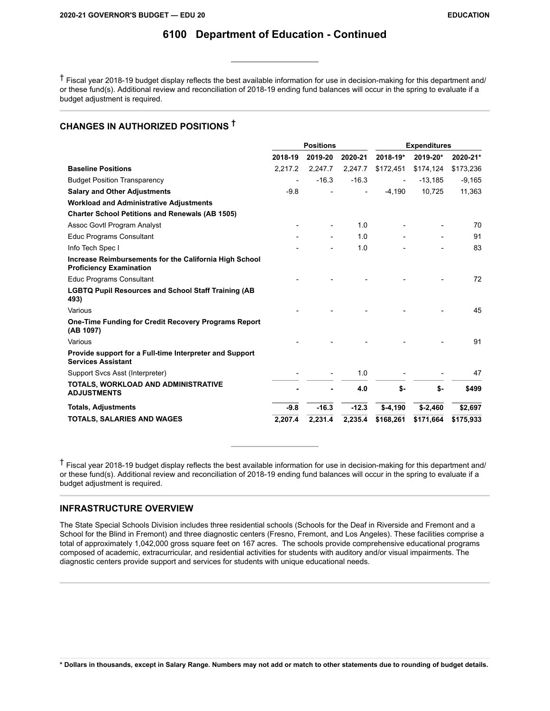† Fiscal year 2018-19 budget display reflects the best available information for use in decision-making for this department and/ or these fund(s). Additional review and reconciliation of 2018-19 ending fund balances will occur in the spring to evaluate if a budget adjustment is required.

### **CHANGES IN AUTHORIZED POSITIONS †**

|                                                                                          |         | <b>Positions</b> |         |                          | <b>Expenditures</b> |           |  |
|------------------------------------------------------------------------------------------|---------|------------------|---------|--------------------------|---------------------|-----------|--|
|                                                                                          | 2018-19 | 2019-20          | 2020-21 | 2018-19*                 | 2019-20*            | 2020-21*  |  |
| <b>Baseline Positions</b>                                                                | 2,217.2 | 2.247.7          | 2,247.7 | \$172,451                | \$174,124           | \$173,236 |  |
| <b>Budget Position Transparency</b>                                                      |         | $-16.3$          | $-16.3$ | $\overline{\phantom{a}}$ | $-13,185$           | $-9,165$  |  |
| <b>Salary and Other Adjustments</b>                                                      | $-9.8$  |                  |         | $-4,190$                 | 10,725              | 11,363    |  |
| <b>Workload and Administrative Adjustments</b>                                           |         |                  |         |                          |                     |           |  |
| <b>Charter School Petitions and Renewals (AB 1505)</b>                                   |         |                  |         |                          |                     |           |  |
| Assoc Govtl Program Analyst                                                              |         |                  | 1.0     |                          |                     | 70        |  |
| <b>Educ Programs Consultant</b>                                                          |         |                  | 1.0     |                          |                     | 91        |  |
| Info Tech Spec I                                                                         |         |                  | 1.0     |                          |                     | 83        |  |
| Increase Reimbursements for the California High School<br><b>Proficiency Examination</b> |         |                  |         |                          |                     |           |  |
| <b>Educ Programs Consultant</b>                                                          |         |                  |         |                          |                     | 72        |  |
| <b>LGBTQ Pupil Resources and School Staff Training (AB</b><br>493)                       |         |                  |         |                          |                     |           |  |
| Various                                                                                  |         |                  |         |                          |                     | 45        |  |
| <b>One-Time Funding for Credit Recovery Programs Report</b><br>(AB 1097)                 |         |                  |         |                          |                     |           |  |
| Various                                                                                  |         |                  |         |                          |                     | 91        |  |
| Provide support for a Full-time Interpreter and Support<br><b>Services Assistant</b>     |         |                  |         |                          |                     |           |  |
| Support Svcs Asst (Interpreter)                                                          |         |                  | 1.0     |                          |                     | 47        |  |
| TOTALS, WORKLOAD AND ADMINISTRATIVE<br><b>ADJUSTMENTS</b>                                |         |                  | 4.0     | \$-                      | \$-                 | \$499     |  |
| <b>Totals, Adjustments</b>                                                               | $-9.8$  | $-16.3$          | $-12.3$ | $$-4,190$                | $$ -2,460$          | \$2,697   |  |
| <b>TOTALS, SALARIES AND WAGES</b>                                                        | 2,207.4 | 2,231.4          | 2,235.4 | \$168,261                | \$171,664           | \$175,933 |  |

† Fiscal year 2018-19 budget display reflects the best available information for use in decision-making for this department and/ or these fund(s). Additional review and reconciliation of 2018-19 ending fund balances will occur in the spring to evaluate if a budget adjustment is required.

### **INFRASTRUCTURE OVERVIEW**

The State Special Schools Division includes three residential schools (Schools for the Deaf in Riverside and Fremont and a School for the Blind in Fremont) and three diagnostic centers (Fresno, Fremont, and Los Angeles). These facilities comprise a total of approximately 1,042,000 gross square feet on 167 acres. The schools provide comprehensive educational programs composed of academic, extracurricular, and residential activities for students with auditory and/or visual impairments. The diagnostic centers provide support and services for students with unique educational needs.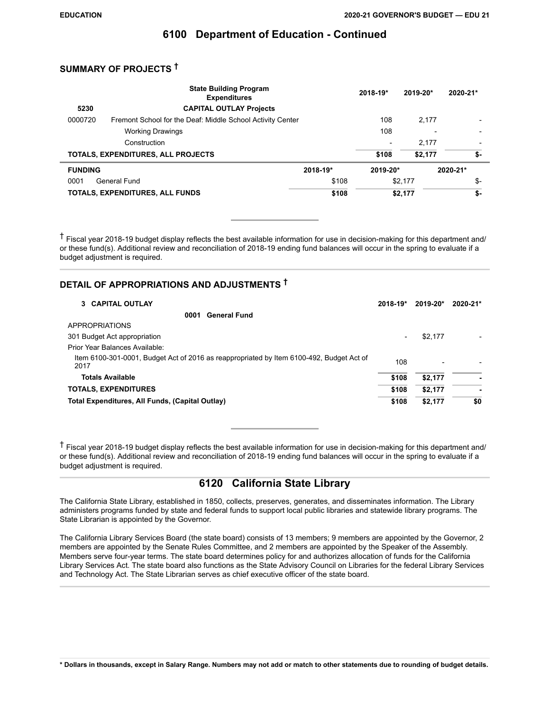### **SUMMARY OF PROJECTS †**

|                | <b>State Building Program</b><br><b>Expenditures</b>       |          | 2018-19*                 | 2019-20* | 2020-21* |
|----------------|------------------------------------------------------------|----------|--------------------------|----------|----------|
| 5230           | <b>CAPITAL OUTLAY Projects</b>                             |          |                          |          |          |
| 0000720        | Fremont School for the Deaf: Middle School Activity Center |          | 108                      | 2,177    |          |
|                | <b>Working Drawings</b>                                    |          | 108                      |          |          |
|                | Construction                                               |          | $\overline{\phantom{0}}$ | 2.177    |          |
|                | TOTALS, EXPENDITURES, ALL PROJECTS                         |          | \$108                    | \$2.177  | \$-      |
| <b>FUNDING</b> |                                                            | 2018-19* | 2019-20*                 |          | 2020-21* |
| 0001           | General Fund                                               | \$108    |                          | \$2,177  | \$-      |
|                | TOTALS, EXPENDITURES, ALL FUNDS                            | \$108    |                          | \$2,177  | \$-      |

† Fiscal year 2018-19 budget display reflects the best available information for use in decision-making for this department and/ or these fund(s). Additional review and reconciliation of 2018-19 ending fund balances will occur in the spring to evaluate if a budget adjustment is required.

### **DETAIL OF APPROPRIATIONS AND ADJUSTMENTS †**

| 3 CAPITAL OUTLAY                                                                                 | 2018-19* | 2019-20*        | 2020-21* |
|--------------------------------------------------------------------------------------------------|----------|-----------------|----------|
| <b>General Fund</b><br>0001                                                                      |          |                 |          |
| APPROPRIATIONS                                                                                   |          |                 |          |
| 301 Budget Act appropriation                                                                     | ۰        | \$2,177         |          |
| Prior Year Balances Available:                                                                   |          |                 |          |
| Item 6100-301-0001, Budget Act of 2016 as reappropriated by Item 6100-492, Budget Act of<br>2017 | 108      | $\qquad \qquad$ |          |
| <b>Totals Available</b>                                                                          | \$108    | \$2,177         | ۰        |
| <b>TOTALS, EXPENDITURES</b>                                                                      | \$108    | \$2,177         | ۰        |
| Total Expenditures, All Funds, (Capital Outlay)                                                  | \$108    | \$2,177         | \$0      |

† Fiscal year 2018-19 budget display reflects the best available information for use in decision-making for this department and/ or these fund(s). Additional review and reconciliation of 2018-19 ending fund balances will occur in the spring to evaluate if a budget adjustment is required.

### **6120 California State Library**

The California State Library, established in 1850, collects, preserves, generates, and disseminates information. The Library administers programs funded by state and federal funds to support local public libraries and statewide library programs. The State Librarian is appointed by the Governor.

The California Library Services Board (the state board) consists of 13 members; 9 members are appointed by the Governor, 2 members are appointed by the Senate Rules Committee, and 2 members are appointed by the Speaker of the Assembly. Members serve four-year terms. The state board determines policy for and authorizes allocation of funds for the California Library Services Act. The state board also functions as the State Advisory Council on Libraries for the federal Library Services and Technology Act. The State Librarian serves as chief executive officer of the state board.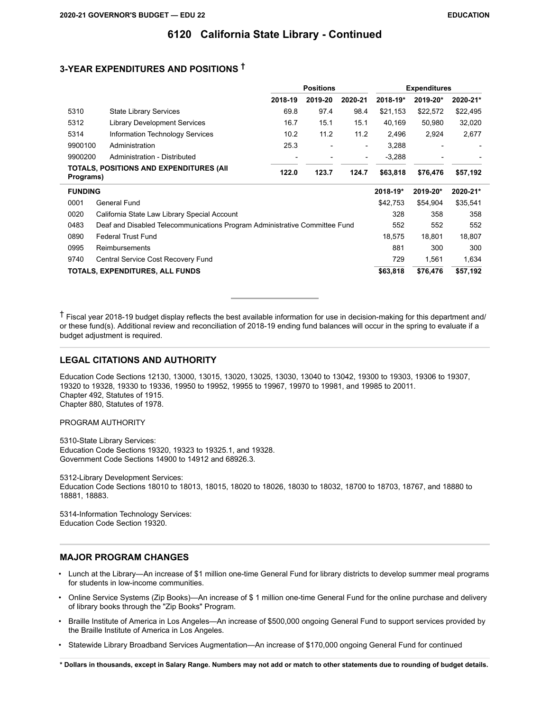### **3-YEAR EXPENDITURES AND POSITIONS †**

|                |                                                                            | <b>Positions</b> |         |                          |          | <b>Expenditures</b> |          |
|----------------|----------------------------------------------------------------------------|------------------|---------|--------------------------|----------|---------------------|----------|
|                |                                                                            | 2018-19          | 2019-20 | 2020-21                  | 2018-19* | 2019-20*            | 2020-21* |
| 5310           | <b>State Library Services</b>                                              | 69.8             | 97.4    | 98.4                     | \$21,153 | \$22,572            | \$22,495 |
| 5312           | <b>Library Development Services</b>                                        | 16.7             | 15.1    | 15.1                     | 40,169   | 50,980              | 32,020   |
| 5314           | Information Technology Services                                            | 10.2             | 11.2    | 11.2                     | 2,496    | 2,924               | 2,677    |
| 9900100        | Administration                                                             | 25.3             |         | $\overline{\phantom{a}}$ | 3,288    |                     |          |
| 9900200        | Administration - Distributed                                               |                  |         |                          | $-3,288$ |                     |          |
| Programs)      | <b>TOTALS, POSITIONS AND EXPENDITURES (AII</b>                             | 122.0            | 123.7   | 124.7                    | \$63,818 | \$76,476            | \$57,192 |
| <b>FUNDING</b> |                                                                            |                  |         |                          | 2018-19* | 2019-20*            | 2020-21* |
| 0001           | <b>General Fund</b>                                                        |                  |         |                          | \$42,753 | \$54,904            | \$35,541 |
| 0020           | California State Law Library Special Account                               |                  |         |                          | 328      | 358                 | 358      |
| 0483           | Deaf and Disabled Telecommunications Program Administrative Committee Fund |                  |         |                          | 552      | 552                 | 552      |
| 0890           | <b>Federal Trust Fund</b>                                                  |                  |         |                          | 18,575   | 18,801              | 18,807   |
| 0995           | Reimbursements                                                             |                  |         |                          | 881      | 300                 | 300      |
| 9740           | Central Service Cost Recovery Fund                                         |                  |         |                          | 729      | 1,561               | 1,634    |
|                | TOTALS, EXPENDITURES, ALL FUNDS                                            |                  |         |                          | \$63,818 | \$76,476            | \$57,192 |

† Fiscal year 2018-19 budget display reflects the best available information for use in decision-making for this department and/ or these fund(s). Additional review and reconciliation of 2018-19 ending fund balances will occur in the spring to evaluate if a budget adjustment is required.

#### **LEGAL CITATIONS AND AUTHORITY**

Education Code Sections 12130, 13000, 13015, 13020, 13025, 13030, 13040 to 13042, 19300 to 19303, 19306 to 19307, 19320 to 19328, 19330 to 19336, 19950 to 19952, 19955 to 19967, 19970 to 19981, and 19985 to 20011. Chapter 492, Statutes of 1915. Chapter 880, Statutes of 1978.

PROGRAM AUTHORITY

5310-State Library Services: Education Code Sections 19320, 19323 to 19325.1, and 19328. Government Code Sections 14900 to 14912 and 68926.3.

5312-Library Development Services: Education Code Sections 18010 to 18013, 18015, 18020 to 18026, 18030 to 18032, 18700 to 18703, 18767, and 18880 to 18881, 18883.

5314-Information Technology Services: Education Code Section 19320.

#### **MAJOR PROGRAM CHANGES**

- Lunch at the Library—An increase of \$1 million one-time General Fund for library districts to develop summer meal programs for students in low-income communities.
- Online Service Systems (Zip Books)—An increase of \$ 1 million one-time General Fund for the online purchase and delivery of library books through the "Zip Books" Program.
- Braille Institute of America in Los Angeles—An increase of \$500,000 ongoing General Fund to support services provided by the Braille Institute of America in Los Angeles.
- Statewide Library Broadband Services Augmentation—An increase of \$170,000 ongoing General Fund for continued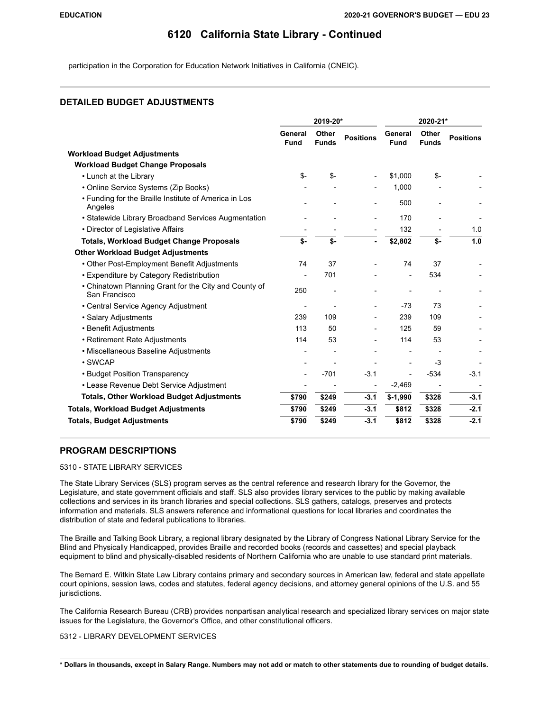participation in the Corporation for Education Network Initiatives in California (CNEIC).

#### **DETAILED BUDGET ADJUSTMENTS**

|                                                                        | 2019-20*               |                       |                          | 2020-21*                 |                       |                  |
|------------------------------------------------------------------------|------------------------|-----------------------|--------------------------|--------------------------|-----------------------|------------------|
|                                                                        | General<br><b>Fund</b> | Other<br><b>Funds</b> | <b>Positions</b>         | General<br><b>Fund</b>   | Other<br><b>Funds</b> | <b>Positions</b> |
| <b>Workload Budget Adjustments</b>                                     |                        |                       |                          |                          |                       |                  |
| <b>Workload Budget Change Proposals</b>                                |                        |                       |                          |                          |                       |                  |
| • Lunch at the Library                                                 | $S-$                   | \$-                   |                          | \$1,000                  | \$-                   |                  |
| • Online Service Systems (Zip Books)                                   |                        |                       |                          | 1,000                    |                       |                  |
| • Funding for the Braille Institute of America in Los<br>Angeles       |                        |                       | $\overline{a}$           | 500                      |                       |                  |
| • Statewide Library Broadband Services Augmentation                    |                        |                       |                          | 170                      |                       |                  |
| • Director of Legislative Affairs                                      |                        |                       |                          | 132                      |                       | 1.0              |
| <b>Totals, Workload Budget Change Proposals</b>                        | \$-                    | \$-                   |                          | \$2,802                  | \$-                   | 1.0              |
| <b>Other Workload Budget Adjustments</b>                               |                        |                       |                          |                          |                       |                  |
| • Other Post-Employment Benefit Adjustments                            | 74                     | 37                    |                          | 74                       | 37                    |                  |
| • Expenditure by Category Redistribution                               |                        | 701                   |                          |                          | 534                   |                  |
| • Chinatown Planning Grant for the City and County of<br>San Francisco | 250                    |                       |                          |                          |                       |                  |
| • Central Service Agency Adjustment                                    |                        |                       |                          | $-73$                    | 73                    |                  |
| · Salary Adjustments                                                   | 239                    | 109                   |                          | 239                      | 109                   |                  |
| • Benefit Adjustments                                                  | 113                    | 50                    | $\overline{\phantom{a}}$ | 125                      | 59                    |                  |
| • Retirement Rate Adjustments                                          | 114                    | 53                    |                          | 114                      | 53                    |                  |
| • Miscellaneous Baseline Adjustments                                   |                        |                       |                          |                          |                       |                  |
| • SWCAP                                                                |                        |                       |                          | $\overline{\phantom{a}}$ | $-3$                  |                  |
| • Budget Position Transparency                                         |                        | $-701$                | $-3.1$                   | $\overline{a}$           | $-534$                | $-3.1$           |
| • Lease Revenue Debt Service Adjustment                                |                        |                       |                          | $-2,469$                 |                       |                  |
| <b>Totals, Other Workload Budget Adjustments</b>                       | \$790                  | \$249                 | $-3.1$                   | $5-1,990$                | \$328                 | $-3.1$           |
| <b>Totals, Workload Budget Adjustments</b>                             | \$790                  | \$249                 | $-3.1$                   | \$812                    | \$328                 | $-2.1$           |
| <b>Totals, Budget Adjustments</b>                                      | \$790                  | \$249                 | $-3.1$                   | \$812                    | \$328                 | $-2.1$           |

#### **PROGRAM DESCRIPTIONS**

#### 5310 - STATE LIBRARY SERVICES

The State Library Services (SLS) program serves as the central reference and research library for the Governor, the Legislature, and state government officials and staff. SLS also provides library services to the public by making available collections and services in its branch libraries and special collections. SLS gathers, catalogs, preserves and protects information and materials. SLS answers reference and informational questions for local libraries and coordinates the distribution of state and federal publications to libraries.

The Braille and Talking Book Library, a regional library designated by the Library of Congress National Library Service for the Blind and Physically Handicapped, provides Braille and recorded books (records and cassettes) and special playback equipment to blind and physically-disabled residents of Northern California who are unable to use standard print materials.

The Bernard E. Witkin State Law Library contains primary and secondary sources in American law, federal and state appellate court opinions, session laws, codes and statutes, federal agency decisions, and attorney general opinions of the U.S. and 55 jurisdictions.

The California Research Bureau (CRB) provides nonpartisan analytical research and specialized library services on major state issues for the Legislature, the Governor's Office, and other constitutional officers.

5312 - LIBRARY DEVELOPMENT SERVICES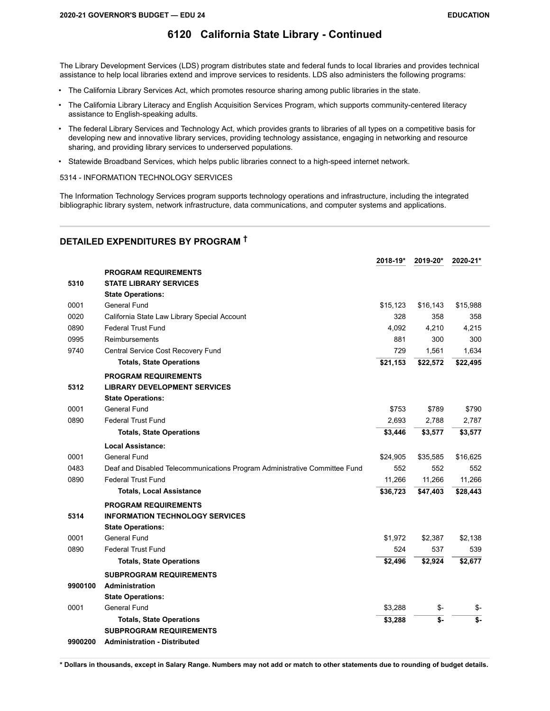The Library Development Services (LDS) program distributes state and federal funds to local libraries and provides technical assistance to help local libraries extend and improve services to residents. LDS also administers the following programs:

- The California Library Services Act, which promotes resource sharing among public libraries in the state.
- The California Library Literacy and English Acquisition Services Program, which supports community-centered literacy assistance to English-speaking adults.
- The federal Library Services and Technology Act, which provides grants to libraries of all types on a competitive basis for developing new and innovative library services, providing technology assistance, engaging in networking and resource sharing, and providing library services to underserved populations.
- Statewide Broadband Services, which helps public libraries connect to a high-speed internet network.

5314 - INFORMATION TECHNOLOGY SERVICES

The Information Technology Services program supports technology operations and infrastructure, including the integrated bibliographic library system, network infrastructure, data communications, and computer systems and applications.

### **DETAILED EXPENDITURES BY PROGRAM †**

|         |                                                                            | 2018-19* | 2019-20* | 2020-21* |
|---------|----------------------------------------------------------------------------|----------|----------|----------|
|         | <b>PROGRAM REQUIREMENTS</b>                                                |          |          |          |
| 5310    | <b>STATE LIBRARY SERVICES</b>                                              |          |          |          |
|         | <b>State Operations:</b>                                                   |          |          |          |
| 0001    | General Fund                                                               | \$15,123 | \$16,143 | \$15,988 |
| 0020    | California State Law Library Special Account                               | 328      | 358      | 358      |
| 0890    | <b>Federal Trust Fund</b>                                                  | 4,092    | 4,210    | 4,215    |
| 0995    | Reimbursements                                                             | 881      | 300      | 300      |
| 9740    | Central Service Cost Recovery Fund                                         | 729      | 1,561    | 1,634    |
|         | <b>Totals, State Operations</b>                                            | \$21,153 | \$22,572 | \$22,495 |
|         | <b>PROGRAM REQUIREMENTS</b>                                                |          |          |          |
| 5312    | <b>LIBRARY DEVELOPMENT SERVICES</b>                                        |          |          |          |
|         | <b>State Operations:</b>                                                   |          |          |          |
| 0001    | <b>General Fund</b>                                                        | \$753    | \$789    | \$790    |
| 0890    | <b>Federal Trust Fund</b>                                                  | 2,693    | 2,788    | 2,787    |
|         | <b>Totals, State Operations</b>                                            | \$3,446  | \$3,577  | \$3,577  |
|         | Local Assistance:                                                          |          |          |          |
| 0001    | <b>General Fund</b>                                                        | \$24,905 | \$35,585 | \$16,625 |
| 0483    | Deaf and Disabled Telecommunications Program Administrative Committee Fund | 552      | 552      | 552      |
| 0890    | <b>Federal Trust Fund</b>                                                  | 11,266   | 11,266   | 11,266   |
|         | <b>Totals, Local Assistance</b>                                            | \$36,723 | \$47,403 | \$28,443 |
|         | <b>PROGRAM REQUIREMENTS</b>                                                |          |          |          |
| 5314    | <b>INFORMATION TECHNOLOGY SERVICES</b>                                     |          |          |          |
|         | <b>State Operations:</b>                                                   |          |          |          |
| 0001    | <b>General Fund</b>                                                        | \$1,972  | \$2,387  | \$2,138  |
| 0890    | <b>Federal Trust Fund</b>                                                  | 524      | 537      | 539      |
|         | <b>Totals, State Operations</b>                                            | \$2,496  | \$2,924  | \$2,677  |
|         | <b>SUBPROGRAM REQUIREMENTS</b>                                             |          |          |          |
| 9900100 | <b>Administration</b>                                                      |          |          |          |
|         | <b>State Operations:</b>                                                   |          |          |          |
| 0001    | <b>General Fund</b>                                                        | \$3,288  | \$-      | \$-      |
|         | <b>Totals, State Operations</b>                                            | \$3,288  | \$-      | $$-$     |
|         | <b>SUBPROGRAM REQUIREMENTS</b>                                             |          |          |          |
| 9900200 | <b>Administration - Distributed</b>                                        |          |          |          |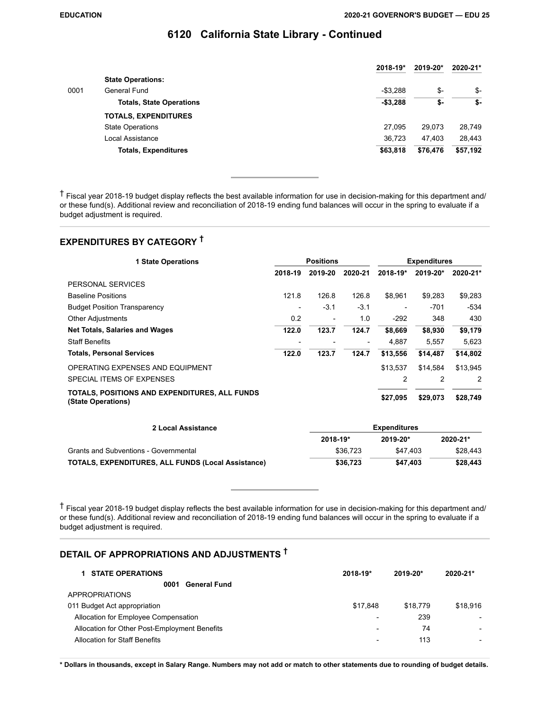|      |                                 | 2018-19*  | 2019-20* | 2020-21* |
|------|---------------------------------|-----------|----------|----------|
|      | <b>State Operations:</b>        |           |          |          |
| 0001 | General Fund                    | $-$3.288$ | \$-      | -\$      |
|      | <b>Totals, State Operations</b> | $-$3,288$ | \$-      | \$-      |
|      | <b>TOTALS, EXPENDITURES</b>     |           |          |          |
|      | <b>State Operations</b>         | 27.095    | 29.073   | 28.749   |
|      | Local Assistance                | 36.723    | 47.403   | 28.443   |
|      | <b>Totals, Expenditures</b>     | \$63,818  | \$76,476 | \$57,192 |

† Fiscal year 2018-19 budget display reflects the best available information for use in decision-making for this department and/ or these fund(s). Additional review and reconciliation of 2018-19 ending fund balances will occur in the spring to evaluate if a budget adjustment is required.

# **EXPENDITURES BY CATEGORY †**

| <b>1 State Operations</b>                                           | <b>Positions</b> |         |                          | <b>Expenditures</b>      |          |          |
|---------------------------------------------------------------------|------------------|---------|--------------------------|--------------------------|----------|----------|
|                                                                     | 2018-19          | 2019-20 | 2020-21                  | $2018 - 19*$             | 2019-20* | 2020-21* |
| PERSONAL SERVICES                                                   |                  |         |                          |                          |          |          |
| <b>Baseline Positions</b>                                           | 121.8            | 126.8   | 126.8                    | \$8.961                  | \$9.283  | \$9,283  |
| <b>Budget Position Transparency</b>                                 |                  | $-3.1$  | $-3.1$                   | $\overline{\phantom{a}}$ | $-701$   | $-534$   |
| <b>Other Adjustments</b>                                            | 0.2              |         | 1.0                      | $-292$                   | 348      | 430      |
| <b>Net Totals, Salaries and Wages</b>                               | 122.0            | 123.7   | 124.7                    | \$8,669                  | \$8,930  | \$9,179  |
| <b>Staff Benefits</b>                                               |                  |         | $\overline{\phantom{a}}$ | 4.887                    | 5,557    | 5.623    |
| <b>Totals, Personal Services</b>                                    | 122.0            | 123.7   | 124.7                    | \$13,556                 | \$14,487 | \$14,802 |
| OPERATING EXPENSES AND EQUIPMENT                                    |                  |         |                          | \$13,537                 | \$14.584 | \$13,945 |
| SPECIAL ITEMS OF EXPENSES                                           |                  |         |                          | 2                        | 2        | 2        |
| TOTALS, POSITIONS AND EXPENDITURES, ALL FUNDS<br>(State Operations) |                  |         |                          | \$27,095                 | \$29,073 | \$28,749 |

| 2 Local Assistance                                        | Expenditures |              |              |  |  |
|-----------------------------------------------------------|--------------|--------------|--------------|--|--|
|                                                           | 2018-19*     | $2019 - 20*$ | $2020 - 21*$ |  |  |
| <b>Grants and Subventions - Governmental</b>              | \$36,723     | \$47.403     | \$28.443     |  |  |
| <b>TOTALS, EXPENDITURES, ALL FUNDS (Local Assistance)</b> | \$36,723     | \$47.403     | \$28,443     |  |  |

† Fiscal year 2018-19 budget display reflects the best available information for use in decision-making for this department and/ or these fund(s). Additional review and reconciliation of 2018-19 ending fund balances will occur in the spring to evaluate if a budget adjustment is required.

### **DETAIL OF APPROPRIATIONS AND ADJUSTMENTS †**

| <b>STATE OPERATIONS</b>                       | 2018-19*                 | 2019-20* | 2020-21* |
|-----------------------------------------------|--------------------------|----------|----------|
| <b>General Fund</b><br>0001                   |                          |          |          |
| <b>APPROPRIATIONS</b>                         |                          |          |          |
| 011 Budget Act appropriation                  | \$17.848                 | \$18,779 | \$18,916 |
| Allocation for Employee Compensation          |                          | 239      |          |
| Allocation for Other Post-Employment Benefits | $\overline{\phantom{0}}$ | 74       |          |
| Allocation for Staff Benefits                 |                          | 113      |          |
|                                               |                          |          |          |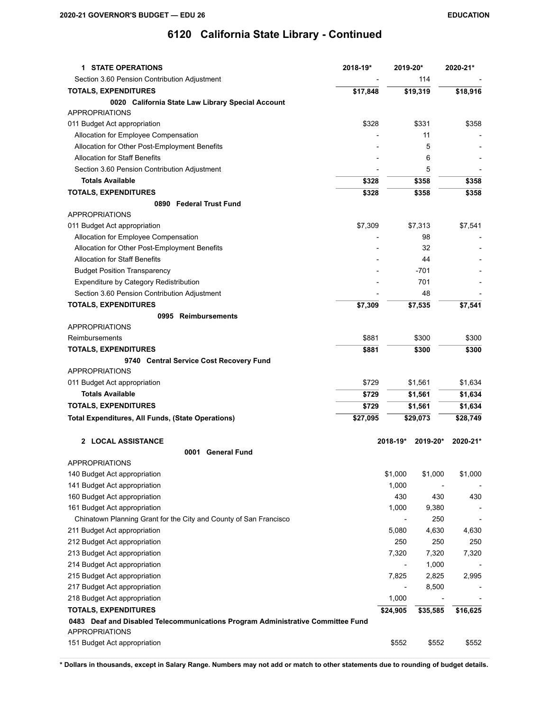| <b>1 STATE OPERATIONS</b>                                                       | 2018-19* | 2019-20* |          | 2020-21* |
|---------------------------------------------------------------------------------|----------|----------|----------|----------|
| Section 3.60 Pension Contribution Adjustment                                    |          |          | 114      |          |
| <b>TOTALS, EXPENDITURES</b>                                                     | \$17,848 |          | \$19,319 | \$18,916 |
| 0020 California State Law Library Special Account                               |          |          |          |          |
| <b>APPROPRIATIONS</b>                                                           |          |          |          |          |
| 011 Budget Act appropriation                                                    | \$328    |          | \$331    | \$358    |
| Allocation for Employee Compensation                                            |          |          | 11       |          |
| Allocation for Other Post-Employment Benefits                                   |          |          | 5        |          |
| <b>Allocation for Staff Benefits</b>                                            |          |          | 6        |          |
| Section 3.60 Pension Contribution Adjustment                                    |          |          | 5        |          |
| <b>Totals Available</b>                                                         | \$328    |          | \$358    | \$358    |
| <b>TOTALS, EXPENDITURES</b>                                                     | \$328    |          | \$358    | \$358    |
| 0890 Federal Trust Fund                                                         |          |          |          |          |
| <b>APPROPRIATIONS</b>                                                           |          |          |          |          |
| 011 Budget Act appropriation                                                    | \$7,309  |          | \$7,313  | \$7,541  |
| Allocation for Employee Compensation                                            |          |          | 98       |          |
| Allocation for Other Post-Employment Benefits                                   |          |          | 32       |          |
| <b>Allocation for Staff Benefits</b>                                            |          |          | 44       |          |
| <b>Budget Position Transparency</b>                                             |          |          | $-701$   |          |
| Expenditure by Category Redistribution                                          |          |          | 701      |          |
| Section 3.60 Pension Contribution Adjustment                                    |          |          | 48       |          |
| <b>TOTALS, EXPENDITURES</b>                                                     | \$7,309  |          | \$7,535  | \$7,541  |
| 0995 Reimbursements                                                             |          |          |          |          |
| <b>APPROPRIATIONS</b>                                                           |          |          |          |          |
| Reimbursements                                                                  | \$881    |          | \$300    | \$300    |
| <b>TOTALS, EXPENDITURES</b>                                                     | \$881    |          | \$300    | \$300    |
| 9740 Central Service Cost Recovery Fund                                         |          |          |          |          |
| <b>APPROPRIATIONS</b>                                                           |          |          |          |          |
| 011 Budget Act appropriation                                                    | \$729    |          | \$1,561  | \$1,634  |
| <b>Totals Available</b>                                                         | \$729    |          | \$1,561  | \$1,634  |
| <b>TOTALS, EXPENDITURES</b>                                                     | \$729    |          | \$1,561  | \$1,634  |
| <b>Total Expenditures, All Funds, (State Operations)</b>                        | \$27,095 |          | \$29,073 | \$28,749 |
|                                                                                 |          |          |          |          |
| 2 LOCAL ASSISTANCE                                                              |          | 2018-19* | 2019-20* | 2020-21* |
| <b>General Fund</b><br>0001                                                     |          |          |          |          |
| <b>APPROPRIATIONS</b>                                                           |          |          |          |          |
| 140 Budget Act appropriation                                                    |          | \$1,000  | \$1,000  | \$1,000  |
| 141 Budget Act appropriation                                                    |          | 1,000    |          |          |
| 160 Budget Act appropriation                                                    |          | 430      | 430      | 430      |
| 161 Budget Act appropriation                                                    |          | 1,000    | 9,380    |          |
| Chinatown Planning Grant for the City and County of San Francisco               |          |          | 250      |          |
| 211 Budget Act appropriation                                                    |          | 5,080    | 4,630    | 4,630    |
| 212 Budget Act appropriation                                                    |          | 250      | 250      | 250      |
| 213 Budget Act appropriation                                                    |          | 7,320    | 7,320    | 7,320    |
| 214 Budget Act appropriation                                                    |          |          | 1,000    |          |
| 215 Budget Act appropriation                                                    |          | 7,825    | 2,825    | 2,995    |
| 217 Budget Act appropriation                                                    |          |          | 8,500    |          |
| 218 Budget Act appropriation                                                    |          | 1,000    |          |          |
| <b>TOTALS, EXPENDITURES</b>                                                     |          | \$24,905 | \$35,585 |          |
| 0483 Deaf and Disabled Telecommunications Program Administrative Committee Fund |          |          |          | \$16,625 |
| <b>APPROPRIATIONS</b>                                                           |          |          |          |          |
| 151 Budget Act appropriation                                                    |          | \$552    | \$552    | \$552    |
|                                                                                 |          |          |          |          |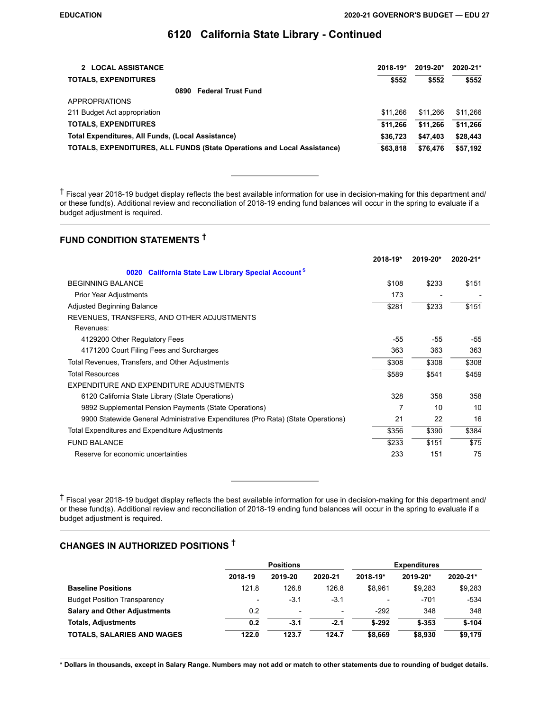| 2 LOCAL ASSISTANCE                                                             | $2018 - 19*$ | $2019 - 20*$ | 2020-21* |
|--------------------------------------------------------------------------------|--------------|--------------|----------|
| <b>TOTALS, EXPENDITURES</b>                                                    | \$552        | \$552        | \$552    |
| <b>Federal Trust Fund</b><br>0890                                              |              |              |          |
| <b>APPROPRIATIONS</b>                                                          |              |              |          |
| 211 Budget Act appropriation                                                   | \$11.266     | \$11.266     | \$11.266 |
| <b>TOTALS, EXPENDITURES</b>                                                    | \$11.266     | \$11.266     | \$11.266 |
| Total Expenditures, All Funds, (Local Assistance)                              | \$36,723     | \$47,403     | \$28,443 |
| <b>TOTALS, EXPENDITURES, ALL FUNDS (State Operations and Local Assistance)</b> | \$63,818     | \$76.476     | \$57,192 |

† Fiscal year 2018-19 budget display reflects the best available information for use in decision-making for this department and/ or these fund(s). Additional review and reconciliation of 2018-19 ending fund balances will occur in the spring to evaluate if a budget adjustment is required.

# **FUND CONDITION STATEMENTS †**

|                                                                                  | 2018-19* | 2019-20* | 2020-21* |
|----------------------------------------------------------------------------------|----------|----------|----------|
| <b>California State Law Library Special Accounts</b><br>0020                     |          |          |          |
| <b>BEGINNING BALANCE</b>                                                         | \$108    | \$233    | \$151    |
| <b>Prior Year Adjustments</b>                                                    | 173      |          |          |
| <b>Adjusted Beginning Balance</b>                                                | \$281    | \$233    | \$151    |
| REVENUES, TRANSFERS, AND OTHER ADJUSTMENTS                                       |          |          |          |
| Revenues:                                                                        |          |          |          |
| 4129200 Other Regulatory Fees                                                    | -55      | $-55$    | $-55$    |
| 4171200 Court Filing Fees and Surcharges                                         | 363      | 363      | 363      |
| Total Revenues, Transfers, and Other Adjustments                                 | \$308    | \$308    | \$308    |
| <b>Total Resources</b>                                                           | \$589    | \$541    | \$459    |
| EXPENDITURE AND EXPENDITURE ADJUSTMENTS                                          |          |          |          |
| 6120 California State Library (State Operations)                                 | 328      | 358      | 358      |
| 9892 Supplemental Pension Payments (State Operations)                            |          | 10       | 10       |
| 9900 Statewide General Administrative Expenditures (Pro Rata) (State Operations) | 21       | 22       | 16       |
| Total Expenditures and Expenditure Adjustments                                   | \$356    | \$390    | \$384    |
| <b>FUND BALANCE</b>                                                              | \$233    | \$151    | \$75     |
| Reserve for economic uncertainties                                               | 233      | 151      | 75       |

† Fiscal year 2018-19 budget display reflects the best available information for use in decision-making for this department and/ or these fund(s). Additional review and reconciliation of 2018-19 ending fund balances will occur in the spring to evaluate if a budget adjustment is required.

# **CHANGES IN AUTHORIZED POSITIONS †**

|                                     | <b>Positions</b> |         |                          | <b>Expenditures</b>      |          |          |  |
|-------------------------------------|------------------|---------|--------------------------|--------------------------|----------|----------|--|
|                                     | 2018-19          | 2019-20 | 2020-21                  | 2018-19*                 | 2019-20* | 2020-21* |  |
| <b>Baseline Positions</b>           | 121.8            | 126.8   | 126.8                    | \$8.961                  | \$9.283  | \$9,283  |  |
| <b>Budget Position Transparency</b> | -                | $-3.1$  | $-3.1$                   | $\overline{\phantom{0}}$ | $-701$   | -534     |  |
| <b>Salary and Other Adjustments</b> | 0.2              |         | $\overline{\phantom{a}}$ | $-292$                   | 348      | 348      |  |
| <b>Totals, Adjustments</b>          | 0.2              | $-3.1$  | $-2.1$                   | $$-292$                  | $$-353$  | $$-104$  |  |
| <b>TOTALS, SALARIES AND WAGES</b>   | 122.0            | 123.7   | 124.7                    | \$8,669                  | \$8,930  | \$9,179  |  |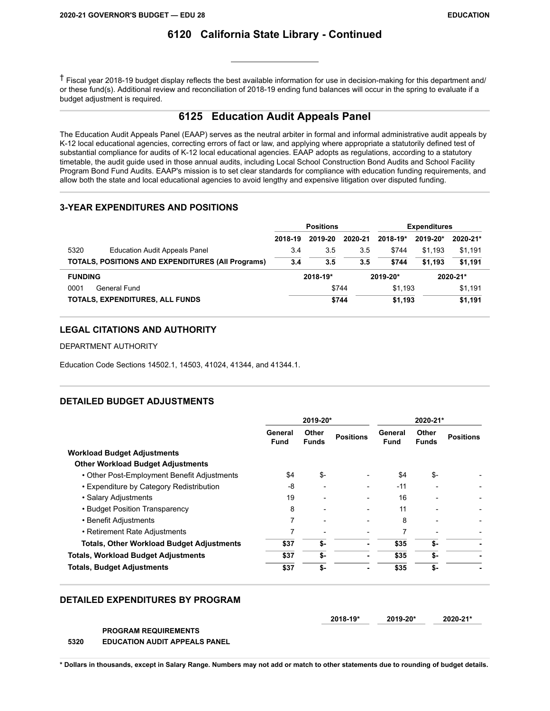† Fiscal year 2018-19 budget display reflects the best available information for use in decision-making for this department and/ or these fund(s). Additional review and reconciliation of 2018-19 ending fund balances will occur in the spring to evaluate if a budget adjustment is required.

### **6125 Education Audit Appeals Panel**

The Education Audit Appeals Panel (EAAP) serves as the neutral arbiter in formal and informal administrative audit appeals by K-12 local educational agencies, correcting errors of fact or law, and applying where appropriate a statutorily defined test of substantial compliance for audits of K-12 local educational agencies. EAAP adopts as regulations, according to a statutory timetable, the audit guide used in those annual audits, including Local School Construction Bond Audits and School Facility Program Bond Fund Audits. EAAP's mission is to set clear standards for compliance with education funding requirements, and allow both the state and local educational agencies to avoid lengthy and expensive litigation over disputed funding.

### **3-YEAR EXPENDITURES AND POSITIONS**

|                                                          | <b>Positions</b> |          |         | <b>Expenditures</b>  |          |              |
|----------------------------------------------------------|------------------|----------|---------|----------------------|----------|--------------|
|                                                          | 2018-19          | 2019-20  | 2020-21 | $2018 - 19*$         | 2019-20* | $2020 - 21*$ |
| 5320<br><b>Education Audit Appeals Panel</b>             | 3.4              | 3.5      | 3.5     | \$744                | \$1.193  | \$1,191      |
| <b>TOTALS, POSITIONS AND EXPENDITURES (All Programs)</b> | 3.4              | 3.5      | 3.5     | \$744                | \$1.193  | \$1.191      |
| <b>FUNDING</b>                                           |                  | 2018-19* |         | 2019-20*<br>2020-21* |          |              |
| 0001<br>General Fund                                     |                  |          | \$744   | \$1.193              |          | \$1,191      |
| TOTALS, EXPENDITURES, ALL FUNDS                          |                  |          | \$744   | \$1.193              |          | \$1,191      |

#### **LEGAL CITATIONS AND AUTHORITY**

DEPARTMENT AUTHORITY

Education Code Sections 14502.1, 14503, 41024, 41344, and 41344.1.

### **DETAILED BUDGET ADJUSTMENTS**

|                                                  |                        | 2019-20*              |                  | 2020-21*        |                       |                  |  |
|--------------------------------------------------|------------------------|-----------------------|------------------|-----------------|-----------------------|------------------|--|
|                                                  | General<br><b>Fund</b> | Other<br><b>Funds</b> | <b>Positions</b> | General<br>Fund | Other<br><b>Funds</b> | <b>Positions</b> |  |
| <b>Workload Budget Adjustments</b>               |                        |                       |                  |                 |                       |                  |  |
| <b>Other Workload Budget Adjustments</b>         |                        |                       |                  |                 |                       |                  |  |
| • Other Post-Employment Benefit Adjustments      | \$4                    | \$-                   |                  | \$4             | \$-                   |                  |  |
| • Expenditure by Category Redistribution         | -8                     |                       |                  | $-11$           |                       |                  |  |
| • Salary Adjustments                             | 19                     |                       |                  | 16              |                       |                  |  |
| • Budget Position Transparency                   | 8                      |                       |                  | 11              |                       |                  |  |
| • Benefit Adjustments                            | 7                      | ٠                     |                  | 8               |                       |                  |  |
| • Retirement Rate Adjustments                    | 7                      |                       |                  | 7               |                       |                  |  |
| <b>Totals, Other Workload Budget Adjustments</b> | \$37                   | \$-                   |                  | \$35            | \$-                   |                  |  |
| <b>Totals, Workload Budget Adjustments</b>       | \$37                   | \$-                   |                  | \$35            | \$-                   |                  |  |
| <b>Totals, Budget Adjustments</b>                | \$37                   | \$-                   |                  | \$35            | \$-                   |                  |  |

#### **DETAILED EXPENDITURES BY PROGRAM**

| $2018 - 19*$ | 2019-20* | 2020-21* |
|--------------|----------|----------|

**PROGRAM REQUIREMENTS 5320 EDUCATION AUDIT APPEALS PANEL**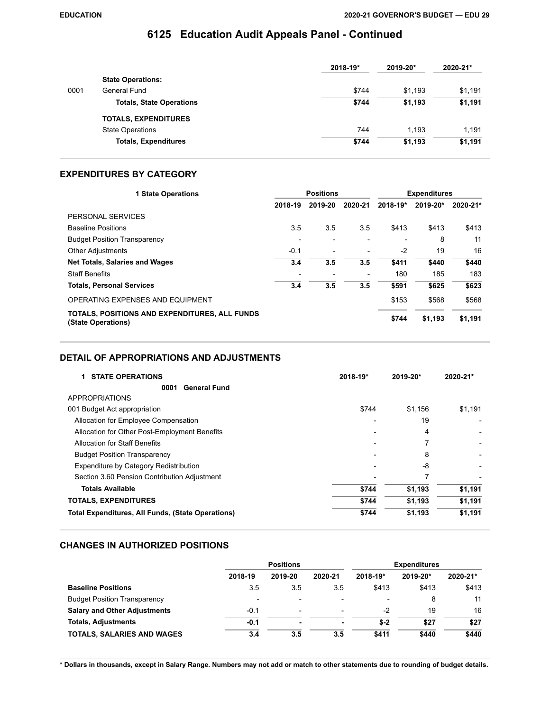# **6125 Education Audit Appeals Panel - Continued**

|      |                                 | 2018-19* | 2019-20* | 2020-21* |
|------|---------------------------------|----------|----------|----------|
|      | <b>State Operations:</b>        |          |          |          |
| 0001 | General Fund                    | \$744    | \$1.193  | \$1,191  |
|      | <b>Totals, State Operations</b> | \$744    | \$1,193  | \$1,191  |
|      | <b>TOTALS, EXPENDITURES</b>     |          |          |          |
|      | <b>State Operations</b>         | 744      | 1.193    | 1.191    |
|      | <b>Totals, Expenditures</b>     | \$744    | \$1,193  | \$1,191  |

#### **EXPENDITURES BY CATEGORY**

| <b>1 State Operations</b>                                           |         | <b>Positions</b> |                              | <b>Expenditures</b><br>2019-20*<br>\$413<br>\$413<br>8<br>19<br>$-2$<br>\$411<br>\$440<br>180<br>185<br>\$591<br>\$625 |         |          |
|---------------------------------------------------------------------|---------|------------------|------------------------------|------------------------------------------------------------------------------------------------------------------------|---------|----------|
|                                                                     | 2018-19 | 2019-20          | 2020-21                      | 2018-19*                                                                                                               |         | 2020-21* |
| PERSONAL SERVICES                                                   |         |                  |                              |                                                                                                                        |         |          |
| <b>Baseline Positions</b>                                           | 3.5     | 3.5              | 3.5                          |                                                                                                                        |         | \$413    |
| <b>Budget Position Transparency</b>                                 |         |                  |                              |                                                                                                                        |         | 11       |
| <b>Other Adjustments</b>                                            | $-0.1$  |                  |                              |                                                                                                                        |         | 16       |
| <b>Net Totals, Salaries and Wages</b>                               | 3.4     | 3.5              | 3.5                          |                                                                                                                        |         | \$440    |
| <b>Staff Benefits</b>                                               |         |                  | $\qquad \qquad \blacksquare$ |                                                                                                                        |         | 183      |
| <b>Totals, Personal Services</b>                                    | 3.4     | 3.5              | 3.5                          |                                                                                                                        |         | \$623    |
| OPERATING EXPENSES AND EQUIPMENT                                    |         |                  |                              | \$153                                                                                                                  | \$568   | \$568    |
| TOTALS, POSITIONS AND EXPENDITURES, ALL FUNDS<br>(State Operations) |         |                  |                              | \$744                                                                                                                  | \$1,193 | \$1,191  |

#### **DETAIL OF APPROPRIATIONS AND ADJUSTMENTS**

| <b>STATE OPERATIONS</b>                                  | 2018-19* | 2019-20* | 2020-21* |
|----------------------------------------------------------|----------|----------|----------|
| <b>General Fund</b><br>0001                              |          |          |          |
| APPROPRIATIONS                                           |          |          |          |
| 001 Budget Act appropriation                             | \$744    | \$1,156  | \$1,191  |
| Allocation for Employee Compensation                     |          | 19       |          |
| Allocation for Other Post-Employment Benefits            |          | 4        |          |
| Allocation for Staff Benefits                            |          |          |          |
| <b>Budget Position Transparency</b>                      |          | 8        |          |
| Expenditure by Category Redistribution                   |          | -8       |          |
| Section 3.60 Pension Contribution Adjustment             |          |          |          |
| <b>Totals Available</b>                                  | \$744    | \$1,193  | \$1,191  |
| <b>TOTALS, EXPENDITURES</b>                              | \$744    | \$1,193  | \$1,191  |
| <b>Total Expenditures, All Funds, (State Operations)</b> | \$744    | \$1,193  | \$1,191  |

### **CHANGES IN AUTHORIZED POSITIONS**

|                                     |                          | <b>Positions</b> |                          | <b>Expenditures</b> |          |          |
|-------------------------------------|--------------------------|------------------|--------------------------|---------------------|----------|----------|
|                                     | 2018-19                  | 2019-20          | 2020-21                  | 2018-19*            | 2019-20* | 2020-21* |
| <b>Baseline Positions</b>           | 3.5                      | 3.5              | 3.5                      | \$413               | \$413    | \$413    |
| <b>Budget Position Transparency</b> | $\overline{\phantom{a}}$ |                  | ۰                        |                     | 8        | 11       |
| <b>Salary and Other Adjustments</b> | $-0.1$                   | -                | $\overline{\phantom{0}}$ | -2                  | 19       | 16       |
| <b>Totals, Adjustments</b>          | $-0.1$                   |                  | ٠                        | $$-2$               | \$27     | \$27     |
| <b>TOTALS, SALARIES AND WAGES</b>   | 3.4                      | 3.5              | 3.5                      | \$411               | \$440    | \$440    |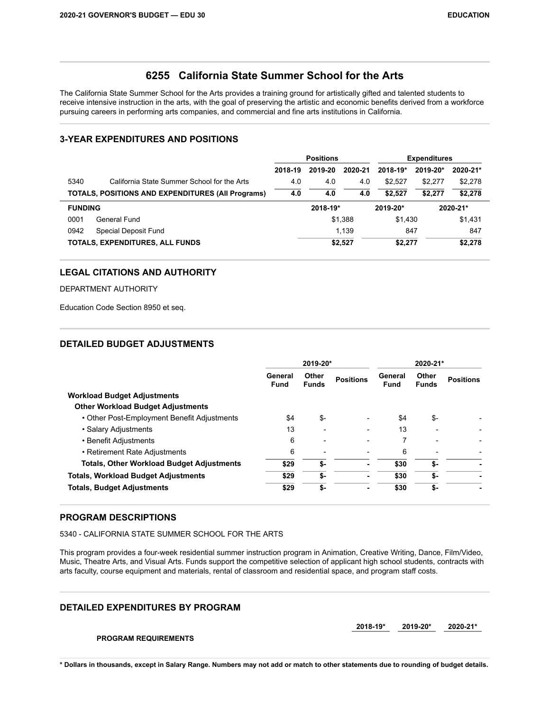### **6255 California State Summer School for the Arts**

The California State Summer School for the Arts provides a training ground for artistically gifted and talented students to receive intensive instruction in the arts, with the goal of preserving the artistic and economic benefits derived from a workforce pursuing careers in performing arts companies, and commercial and fine arts institutions in California.

### **3-YEAR EXPENDITURES AND POSITIONS**

|                                                          | <b>Positions</b> |          |          |              | <b>Expenditures</b> |          |
|----------------------------------------------------------|------------------|----------|----------|--------------|---------------------|----------|
|                                                          | 2018-19          | 2019-20  | 2020-21  | $2018 - 19*$ | 2019-20*            | 2020-21* |
| 5340<br>California State Summer School for the Arts      | 4.0              | 4.0      | 4.0      | \$2.527      | \$2.277             | \$2,278  |
| <b>TOTALS, POSITIONS AND EXPENDITURES (All Programs)</b> | 4.0              | 4.0      | 4.0      | \$2.527      | \$2.277             | \$2,278  |
| <b>FUNDING</b>                                           |                  | 2018-19* | 2019-20* |              |                     | 2020-21* |
| 0001<br>General Fund                                     |                  |          | \$1,388  | \$1.430      |                     | \$1,431  |
| 0942<br>Special Deposit Fund                             |                  |          | 1.139    | 847          |                     | 847      |
| TOTALS, EXPENDITURES, ALL FUNDS                          |                  |          | \$2,527  | \$2,277      |                     | \$2,278  |

#### **LEGAL CITATIONS AND AUTHORITY**

#### DEPARTMENT AUTHORITY

Education Code Section 8950 et seq.

#### **DETAILED BUDGET ADJUSTMENTS**

|                                                  |                        | 2019-20*                 | 2020-21*         |                        |                       |                  |  |
|--------------------------------------------------|------------------------|--------------------------|------------------|------------------------|-----------------------|------------------|--|
|                                                  | General<br><b>Fund</b> | Other<br><b>Funds</b>    | <b>Positions</b> | General<br><b>Fund</b> | Other<br><b>Funds</b> | <b>Positions</b> |  |
| <b>Workload Budget Adjustments</b>               |                        |                          |                  |                        |                       |                  |  |
| <b>Other Workload Budget Adjustments</b>         |                        |                          |                  |                        |                       |                  |  |
| • Other Post-Employment Benefit Adjustments      | \$4                    | \$-                      |                  | \$4                    | \$-                   |                  |  |
| • Salary Adjustments                             | 13                     | $\overline{\phantom{a}}$ |                  | 13                     |                       |                  |  |
| • Benefit Adjustments                            | 6                      | $\overline{\phantom{a}}$ | -                |                        | $\qquad \qquad$       |                  |  |
| • Retirement Rate Adjustments                    | 6                      |                          | -                | 6                      |                       |                  |  |
| <b>Totals, Other Workload Budget Adjustments</b> | \$29                   | \$-                      | ۰                | \$30                   | \$-                   |                  |  |
| <b>Totals, Workload Budget Adjustments</b>       | \$29                   | \$-                      | ۰                | \$30                   | \$-                   |                  |  |
| <b>Totals, Budget Adjustments</b>                | \$29                   | \$-                      | ۰                | \$30                   | \$-                   |                  |  |

#### **PROGRAM DESCRIPTIONS**

5340 - CALIFORNIA STATE SUMMER SCHOOL FOR THE ARTS

This program provides a four-week residential summer instruction program in Animation, Creative Writing, Dance, Film/Video, Music, Theatre Arts, and Visual Arts. Funds support the competitive selection of applicant high school students, contracts with arts faculty, course equipment and materials, rental of classroom and residential space, and program staff costs.

#### **DETAILED EXPENDITURES BY PROGRAM**

**2018-19\* 2019-20\* 2020-21\*** 

**PROGRAM REQUIREMENTS**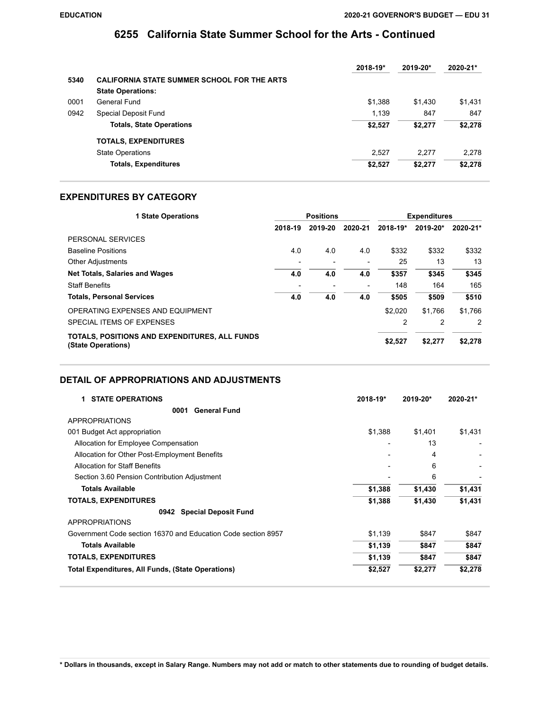### **6255 California State Summer School for the Arts - Continued**

|      |                                                    | 2018-19* | 2019-20* | 2020-21* |
|------|----------------------------------------------------|----------|----------|----------|
| 5340 | <b>CALIFORNIA STATE SUMMER SCHOOL FOR THE ARTS</b> |          |          |          |
|      | <b>State Operations:</b>                           |          |          |          |
| 0001 | General Fund                                       | \$1.388  | \$1.430  | \$1,431  |
| 0942 | Special Deposit Fund                               | 1.139    | 847      | 847      |
|      | <b>Totals, State Operations</b>                    | \$2,527  | \$2.277  | \$2,278  |
|      | <b>TOTALS, EXPENDITURES</b>                        |          |          |          |
|      | <b>State Operations</b>                            | 2.527    | 2.277    | 2.278    |
|      | <b>Totals, Expenditures</b>                        | \$2,527  | \$2,277  | \$2,278  |

#### **EXPENDITURES BY CATEGORY**

| <b>1 State Operations</b>                                           |         | <b>Positions</b> |                              |          | <b>Expenditures</b> |          |
|---------------------------------------------------------------------|---------|------------------|------------------------------|----------|---------------------|----------|
|                                                                     | 2018-19 | 2019-20          | 2020-21                      | 2018-19* | 2019-20*            | 2020-21* |
| PERSONAL SERVICES                                                   |         |                  |                              |          |                     |          |
| <b>Baseline Positions</b>                                           | 4.0     | 4.0              | 4.0                          | \$332    | \$332               | \$332    |
| <b>Other Adjustments</b>                                            |         |                  | $\qquad \qquad \blacksquare$ | 25       | 13                  | 13       |
| <b>Net Totals, Salaries and Wages</b>                               | 4.0     | 4.0              | 4.0                          | \$357    | \$345               | \$345    |
| <b>Staff Benefits</b>                                               |         |                  | $\overline{\phantom{a}}$     | 148      | 164                 | 165      |
| <b>Totals, Personal Services</b>                                    | 4.0     | 4.0              | 4.0                          | \$505    | \$509               | \$510    |
| OPERATING EXPENSES AND EQUIPMENT                                    |         |                  |                              | \$2.020  | \$1.766             | \$1,766  |
| SPECIAL ITEMS OF EXPENSES                                           |         |                  |                              | 2        | 2                   | 2        |
| TOTALS, POSITIONS AND EXPENDITURES, ALL FUNDS<br>(State Operations) |         |                  |                              | \$2,527  | \$2,277             | \$2,278  |

### **DETAIL OF APPROPRIATIONS AND ADJUSTMENTS**

| <b>STATE OPERATIONS</b><br>2018-19*<br>1                      |         | 2019-20* | 2020-21* |
|---------------------------------------------------------------|---------|----------|----------|
| <b>General Fund</b><br>0001                                   |         |          |          |
| <b>APPROPRIATIONS</b>                                         |         |          |          |
| 001 Budget Act appropriation                                  | \$1,388 | \$1,401  | \$1,431  |
| Allocation for Employee Compensation                          |         | 13       |          |
| Allocation for Other Post-Employment Benefits                 |         | 4        |          |
| <b>Allocation for Staff Benefits</b>                          |         | 6        |          |
| Section 3.60 Pension Contribution Adjustment                  |         | 6        |          |
| <b>Totals Available</b>                                       | \$1,388 | \$1,430  | \$1,431  |
| <b>TOTALS, EXPENDITURES</b>                                   | \$1,388 | \$1,430  | \$1,431  |
| <b>Special Deposit Fund</b><br>0942                           |         |          |          |
| <b>APPROPRIATIONS</b>                                         |         |          |          |
| Government Code section 16370 and Education Code section 8957 | \$1,139 | \$847    | \$847    |
| <b>Totals Available</b>                                       | \$1,139 | \$847    | \$847    |
| <b>TOTALS, EXPENDITURES</b>                                   | \$1,139 | \$847    | \$847    |
| <b>Total Expenditures, All Funds, (State Operations)</b>      | \$2,527 | \$2,277  | \$2,278  |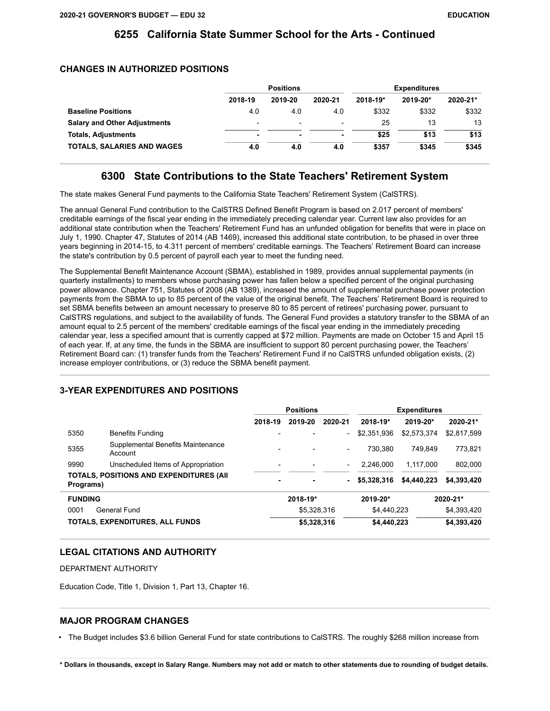### **6255 California State Summer School for the Arts - Continued**

#### **CHANGES IN AUTHORIZED POSITIONS**

|                                     |                          | <b>Positions</b>         |                          |          | <b>Expenditures</b> |          |
|-------------------------------------|--------------------------|--------------------------|--------------------------|----------|---------------------|----------|
|                                     | 2018-19                  | 2019-20                  | 2020-21                  | 2018-19* | 2019-20*            | 2020-21* |
| <b>Baseline Positions</b>           | 4.0                      | 4.0                      | 4.0                      | \$332    | \$332               | \$332    |
| <b>Salary and Other Adjustments</b> | $\overline{\phantom{0}}$ | $\overline{\phantom{0}}$ | $\overline{\phantom{0}}$ | 25       | 13                  | 13       |
| <b>Totals, Adjustments</b>          | ٠                        | -                        | ۰                        | \$25     | \$13                | \$13     |
| <b>TOTALS, SALARIES AND WAGES</b>   | 4.0                      | 4.0                      | 4.0                      | \$357    | \$345               | \$345    |

### **6300 State Contributions to the State Teachers' Retirement System**

The state makes General Fund payments to the California State Teachers' Retirement System (CalSTRS).

The annual General Fund contribution to the CalSTRS Defined Benefit Program is based on 2.017 percent of members' creditable earnings of the fiscal year ending in the immediately preceding calendar year. Current law also provides for an additional state contribution when the Teachers' Retirement Fund has an unfunded obligation for benefits that were in place on July 1, 1990. Chapter 47, Statutes of 2014 (AB 1469), increased this additional state contribution, to be phased in over three years beginning in 2014-15, to 4.311 percent of members' creditable earnings. The Teachers' Retirement Board can increase the state's contribution by 0.5 percent of payroll each year to meet the funding need.

The Supplemental Benefit Maintenance Account (SBMA), established in 1989, provides annual supplemental payments (in quarterly installments) to members whose purchasing power has fallen below a specified percent of the original purchasing power allowance. Chapter 751, Statutes of 2008 (AB 1389), increased the amount of supplemental purchase power protection payments from the SBMA to up to 85 percent of the value of the original benefit. The Teachers' Retirement Board is required to set SBMA benefits between an amount necessary to preserve 80 to 85 percent of retirees' purchasing power, pursuant to CalSTRS regulations, and subject to the availability of funds. The General Fund provides a statutory transfer to the SBMA of an amount equal to 2.5 percent of the members' creditable earnings of the fiscal year ending in the immediately preceding calendar year, less a specified amount that is currently capped at \$72 million. Payments are made on October 15 and April 15 of each year. If, at any time, the funds in the SBMA are insufficient to support 80 percent purchasing power, the Teachers' Retirement Board can: (1) transfer funds from the Teachers' Retirement Fund if no CalSTRS unfunded obligation exists, (2) increase employer contributions, or (3) reduce the SBMA benefit payment.

# **3-YEAR EXPENDITURES AND POSITIONS**

|                                                              |                                              | <b>Positions</b> |             | <b>Expenditures</b>      |             |             |             |
|--------------------------------------------------------------|----------------------------------------------|------------------|-------------|--------------------------|-------------|-------------|-------------|
|                                                              |                                              | 2018-19          | 2019-20     | 2020-21                  | 2018-19*    | 2019-20*    | 2020-21*    |
| 5350                                                         | <b>Benefits Funding</b>                      |                  |             |                          | \$2,351,936 | \$2,573,374 | \$2,817,599 |
| 5355                                                         | Supplemental Benefits Maintenance<br>Account |                  |             | $\overline{\phantom{a}}$ | 730.380     | 749.849     | 773.821     |
| 9990                                                         | Unscheduled Items of Appropriation           |                  |             |                          | 2.246.000   | 1.117.000   | 802.000     |
| <b>TOTALS, POSITIONS AND EXPENDITURES (AII)</b><br>Programs) |                                              |                  |             |                          | \$5,328,316 | \$4,440,223 | \$4,393,420 |
| <b>FUNDING</b>                                               |                                              | 2018-19*         |             | 2019-20*                 |             | 2020-21*    |             |
| 0001                                                         | General Fund                                 |                  | \$5,328,316 |                          | \$4.440.223 |             | \$4,393,420 |
|                                                              | TOTALS, EXPENDITURES, ALL FUNDS              |                  | \$5,328,316 |                          | \$4,440,223 |             | \$4,393,420 |

#### **LEGAL CITATIONS AND AUTHORITY**

DEPARTMENT AUTHORITY

Education Code, Title 1, Division 1, Part 13, Chapter 16.

#### **MAJOR PROGRAM CHANGES**

• The Budget includes \$3.6 billion General Fund for state contributions to CalSTRS. The roughly \$268 million increase from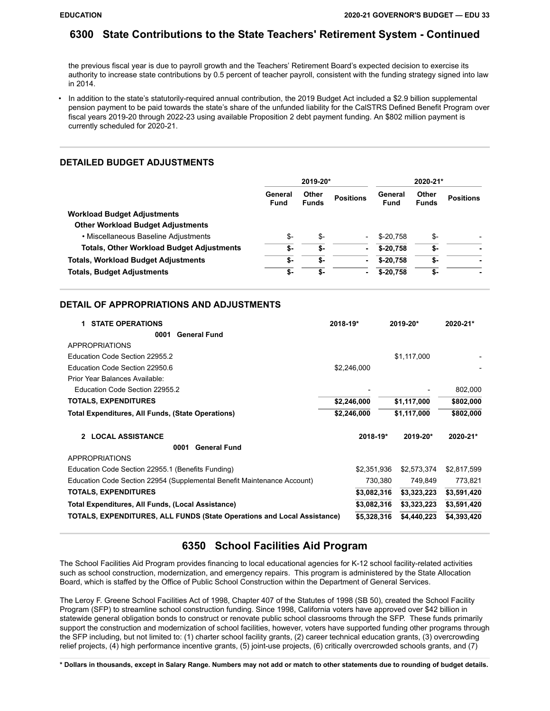### **6300 State Contributions to the State Teachers' Retirement System - Continued**

the previous fiscal year is due to payroll growth and the Teachers' Retirement Board's expected decision to exercise its authority to increase state contributions by 0.5 percent of teacher payroll, consistent with the funding strategy signed into law in 2014.

• In addition to the state's statutorily-required annual contribution, the 2019 Budget Act included a \$2.9 billion supplemental pension payment to be paid towards the state's share of the unfunded liability for the CalSTRS Defined Benefit Program over fiscal years 2019-20 through 2022-23 using available Proposition 2 debt payment funding. An \$802 million payment is currently scheduled for 2020-21.

#### **DETAILED BUDGET ADJUSTMENTS**

|                                                  | 2019-20*               |                       |                          | 2020-21*               |                       |                  |
|--------------------------------------------------|------------------------|-----------------------|--------------------------|------------------------|-----------------------|------------------|
|                                                  | General<br><b>Fund</b> | Other<br><b>Funds</b> | <b>Positions</b>         | General<br><b>Fund</b> | Other<br><b>Funds</b> | <b>Positions</b> |
| <b>Workload Budget Adjustments</b>               |                        |                       |                          |                        |                       |                  |
| <b>Other Workload Budget Adjustments</b>         |                        |                       |                          |                        |                       |                  |
| • Miscellaneous Baseline Adjustments             | \$-                    | \$-                   | $\overline{\phantom{0}}$ | $$-20.758$             | \$-                   |                  |
| <b>Totals, Other Workload Budget Adjustments</b> | \$-                    | \$-                   | ۰                        | $$-20.758$             | \$-                   |                  |
| <b>Totals, Workload Budget Adjustments</b>       | \$-                    | \$-                   | ۰                        | $$-20.758$             | \$-                   |                  |
| <b>Totals, Budget Adjustments</b>                | \$-                    | \$-                   | ۰                        | $$-20,758$             | \$-                   |                  |

#### **DETAIL OF APPROPRIATIONS AND ADJUSTMENTS**

| <b>STATE OPERATIONS</b>                                                 | $2018 - 19*$ | 2019-20*    | $2020 - 21*$ |
|-------------------------------------------------------------------------|--------------|-------------|--------------|
| <b>General Fund</b><br>0001                                             |              |             |              |
| APPROPRIATIONS                                                          |              |             |              |
| Education Code Section 22955.2                                          |              | \$1,117,000 |              |
| Education Code Section 22950.6                                          | \$2,246,000  |             |              |
| Prior Year Balances Available:                                          |              |             |              |
| Education Code Section 22955.2                                          |              |             | 802,000      |
| <b>TOTALS, EXPENDITURES</b>                                             | \$2,246,000  | \$1,117,000 | \$802,000    |
| <b>Total Expenditures, All Funds, (State Operations)</b>                | \$2,246,000  | \$1,117,000 | \$802,000    |
| <b>LOCAL ASSISTANCE</b><br>2                                            | 2018-19*     | 2019-20*    | 2020-21*     |
| <b>General Fund</b><br>0001                                             |              |             |              |
| <b>APPROPRIATIONS</b>                                                   |              |             |              |
| Education Code Section 22955.1 (Benefits Funding)                       | \$2,351,936  | \$2,573,374 | \$2,817,599  |
| Education Code Section 22954 (Supplemental Benefit Maintenance Account) | 730,380      | 749,849     | 773,821      |
| <b>TOTALS, EXPENDITURES</b>                                             | \$3,082,316  | \$3,323,223 | \$3,591,420  |
| Total Expenditures, All Funds, (Local Assistance)                       | \$3,082,316  | \$3,323,223 | \$3,591,420  |
| TOTALS, EXPENDITURES, ALL FUNDS (State Operations and Local Assistance) | \$5,328,316  | \$4,440,223 | \$4,393,420  |

### **6350 School Facilities Aid Program**

The School Facilities Aid Program provides financing to local educational agencies for K-12 school facility-related activities such as school construction, modernization, and emergency repairs. This program is administered by the State Allocation Board, which is staffed by the Office of Public School Construction within the Department of General Services.

The Leroy F. Greene School Facilities Act of 1998, Chapter 407 of the Statutes of 1998 (SB 50), created the School Facility Program (SFP) to streamline school construction funding. Since 1998, California voters have approved over \$42 billion in statewide general obligation bonds to construct or renovate public school classrooms through the SFP. These funds primarily support the construction and modernization of school facilities, however, voters have supported funding other programs through the SFP including, but not limited to: (1) charter school facility grants, (2) career technical education grants, (3) overcrowding relief projects, (4) high performance incentive grants, (5) joint-use projects, (6) critically overcrowded schools grants, and (7)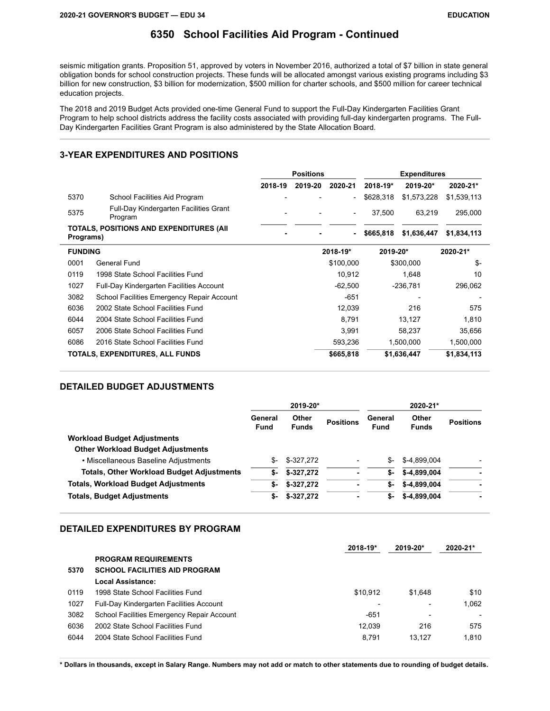### **6350 School Facilities Aid Program - Continued**

seismic mitigation grants. Proposition 51, approved by voters in November 2016, authorized a total of \$7 billion in state general obligation bonds for school construction projects. These funds will be allocated amongst various existing programs including \$3 billion for new construction, \$3 billion for modernization, \$500 million for charter schools, and \$500 million for career technical education projects.

The 2018 and 2019 Budget Acts provided one-time General Fund to support the Full-Day Kindergarten Facilities Grant Program to help school districts address the facility costs associated with providing full-day kindergarten programs. The Full-Day Kindergarten Facilities Grant Program is also administered by the State Allocation Board.

#### **3-YEAR EXPENDITURES AND POSITIONS**

|           |                                                   | <b>Positions</b> |          | <b>Expenditures</b>      |           |             |             |
|-----------|---------------------------------------------------|------------------|----------|--------------------------|-----------|-------------|-------------|
|           |                                                   | 2018-19          | 2019-20  | 2020-21                  | 2018-19*  | 2019-20*    | 2020-21*    |
| 5370      | School Facilities Aid Program                     |                  |          | $\overline{\phantom{0}}$ | \$628,318 | \$1,573,228 | \$1,539,113 |
| 5375      | Full-Day Kindergarten Facilities Grant<br>Program |                  |          | $\overline{a}$           | 37.500    | 63,219      | 295,000     |
| Programs) | TOTALS, POSITIONS AND EXPENDITURES (AII)          |                  |          | $\blacksquare$           | \$665,818 | \$1,636,447 | \$1,834,113 |
|           | <b>FUNDING</b>                                    |                  | 2018-19* | 2019-20*                 |           | 2020-21*    |             |
| 0001      | General Fund                                      |                  |          | \$100,000                |           | \$300,000   | \$-         |
| 0119      | 1998 State School Facilities Fund                 |                  |          | 10,912                   |           | 1,648       | 10          |
| 1027      | Full-Day Kindergarten Facilities Account          |                  |          | $-62,500$                |           | $-236,781$  | 296,062     |
| 3082      | School Facilities Emergency Repair Account        |                  |          | $-651$                   |           |             |             |
| 6036      | 2002 State School Facilities Fund                 |                  |          | 12,039                   |           | 216         | 575         |
| 6044      | 2004 State School Facilities Fund                 |                  |          | 8,791                    |           | 13,127      | 1,810       |
| 6057      | 2006 State School Facilities Fund                 |                  |          | 3,991                    |           | 58,237      | 35,656      |
| 6086      | 2016 State School Facilities Fund                 |                  |          | 593,236                  |           | 1,500,000   | 1,500,000   |
|           | TOTALS, EXPENDITURES, ALL FUNDS                   |                  |          | \$665,818                |           | \$1,636,447 | \$1,834,113 |

#### **DETAILED BUDGET ADJUSTMENTS**

|                                                  | 2019-20*               |                       |                  | 2020-21*               |                       |                  |
|--------------------------------------------------|------------------------|-----------------------|------------------|------------------------|-----------------------|------------------|
|                                                  | General<br><b>Fund</b> | Other<br><b>Funds</b> | <b>Positions</b> | General<br><b>Fund</b> | Other<br><b>Funds</b> | <b>Positions</b> |
| <b>Workload Budget Adjustments</b>               |                        |                       |                  |                        |                       |                  |
| <b>Other Workload Budget Adjustments</b>         |                        |                       |                  |                        |                       |                  |
| • Miscellaneous Baseline Adjustments             | \$-                    | \$-327,272            |                  | S-                     | \$-4.899.004          |                  |
| <b>Totals, Other Workload Budget Adjustments</b> | \$-                    | $$-327.272$           | ٠                | \$-                    | \$-4.899.004          | ۰                |
| <b>Totals, Workload Budget Adjustments</b>       | \$-                    | $$-327.272$           | ٠                | \$-                    | \$-4.899.004          | ۰                |
| <b>Totals, Budget Adjustments</b>                | \$-                    | $$-327,272$           | ٠                | \$-                    | \$-4,899,004          | ٠                |

#### **DETAILED EXPENDITURES BY PROGRAM**

|      |                                            | 2018-19* | $2019 - 20*$ | 2020-21* |
|------|--------------------------------------------|----------|--------------|----------|
|      | <b>PROGRAM REQUIREMENTS</b>                |          |              |          |
| 5370 | <b>SCHOOL FACILITIES AID PROGRAM</b>       |          |              |          |
|      | Local Assistance:                          |          |              |          |
| 0119 | 1998 State School Facilities Fund          | \$10.912 | \$1.648      | \$10     |
| 1027 | Full-Day Kindergarten Facilities Account   |          |              | 1.062    |
| 3082 | School Facilities Emergency Repair Account | -651     |              |          |
| 6036 | 2002 State School Facilities Fund          | 12.039   | 216          | 575      |
| 6044 | 2004 State School Facilities Fund          | 8.791    | 13.127       | 1.810    |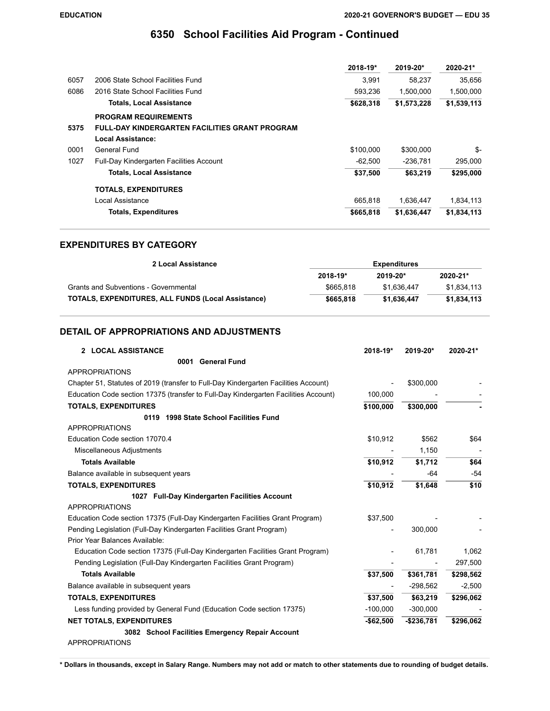# **6350 School Facilities Aid Program - Continued**

|                                                       | 2018-19*  | 2019-20*    | 2020-21*    |
|-------------------------------------------------------|-----------|-------------|-------------|
| 2006 State School Facilities Fund                     | 3.991     | 58.237      | 35,656      |
| 2016 State School Facilities Fund                     | 593.236   | 1,500,000   | 1,500,000   |
| <b>Totals, Local Assistance</b>                       | \$628,318 | \$1,573,228 | \$1,539,113 |
| <b>PROGRAM REQUIREMENTS</b>                           |           |             |             |
| <b>FULL-DAY KINDERGARTEN FACILITIES GRANT PROGRAM</b> |           |             |             |
| Local Assistance:                                     |           |             |             |
| General Fund                                          | \$100.000 | \$300,000   | \$-         |
| <b>Full-Day Kindergarten Facilities Account</b>       | $-62.500$ | $-236.781$  | 295,000     |
| <b>Totals, Local Assistance</b>                       | \$37,500  | \$63,219    | \$295,000   |
| <b>TOTALS, EXPENDITURES</b>                           |           |             |             |
| Local Assistance                                      | 665.818   | 1.636.447   | 1,834,113   |
| <b>Totals, Expenditures</b>                           | \$665,818 | \$1,636,447 | \$1,834,113 |
|                                                       |           |             |             |

### **EXPENDITURES BY CATEGORY**

| 2 Local Assistance                                        | <b>Expenditures</b> |              |              |  |
|-----------------------------------------------------------|---------------------|--------------|--------------|--|
|                                                           | 2018-19*            | $2019 - 20*$ | $2020 - 21*$ |  |
| Grants and Subventions - Governmental                     | \$665.818           | \$1.636.447  | \$1.834.113  |  |
| <b>TOTALS, EXPENDITURES, ALL FUNDS (Local Assistance)</b> | \$665,818           | \$1.636.447  | \$1,834,113  |  |

## **DETAIL OF APPROPRIATIONS AND ADJUSTMENTS**

| 2 LOCAL ASSISTANCE                                                                  | 2018-19*   | 2019-20*    | 2020-21*  |
|-------------------------------------------------------------------------------------|------------|-------------|-----------|
| 0001 General Fund                                                                   |            |             |           |
| <b>APPROPRIATIONS</b>                                                               |            |             |           |
| Chapter 51, Statutes of 2019 (transfer to Full-Day Kindergarten Facilities Account) |            | \$300,000   |           |
| Education Code section 17375 (transfer to Full-Day Kindergarten Facilities Account) | 100,000    |             |           |
| <b>TOTALS, EXPENDITURES</b>                                                         | \$100.000  | \$300,000   |           |
| 1998 State School Facilities Fund<br>0119                                           |            |             |           |
| <b>APPROPRIATIONS</b>                                                               |            |             |           |
| Education Code section 17070.4                                                      | \$10,912   | \$562       | \$64      |
| Miscellaneous Adjustments                                                           |            | 1,150       |           |
| <b>Totals Available</b>                                                             | \$10,912   | \$1,712     | \$64      |
| Balance available in subsequent years                                               |            | $-64$       | $-54$     |
| <b>TOTALS, EXPENDITURES</b>                                                         | \$10,912   | \$1,648     | \$10      |
| 1027 Full-Day Kindergarten Facilities Account                                       |            |             |           |
| <b>APPROPRIATIONS</b>                                                               |            |             |           |
| Education Code section 17375 (Full-Day Kindergarten Facilities Grant Program)       | \$37,500   |             |           |
| Pending Legislation (Full-Day Kindergarten Facilities Grant Program)                |            | 300,000     |           |
| Prior Year Balances Available:                                                      |            |             |           |
| Education Code section 17375 (Full-Day Kindergarten Facilities Grant Program)       |            | 61,781      | 1,062     |
| Pending Legislation (Full-Day Kindergarten Facilities Grant Program)                |            |             | 297,500   |
| <b>Totals Available</b>                                                             | \$37,500   | \$361,781   | \$298,562 |
| Balance available in subsequent years                                               |            | $-298,562$  | $-2,500$  |
| <b>TOTALS, EXPENDITURES</b>                                                         | \$37.500   | \$63,219    | \$296,062 |
| Less funding provided by General Fund (Education Code section 17375)                | $-100,000$ | $-300,000$  |           |
| <b>NET TOTALS, EXPENDITURES</b>                                                     | $-$62,500$ | $-$236,781$ | \$296,062 |
| 3082 School Facilities Emergency Repair Account                                     |            |             |           |
| <b>APPROPRIATIONS</b>                                                               |            |             |           |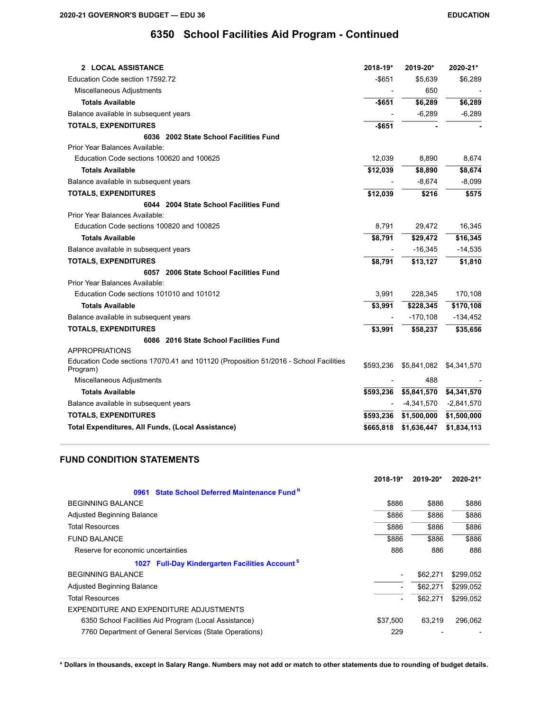# **6350 School Facilities Aid Program - Continued**

| <b>2 LOCAL ASSISTANCE</b>                                                                        | 2018-19*  | 2019-20*     | 2020-21*     |
|--------------------------------------------------------------------------------------------------|-----------|--------------|--------------|
| Education Code section 17592.72                                                                  | $-$ \$651 | \$5,639      | \$6,289      |
| Miscellaneous Adjustments                                                                        |           | 650          |              |
| <b>Totals Available</b>                                                                          | $-$651$   | \$6,289      | \$6,289      |
| Balance available in subsequent years                                                            |           | $-6,289$     | $-6,289$     |
| <b>TOTALS, EXPENDITURES</b>                                                                      | $-$651$   |              |              |
| 6036 2002 State School Facilities Fund                                                           |           |              |              |
| Prior Year Balances Available:                                                                   |           |              |              |
| Education Code sections 100620 and 100625                                                        | 12,039    | 8,890        | 8,674        |
| <b>Totals Available</b>                                                                          | \$12,039  | \$8,890      | \$8,674      |
| Balance available in subsequent years                                                            |           | $-8,674$     | $-8,099$     |
| <b>TOTALS, EXPENDITURES</b>                                                                      | \$12,039  | \$216        | \$575        |
| 6044 2004 State School Facilities Fund                                                           |           |              |              |
| Prior Year Balances Available:                                                                   |           |              |              |
| Education Code sections 100820 and 100825                                                        | 8,791     | 29,472       | 16,345       |
| <b>Totals Available</b>                                                                          | \$8,791   | \$29,472     | \$16,345     |
| Balance available in subsequent years                                                            |           | $-16,345$    | $-14,535$    |
| <b>TOTALS, EXPENDITURES</b>                                                                      | \$8,791   | \$13,127     | \$1,810      |
| 6057 2006 State School Facilities Fund                                                           |           |              |              |
| Prior Year Balances Available:                                                                   |           |              |              |
| Education Code sections 101010 and 101012                                                        | 3,991     | 228,345      | 170,108      |
| <b>Totals Available</b>                                                                          | \$3,991   | \$228,345    | \$170,108    |
| Balance available in subsequent years                                                            |           | $-170,108$   | $-134,452$   |
| <b>TOTALS, EXPENDITURES</b>                                                                      | \$3,991   | \$58,237     | \$35,656     |
| 6086 2016 State School Facilities Fund                                                           |           |              |              |
| <b>APPROPRIATIONS</b>                                                                            |           |              |              |
| Education Code sections 17070.41 and 101120 (Proposition 51/2016 - School Facilities<br>Program) | \$593,236 | \$5,841,082  | \$4,341,570  |
| Miscellaneous Adjustments                                                                        |           | 488          |              |
| <b>Totals Available</b>                                                                          | \$593,236 | \$5,841,570  | \$4,341,570  |
| Balance available in subsequent years                                                            |           | $-4,341,570$ | $-2,841,570$ |
| <b>TOTALS, EXPENDITURES</b>                                                                      | \$593,236 | \$1,500,000  | \$1,500,000  |
| <b>Total Expenditures, All Funds, (Local Assistance)</b>                                         | \$665,818 | \$1,636,447  | \$1,834,113  |

## **FUND CONDITION STATEMENTS**

|                                                                     | 2018-19* | 2019-20* | 2020-21*  |
|---------------------------------------------------------------------|----------|----------|-----------|
| State School Deferred Maintenance Fund <sup>N</sup><br>0961         |          |          |           |
| <b>BEGINNING BALANCE</b>                                            | \$886    | \$886    | \$886     |
| <b>Adjusted Beginning Balance</b>                                   | \$886    | \$886    | \$886     |
| <b>Total Resources</b>                                              | \$886    | \$886    | \$886     |
| <b>FUND BALANCE</b>                                                 | \$886    | \$886    | \$886     |
| Reserve for economic uncertainties                                  | 886      | 886      | 886       |
| <b>Full-Day Kindergarten Facilities Account<sup>S</sup></b><br>1027 |          |          |           |
| <b>BEGINNING BALANCE</b>                                            | -        | \$62.271 | \$299,052 |
| <b>Adjusted Beginning Balance</b>                                   |          | \$62,271 | \$299,052 |
| <b>Total Resources</b>                                              |          | \$62,271 | \$299,052 |
| EXPENDITURE AND EXPENDITURE ADJUSTMENTS                             |          |          |           |
| 6350 School Facilities Aid Program (Local Assistance)               | \$37,500 | 63.219   | 296,062   |
| 7760 Department of General Services (State Operations)              | 229      |          |           |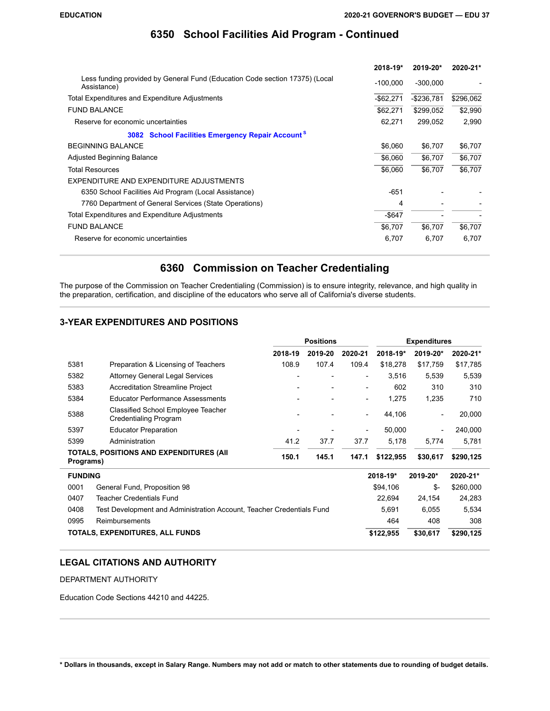# **6350 School Facilities Aid Program - Continued**

|                                                                                            | 2018-19*     | 2019-20*      | 2020-21*  |
|--------------------------------------------------------------------------------------------|--------------|---------------|-----------|
| Less funding provided by General Fund (Education Code section 17375) (Local<br>Assistance) | $-100,000$   | $-300,000$    |           |
| Total Expenditures and Expenditure Adjustments                                             | $-$ \$62,271 | $-$ \$236,781 | \$296,062 |
| <b>FUND BALANCE</b>                                                                        | \$62,271     | \$299,052     | \$2,990   |
| Reserve for economic uncertainties                                                         | 62,271       | 299,052       | 2,990     |
| <b>School Facilities Emergency Repair Account<sup>S</sup></b><br>3082                      |              |               |           |
| <b>BEGINNING BALANCE</b>                                                                   | \$6,060      | \$6,707       | \$6,707   |
| <b>Adjusted Beginning Balance</b>                                                          | \$6.060      | \$6,707       | \$6,707   |
| <b>Total Resources</b>                                                                     | \$6,060      | \$6,707       | \$6,707   |
| EXPENDITURE AND EXPENDITURE ADJUSTMENTS                                                    |              |               |           |
| 6350 School Facilities Aid Program (Local Assistance)                                      | $-651$       |               |           |
| 7760 Department of General Services (State Operations)                                     | 4            |               |           |
| Total Expenditures and Expenditure Adjustments                                             | $-$ \$647    |               |           |
| <b>FUND BALANCE</b>                                                                        | \$6,707      | \$6,707       | \$6,707   |
| Reserve for economic uncertainties                                                         | 6,707        | 6,707         | 6,707     |

# **6360 Commission on Teacher Credentialing**

The purpose of the Commission on Teacher Credentialing (Commission) is to ensure integrity, relevance, and high quality in the preparation, certification, and discipline of the educators who serve all of California's diverse students.

## **3-YEAR EXPENDITURES AND POSITIONS**

|                                                                               |                                                                           | <b>Positions</b>         |                |                              |           | <b>Expenditures</b>      |           |
|-------------------------------------------------------------------------------|---------------------------------------------------------------------------|--------------------------|----------------|------------------------------|-----------|--------------------------|-----------|
|                                                                               |                                                                           | 2018-19                  | 2019-20        | 2020-21                      | 2018-19*  | 2019-20*                 | 2020-21*  |
| 5381                                                                          | Preparation & Licensing of Teachers                                       | 108.9                    | 107.4          | 109.4                        | \$18,278  | \$17,759                 | \$17,785  |
| 5382                                                                          | <b>Attorney General Legal Services</b>                                    |                          |                | $\qquad \qquad \blacksquare$ | 3,516     | 5,539                    | 5,539     |
| 5383                                                                          | <b>Accreditation Streamline Project</b>                                   | $\overline{\phantom{a}}$ | $\overline{a}$ | $\overline{\phantom{0}}$     | 602       | 310                      | 310       |
| 5384                                                                          | <b>Educator Performance Assessments</b>                                   |                          |                | $\overline{\phantom{a}}$     | 1,275     | 1,235                    | 710       |
| 5388                                                                          | <b>Classified School Employee Teacher</b><br><b>Credentialing Program</b> |                          |                | $\overline{\phantom{a}}$     | 44,106    | $\overline{\phantom{a}}$ | 20,000    |
| 5397                                                                          | <b>Educator Preparation</b>                                               |                          |                | $\qquad \qquad \blacksquare$ | 50,000    | $\overline{\phantom{a}}$ | 240,000   |
| 5399                                                                          | Administration                                                            | 41.2                     | 37.7           | 37.7                         | 5,178     | 5,774                    | 5,781     |
| TOTALS, POSITIONS AND EXPENDITURES (AII<br>Programs)                          |                                                                           | 150.1                    | 145.1          | 147.1                        | \$122,955 | \$30,617                 | \$290,125 |
| <b>FUNDING</b>                                                                |                                                                           |                          |                |                              | 2018-19*  | 2019-20*                 | 2020-21*  |
| 0001                                                                          | General Fund, Proposition 98                                              |                          |                |                              | \$94,106  | $S-$                     | \$260,000 |
| 0407                                                                          | Teacher Credentials Fund                                                  |                          |                |                              | 22,694    | 24,154                   | 24,283    |
| 0408<br>Test Development and Administration Account, Teacher Credentials Fund |                                                                           |                          |                | 5,691                        | 6,055     | 5,534                    |           |
| 0995                                                                          | Reimbursements                                                            |                          |                |                              | 464       | 408                      | 308       |
|                                                                               | TOTALS, EXPENDITURES, ALL FUNDS                                           |                          |                |                              | \$122,955 | \$30,617                 | \$290,125 |

## **LEGAL CITATIONS AND AUTHORITY**

DEPARTMENT AUTHORITY

Education Code Sections 44210 and 44225.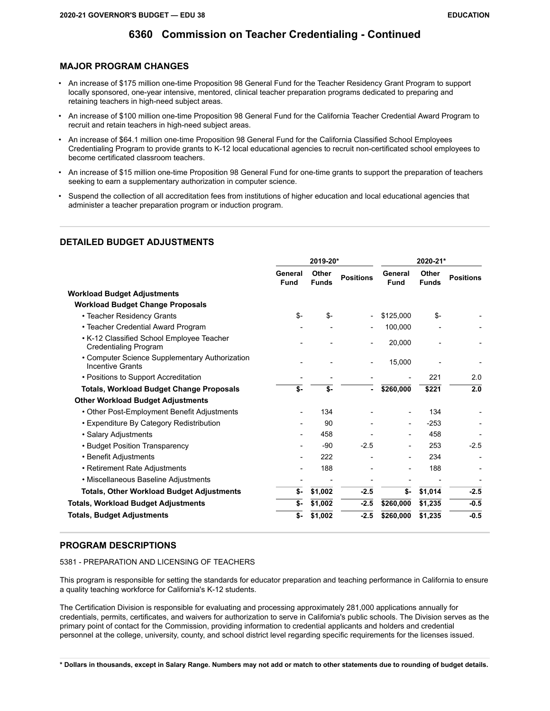### **MAJOR PROGRAM CHANGES**

- An increase of \$175 million one-time Proposition 98 General Fund for the Teacher Residency Grant Program to support locally sponsored, one-year intensive, mentored, clinical teacher preparation programs dedicated to preparing and retaining teachers in high-need subject areas.
- An increase of \$100 million one-time Proposition 98 General Fund for the California Teacher Credential Award Program to recruit and retain teachers in high-need subject areas.
- An increase of \$64.1 million one-time Proposition 98 General Fund for the California Classified School Employees Credentialing Program to provide grants to K-12 local educational agencies to recruit non-certificated school employees to become certificated classroom teachers.
- An increase of \$15 million one-time Proposition 98 General Fund for one-time grants to support the preparation of teachers seeking to earn a supplementary authorization in computer science.
- Suspend the collection of all accreditation fees from institutions of higher education and local educational agencies that administer a teacher preparation program or induction program.

## **DETAILED BUDGET ADJUSTMENTS**

|                                                                           | 2019-20*        |                       |                          | 2020-21*               |                       |                  |
|---------------------------------------------------------------------------|-----------------|-----------------------|--------------------------|------------------------|-----------------------|------------------|
|                                                                           | General<br>Fund | Other<br><b>Funds</b> | <b>Positions</b>         | General<br><b>Fund</b> | Other<br><b>Funds</b> | <b>Positions</b> |
| Workload Budget Adjustments                                               |                 |                       |                          |                        |                       |                  |
| <b>Workload Budget Change Proposals</b>                                   |                 |                       |                          |                        |                       |                  |
| • Teacher Residency Grants                                                | $S-$            | \$-                   | $\overline{\phantom{a}}$ | \$125,000              | \$-                   |                  |
| • Teacher Credential Award Program                                        |                 |                       |                          | 100,000                |                       |                  |
| • K-12 Classified School Employee Teacher<br><b>Credentialing Program</b> |                 |                       |                          | 20,000                 |                       |                  |
| • Computer Science Supplementary Authorization<br><b>Incentive Grants</b> |                 |                       |                          | 15,000                 |                       |                  |
| • Positions to Support Accreditation                                      |                 |                       |                          |                        | 221                   | 2.0              |
| <b>Totals, Workload Budget Change Proposals</b>                           | \$-             | \$-                   | $\blacksquare$           | \$260,000              | \$221                 | 2.0              |
| <b>Other Workload Budget Adjustments</b>                                  |                 |                       |                          |                        |                       |                  |
| • Other Post-Employment Benefit Adjustments                               |                 | 134                   |                          |                        | 134                   |                  |
| • Expenditure By Category Redistribution                                  |                 | 90                    |                          |                        | $-253$                |                  |
| • Salary Adjustments                                                      |                 | 458                   |                          |                        | 458                   |                  |
| • Budget Position Transparency                                            |                 | $-90$                 | $-2.5$                   |                        | 253                   | $-2.5$           |
| • Benefit Adjustments                                                     |                 | 222                   |                          |                        | 234                   |                  |
| • Retirement Rate Adjustments                                             |                 | 188                   |                          |                        | 188                   |                  |
| • Miscellaneous Baseline Adjustments                                      |                 |                       |                          |                        |                       |                  |
| <b>Totals, Other Workload Budget Adjustments</b>                          | \$-             | \$1,002               | $-2.5$                   | \$-                    | \$1,014               | $-2.5$           |
| <b>Totals, Workload Budget Adjustments</b>                                | \$-             | \$1,002               | $-2.5$                   | \$260,000              | \$1,235               | $-0.5$           |
| Totals, Budget Adjustments                                                | \$-             | \$1,002               | $-2.5$                   | \$260,000              | \$1,235               | $-0.5$           |

### **PROGRAM DESCRIPTIONS**

5381 - PREPARATION AND LICENSING OF TEACHERS

This program is responsible for setting the standards for educator preparation and teaching performance in California to ensure a quality teaching workforce for California's K-12 students.

The Certification Division is responsible for evaluating and processing approximately 281,000 applications annually for credentials, permits, certificates, and waivers for authorization to serve in California's public schools. The Division serves as the primary point of contact for the Commission, providing information to credential applicants and holders and credential personnel at the college, university, county, and school district level regarding specific requirements for the licenses issued.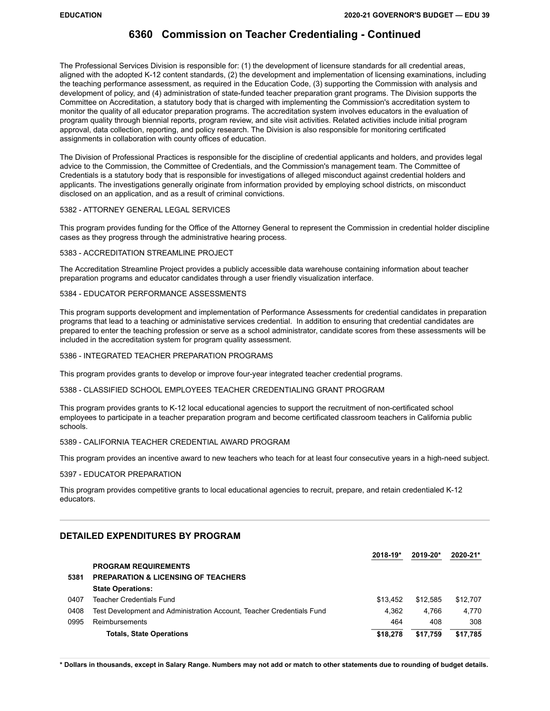The Professional Services Division is responsible for: (1) the development of licensure standards for all credential areas, aligned with the adopted K-12 content standards, (2) the development and implementation of licensing examinations, including the teaching performance assessment, as required in the Education Code, (3) supporting the Commission with analysis and development of policy, and (4) administration of state-funded teacher preparation grant programs. The Division supports the Committee on Accreditation, a statutory body that is charged with implementing the Commission's accreditation system to monitor the quality of all educator preparation programs. The accreditation system involves educators in the evaluation of program quality through biennial reports, program review, and site visit activities. Related activities include initial program approval, data collection, reporting, and policy research. The Division is also responsible for monitoring certificated assignments in collaboration with county offices of education.

The Division of Professional Practices is responsible for the discipline of credential applicants and holders, and provides legal advice to the Commission, the Committee of Credentials, and the Commission's management team. The Committee of Credentials is a statutory body that is responsible for investigations of alleged misconduct against credential holders and applicants. The investigations generally originate from information provided by employing school districts, on misconduct disclosed on an application, and as a result of criminal convictions.

#### 5382 - ATTORNEY GENERAL LEGAL SERVICES

This program provides funding for the Office of the Attorney General to represent the Commission in credential holder discipline cases as they progress through the administrative hearing process.

#### 5383 - ACCREDITATION STREAMLINE PROJECT

The Accreditation Streamline Project provides a publicly accessible data warehouse containing information about teacher preparation programs and educator candidates through a user friendly visualization interface.

#### 5384 - EDUCATOR PERFORMANCE ASSESSMENTS

This program supports development and implementation of Performance Assessments for credential candidates in preparation programs that lead to a teaching or administative services credential. In addition to ensuring that credential candidates are prepared to enter the teaching profession or serve as a school administrator, candidate scores from these assessments will be included in the accreditation system for program quality assessment.

#### 5386 - INTEGRATED TEACHER PREPARATION PROGRAMS

This program provides grants to develop or improve four-year integrated teacher credential programs.

#### 5388 - CLASSIFIED SCHOOL EMPLOYEES TEACHER CREDENTIALING GRANT PROGRAM

This program provides grants to K-12 local educational agencies to support the recruitment of non-certificated school employees to participate in a teacher preparation program and become certificated classroom teachers in California public schools.

#### 5389 - CALIFORNIA TEACHER CREDENTIAL AWARD PROGRAM

This program provides an incentive award to new teachers who teach for at least four consecutive years in a high-need subject.

#### 5397 - EDUCATOR PREPARATION

This program provides competitive grants to local educational agencies to recruit, prepare, and retain credentialed K-12 educators.

### **DETAILED EXPENDITURES BY PROGRAM**

|      |                                                                       | $2018 - 19*$ | $2019 - 20*$ | 2020-21* |
|------|-----------------------------------------------------------------------|--------------|--------------|----------|
|      | <b>PROGRAM REQUIREMENTS</b>                                           |              |              |          |
| 5381 | <b>PREPARATION &amp; LICENSING OF TEACHERS</b>                        |              |              |          |
|      | <b>State Operations:</b>                                              |              |              |          |
| 0407 | Teacher Credentials Fund                                              | \$13.452     | \$12.585     | \$12,707 |
| 0408 | Test Development and Administration Account, Teacher Credentials Fund | 4.362        | 4.766        | 4.770    |
| 0995 | Reimbursements                                                        | 464          | 408          | 308      |
|      | <b>Totals, State Operations</b>                                       | \$18,278     | \$17.759     | \$17,785 |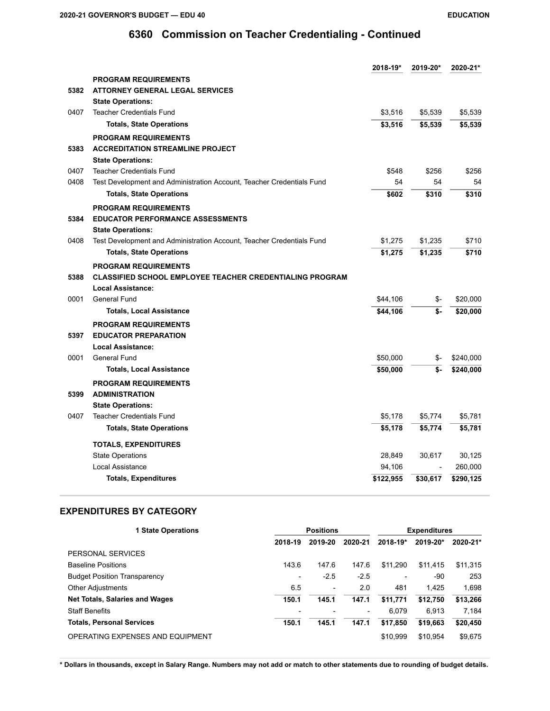|      |                                                                       | 2018-19*  | 2019-20* | 2020-21*  |
|------|-----------------------------------------------------------------------|-----------|----------|-----------|
|      | <b>PROGRAM REQUIREMENTS</b>                                           |           |          |           |
| 5382 | <b>ATTORNEY GENERAL LEGAL SERVICES</b>                                |           |          |           |
|      | <b>State Operations:</b>                                              |           |          |           |
| 0407 | <b>Teacher Credentials Fund</b>                                       | \$3,516   | \$5,539  | \$5,539   |
|      | <b>Totals, State Operations</b>                                       | \$3,516   | \$5,539  | \$5,539   |
|      | <b>PROGRAM REQUIREMENTS</b>                                           |           |          |           |
| 5383 | <b>ACCREDITATION STREAMLINE PROJECT</b>                               |           |          |           |
|      | <b>State Operations:</b>                                              |           |          |           |
| 0407 | <b>Teacher Credentials Fund</b>                                       | \$548     | \$256    | \$256     |
| 0408 | Test Development and Administration Account, Teacher Credentials Fund | 54        | 54       | 54        |
|      | <b>Totals, State Operations</b>                                       | \$602     | \$310    | \$310     |
|      | <b>PROGRAM REQUIREMENTS</b>                                           |           |          |           |
| 5384 | <b>EDUCATOR PERFORMANCE ASSESSMENTS</b>                               |           |          |           |
|      | <b>State Operations:</b>                                              |           |          |           |
| 0408 | Test Development and Administration Account, Teacher Credentials Fund | \$1,275   | \$1,235  | \$710     |
|      | <b>Totals, State Operations</b>                                       | \$1,275   | \$1,235  | \$710     |
|      | <b>PROGRAM REQUIREMENTS</b>                                           |           |          |           |
| 5388 | <b>CLASSIFIED SCHOOL EMPLOYEE TEACHER CREDENTIALING PROGRAM</b>       |           |          |           |
|      | <b>Local Assistance:</b>                                              |           |          |           |
| 0001 | <b>General Fund</b>                                                   | \$44,106  | \$-      | \$20,000  |
|      | <b>Totals, Local Assistance</b>                                       | \$44,106  | \$-      | \$20,000  |
|      | <b>PROGRAM REQUIREMENTS</b>                                           |           |          |           |
| 5397 | <b>EDUCATOR PREPARATION</b>                                           |           |          |           |
|      | Local Assistance:                                                     |           |          |           |
| 0001 | <b>General Fund</b>                                                   | \$50,000  | \$-      | \$240,000 |
|      | <b>Totals, Local Assistance</b>                                       | \$50,000  | \$-      | \$240,000 |
|      | <b>PROGRAM REQUIREMENTS</b>                                           |           |          |           |
| 5399 | <b>ADMINISTRATION</b>                                                 |           |          |           |
|      | <b>State Operations:</b>                                              |           |          |           |
| 0407 | <b>Teacher Credentials Fund</b>                                       | \$5,178   | \$5,774  | \$5,781   |
|      | <b>Totals, State Operations</b>                                       | \$5,178   | \$5,774  | \$5,781   |
|      | <b>TOTALS, EXPENDITURES</b>                                           |           |          |           |
|      | <b>State Operations</b>                                               | 28,849    | 30,617   | 30,125    |
|      | Local Assistance                                                      | 94,106    |          | 260,000   |
|      | <b>Totals, Expenditures</b>                                           | \$122,955 | \$30,617 | \$290,125 |

### **EXPENDITURES BY CATEGORY**

| <b>1 State Operations</b>             | <b>Positions</b> |                          | <b>Expenditures</b>      |                          |          |          |
|---------------------------------------|------------------|--------------------------|--------------------------|--------------------------|----------|----------|
|                                       | 2018-19          | 2019-20                  | 2020-21                  | $2018 - 19*$             | 2019-20* | 2020-21* |
| PERSONAL SERVICES                     |                  |                          |                          |                          |          |          |
| <b>Baseline Positions</b>             | 143.6            | 147.6                    | 147.6                    | \$11.290                 | \$11.415 | \$11,315 |
| <b>Budget Position Transparency</b>   | -                | $-2.5$                   | $-2.5$                   | $\overline{\phantom{0}}$ | -90      | 253      |
| <b>Other Adjustments</b>              | 6.5              | $\overline{\phantom{a}}$ | 2.0                      | 481                      | 1.425    | 1,698    |
| <b>Net Totals, Salaries and Wages</b> | 150.1            | 145.1                    | 147.1                    | \$11,771                 | \$12,750 | \$13,266 |
| <b>Staff Benefits</b>                 |                  |                          | $\overline{\phantom{a}}$ | 6.079                    | 6.913    | 7,184    |
| <b>Totals, Personal Services</b>      | 150.1            | 145.1                    | 147.1                    | \$17,850                 | \$19,663 | \$20,450 |
| OPERATING EXPENSES AND EQUIPMENT      |                  |                          |                          | \$10.999                 | \$10.954 | \$9,675  |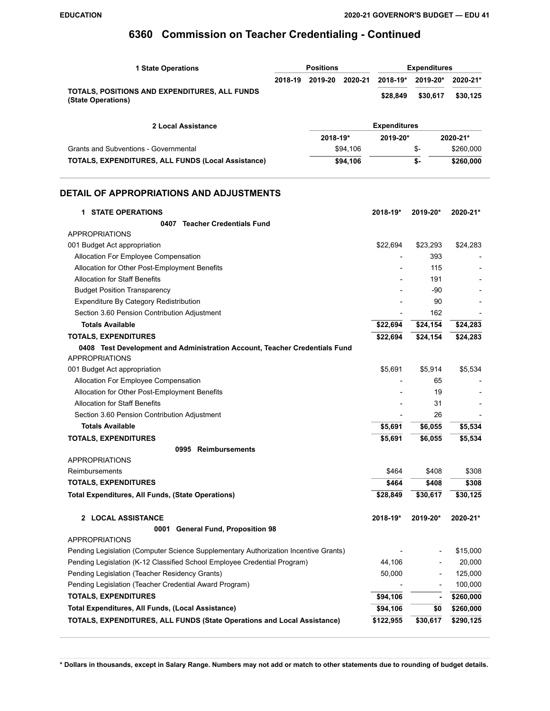| <b>1 State Operations</b>                                           |         | <b>Positions</b>    |          |          | <b>Expenditures</b> |           |  |
|---------------------------------------------------------------------|---------|---------------------|----------|----------|---------------------|-----------|--|
|                                                                     | 2018-19 | 2019-20             | 2020-21  | 2018-19* | 2019-20*            | 2020-21*  |  |
| TOTALS, POSITIONS AND EXPENDITURES, ALL FUNDS<br>(State Operations) |         |                     |          | \$28,849 | \$30,617            | \$30,125  |  |
| 2 Local Assistance                                                  |         | <b>Expenditures</b> |          |          |                     |           |  |
|                                                                     |         | 2018-19*            |          | 2019-20* |                     | 2020-21*  |  |
| <b>Grants and Subventions - Governmental</b>                        |         |                     | \$94.106 |          | \$-                 | \$260,000 |  |
| <b>TOTALS, EXPENDITURES, ALL FUNDS (Local Assistance)</b>           |         |                     | \$94,106 |          | \$-                 | \$260,000 |  |

### **DETAIL OF APPROPRIATIONS AND ADJUSTMENTS**

| <b>1 STATE OPERATIONS</b>                                                                           | 2018-19*  | 2019-20*       | 2020-21*  |
|-----------------------------------------------------------------------------------------------------|-----------|----------------|-----------|
| 0407 Teacher Credentials Fund                                                                       |           |                |           |
| <b>APPROPRIATIONS</b>                                                                               |           |                |           |
| 001 Budget Act appropriation                                                                        | \$22,694  | \$23,293       | \$24,283  |
| Allocation For Employee Compensation                                                                |           | 393            |           |
| Allocation for Other Post-Employment Benefits                                                       |           | 115            |           |
| <b>Allocation for Staff Benefits</b>                                                                |           | 191            |           |
| <b>Budget Position Transparency</b>                                                                 |           | -90            |           |
| Expenditure By Category Redistribution                                                              |           | 90             |           |
| Section 3.60 Pension Contribution Adjustment                                                        |           | 162            |           |
| <b>Totals Available</b>                                                                             | \$22,694  | \$24,154       | \$24,283  |
| <b>TOTALS, EXPENDITURES</b>                                                                         | \$22,694  | \$24,154       | \$24,283  |
| 0408 Test Development and Administration Account, Teacher Credentials Fund<br><b>APPROPRIATIONS</b> |           |                |           |
| 001 Budget Act appropriation                                                                        | \$5,691   | \$5,914        | \$5,534   |
| Allocation For Employee Compensation                                                                |           | 65             |           |
| Allocation for Other Post-Employment Benefits                                                       |           | 19             |           |
| <b>Allocation for Staff Benefits</b>                                                                |           | 31             |           |
| Section 3.60 Pension Contribution Adjustment                                                        |           | 26             |           |
| <b>Totals Available</b>                                                                             | \$5,691   | \$6,055        | \$5,534   |
| <b>TOTALS, EXPENDITURES</b>                                                                         | \$5,691   | \$6,055        | \$5,534   |
| 0995 Reimbursements                                                                                 |           |                |           |
| <b>APPROPRIATIONS</b>                                                                               |           |                |           |
| Reimbursements                                                                                      | \$464     | \$408          | \$308     |
| <b>TOTALS, EXPENDITURES</b>                                                                         | \$464     | \$408          | \$308     |
| <b>Total Expenditures, All Funds, (State Operations)</b>                                            | \$28,849  | \$30,617       | \$30,125  |
| 2 LOCAL ASSISTANCE                                                                                  | 2018-19*  | 2019-20*       | 2020-21*  |
| 0001 General Fund, Proposition 98                                                                   |           |                |           |
| <b>APPROPRIATIONS</b>                                                                               |           |                |           |
| Pending Legislation (Computer Science Supplementary Authorization Incentive Grants)                 |           |                | \$15,000  |
| Pending Legislation (K-12 Classified School Employee Credential Program)                            | 44,106    |                | 20,000    |
| Pending Legislation (Teacher Residency Grants)                                                      | 50,000    |                | 125,000   |
| Pending Legislation (Teacher Credential Award Program)                                              |           |                | 100,000   |
| <b>TOTALS, EXPENDITURES</b>                                                                         | \$94,106  | $\blacksquare$ | \$260,000 |
| Total Expenditures, All Funds, (Local Assistance)                                                   | \$94,106  | \$0            | \$260,000 |
| TOTALS, EXPENDITURES, ALL FUNDS (State Operations and Local Assistance)                             | \$122,955 | \$30,617       | \$290,125 |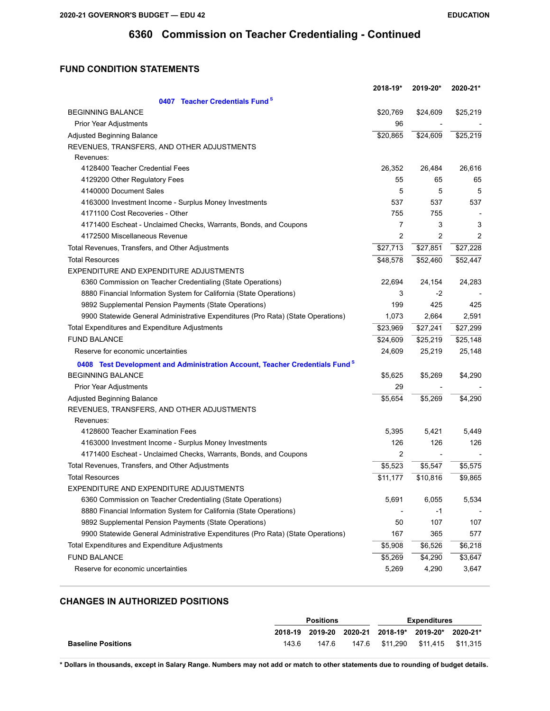## **FUND CONDITION STATEMENTS**

|                                                                                         | 2018-19* | 2019-20*       | 2020-21* |
|-----------------------------------------------------------------------------------------|----------|----------------|----------|
| 0407 Teacher Credentials Fund <sup>8</sup>                                              |          |                |          |
| <b>BEGINNING BALANCE</b>                                                                | \$20,769 | \$24,609       | \$25,219 |
| Prior Year Adjustments                                                                  | 96       |                |          |
| <b>Adjusted Beginning Balance</b>                                                       | \$20,865 | \$24,609       | \$25,219 |
| REVENUES, TRANSFERS, AND OTHER ADJUSTMENTS                                              |          |                |          |
| Revenues:                                                                               |          |                |          |
| 4128400 Teacher Credential Fees                                                         | 26,352   | 26,484         | 26,616   |
| 4129200 Other Regulatory Fees                                                           | 55       | 65             | 65       |
| 4140000 Document Sales                                                                  | 5        | 5              | 5        |
| 4163000 Investment Income - Surplus Money Investments                                   | 537      | 537            | 537      |
| 4171100 Cost Recoveries - Other                                                         | 755      | 755            |          |
| 4171400 Escheat - Unclaimed Checks, Warrants, Bonds, and Coupons                        | 7        | 3              | 3        |
| 4172500 Miscellaneous Revenue                                                           | 2        | $\overline{c}$ | 2        |
| Total Revenues, Transfers, and Other Adjustments                                        | \$27,713 | \$27,851       | \$27,228 |
| <b>Total Resources</b>                                                                  | \$48,578 | \$52,460       | \$52,447 |
| EXPENDITURE AND EXPENDITURE ADJUSTMENTS                                                 |          |                |          |
| 6360 Commission on Teacher Credentialing (State Operations)                             | 22,694   | 24,154         | 24,283   |
| 8880 Financial Information System for California (State Operations)                     | 3        | -2             |          |
| 9892 Supplemental Pension Payments (State Operations)                                   | 199      | 425            | 425      |
| 9900 Statewide General Administrative Expenditures (Pro Rata) (State Operations)        | 1,073    | 2,664          | 2,591    |
| Total Expenditures and Expenditure Adjustments                                          | \$23,969 | \$27,241       | \$27,299 |
| <b>FUND BALANCE</b>                                                                     | \$24,609 | \$25,219       | \$25,148 |
| Reserve for economic uncertainties                                                      | 24,609   | 25,219         | 25,148   |
| 0408 Test Development and Administration Account, Teacher Credentials Fund <sup>8</sup> |          |                |          |
| <b>BEGINNING BALANCE</b>                                                                | \$5,625  | \$5,269        | \$4,290  |
| Prior Year Adjustments                                                                  | 29       |                |          |
| Adjusted Beginning Balance                                                              | \$5,654  | \$5,269        | \$4,290  |
| REVENUES, TRANSFERS, AND OTHER ADJUSTMENTS                                              |          |                |          |
| Revenues:                                                                               |          |                |          |
| 4128600 Teacher Examination Fees                                                        | 5,395    | 5,421          | 5,449    |
| 4163000 Investment Income - Surplus Money Investments                                   | 126      | 126            | 126      |
| 4171400 Escheat - Unclaimed Checks, Warrants, Bonds, and Coupons                        | 2        |                |          |
| Total Revenues, Transfers, and Other Adjustments                                        | \$5,523  | \$5,547        | \$5,575  |
| <b>Total Resources</b>                                                                  | \$11,177 | \$10,816       | \$9,865  |
| EXPENDITURE AND EXPENDITURE ADJUSTMENTS                                                 |          |                |          |
| 6360 Commission on Teacher Credentialing (State Operations)                             | 5,691    | 6,055          | 5,534    |
| 8880 Financial Information System for California (State Operations)                     |          | $-1$           |          |
| 9892 Supplemental Pension Payments (State Operations)                                   | 50       | 107            | 107      |
| 9900 Statewide General Administrative Expenditures (Pro Rata) (State Operations)        | 167      | 365            | 577      |
| Total Expenditures and Expenditure Adjustments                                          | \$5,908  | \$6,526        | \$6,218  |
| <b>FUND BALANCE</b>                                                                     | \$5,269  | \$4,290        | \$3,647  |
| Reserve for economic uncertainties                                                      | 5,269    | 4,290          | 3,647    |

### **CHANGES IN AUTHORIZED POSITIONS**

|                           | <b>Positions</b> |       |       | Expenditures |                                           |          |
|---------------------------|------------------|-------|-------|--------------|-------------------------------------------|----------|
|                           |                  |       |       |              | 2018-19 2019-20 2020-21 2018-19* 2019-20* | 2020-21* |
| <b>Baseline Positions</b> | 143.6            | 147.6 | 147.6 |              | \$11.290 \$11.415 \$11.315                |          |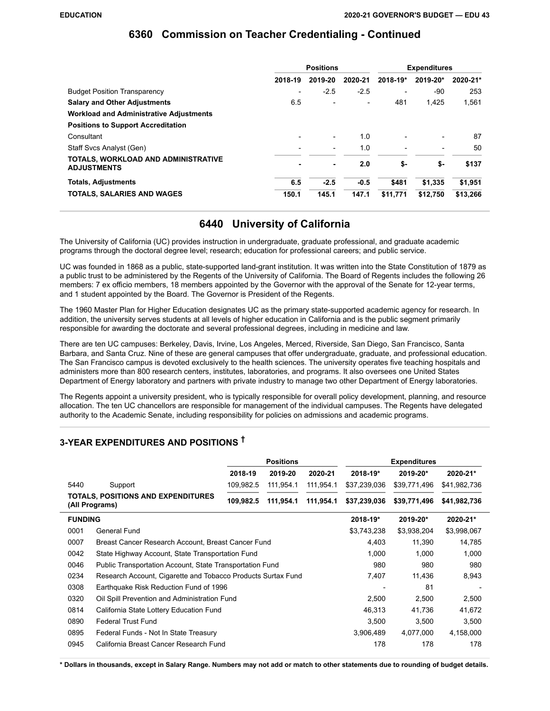|                                                           | <b>Positions</b> |         |         | <b>Expenditures</b> |          |          |
|-----------------------------------------------------------|------------------|---------|---------|---------------------|----------|----------|
|                                                           | 2018-19          | 2019-20 | 2020-21 | 2018-19*            | 2019-20* | 2020-21* |
| <b>Budget Position Transparency</b>                       |                  | $-2.5$  | $-2.5$  |                     | $-90$    | 253      |
| <b>Salary and Other Adjustments</b>                       | 6.5              |         |         | 481                 | 1.425    | 1,561    |
| <b>Workload and Administrative Adjustments</b>            |                  |         |         |                     |          |          |
| <b>Positions to Support Accreditation</b>                 |                  |         |         |                     |          |          |
| Consultant                                                |                  |         | 1.0     |                     |          | 87       |
| Staff Svcs Analyst (Gen)                                  |                  |         | 1.0     |                     |          | 50       |
| TOTALS, WORKLOAD AND ADMINISTRATIVE<br><b>ADJUSTMENTS</b> |                  | ۰.      | 2.0     | \$-                 | \$-      | \$137    |
| <b>Totals, Adjustments</b>                                | 6.5              | $-2.5$  | $-0.5$  | \$481               | \$1.335  | \$1,951  |
| <b>TOTALS, SALARIES AND WAGES</b>                         | 150.1            | 145.1   | 147.1   | \$11,771            | \$12,750 | \$13,266 |

## **6440 University of California**

The University of California (UC) provides instruction in undergraduate, graduate professional, and graduate academic programs through the doctoral degree level; research; education for professional careers; and public service.

UC was founded in 1868 as a public, state-supported land-grant institution. It was written into the State Constitution of 1879 as a public trust to be administered by the Regents of the University of California. The Board of Regents includes the following 26 members: 7 ex officio members, 18 members appointed by the Governor with the approval of the Senate for 12-year terms, and 1 student appointed by the Board. The Governor is President of the Regents.

The 1960 Master Plan for Higher Education designates UC as the primary state-supported academic agency for research. In addition, the university serves students at all levels of higher education in California and is the public segment primarily responsible for awarding the doctorate and several professional degrees, including in medicine and law.

There are ten UC campuses: Berkeley, Davis, Irvine, Los Angeles, Merced, Riverside, San Diego, San Francisco, Santa Barbara, and Santa Cruz. Nine of these are general campuses that offer undergraduate, graduate, and professional education. The San Francisco campus is devoted exclusively to the health sciences. The university operates five teaching hospitals and administers more than 800 research centers, institutes, laboratories, and programs. It also oversees one United States Department of Energy laboratory and partners with private industry to manage two other Department of Energy laboratories.

The Regents appoint a university president, who is typically responsible for overall policy development, planning, and resource allocation. The ten UC chancellors are responsible for management of the individual campuses. The Regents have delegated authority to the Academic Senate, including responsibility for policies on admissions and academic programs.

## **3-YEAR EXPENDITURES AND POSITIONS †**

|                |                                                              | <b>Positions</b><br><b>Expenditures</b> |           |           |                          |              |              |
|----------------|--------------------------------------------------------------|-----------------------------------------|-----------|-----------|--------------------------|--------------|--------------|
|                |                                                              | 2018-19                                 | 2019-20   | 2020-21   | 2018-19*                 | 2019-20*     | 2020-21*     |
| 5440           | Support                                                      | 109,982.5                               | 111,954.1 | 111,954.1 | \$37,239,036             | \$39,771,496 | \$41,982,736 |
|                | TOTALS, POSITIONS AND EXPENDITURES<br>(All Programs)         | 109,982.5                               | 111,954.1 | 111,954.1 | \$37,239,036             | \$39,771,496 | \$41,982,736 |
| <b>FUNDING</b> |                                                              |                                         |           |           | 2018-19*                 | 2019-20*     | 2020-21*     |
| 0001           | General Fund                                                 |                                         |           |           | \$3,743,238              | \$3,938,204  | \$3,998,067  |
| 0007           | Breast Cancer Research Account, Breast Cancer Fund           |                                         |           |           | 4,403                    | 11,390       | 14,785       |
| 0042           | State Highway Account, State Transportation Fund             |                                         |           |           | 1,000                    | 1,000        | 1,000        |
| 0046           | Public Transportation Account, State Transportation Fund     |                                         |           |           | 980                      | 980          | 980          |
| 0234           | Research Account, Cigarette and Tobacco Products Surtax Fund |                                         |           |           | 7,407                    | 11,436       | 8,943        |
| 0308           | Earthquake Risk Reduction Fund of 1996                       |                                         |           |           | $\overline{\phantom{a}}$ | 81           |              |
| 0320           | Oil Spill Prevention and Administration Fund                 |                                         |           |           | 2,500                    | 2,500        | 2,500        |
| 0814           | California State Lottery Education Fund                      |                                         |           |           | 46,313                   | 41,736       | 41,672       |
| 0890           | <b>Federal Trust Fund</b>                                    |                                         |           |           | 3,500                    | 3,500        | 3,500        |
| 0895           | Federal Funds - Not In State Treasury                        |                                         |           |           | 3,906,489                | 4,077,000    | 4,158,000    |
| 0945           | California Breast Cancer Research Fund                       |                                         |           |           | 178                      | 178          | 178          |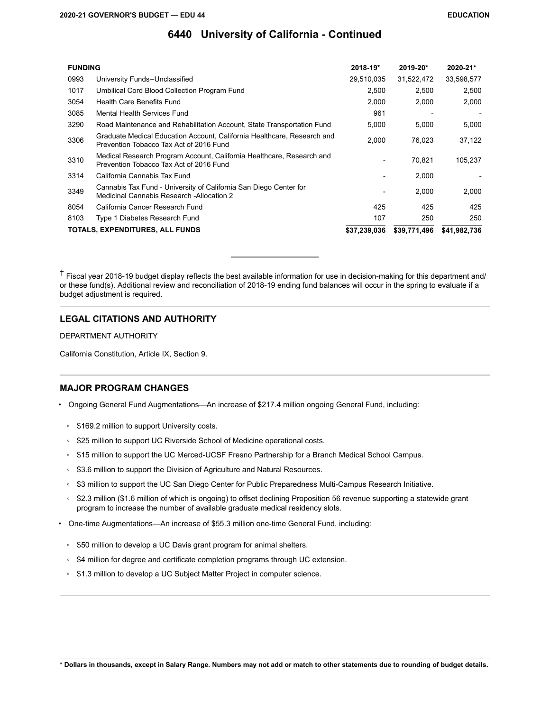| <b>FUNDING</b> |                                                                                                                    | $2018 - 19*$ | $2019 - 20*$ | $2020 - 21*$ |
|----------------|--------------------------------------------------------------------------------------------------------------------|--------------|--------------|--------------|
| 0993           | University Funds--Unclassified                                                                                     | 29,510,035   | 31,522,472   | 33,598,577   |
| 1017           | Umbilical Cord Blood Collection Program Fund                                                                       | 2,500        | 2,500        | 2,500        |
| 3054           | <b>Health Care Benefits Fund</b>                                                                                   | 2.000        | 2.000        | 2,000        |
| 3085           | Mental Health Services Fund                                                                                        | 961          |              |              |
| 3290           | Road Maintenance and Rehabilitation Account, State Transportation Fund                                             | 5,000        | 5,000        | 5,000        |
| 3306           | Graduate Medical Education Account, California Healthcare, Research and<br>Prevention Tobacco Tax Act of 2016 Fund | 2.000        | 76,023       | 37,122       |
| 3310           | Medical Research Program Account, California Healthcare, Research and<br>Prevention Tobacco Tax Act of 2016 Fund   |              | 70.821       | 105,237      |
| 3314           | California Cannabis Tax Fund                                                                                       |              | 2,000        |              |
| 3349           | Cannabis Tax Fund - University of California San Diego Center for<br>Medicinal Cannabis Research - Allocation 2    |              | 2,000        | 2,000        |
| 8054           | California Cancer Research Fund                                                                                    | 425          | 425          | 425          |
| 8103           | Type 1 Diabetes Research Fund                                                                                      | 107          | 250          | 250          |
|                | TOTALS, EXPENDITURES, ALL FUNDS                                                                                    | \$37,239,036 | \$39,771,496 | \$41,982,736 |

 $\uparrow$  Fiscal year 2018-19 budget display reflects the best available information for use in decision-making for this department and/ or these fund(s). Additional review and reconciliation of 2018-19 ending fund balances will occur in the spring to evaluate if a budget adjustment is required.

### **LEGAL CITATIONS AND AUTHORITY**

DEPARTMENT AUTHORITY

California Constitution, Article IX, Section 9.

### **MAJOR PROGRAM CHANGES**

- Ongoing General Fund Augmentations—An increase of \$217.4 million ongoing General Fund, including:
	- \$169.2 million to support University costs.
	- \$25 million to support UC Riverside School of Medicine operational costs.
	- \$15 million to support the UC Merced-UCSF Fresno Partnership for a Branch Medical School Campus.
	- \$3.6 million to support the Division of Agriculture and Natural Resources.
	- \$3 million to support the UC San Diego Center for Public Preparedness Multi-Campus Research Initiative.
	- \$2.3 million (\$1.6 million of which is ongoing) to offset declining Proposition 56 revenue supporting a statewide grant program to increase the number of available graduate medical residency slots.
- One-time Augmentations—An increase of \$55.3 million one-time General Fund, including:
	- \$50 million to develop a UC Davis grant program for animal shelters.
	- \$4 million for degree and certificate completion programs through UC extension.
	- \$1.3 million to develop a UC Subject Matter Project in computer science.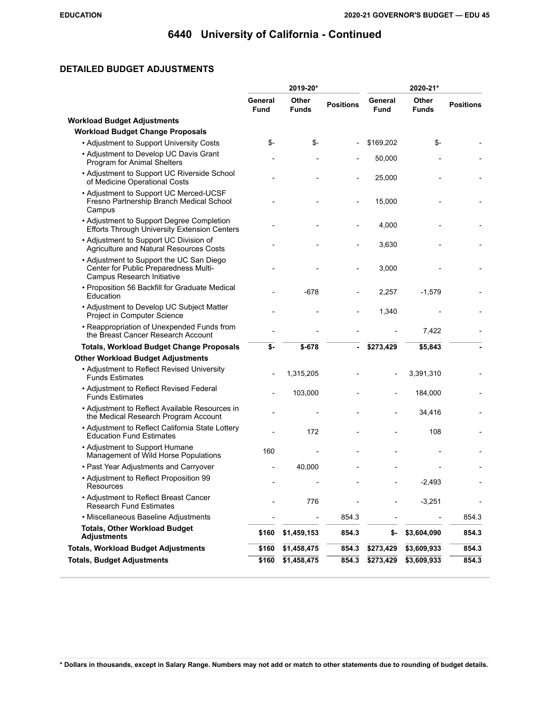## **DETAILED BUDGET ADJUSTMENTS**

|                                                                                                                 |                        | 2019-20*              |                  |                 | 2020-21*              |                  |
|-----------------------------------------------------------------------------------------------------------------|------------------------|-----------------------|------------------|-----------------|-----------------------|------------------|
|                                                                                                                 | General<br><b>Fund</b> | Other<br><b>Funds</b> | <b>Positions</b> | General<br>Fund | Other<br><b>Funds</b> | <b>Positions</b> |
| <b>Workload Budget Adjustments</b>                                                                              |                        |                       |                  |                 |                       |                  |
| <b>Workload Budget Change Proposals</b>                                                                         |                        |                       |                  |                 |                       |                  |
| • Adjustment to Support University Costs                                                                        | \$-                    | $S-$                  |                  | \$169,202       | \$-                   |                  |
| • Adjustment to Develop UC Davis Grant<br>Program for Animal Shelters                                           |                        |                       |                  | 50,000          |                       |                  |
| • Adjustment to Support UC Riverside School<br>of Medicine Operational Costs                                    |                        |                       |                  | 25,000          |                       |                  |
| • Adjustment to Support UC Merced-UCSF<br>Fresno Partnership Branch Medical School<br>Campus                    |                        |                       |                  | 15,000          |                       |                  |
| • Adjustment to Support Degree Completion<br><b>Efforts Through University Extension Centers</b>                |                        |                       |                  | 4,000           |                       |                  |
| • Adjustment to Support UC Division of<br>Agriculture and Natural Resources Costs                               |                        |                       |                  | 3,630           |                       |                  |
| • Adjustment to Support the UC San Diego<br>Center for Public Preparedness Multi-<br>Campus Research Initiative |                        |                       |                  | 3,000           |                       |                  |
| • Proposition 56 Backfill for Graduate Medical<br>Education                                                     |                        | $-678$                |                  | 2,257           | $-1,579$              |                  |
| • Adjustment to Develop UC Subject Matter<br>Project in Computer Science                                        |                        |                       |                  | 1,340           |                       |                  |
| • Reappropriation of Unexpended Funds from<br>the Breast Cancer Research Account                                |                        |                       |                  |                 | 7,422                 |                  |
| <b>Totals, Workload Budget Change Proposals</b>                                                                 | \$-                    | $$-678$               | ٠                | \$273,429       | \$5,843               |                  |
| <b>Other Workload Budget Adjustments</b>                                                                        |                        |                       |                  |                 |                       |                  |
| • Adjustment to Reflect Revised University<br><b>Funds Estimates</b>                                            |                        | 1,315,205             |                  |                 | 3,391,310             |                  |
| • Adjustment to Reflect Revised Federal<br><b>Funds Estimates</b>                                               |                        | 103,000               |                  |                 | 184,000               |                  |
| • Adjustment to Reflect Available Resources in<br>the Medical Research Program Account                          |                        |                       |                  |                 | 34,416                |                  |
| • Adjustment to Reflect California State Lottery<br><b>Education Fund Estimates</b>                             |                        | 172                   |                  |                 | 108                   |                  |
| • Adjustment to Support Humane<br>Management of Wild Horse Populations                                          | 160                    |                       |                  |                 |                       |                  |
| • Past Year Adjustments and Carryover                                                                           |                        | 40,000                |                  |                 |                       |                  |
| • Adjustment to Reflect Proposition 99<br><b>Resources</b>                                                      |                        |                       |                  |                 | $-2,493$              |                  |
| • Adjustment to Reflect Breast Cancer<br><b>Research Fund Estimates</b>                                         |                        | 776                   |                  |                 | $-3,251$              |                  |
| • Miscellaneous Baseline Adjustments                                                                            |                        |                       | 854.3            |                 |                       | 854.3            |
| <b>Totals, Other Workload Budget</b><br><b>Adjustments</b>                                                      | \$160                  | \$1,459,153           | 854.3            | \$-             | \$3,604,090           | 854.3            |
| <b>Totals, Workload Budget Adjustments</b>                                                                      | \$160                  | \$1,458,475           | 854.3            | \$273,429       | \$3,609,933           | 854.3            |
| <b>Totals, Budget Adjustments</b>                                                                               | \$160                  | \$1,458,475           | 854.3            | \$273,429       | \$3,609,933           | 854.3            |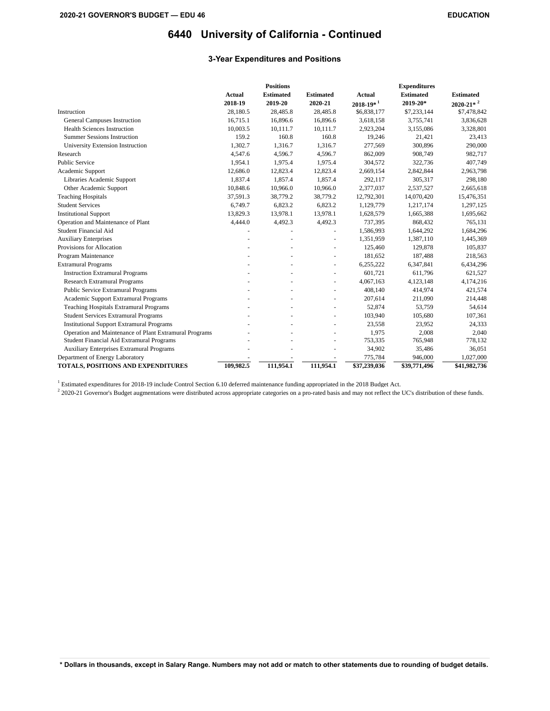### **3-Year Expenditures and Positions**

|                                                        |               | <b>Positions</b> |                  |                | <b>Expenditures</b> |                           |
|--------------------------------------------------------|---------------|------------------|------------------|----------------|---------------------|---------------------------|
|                                                        | <b>Actual</b> | <b>Estimated</b> | <b>Estimated</b> | <b>Actual</b>  | <b>Estimated</b>    | <b>Estimated</b>          |
|                                                        | 2018-19       | 2019-20          | 2020-21          | $2018 - 19*^1$ | 2019-20*            | $2020 - 21*$ <sup>2</sup> |
| Instruction                                            | 28,180.5      | 28,485.8         | 28,485.8         | \$6,838,177    | \$7,233,144         | \$7,478,842               |
| General Campuses Instruction                           | 16,715.1      | 16,896.6         | 16,896.6         | 3,618,158      | 3,755,741           | 3,836,628                 |
| <b>Health Sciences Instruction</b>                     | 10,003.5      | 10,111.7         | 10,111.7         | 2,923,204      | 3,155,086           | 3,328,801                 |
| <b>Summer Sessions Instruction</b>                     | 159.2         | 160.8            | 160.8            | 19,246         | 21,421              | 23,413                    |
| University Extension Instruction                       | 1,302.7       | 1,316.7          | 1,316.7          | 277,569        | 300,896             | 290,000                   |
| Research                                               | 4,547.6       | 4,596.7          | 4,596.7          | 862,009        | 908,749             | 982,717                   |
| <b>Public Service</b>                                  | 1.954.1       | 1,975.4          | 1,975.4          | 304,572        | 322,736             | 407,749                   |
| Academic Support                                       | 12,686.0      | 12,823.4         | 12,823.4         | 2,669,154      | 2,842,844           | 2,963,798                 |
| Libraries Academic Support                             | 1,837.4       | 1,857.4          | 1,857.4          | 292,117        | 305,317             | 298,180                   |
| Other Academic Support                                 | 10,848.6      | 10,966.0         | 10,966.0         | 2,377,037      | 2,537,527           | 2,665,618                 |
| <b>Teaching Hospitals</b>                              | 37,591.3      | 38,779.2         | 38,779.2         | 12,792,301     | 14,070,420          | 15,476,351                |
| <b>Student Services</b>                                | 6,749.7       | 6,823.2          | 6,823.2          | 1,129,779      | 1,217,174           | 1,297,125                 |
| <b>Institutional Support</b>                           | 13,829.3      | 13,978.1         | 13,978.1         | 1,628,579      | 1,665,388           | 1,695,662                 |
| Operation and Maintenance of Plant                     | 4,444.0       | 4,492.3          | 4,492.3          | 737,395        | 868,432             | 765,131                   |
| <b>Student Financial Aid</b>                           |               |                  |                  | 1,586,993      | 1,644,292           | 1,684,296                 |
| <b>Auxiliary Enterprises</b>                           |               |                  |                  | 1,351,959      | 1,387,110           | 1,445,369                 |
| Provisions for Allocation                              |               |                  |                  | 125,460        | 129,878             | 105,837                   |
| Program Maintenance                                    |               |                  |                  | 181,652        | 187,488             | 218,563                   |
| <b>Extramural Programs</b>                             |               |                  | ÷,               | 6,255,222      | 6,347,841           | 6,434,296                 |
| <b>Instruction Extramural Programs</b>                 |               |                  |                  | 601,721        | 611,796             | 621,527                   |
| <b>Research Extramural Programs</b>                    |               |                  | ÷,               | 4,067,163      | 4,123,148           | 4,174,216                 |
| Public Service Extramural Programs                     |               |                  | ä,               | 408,140        | 414,974             | 421,574                   |
| Academic Support Extramural Programs                   |               |                  |                  | 207,614        | 211,090             | 214,448                   |
| Teaching Hospitals Extramural Programs                 |               |                  |                  | 52,874         | 53,759              | 54,614                    |
| <b>Student Services Extramural Programs</b>            |               |                  |                  | 103,940        | 105,680             | 107,361                   |
| <b>Institutional Support Extramural Programs</b>       |               |                  |                  | 23,558         | 23,952              | 24,333                    |
| Operation and Maintenance of Plant Extramural Programs |               |                  |                  | 1,975          | 2,008               | 2,040                     |
| Student Financial Aid Extramural Programs              |               |                  |                  | 753,335        | 765,948             | 778,132                   |
| <b>Auxiliary Enterprises Extramural Programs</b>       |               |                  |                  | 34,902         | 35,486              | 36,051                    |
| Department of Energy Laboratory                        |               |                  |                  | 775,784        | 946,000             | 1,027,000                 |
| <b>TOTALS, POSITIONS AND EXPENDITURES</b>              | 109,982.5     | 111,954.1        | 111,954.1        | \$37,239,036   | \$39,771,496        | \$41,982,736              |

Estimated expenditures for 2018-19 include Control Section 6.10 deferred maintenance funding appropriated in the 2018 Budget Act.

 $^2$  2020-21 Governor's Budget augmentations were distributed across appropriate categories on a pro-rated basis and may not reflect the UC's distribution of these funds.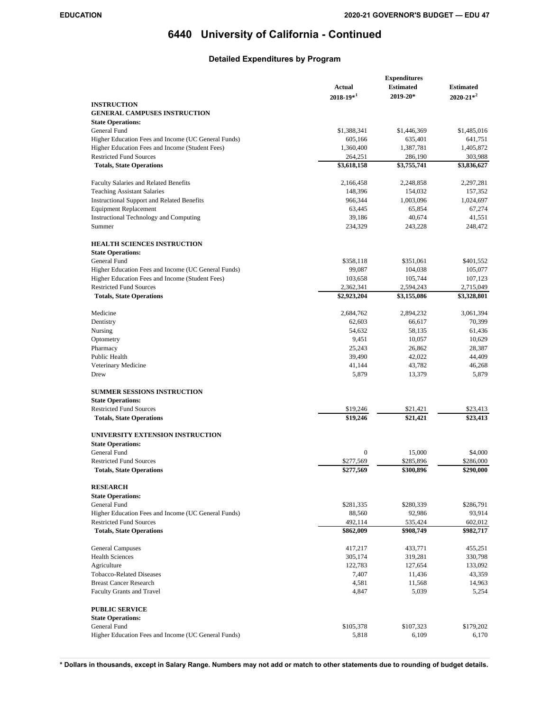## **Detailed Expenditures by Program**

|                                                     | <b>Actual</b>  | <b>Estimated</b> | <b>Estimated</b> |
|-----------------------------------------------------|----------------|------------------|------------------|
|                                                     | $2018 - 19*^1$ | 2019-20*         | $2020 - 21*^2$   |
| <b>INSTRUCTION</b>                                  |                |                  |                  |
| <b>GENERAL CAMPUSES INSTRUCTION</b>                 |                |                  |                  |
| <b>State Operations:</b>                            |                |                  |                  |
| General Fund                                        | \$1,388,341    | \$1,446,369      | \$1,485,016      |
| Higher Education Fees and Income (UC General Funds) | 605,166        | 635,401          | 641,751          |
| Higher Education Fees and Income (Student Fees)     | 1,360,400      | 1,387,781        | 1,405,872        |
| <b>Restricted Fund Sources</b>                      | 264,251        | 286,190          | 303,988          |
| <b>Totals, State Operations</b>                     | \$3,618,158    | \$3,755,741      | \$3,836,627      |
|                                                     |                |                  |                  |
| Faculty Salaries and Related Benefits               | 2,166,458      | 2,248,858        | 2,297,281        |
| <b>Teaching Assistant Salaries</b>                  | 148,396        | 154,032          | 157,352          |
| <b>Instructional Support and Related Benefits</b>   | 966,344        | 1,003,096        | 1,024,697        |
| <b>Equipment Replacement</b>                        | 63,445         | 65,854           | 67,274           |
| Instructional Technology and Computing              | 39,186         | 40,674           | 41,551           |
| Summer                                              | 234,329        | 243,228          | 248,472          |
| <b>HEALTH SCIENCES INSTRUCTION</b>                  |                |                  |                  |
| <b>State Operations:</b>                            |                |                  |                  |
| General Fund                                        | \$358,118      | \$351,061        | \$401,552        |
| Higher Education Fees and Income (UC General Funds) | 99,087         | 104,038          | 105,077          |
| Higher Education Fees and Income (Student Fees)     | 103,658        | 105,744          | 107,123          |
| <b>Restricted Fund Sources</b>                      | 2,362,341      | 2,594,243        | 2,715,049        |
| <b>Totals, State Operations</b>                     | \$2,923,204    | \$3,155,086      | \$3,328,801      |
|                                                     |                |                  |                  |
| Medicine                                            | 2,684,762      | 2,894,232        | 3,061,394        |
| Dentistry                                           | 62,603         | 66,617           | 70,399           |
| Nursing                                             | 54,632         | 58,135           | 61,436           |
| Optometry                                           | 9,451          | 10,057           | 10,629           |
| Pharmacy                                            | 25,243         | 26,862           | 28,387           |
| Public Health                                       | 39,490         | 42,022           | 44,409           |
| Veterinary Medicine                                 | 41,144         | 43,782           | 46,268           |
| Drew                                                | 5,879          | 13,379           | 5,879            |
|                                                     |                |                  |                  |
| <b>SUMMER SESSIONS INSTRUCTION</b>                  |                |                  |                  |
| <b>State Operations:</b>                            |                |                  |                  |
| <b>Restricted Fund Sources</b>                      | \$19,246       | \$21,421         | \$23,413         |
| <b>Totals, State Operations</b>                     | \$19,246       | \$21,421         | \$23,413         |
| UNIVERSITY EXTENSION INSTRUCTION                    |                |                  |                  |
| <b>State Operations:</b>                            |                |                  |                  |
| General Fund                                        | $\mathbf{0}$   | 15,000           | \$4,000          |
| <b>Restricted Fund Sources</b>                      | \$277,569      | \$285,896        | \$286,000        |
|                                                     | \$277,569      |                  |                  |
| <b>Totals, State Operations</b>                     |                | \$300,896        | \$290,000        |
| <b>RESEARCH</b>                                     |                |                  |                  |
| <b>State Operations:</b>                            |                |                  |                  |
| General Fund                                        | \$281,335      | \$280,339        | \$286,791        |
| Higher Education Fees and Income (UC General Funds) | 88,560         | 92,986           | 93,914           |
| <b>Restricted Fund Sources</b>                      | 492,114        | 535,424          | 602,012          |
| <b>Totals, State Operations</b>                     | \$862,009      | \$908,749        | \$982,717        |
|                                                     |                |                  |                  |
| <b>General Campuses</b>                             | 417,217        | 433,771          | 455,251          |
| <b>Health Sciences</b>                              | 305,174        | 319,281          | 330,798          |
| Agriculture                                         | 122,783        | 127,654          | 133,092          |
| Tobacco-Related Diseases                            | 7,407          | 11,436           | 43,359           |
| <b>Breast Cancer Research</b>                       | 4,581          | 11,568           | 14,963           |
| Faculty Grants and Travel                           | 4,847          | 5,039            | 5,254            |
|                                                     |                |                  |                  |
| <b>PUBLIC SERVICE</b><br><b>State Operations:</b>   |                |                  |                  |
| General Fund                                        | \$105,378      | \$107,323        | \$179,202        |
| Higher Education Fees and Income (UC General Funds) | 5,818          | 6,109            | 6,170            |
|                                                     |                |                  |                  |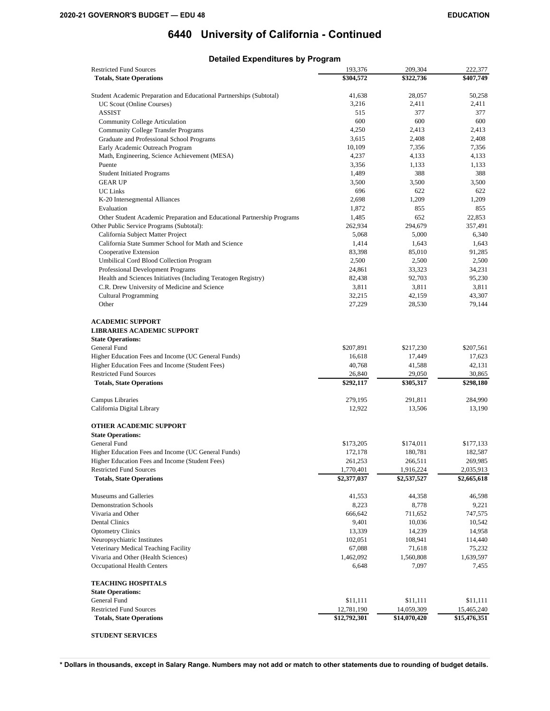## **Detailed Expenditures by Program**

| <b>Restricted Fund Sources</b>                                          | 193,376           | 209,304      | 222,377      |
|-------------------------------------------------------------------------|-------------------|--------------|--------------|
| <b>Totals, State Operations</b>                                         | \$304,572         | \$322,736    | \$407,749    |
|                                                                         |                   |              |              |
| Student Academic Preparation and Educational Partnerships (Subtotal)    | 41,638            | 28,057       | 50,258       |
| UC Scout (Online Courses)                                               | 3,216             | 2,411        | 2,411        |
| <b>ASSIST</b>                                                           | 515               | 377          | 377          |
| Community College Articulation                                          | 600               | 600          | 600          |
| <b>Community College Transfer Programs</b>                              | 4,250             | 2,413        | 2,413        |
| Graduate and Professional School Programs                               | 3,615             | 2,408        | 2,408        |
| Early Academic Outreach Program                                         | 10,109            | 7,356        | 7,356        |
| Math, Engineering, Science Achievement (MESA)                           | 4,237             | 4,133        | 4,133        |
| Puente                                                                  | 3,356             | 1,133        | 1,133        |
| <b>Student Initiated Programs</b>                                       | 1,489             | 388          | 388          |
| <b>GEAR UP</b>                                                          | 3,500             | 3,500        | 3,500        |
| <b>UC Links</b>                                                         | 696               | 622          | 622          |
| K-20 Intersegmental Alliances                                           | 2,698             | 1,209        | 1,209        |
| Evaluation                                                              | 1,872             | 855          | 855          |
|                                                                         | 1,485             | 652          | 22,853       |
| Other Student Academic Preparation and Educational Partnership Programs |                   |              |              |
| Other Public Service Programs (Subtotal):                               | 262,934           | 294,679      | 357,491      |
| California Subject Matter Project                                       | 5,068             | 5,000        | 6,340        |
| California State Summer School for Math and Science                     | 1,414             | 1,643        | 1,643        |
| Cooperative Extension                                                   | 83,398            | 85,010       | 91,285       |
| Umbilical Cord Blood Collection Program                                 | 2,500             | 2,500        | 2,500        |
| Professional Development Programs                                       | 24,861            | 33,323       | 34,231       |
| Health and Sciences Initiatives (Including Teratogen Registry)          | 82,438            | 92,703       | 95,230       |
| C.R. Drew University of Medicine and Science                            | 3,811             | 3,811        | 3,811        |
| <b>Cultural Programming</b>                                             | 32,215            | 42,159       | 43,307       |
| Other                                                                   | 27,229            | 28,530       | 79,144       |
|                                                                         |                   |              |              |
| <b>ACADEMIC SUPPORT</b>                                                 |                   |              |              |
| <b>LIBRARIES ACADEMIC SUPPORT</b>                                       |                   |              |              |
| <b>State Operations:</b>                                                |                   |              |              |
| General Fund                                                            | \$207,891         | \$217,230    | \$207,561    |
| Higher Education Fees and Income (UC General Funds)                     | 16,618            | 17,449       | 17,623       |
| Higher Education Fees and Income (Student Fees)                         | 40,768            | 41,588       | 42,131       |
| <b>Restricted Fund Sources</b>                                          | 26,840            | 29,050       | 30,865       |
| <b>Totals, State Operations</b>                                         | \$292,117         | \$305,317    | \$298,180    |
|                                                                         |                   |              |              |
| Campus Libraries                                                        | 279,195<br>12,922 | 291,811      | 284,990      |
| California Digital Library                                              |                   | 13,506       | 13,190       |
| <b>OTHER ACADEMIC SUPPORT</b>                                           |                   |              |              |
| <b>State Operations:</b>                                                |                   |              |              |
| General Fund                                                            | \$173,205         | \$174,011    | \$177,133    |
| Higher Education Fees and Income (UC General Funds)                     | 172,178           | 180,781      | 182,587      |
| Higher Education Fees and Income (Student Fees)                         | 261,253           | 266,511      | 269,985      |
| <b>Restricted Fund Sources</b>                                          | 1,770,401         | 1,916,224    | 2,035,913    |
| <b>Totals, State Operations</b>                                         | \$2,377,037       | \$2,537,527  | \$2,665,618  |
|                                                                         |                   |              |              |
| Museums and Galleries                                                   | 41,553            | 44,358       | 46,598       |
| <b>Demonstration Schools</b>                                            | 8,223             | 8,778        | 9,221        |
| Vivaria and Other                                                       | 666,642           | 711,652      | 747,575      |
| Dental Clinics                                                          | 9,401             | 10,036       | 10,542       |
| <b>Optometry Clinics</b>                                                | 13,339            | 14,239       | 14,958       |
|                                                                         |                   |              |              |
| Neuropsychiatric Institutes                                             | 102,051           | 108,941      | 114,440      |
| Veterinary Medical Teaching Facility                                    | 67,088            | 71,618       | 75,232       |
| Vivaria and Other (Health Sciences)                                     | 1,462,092         | 1,560,808    | 1,639,597    |
| Occupational Health Centers                                             | 6,648             | 7,097        | 7,455        |
| <b>TEACHING HOSPITALS</b>                                               |                   |              |              |
| <b>State Operations:</b>                                                |                   |              |              |
| General Fund                                                            | \$11,111          | \$11,111     | \$11,111     |
| <b>Restricted Fund Sources</b>                                          | 12,781,190        | 14,059,309   | 15,465,240   |
| <b>Totals, State Operations</b>                                         | \$12,792,301      | \$14,070,420 | \$15,476,351 |
|                                                                         |                   |              |              |
| <b>STUDENT SERVICES</b>                                                 |                   |              |              |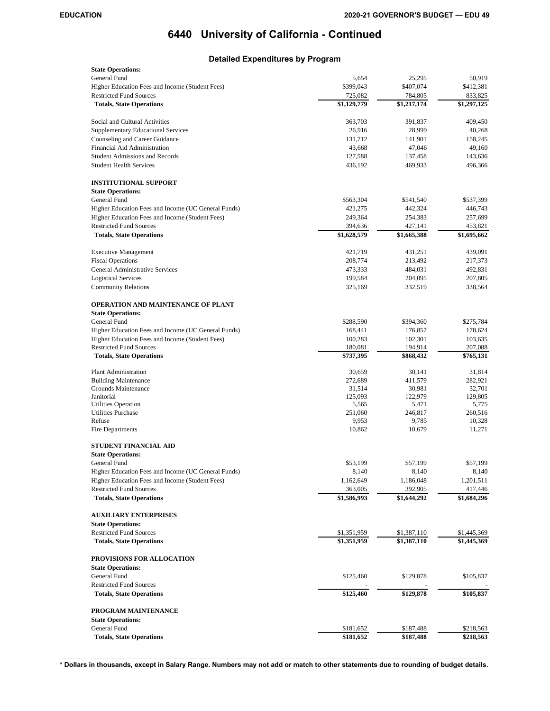## **Detailed Expenditures by Program**

| <b>State Operations:</b>                              |                      |             |             |
|-------------------------------------------------------|----------------------|-------------|-------------|
| General Fund                                          | 5,654                | 25,295      | 50,919      |
| Higher Education Fees and Income (Student Fees)       | \$399,043            | \$407,074   | \$412,381   |
| <b>Restricted Fund Sources</b>                        | 725,082              | 784,805     | 833,825     |
| <b>Totals, State Operations</b>                       | \$1,129,779          | \$1,217,174 | \$1,297,125 |
| Social and Cultural Activities                        | 363,703              | 391,837     | 409,450     |
| Supplementary Educational Services                    | 26,916               | 28,999      | 40,268      |
| Counseling and Career Guidance                        | 131,712              | 141,901     | 158,245     |
| Financial Aid Administration                          | 43,668               | 47,046      | 49,160      |
| <b>Student Admissions and Records</b>                 | 127,588              | 137,458     | 143,636     |
| <b>Student Health Services</b>                        | 436,192              | 469,933     | 496,366     |
| <b>INSTITUTIONAL SUPPORT</b>                          |                      |             |             |
| <b>State Operations:</b>                              |                      |             |             |
| General Fund                                          | \$563,304            | \$541,540   | \$537,399   |
| Higher Education Fees and Income (UC General Funds)   | 421,275              | 442,324     | 446,743     |
| Higher Education Fees and Income (Student Fees)       | 249,364              | 254,383     | 257,699     |
| <b>Restricted Fund Sources</b>                        | 394,636              | 427,141     | 453,821     |
| <b>Totals, State Operations</b>                       | \$1,628,579          | \$1,665,388 | \$1,695,662 |
| <b>Executive Management</b>                           | 421,719              | 431,251     | 439,091     |
| <b>Fiscal Operations</b>                              | 208,774              | 213,492     | 217,373     |
| <b>General Administrative Services</b>                | 473,333              | 484,031     | 492,831     |
| <b>Logistical Services</b>                            | 199,584              | 204,095     | 207,805     |
| <b>Community Relations</b>                            | 325,169              | 332,519     | 338,564     |
|                                                       |                      |             |             |
| <b>OPERATION AND MAINTENANCE OF PLANT</b>             |                      |             |             |
| <b>State Operations:</b>                              |                      |             |             |
| General Fund                                          | \$288,590            | \$394,360   | \$275,784   |
| Higher Education Fees and Income (UC General Funds)   | 168,441              | 176,857     | 178,624     |
| Higher Education Fees and Income (Student Fees)       | 100,283              | 102,301     | 103,635     |
| <b>Restricted Fund Sources</b>                        | 180,081<br>\$737,395 | 194,914     | 207,088     |
| <b>Totals, State Operations</b>                       |                      | \$868,432   | \$765,131   |
| Plant Administration                                  | 30,659               | 30,141      | 31,814      |
| <b>Building Maintenance</b>                           | 272,689              | 411,579     | 282,921     |
| Grounds Maintenance                                   | 31,514               | 30,981      | 32,701      |
| Janitorial                                            | 125,093              | 122,979     | 129,805     |
| Utilities Operation                                   | 5,565                | 5,471       | 5,775       |
| <b>Utilities Purchase</b>                             | 251,060              | 246,817     | 260,516     |
| Refuse                                                | 9,953                | 9,785       | 10,328      |
| Fire Departments                                      | 10,862               | 10,679      | 11,271      |
| STUDENT FINANCIAL AID                                 |                      |             |             |
| <b>State Operations:</b>                              |                      |             |             |
| General Fund                                          | \$53,199             | \$57,199    | \$57,199    |
| Higher Education Fees and Income (UC General Funds)   | 8,140                | 8,140       | 8,140       |
| Higher Education Fees and Income (Student Fees)       | 1,162,649            | 1,186,048   | 1,201,511   |
| <b>Restricted Fund Sources</b>                        | 363,005              | 392,905     | 417,446     |
| <b>Totals, State Operations</b>                       | \$1,586,993          | \$1,644,292 | \$1,684,296 |
| <b>AUXILIARY ENTERPRISES</b>                          |                      |             |             |
| <b>State Operations:</b>                              |                      |             |             |
| <b>Restricted Fund Sources</b>                        | \$1,351,959          | \$1,387,110 | \$1,445,369 |
| <b>Totals, State Operations</b>                       | \$1,351,959          | \$1,387,110 | \$1,445,369 |
| PROVISIONS FOR ALLOCATION<br><b>State Operations:</b> |                      |             |             |
| <b>General Fund</b>                                   | \$125,460            | \$129,878   | \$105,837   |
| <b>Restricted Fund Sources</b>                        |                      |             |             |
| <b>Totals, State Operations</b>                       | \$125,460            | \$129,878   | \$105,837   |
| PROGRAM MAINTENANCE                                   |                      |             |             |
| <b>State Operations:</b>                              |                      |             |             |
| General Fund                                          | \$181,652            | \$187,488   | \$218,563   |
| <b>Totals, State Operations</b>                       | \$181,652            | \$187,488   | \$218,563   |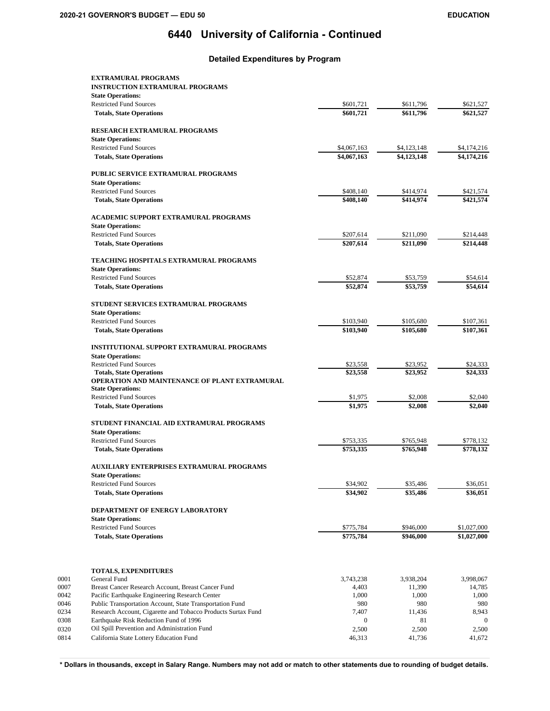### **Detailed Expenditures by Program**

|      | <b>EXTRAMURAL PROGRAMS</b>                                                   |                        |                        |                        |
|------|------------------------------------------------------------------------------|------------------------|------------------------|------------------------|
|      | <b>INSTRUCTION EXTRAMURAL PROGRAMS</b>                                       |                        |                        |                        |
|      | <b>State Operations:</b>                                                     |                        |                        |                        |
|      | <b>Restricted Fund Sources</b><br><b>Totals, State Operations</b>            | \$601,721<br>\$601,721 | \$611,796<br>\$611,796 | \$621,527<br>\$621,527 |
|      |                                                                              |                        |                        |                        |
|      | RESEARCH EXTRAMURAL PROGRAMS                                                 |                        |                        |                        |
|      | <b>State Operations:</b>                                                     |                        |                        |                        |
|      | <b>Restricted Fund Sources</b>                                               | \$4,067,163            | \$4,123,148            | \$4,174,216            |
|      | <b>Totals, State Operations</b>                                              | \$4,067,163            | \$4,123,148            | \$4,174,216            |
|      | PUBLIC SERVICE EXTRAMURAL PROGRAMS                                           |                        |                        |                        |
|      | <b>State Operations:</b>                                                     |                        |                        |                        |
|      | <b>Restricted Fund Sources</b>                                               | \$408,140              | \$414,974              | \$421,574              |
|      | <b>Totals, State Operations</b>                                              | \$408,140              | \$414.974              | \$421.574              |
|      | ACADEMIC SUPPORT EXTRAMURAL PROGRAMS                                         |                        |                        |                        |
|      | <b>State Operations:</b>                                                     |                        |                        |                        |
|      | <b>Restricted Fund Sources</b><br><b>Totals, State Operations</b>            | \$207,614<br>\$207,614 | \$211,090<br>\$211,090 | \$214,448<br>\$214,448 |
|      |                                                                              |                        |                        |                        |
|      | <b>TEACHING HOSPITALS EXTRAMURAL PROGRAMS</b>                                |                        |                        |                        |
|      | <b>State Operations:</b>                                                     |                        |                        |                        |
|      | <b>Restricted Fund Sources</b>                                               | \$52,874               | \$53,759               | \$54,614               |
|      | <b>Totals, State Operations</b>                                              | \$52,874               | \$53,759               | \$54.614               |
|      | STUDENT SERVICES EXTRAMURAL PROGRAMS                                         |                        |                        |                        |
|      | <b>State Operations:</b>                                                     |                        |                        |                        |
|      | <b>Restricted Fund Sources</b>                                               | \$103,940              | \$105,680              | \$107,361              |
|      | <b>Totals, State Operations</b>                                              | \$103,940              | \$105,680              | \$107,361              |
|      | <b>INSTITUTIONAL SUPPORT EXTRAMURAL PROGRAMS</b>                             |                        |                        |                        |
|      | <b>State Operations:</b>                                                     |                        |                        |                        |
|      | <b>Restricted Fund Sources</b>                                               | \$23,558               | \$23,952               | \$24,333               |
|      | <b>Totals, State Operations</b>                                              | \$23,558               | \$23,952               | \$24,333               |
|      | OPERATION AND MAINTENANCE OF PLANT EXTRAMURAL<br><b>State Operations:</b>    |                        |                        |                        |
|      | <b>Restricted Fund Sources</b>                                               | \$1,975                | \$2,008                | \$2,040                |
|      | <b>Totals, State Operations</b>                                              | \$1,975                | \$2,008                | \$2,040                |
|      | STUDENT FINANCIAL AID EXTRAMURAL PROGRAMS                                    |                        |                        |                        |
|      | <b>State Operations:</b>                                                     |                        |                        |                        |
|      | <b>Restricted Fund Sources</b>                                               | \$753,335              | \$765,948              | \$778,132              |
|      | <b>Totals, State Operations</b>                                              | \$753,335              | \$765,948              | \$778,132              |
|      |                                                                              |                        |                        |                        |
|      | <b>AUXILIARY ENTERPRISES EXTRAMURAL PROGRAMS</b><br><b>State Operations:</b> |                        |                        |                        |
|      | <b>Restricted Fund Sources</b>                                               | \$34,902               | \$35,486               | \$36,051               |
|      | <b>Totals, State Operations</b>                                              | \$34,902               | \$35,486               | \$36,051               |
|      | DEPARTMENT OF ENERGY LABORATORY                                              |                        |                        |                        |
|      | <b>State Operations:</b>                                                     |                        |                        |                        |
|      | <b>Restricted Fund Sources</b>                                               | \$775,784              | \$946,000              | \$1,027,000            |
|      | <b>Totals, State Operations</b>                                              | \$775,784              | \$946,000              | \$1,027,000            |
|      |                                                                              |                        |                        |                        |
| 0001 | <b>TOTALS, EXPENDITURES</b><br>General Fund                                  | 3,743,238              | 3,938,204              | 3,998,067              |
| 0007 | Breast Cancer Research Account, Breast Cancer Fund                           | 4,403                  | 11,390                 | 14,785                 |
| 0042 | Pacific Earthquake Engineering Research Center                               | 1,000                  | 1,000                  | 1,000                  |
| 0046 | Public Transportation Account, State Transportation Fund                     | 980                    | 980                    | 980                    |
| 0234 | Research Account, Cigarette and Tobacco Products Surtax Fund                 | 7,407                  | 11,436                 | 8,943                  |
| 0308 | Earthquake Risk Reduction Fund of 1996                                       | $\mathbf{0}$           | 81                     | $\mathbf{0}$           |
| 0320 | Oil Spill Prevention and Administration Fund                                 | 2,500                  | 2,500                  | 2,500                  |
| 0814 | California State Lottery Education Fund                                      | 46,313                 | 41,736                 | 41,672                 |
|      |                                                                              |                        |                        |                        |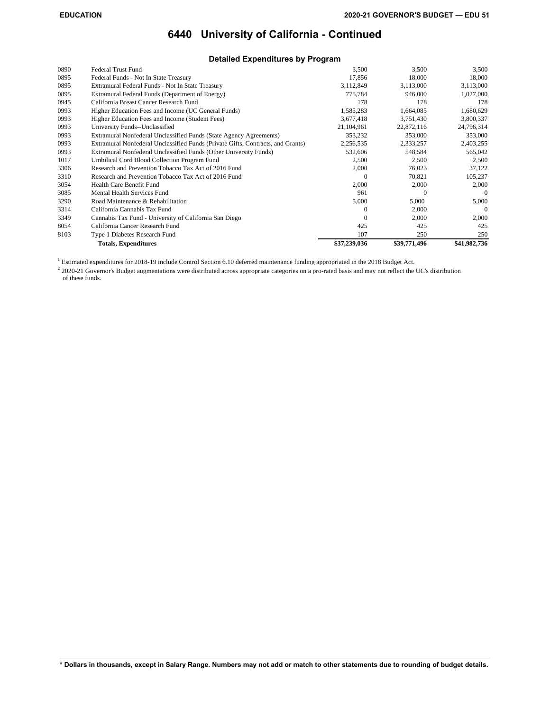### **Detailed Expenditures by Program**

| 0890 | <b>Federal Trust Fund</b>                                                       | 3,500        | 3,500        | 3,500        |
|------|---------------------------------------------------------------------------------|--------------|--------------|--------------|
| 0895 | Federal Funds - Not In State Treasury                                           | 17,856       | 18,000       | 18,000       |
| 0895 | Extramural Federal Funds - Not In State Treasury                                | 3,112,849    | 3,113,000    | 3,113,000    |
| 0895 | Extramural Federal Funds (Department of Energy)                                 | 775,784      | 946,000      | 1,027,000    |
| 0945 | California Breast Cancer Research Fund                                          | 178          | 178          | 178          |
| 0993 | Higher Education Fees and Income (UC General Funds)                             | 1,585,283    | 1,664,085    | 1,680,629    |
| 0993 | Higher Education Fees and Income (Student Fees)                                 | 3,677,418    | 3,751,430    | 3,800,337    |
| 0993 | University Funds--Unclassified                                                  | 21,104,961   | 22,872,116   | 24,796,314   |
| 0993 | Extramural Nonfederal Unclassified Funds (State Agency Agreements)              | 353,232      | 353,000      | 353,000      |
| 0993 | Extramural Nonfederal Unclassified Funds (Private Gifts, Contracts, and Grants) | 2,256,535    | 2,333,257    | 2,403,255    |
| 0993 | Extramural Nonfederal Unclassified Funds (Other University Funds)               | 532,606      | 548,584      | 565,042      |
| 1017 | Umbilical Cord Blood Collection Program Fund                                    | 2,500        | 2,500        | 2,500        |
| 3306 | Research and Prevention Tobacco Tax Act of 2016 Fund                            | 2,000        | 76,023       | 37,122       |
| 3310 | Research and Prevention Tobacco Tax Act of 2016 Fund                            | $\Omega$     | 70,821       | 105,237      |
| 3054 | Health Care Benefit Fund                                                        | 2,000        | 2,000        | 2,000        |
| 3085 | Mental Health Services Fund                                                     | 961          | $\Omega$     | $\Omega$     |
| 3290 | Road Maintenance & Rehabilitation                                               | 5,000        | 5,000        | 5,000        |
| 3314 | California Cannabis Tax Fund                                                    | $\Omega$     | 2,000        | $\Omega$     |
| 3349 | Cannabis Tax Fund - University of California San Diego                          | $\Omega$     | 2,000        | 2,000        |
| 8054 | California Cancer Research Fund                                                 | 425          | 425          | 425          |
| 8103 | Type 1 Diabetes Research Fund                                                   | 107          | 250          | 250          |
|      | <b>Totals, Expenditures</b>                                                     | \$37,239,036 | \$39,771,496 | \$41,982,736 |

Estimated expenditures for 2018-19 include Control Section 6.10 deferred maintenance funding appropriated in the 2018 Budget Act.

<sup>2</sup> 2020-21 Governor's Budget augmentations were distributed across appropriate categories on a pro-rated basis and may not reflect the UC's distribution of these funds.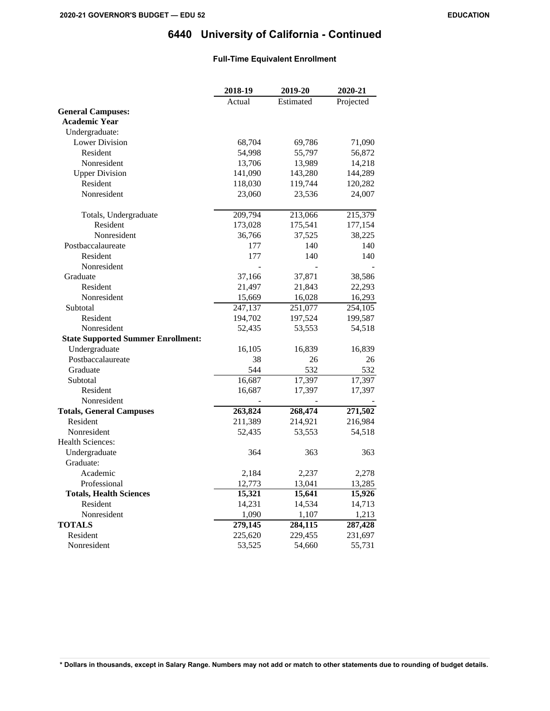## **Full-Time Equivalent Enrollment**

|                                           | 2018-19              | 2019-20   | 2020-21   |
|-------------------------------------------|----------------------|-----------|-----------|
|                                           | Actual               | Estimated | Projected |
| <b>General Campuses:</b>                  |                      |           |           |
| <b>Academic Year</b>                      |                      |           |           |
| Undergraduate:                            |                      |           |           |
| <b>Lower Division</b>                     | 68,704               | 69,786    | 71,090    |
| Resident                                  | 54,998               | 55,797    | 56,872    |
| Nonresident                               | 13,706               | 13,989    | 14,218    |
| <b>Upper Division</b>                     | 141,090              | 143,280   | 144,289   |
| Resident                                  | 118,030              | 119,744   | 120,282   |
| Nonresident                               | 23,060               | 23,536    | 24,007    |
| Totals, Undergraduate                     | 209,794              | 213,066   | 215,379   |
| Resident                                  | 173,028              | 175,541   | 177,154   |
| Nonresident                               | 36,766               | 37,525    | 38,225    |
| Postbaccalaureate                         | 177                  | 140       | 140       |
| Resident                                  | 177                  | 140       | 140       |
| Nonresident                               |                      |           |           |
| Graduate                                  | 37,166               | 37,871    | 38,586    |
| Resident                                  | 21,497               | 21,843    | 22,293    |
| Nonresident                               | 15,669               | 16,028    | 16,293    |
| Subtotal                                  | $\overline{247,137}$ | 251,077   | 254,105   |
| Resident                                  | 194,702              | 197,524   | 199,587   |
| Nonresident                               | 52,435               | 53,553    | 54,518    |
| <b>State Supported Summer Enrollment:</b> |                      |           |           |
| Undergraduate                             | 16,105               | 16,839    | 16,839    |
| Postbaccalaureate                         | 38                   | 26        | 26        |
| Graduate                                  | 544                  | 532       | 532       |
| Subtotal                                  | 16,687               | 17,397    | 17,397    |
| Resident                                  | 16,687               | 17,397    | 17,397    |
| Nonresident                               |                      |           |           |
| <b>Totals, General Campuses</b>           | 263,824              | 268,474   | 271,502   |
| Resident                                  | 211,389              | 214,921   | 216,984   |
| Nonresident                               | 52,435               | 53,553    | 54,518    |
| <b>Health Sciences:</b>                   |                      |           |           |
| Undergraduate                             | 364                  | 363       | 363       |
| Graduate:                                 |                      |           |           |
| Academic                                  | 2,184                | 2,237     | 2,278     |
| Professional                              | 12,773               | 13,041    | 13,285    |
| <b>Totals, Health Sciences</b>            | 15,321               | 15,641    | 15,926    |
| Resident                                  | 14,231               | 14,534    | 14,713    |
| Nonresident                               | 1,090                | 1,107     | 1,213     |
| <b>TOTALS</b>                             | 279,145              | 284,115   | 287,428   |
| Resident                                  | 225,620              | 229,455   | 231,697   |
| Nonresident                               | 53,525               | 54,660    | 55,731    |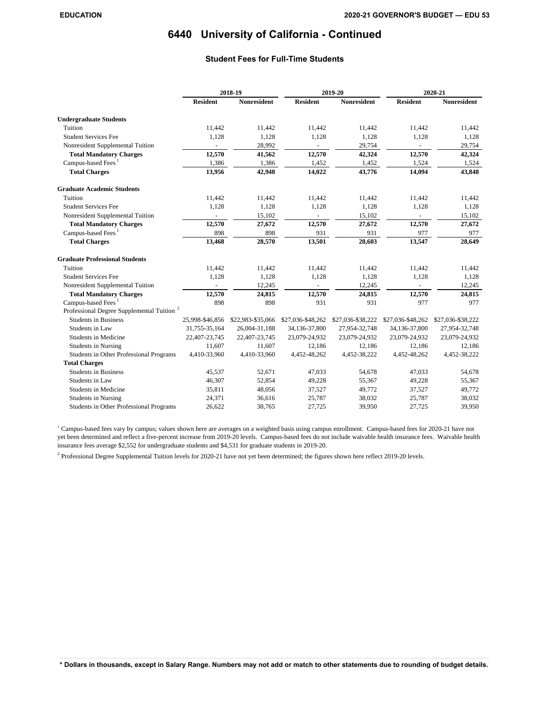## **Student Fees for Full-Time Students**

|                                                       |                 | 2018-19            |                   | 2019-20            |                   | 2020-21            |
|-------------------------------------------------------|-----------------|--------------------|-------------------|--------------------|-------------------|--------------------|
|                                                       | <b>Resident</b> | <b>Nonresident</b> | <b>Resident</b>   | <b>Nonresident</b> | <b>Resident</b>   | <b>Nonresident</b> |
| <b>Undergraduate Students</b>                         |                 |                    |                   |                    |                   |                    |
| Tuition                                               | 11,442          | 11,442             | 11,442            | 11,442             | 11,442            | 11,442             |
| <b>Student Services Fee</b>                           | 1.128           | 1,128              | 1.128             | 1,128              | 1,128             | 1,128              |
| Nonresident Supplemental Tuition                      |                 | 28,992             |                   | 29,754             |                   | 29,754             |
| <b>Total Mandatory Charges</b>                        | 12,570          | 41,562             | 12,570            | 42,324             | 12,570            | 42,324             |
| Campus-based Fees <sup>1</sup>                        | 1,386           | 1,386              | 1,452             | 1,452              | 1,524             | 1,524              |
| <b>Total Charges</b>                                  | 13,956          | 42,948             | 14,022            | 43,776             | 14,094            | 43,848             |
| <b>Graduate Academic Students</b>                     |                 |                    |                   |                    |                   |                    |
| Tuition                                               | 11,442          | 11,442             | 11,442            | 11,442             | 11,442            | 11,442             |
| <b>Student Services Fee</b>                           | 1.128           | 1,128              | 1,128             | 1,128              | 1,128             | 1,128              |
| Nonresident Supplemental Tuition                      | $\blacksquare$  | 15,102             |                   | 15,102             |                   | 15,102             |
| <b>Total Mandatory Charges</b>                        | 12,570          | 27,672             | 12,570            | 27,672             | 12,570            | 27,672             |
| Campus-based Fees <sup>1</sup>                        | 898             | 898                | 931               | 931                | 977               | 977                |
| <b>Total Charges</b>                                  | 13,468          | 28,570             | 13,501            | 28,603             | 13,547            | 28,649             |
| <b>Graduate Professional Students</b>                 |                 |                    |                   |                    |                   |                    |
| Tuition                                               | 11,442          | 11,442             | 11,442            | 11,442             | 11,442            | 11,442             |
| <b>Student Services Fee</b>                           | 1.128           | 1,128              | 1.128             | 1,128              | 1,128             | 1,128              |
| Nonresident Supplemental Tuition                      |                 | 12,245             |                   | 12,245             |                   | 12,245             |
| <b>Total Mandatory Charges</b>                        | 12,570          | 24,815             | 12,570            | 24,815             | 12,570            | 24,815             |
| Campus-based Fees <sup>1</sup>                        | 898             | 898                | 931               | 931                | 977               | 977                |
| Professional Degree Supplemental Tuition <sup>2</sup> |                 |                    |                   |                    |                   |                    |
| <b>Students in Business</b>                           | 25,998-\$46,856 | \$22,983-\$35,066  | \$27,036-\$48,262 | \$27,036-\$38,222  | \$27,036-\$48,262 | \$27,036-\$38,222  |
| Students in Law                                       | 31,755-35,164   | 26,004-31,188      | 34,136-37,800     | 27,954-32,748      | 34,136-37,800     | 27,954-32,748      |
| Students in Medicine                                  | 22,407-23,745   | 22,407-23,745      | 23,079-24,932     | 23,079-24,932      | 23,079-24,932     | 23,079-24,932      |
| <b>Students in Nursing</b>                            | 11,607          | 11,607             | 12,186            | 12,186             | 12,186            | 12,186             |
| Students in Other Professional Programs               | 4,410-33,960    | 4,410-33,960       | 4,452-48,262      | 4,452-38,222       | 4,452-48,262      | 4,452-38,222       |
| <b>Total Charges</b>                                  |                 |                    |                   |                    |                   |                    |
| <b>Students in Business</b>                           | 45,537          | 52,671             | 47,033            | 54,678             | 47,033            | 54,678             |
| Students in Law                                       | 46,307          | 52,854             | 49,228            | 55,367             | 49,228            | 55,367             |
| Students in Medicine                                  | 35,811          | 48,056             | 37,527            | 49,772             | 37,527            | 49,772             |
| <b>Students in Nursing</b>                            | 24,371          | 36,616             | 25,787            | 38,032             | 25,787            | 38,032             |
| Students in Other Professional Programs               | 26,622          | 38,765             | 27,725            | 39,950             | 27,725            | 39,950             |

<sup>1</sup> Campus-based fees vary by campus; values shown here are averages on a weighted basis using campus enrollment. Campus-based fees for 2020-21 have not yet been determined and reflect a five-percent increase from 2019-20 levels. Campus-based fees do not include waivable health insurance fees. Waivable health insurance fees average \$2,552 for undergraduate students and \$4,531 for graduate students in 2019-20.

 $<sup>2</sup>$  Professional Degree Supplemental Tuition levels for 2020-21 have not yet been determined; the figures shown here reflect 2019-20 levels.</sup>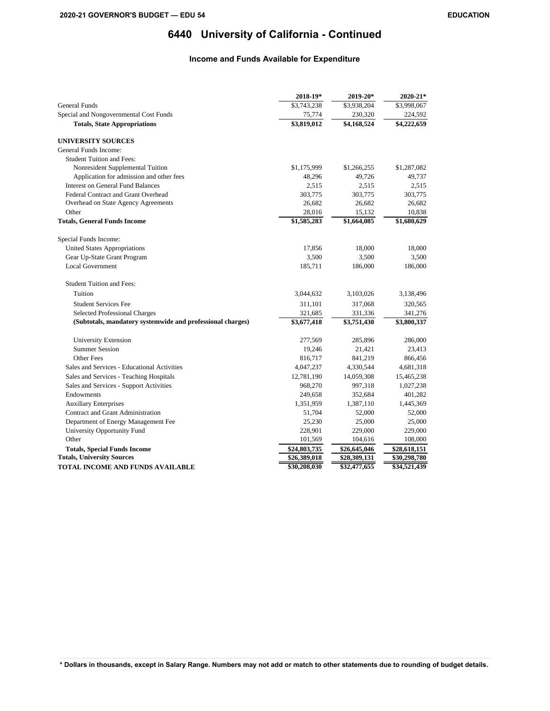## **Income and Funds Available for Expenditure**

|                                                            | 2018-19*     | 2019-20*     | $2020 - 21*$ |
|------------------------------------------------------------|--------------|--------------|--------------|
| <b>General Funds</b>                                       | \$3,743,238  | \$3,938,204  | \$3,998,067  |
| Special and Nongovernmental Cost Funds                     | 75,774       | 230,320      | 224,592      |
| <b>Totals, State Appropriations</b>                        | \$3,819,012  | \$4,168,524  | \$4,222,659  |
| <b>UNIVERSITY SOURCES</b>                                  |              |              |              |
| General Funds Income:                                      |              |              |              |
| <b>Student Tuition and Fees:</b>                           |              |              |              |
| Nonresident Supplemental Tuition                           | \$1,175,999  | \$1,266,255  | \$1,287,082  |
| Application for admission and other fees                   | 48,296       | 49,726       | 49,737       |
| <b>Interest on General Fund Balances</b>                   | 2,515        | 2,515        | 2,515        |
| Federal Contract and Grant Overhead                        | 303,775      | 303,775      | 303,775      |
| Overhead on State Agency Agreements                        | 26,682       | 26,682       | 26,682       |
| Other                                                      | 28,016       | 15,132       | 10,838       |
| <b>Totals, General Funds Income</b>                        | \$1,585,283  | \$1,664,085  | \$1,680,629  |
| Special Funds Income:                                      |              |              |              |
| United States Appropriations                               | 17,856       | 18,000       | 18,000       |
| Gear Up-State Grant Program                                | 3,500        | 3,500        | 3,500        |
| <b>Local Government</b>                                    | 185,711      | 186,000      | 186,000      |
| <b>Student Tuition and Fees:</b>                           |              |              |              |
| Tuition                                                    | 3,044,632    | 3,103,026    | 3,138,496    |
| <b>Student Services Fee</b>                                | 311,101      | 317,068      | 320,565      |
| <b>Selected Professional Charges</b>                       | 321,685      | 331,336      | 341,276      |
| (Subtotals, mandatory systemwide and professional charges) | \$3,677,418  | \$3,751,430  | \$3,800,337  |
| University Extension                                       | 277,569      | 285,896      | 286,000      |
| <b>Summer Session</b>                                      | 19,246       | 21,421       | 23,413       |
| Other Fees                                                 | 816,717      | 841,219      | 866,456      |
| Sales and Services - Educational Activities                | 4,047,237    | 4,330,544    | 4,681,318    |
| Sales and Services - Teaching Hospitals                    | 12,781,190   | 14,059,308   | 15,465,238   |
| Sales and Services - Support Activities                    | 968,270      | 997,318      | 1,027,238    |
| Endowments                                                 | 249,658      | 352,684      | 401,282      |
| <b>Auxiliary Enterprises</b>                               | 1,351,959    | 1,387,110    | 1,445,369    |
| Contract and Grant Administration                          | 51,704       | 52,000       | 52,000       |
| Department of Energy Management Fee                        | 25,230       | 25,000       | 25,000       |
| University Opportunity Fund                                | 228,901      | 229,000      | 229,000      |
| Other                                                      | 101,569      | 104,616      | 108,000      |
| <b>Totals, Special Funds Income</b>                        | \$24,803,735 | \$26,645,046 | \$28,618,151 |
| <b>Totals, University Sources</b>                          | \$26,389,018 | \$28,309,131 | \$30,298,780 |
| TOTAL INCOME AND FUNDS AVAILABLE                           | \$30,208,030 | \$32,477,655 | \$34,521,439 |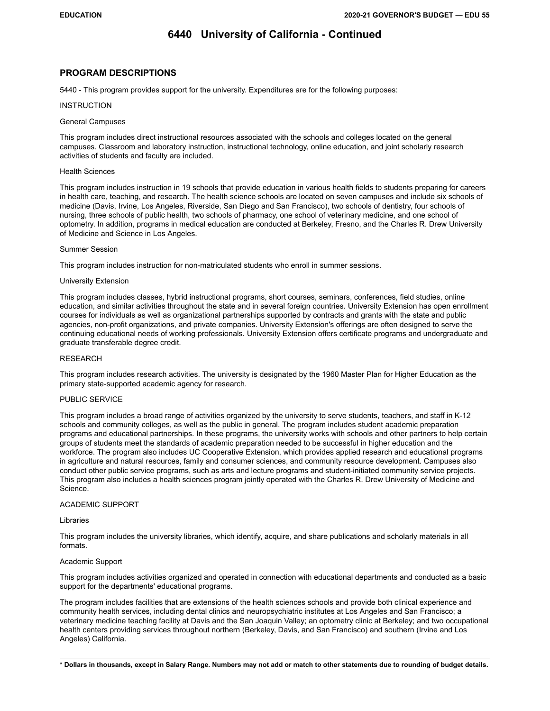#### **PROGRAM DESCRIPTIONS**

5440 - This program provides support for the university. Expenditures are for the following purposes:

#### **INSTRUCTION**

#### General Campuses

This program includes direct instructional resources associated with the schools and colleges located on the general campuses. Classroom and laboratory instruction, instructional technology, online education, and joint scholarly research activities of students and faculty are included.

#### Health Sciences

This program includes instruction in 19 schools that provide education in various health fields to students preparing for careers in health care, teaching, and research. The health science schools are located on seven campuses and include six schools of medicine (Davis, Irvine, Los Angeles, Riverside, San Diego and San Francisco), two schools of dentistry, four schools of nursing, three schools of public health, two schools of pharmacy, one school of veterinary medicine, and one school of optometry. In addition, programs in medical education are conducted at Berkeley, Fresno, and the Charles R. Drew University of Medicine and Science in Los Angeles.

#### Summer Session

This program includes instruction for non-matriculated students who enroll in summer sessions.

#### University Extension

This program includes classes, hybrid instructional programs, short courses, seminars, conferences, field studies, online education, and similar activities throughout the state and in several foreign countries. University Extension has open enrollment courses for individuals as well as organizational partnerships supported by contracts and grants with the state and public agencies, non-profit organizations, and private companies. University Extension's offerings are often designed to serve the continuing educational needs of working professionals. University Extension offers certificate programs and undergraduate and graduate transferable degree credit.

#### RESEARCH

This program includes research activities. The university is designated by the 1960 Master Plan for Higher Education as the primary state-supported academic agency for research.

#### PUBLIC SERVICE

This program includes a broad range of activities organized by the university to serve students, teachers, and staff in K-12 schools and community colleges, as well as the public in general. The program includes student academic preparation programs and educational partnerships. In these programs, the university works with schools and other partners to help certain groups of students meet the standards of academic preparation needed to be successful in higher education and the workforce. The program also includes UC Cooperative Extension, which provides applied research and educational programs in agriculture and natural resources, family and consumer sciences, and community resource development. Campuses also conduct other public service programs, such as arts and lecture programs and student-initiated community service projects. This program also includes a health sciences program jointly operated with the Charles R. Drew University of Medicine and Science.

#### ACADEMIC SUPPORT

#### Libraries

This program includes the university libraries, which identify, acquire, and share publications and scholarly materials in all formats.

#### Academic Support

This program includes activities organized and operated in connection with educational departments and conducted as a basic support for the departments' educational programs.

The program includes facilities that are extensions of the health sciences schools and provide both clinical experience and community health services, including dental clinics and neuropsychiatric institutes at Los Angeles and San Francisco; a veterinary medicine teaching facility at Davis and the San Joaquin Valley; an optometry clinic at Berkeley; and two occupational health centers providing services throughout northern (Berkeley, Davis, and San Francisco) and southern (Irvine and Los Angeles) California.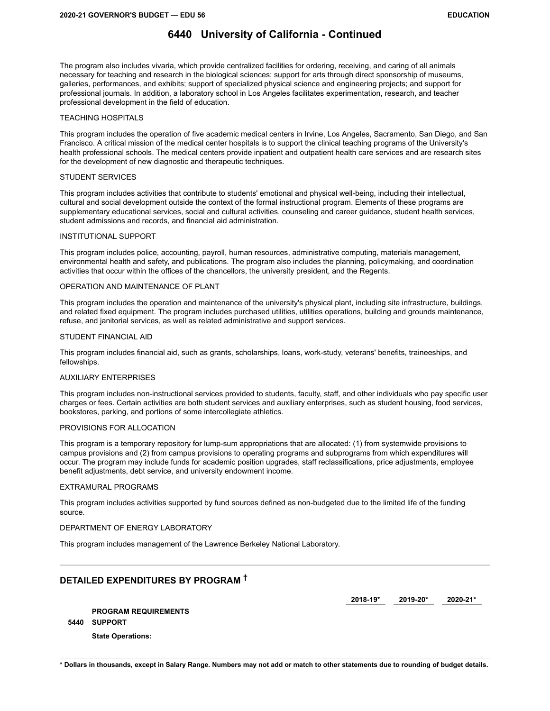The program also includes vivaria, which provide centralized facilities for ordering, receiving, and caring of all animals necessary for teaching and research in the biological sciences; support for arts through direct sponsorship of museums, galleries, performances, and exhibits; support of specialized physical science and engineering projects; and support for professional journals. In addition, a laboratory school in Los Angeles facilitates experimentation, research, and teacher professional development in the field of education.

#### TEACHING HOSPITALS

This program includes the operation of five academic medical centers in Irvine, Los Angeles, Sacramento, San Diego, and San Francisco. A critical mission of the medical center hospitals is to support the clinical teaching programs of the University's health professional schools. The medical centers provide inpatient and outpatient health care services and are research sites for the development of new diagnostic and therapeutic techniques.

#### STUDENT SERVICES

This program includes activities that contribute to students' emotional and physical well-being, including their intellectual, cultural and social development outside the context of the formal instructional program. Elements of these programs are supplementary educational services, social and cultural activities, counseling and career guidance, student health services, student admissions and records, and financial aid administration.

#### INSTITUTIONAL SUPPORT

This program includes police, accounting, payroll, human resources, administrative computing, materials management, environmental health and safety, and publications. The program also includes the planning, policymaking, and coordination activities that occur within the offices of the chancellors, the university president, and the Regents.

#### OPERATION AND MAINTENANCE OF PLANT

This program includes the operation and maintenance of the university's physical plant, including site infrastructure, buildings, and related fixed equipment. The program includes purchased utilities, utilities operations, building and grounds maintenance, refuse, and janitorial services, as well as related administrative and support services.

#### STUDENT FINANCIAL AID

This program includes financial aid, such as grants, scholarships, loans, work-study, veterans' benefits, traineeships, and fellowships.

#### AUXILIARY ENTERPRISES

This program includes non-instructional services provided to students, faculty, staff, and other individuals who pay specific user charges or fees. Certain activities are both student services and auxiliary enterprises, such as student housing, food services, bookstores, parking, and portions of some intercollegiate athletics.

#### PROVISIONS FOR ALLOCATION

This program is a temporary repository for lump-sum appropriations that are allocated: (1) from systemwide provisions to campus provisions and (2) from campus provisions to operating programs and subprograms from which expenditures will occur. The program may include funds for academic position upgrades, staff reclassifications, price adjustments, employee benefit adjustments, debt service, and university endowment income.

#### EXTRAMURAL PROGRAMS

This program includes activities supported by fund sources defined as non-budgeted due to the limited life of the funding source.

#### DEPARTMENT OF ENERGY LABORATORY

This program includes management of the Lawrence Berkeley National Laboratory.

## **DETAILED EXPENDITURES BY PROGRAM †**

**2018-19\* 2019-20\* 2020-21\*** 

**PROGRAM REQUIREMENTS 5440 SUPPORT State Operations:**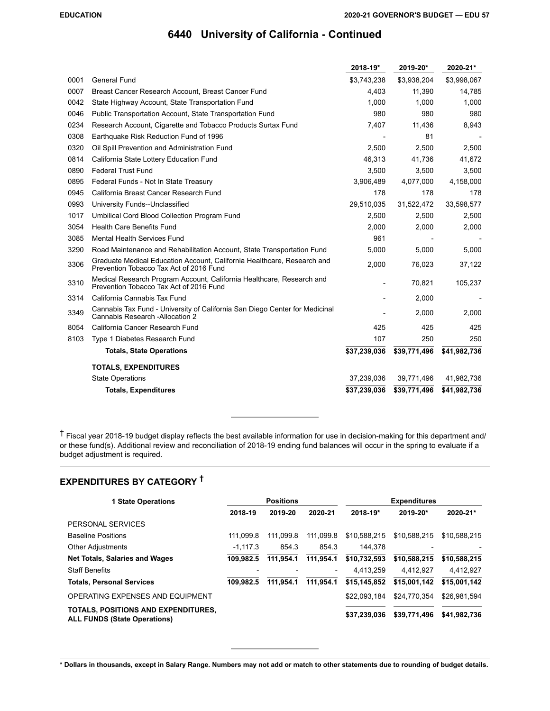|      |                                                                                                                    | 2018-19*                 | 2019-20*     | 2020-21*     |
|------|--------------------------------------------------------------------------------------------------------------------|--------------------------|--------------|--------------|
| 0001 | <b>General Fund</b>                                                                                                | \$3,743,238              | \$3,938,204  | \$3,998,067  |
| 0007 | Breast Cancer Research Account, Breast Cancer Fund                                                                 | 4,403                    | 11,390       | 14,785       |
| 0042 | State Highway Account, State Transportation Fund                                                                   | 1.000                    | 1.000        | 1,000        |
| 0046 | Public Transportation Account, State Transportation Fund                                                           | 980                      | 980          | 980          |
| 0234 | Research Account, Cigarette and Tobacco Products Surtax Fund                                                       | 7,407                    | 11,436       | 8,943        |
| 0308 | Earthquake Risk Reduction Fund of 1996                                                                             |                          | 81           |              |
| 0320 | Oil Spill Prevention and Administration Fund                                                                       | 2,500                    | 2,500        | 2,500        |
| 0814 | California State Lottery Education Fund                                                                            | 46,313                   | 41,736       | 41,672       |
| 0890 | <b>Federal Trust Fund</b>                                                                                          | 3,500                    | 3,500        | 3,500        |
| 0895 | Federal Funds - Not In State Treasury                                                                              | 3,906,489                | 4,077,000    | 4,158,000    |
| 0945 | California Breast Cancer Research Fund                                                                             | 178                      | 178          | 178          |
| 0993 | University Funds--Unclassified                                                                                     | 29,510,035               | 31,522,472   | 33,598,577   |
| 1017 | Umbilical Cord Blood Collection Program Fund                                                                       | 2,500                    | 2,500        | 2,500        |
| 3054 | <b>Health Care Benefits Fund</b>                                                                                   | 2,000                    | 2,000        | 2,000        |
| 3085 | <b>Mental Health Services Fund</b>                                                                                 | 961                      |              |              |
| 3290 | Road Maintenance and Rehabilitation Account, State Transportation Fund                                             | 5,000                    | 5,000        | 5,000        |
| 3306 | Graduate Medical Education Account, California Healthcare, Research and<br>Prevention Tobacco Tax Act of 2016 Fund | 2,000                    | 76,023       | 37,122       |
| 3310 | Medical Research Program Account, California Healthcare, Research and<br>Prevention Tobacco Tax Act of 2016 Fund   | $\overline{\phantom{a}}$ | 70,821       | 105,237      |
| 3314 | California Cannabis Tax Fund                                                                                       |                          | 2,000        |              |
| 3349 | Cannabis Tax Fund - University of California San Diego Center for Medicinal<br>Cannabis Research - Allocation 2    |                          | 2,000        | 2,000        |
| 8054 | California Cancer Research Fund                                                                                    | 425                      | 425          | 425          |
| 8103 | Type 1 Diabetes Research Fund                                                                                      | 107                      | 250          | 250          |
|      | <b>Totals, State Operations</b>                                                                                    | \$37,239,036             | \$39,771,496 | \$41,982,736 |
|      | <b>TOTALS, EXPENDITURES</b>                                                                                        |                          |              |              |
|      | <b>State Operations</b>                                                                                            | 37,239,036               | 39,771,496   | 41,982,736   |
|      | <b>Totals, Expenditures</b>                                                                                        | \$37,239,036             | \$39,771,496 | \$41,982,736 |

† Fiscal year 2018-19 budget display reflects the best available information for use in decision-making for this department and/ or these fund(s). Additional review and reconciliation of 2018-19 ending fund balances will occur in the spring to evaluate if a budget adjustment is required.

# **EXPENDITURES BY CATEGORY †**

| <b>1 State Operations</b>                                                  | <b>Positions</b>         |           |                          | <b>Expenditures</b> |              |              |  |
|----------------------------------------------------------------------------|--------------------------|-----------|--------------------------|---------------------|--------------|--------------|--|
|                                                                            | 2018-19                  | 2019-20   | 2020-21                  | 2018-19*            | 2019-20*     | 2020-21*     |  |
| PERSONAL SERVICES                                                          |                          |           |                          |                     |              |              |  |
| <b>Baseline Positions</b>                                                  | 111.099.8                | 111.099.8 | 111.099.8                | \$10.588.215        | \$10.588.215 | \$10.588.215 |  |
| <b>Other Adjustments</b>                                                   | $-1.117.3$               | 854.3     | 854.3                    | 144.378             |              |              |  |
| <b>Net Totals, Salaries and Wages</b>                                      | 109.982.5                | 111.954.1 | 111.954.1                | \$10.732.593        | \$10.588.215 | \$10,588,215 |  |
| <b>Staff Benefits</b>                                                      | $\overline{\phantom{0}}$ |           | $\overline{\phantom{a}}$ | 4.413.259           | 4.412.927    | 4,412,927    |  |
| <b>Totals, Personal Services</b>                                           | 109.982.5                | 111.954.1 | 111.954.1                | \$15.145.852        | \$15,001,142 | \$15,001,142 |  |
| OPERATING EXPENSES AND EQUIPMENT                                           |                          |           |                          | \$22,093,184        | \$24.770.354 | \$26.981.594 |  |
| TOTALS, POSITIONS AND EXPENDITURES,<br><b>ALL FUNDS (State Operations)</b> |                          |           |                          | \$37,239,036        | \$39,771,496 | \$41,982,736 |  |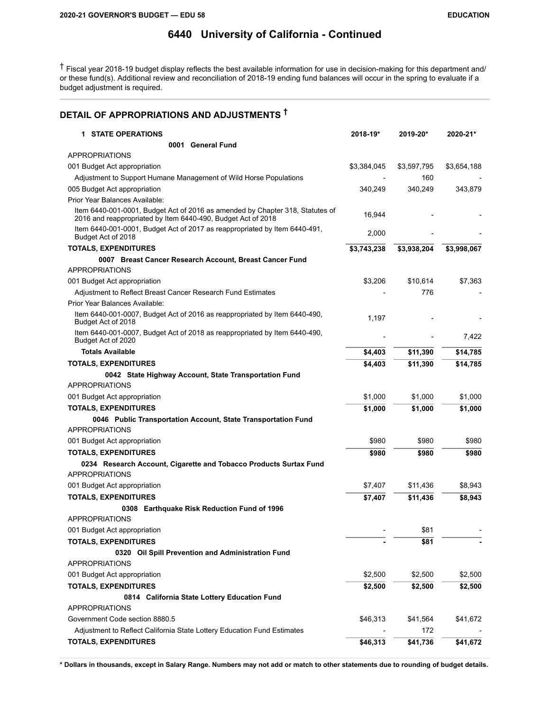† Fiscal year 2018-19 budget display reflects the best available information for use in decision-making for this department and/ or these fund(s). Additional review and reconciliation of 2018-19 ending fund balances will occur in the spring to evaluate if a budget adjustment is required.

# **DETAIL OF APPROPRIATIONS AND ADJUSTMENTS †**

| <b>1 STATE OPERATIONS</b>                                                                                                                     | 2018-19*    | 2019-20*    | 2020-21*    |
|-----------------------------------------------------------------------------------------------------------------------------------------------|-------------|-------------|-------------|
| 0001 General Fund                                                                                                                             |             |             |             |
| <b>APPROPRIATIONS</b>                                                                                                                         |             |             |             |
| 001 Budget Act appropriation                                                                                                                  | \$3,384,045 | \$3,597,795 | \$3,654,188 |
| Adjustment to Support Humane Management of Wild Horse Populations                                                                             |             | 160         |             |
| 005 Budget Act appropriation                                                                                                                  | 340,249     | 340,249     | 343,879     |
| Prior Year Balances Available:                                                                                                                |             |             |             |
| Item 6440-001-0001, Budget Act of 2016 as amended by Chapter 318, Statutes of<br>2016 and reappropriated by Item 6440-490, Budget Act of 2018 | 16,944      |             |             |
| Item 6440-001-0001, Budget Act of 2017 as reappropriated by Item 6440-491,<br>Budget Act of 2018                                              | 2,000       |             |             |
| <b>TOTALS, EXPENDITURES</b>                                                                                                                   | \$3,743,238 | \$3,938,204 | \$3,998,067 |
| 0007 Breast Cancer Research Account, Breast Cancer Fund                                                                                       |             |             |             |
| <b>APPROPRIATIONS</b>                                                                                                                         |             |             |             |
| 001 Budget Act appropriation                                                                                                                  | \$3,206     | \$10,614    | \$7,363     |
| Adjustment to Reflect Breast Cancer Research Fund Estimates                                                                                   |             | 776         |             |
| Prior Year Balances Available:                                                                                                                |             |             |             |
| Item 6440-001-0007, Budget Act of 2016 as reappropriated by Item 6440-490,<br>Budget Act of 2018                                              | 1,197       |             |             |
| Item 6440-001-0007, Budget Act of 2018 as reappropriated by Item 6440-490,<br>Budget Act of 2020                                              |             |             | 7,422       |
| <b>Totals Available</b>                                                                                                                       | \$4,403     | \$11,390    | \$14,785    |
| <b>TOTALS, EXPENDITURES</b>                                                                                                                   | \$4,403     | \$11,390    | \$14,785    |
| 0042 State Highway Account, State Transportation Fund                                                                                         |             |             |             |
| <b>APPROPRIATIONS</b>                                                                                                                         |             |             |             |
| 001 Budget Act appropriation                                                                                                                  | \$1,000     | \$1,000     | \$1,000     |
| <b>TOTALS, EXPENDITURES</b>                                                                                                                   | \$1,000     | \$1,000     | \$1,000     |
| 0046 Public Transportation Account, State Transportation Fund<br><b>APPROPRIATIONS</b>                                                        |             |             |             |
|                                                                                                                                               |             |             |             |
| 001 Budget Act appropriation                                                                                                                  | \$980       | \$980       | \$980       |
| <b>TOTALS, EXPENDITURES</b>                                                                                                                   | \$980       | \$980       | \$980       |
| 0234 Research Account, Cigarette and Tobacco Products Surtax Fund<br><b>APPROPRIATIONS</b>                                                    |             |             |             |
| 001 Budget Act appropriation                                                                                                                  | \$7,407     | \$11,436    | \$8,943     |
| <b>TOTALS, EXPENDITURES</b>                                                                                                                   | \$7,407     | \$11,436    | \$8,943     |
| 0308 Earthquake Risk Reduction Fund of 1996<br><b>APPROPRIATIONS</b>                                                                          |             |             |             |
| 001 Budget Act appropriation                                                                                                                  |             | \$81        |             |
| <b>TOTALS, EXPENDITURES</b>                                                                                                                   |             | \$81        |             |
| 0320 Oil Spill Prevention and Administration Fund                                                                                             |             |             |             |
| <b>APPROPRIATIONS</b>                                                                                                                         |             |             |             |
| 001 Budget Act appropriation                                                                                                                  | \$2,500     | \$2,500     | \$2,500     |
| <b>TOTALS, EXPENDITURES</b>                                                                                                                   | \$2,500     | \$2,500     | \$2,500     |
| 0814 California State Lottery Education Fund                                                                                                  |             |             |             |
| <b>APPROPRIATIONS</b>                                                                                                                         |             |             |             |
| Government Code section 8880.5                                                                                                                | \$46,313    | \$41,564    | \$41,672    |
| Adjustment to Reflect California State Lottery Education Fund Estimates                                                                       |             | 172         |             |
| <b>TOTALS, EXPENDITURES</b>                                                                                                                   | \$46,313    | \$41,736    | \$41,672    |
|                                                                                                                                               |             |             |             |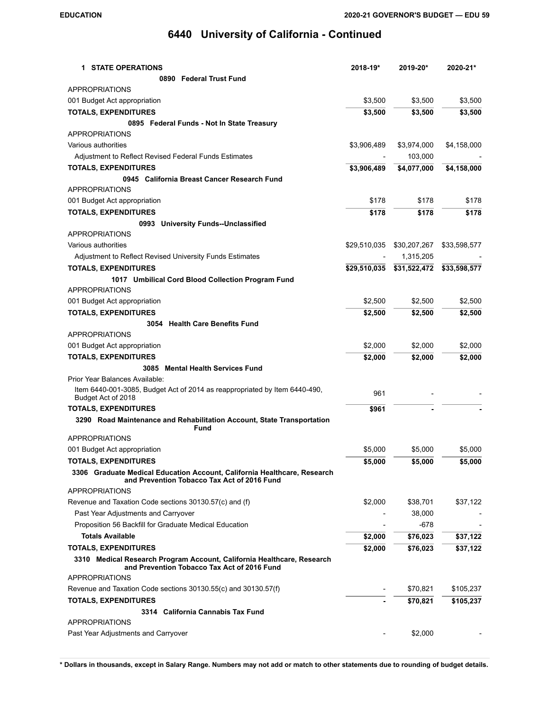| <b>1 STATE OPERATIONS</b>                                                                                               | 2018-19*     | 2019-20*     | 2020-21*     |
|-------------------------------------------------------------------------------------------------------------------------|--------------|--------------|--------------|
| 0890 Federal Trust Fund                                                                                                 |              |              |              |
| <b>APPROPRIATIONS</b>                                                                                                   |              |              |              |
| 001 Budget Act appropriation                                                                                            | \$3,500      | \$3,500      | \$3,500      |
| <b>TOTALS, EXPENDITURES</b>                                                                                             | \$3,500      | \$3,500      | \$3,500      |
| 0895 Federal Funds - Not In State Treasury                                                                              |              |              |              |
| <b>APPROPRIATIONS</b>                                                                                                   |              |              |              |
| Various authorities                                                                                                     | \$3,906,489  | \$3,974,000  | \$4,158,000  |
| Adjustment to Reflect Revised Federal Funds Estimates                                                                   |              | 103,000      |              |
| <b>TOTALS, EXPENDITURES</b>                                                                                             | \$3,906,489  | \$4,077,000  | \$4,158,000  |
| 0945 California Breast Cancer Research Fund                                                                             |              |              |              |
| <b>APPROPRIATIONS</b>                                                                                                   |              |              |              |
| 001 Budget Act appropriation                                                                                            | \$178        | \$178        | \$178        |
| <b>TOTALS, EXPENDITURES</b>                                                                                             | \$178        | \$178        | \$178        |
| 0993 University Funds--Unclassified                                                                                     |              |              |              |
| <b>APPROPRIATIONS</b>                                                                                                   |              |              |              |
| Various authorities                                                                                                     | \$29,510,035 | \$30,207,267 | \$33,598,577 |
| Adjustment to Reflect Revised University Funds Estimates                                                                |              | 1,315,205    |              |
| <b>TOTALS, EXPENDITURES</b>                                                                                             | \$29,510,035 | \$31,522,472 | \$33,598,577 |
| 1017 Umbilical Cord Blood Collection Program Fund                                                                       |              |              |              |
| <b>APPROPRIATIONS</b>                                                                                                   |              |              |              |
| 001 Budget Act appropriation                                                                                            | \$2,500      | \$2,500      | \$2,500      |
| <b>TOTALS, EXPENDITURES</b>                                                                                             | \$2,500      | \$2,500      | \$2,500      |
| 3054 Health Care Benefits Fund                                                                                          |              |              |              |
| <b>APPROPRIATIONS</b>                                                                                                   |              |              |              |
| 001 Budget Act appropriation                                                                                            | \$2,000      | \$2,000      | \$2,000      |
| <b>TOTALS, EXPENDITURES</b>                                                                                             | \$2,000      | \$2,000      | \$2,000      |
| 3085 Mental Health Services Fund                                                                                        |              |              |              |
| Prior Year Balances Available:                                                                                          |              |              |              |
| Item 6440-001-3085, Budget Act of 2014 as reappropriated by Item 6440-490,<br>Budget Act of 2018                        | 961          |              |              |
| <b>TOTALS, EXPENDITURES</b>                                                                                             | \$961        |              |              |
| 3290 Road Maintenance and Rehabilitation Account, State Transportation<br><b>Fund</b>                                   |              |              |              |
| <b>APPROPRIATIONS</b>                                                                                                   |              |              |              |
| 001 Budget Act appropriation                                                                                            | \$5,000      | \$5,000      | \$5,000      |
| <b>TOTALS, EXPENDITURES</b>                                                                                             | \$5,000      | \$5,000      | \$5,000      |
| 3306 Graduate Medical Education Account, California Healthcare, Research<br>and Prevention Tobacco Tax Act of 2016 Fund |              |              |              |
| <b>APPROPRIATIONS</b>                                                                                                   |              |              |              |
| Revenue and Taxation Code sections 30130.57(c) and (f)                                                                  | \$2,000      | \$38,701     | \$37,122     |
| Past Year Adjustments and Carryover                                                                                     |              | 38,000       |              |
| Proposition 56 Backfill for Graduate Medical Education                                                                  |              | -678         |              |
| <b>Totals Available</b>                                                                                                 | \$2,000      | \$76,023     | \$37,122     |
| <b>TOTALS, EXPENDITURES</b>                                                                                             | \$2,000      | \$76,023     | \$37,122     |
| 3310 Medical Research Program Account, California Healthcare, Research<br>and Prevention Tobacco Tax Act of 2016 Fund   |              |              |              |
| <b>APPROPRIATIONS</b>                                                                                                   |              |              |              |
| Revenue and Taxation Code sections 30130.55(c) and 30130.57(f)                                                          |              | \$70,821     | \$105,237    |
| <b>TOTALS, EXPENDITURES</b>                                                                                             |              | \$70,821     | \$105,237    |
| 3314 California Cannabis Tax Fund                                                                                       |              |              |              |
| <b>APPROPRIATIONS</b>                                                                                                   |              |              |              |
| Past Year Adjustments and Carryover                                                                                     |              | \$2,000      |              |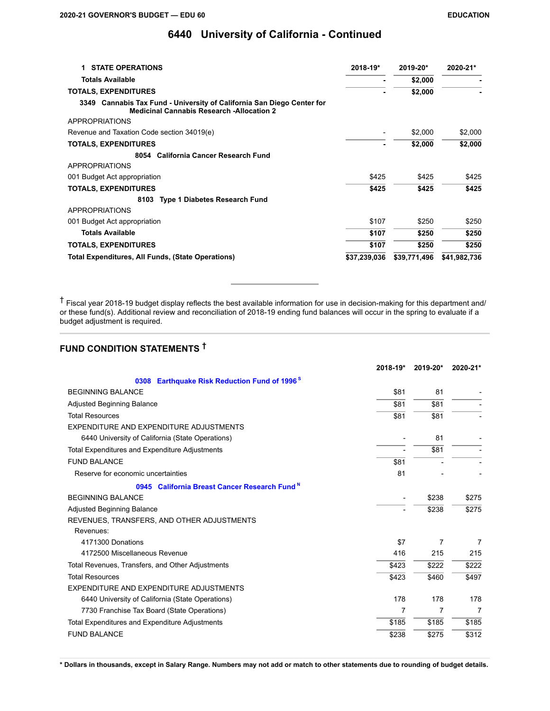| <b>STATE OPERATIONS</b><br>1.                                                                                              | 2018-19*     | 2019-20*     | 2020-21*     |
|----------------------------------------------------------------------------------------------------------------------------|--------------|--------------|--------------|
| <b>Totals Available</b>                                                                                                    |              | \$2,000      |              |
| <b>TOTALS, EXPENDITURES</b>                                                                                                |              | \$2,000      |              |
| 3349 Cannabis Tax Fund - University of California San Diego Center for<br><b>Medicinal Cannabis Research -Allocation 2</b> |              |              |              |
| <b>APPROPRIATIONS</b>                                                                                                      |              |              |              |
| Revenue and Taxation Code section 34019(e)                                                                                 |              | \$2,000      | \$2,000      |
| <b>TOTALS, EXPENDITURES</b>                                                                                                |              | \$2,000      | \$2,000      |
| <b>California Cancer Research Fund</b><br>8054                                                                             |              |              |              |
| <b>APPROPRIATIONS</b>                                                                                                      |              |              |              |
| 001 Budget Act appropriation                                                                                               | \$425        | \$425        | \$425        |
| <b>TOTALS, EXPENDITURES</b>                                                                                                | \$425        | \$425        | \$425        |
| 8103 Type 1 Diabetes Research Fund                                                                                         |              |              |              |
| <b>APPROPRIATIONS</b>                                                                                                      |              |              |              |
| 001 Budget Act appropriation                                                                                               | \$107        | \$250        | \$250        |
| <b>Totals Available</b>                                                                                                    | \$107        | \$250        | \$250        |
| <b>TOTALS, EXPENDITURES</b>                                                                                                | \$107        | \$250        | \$250        |
| Total Expenditures, All Funds, (State Operations)                                                                          | \$37,239,036 | \$39,771,496 | \$41,982,736 |

† Fiscal year 2018-19 budget display reflects the best available information for use in decision-making for this department and/ or these fund(s). Additional review and reconciliation of 2018-19 ending fund balances will occur in the spring to evaluate if a budget adjustment is required.

# **FUND CONDITION STATEMENTS †**

|                                                                   | 2018-19* | 2019-20* | 2020-21* |
|-------------------------------------------------------------------|----------|----------|----------|
| <b>Earthquake Risk Reduction Fund of 1996<sup>S</sup></b><br>0308 |          |          |          |
| <b>BEGINNING BALANCE</b>                                          | \$81     | 81       |          |
| <b>Adjusted Beginning Balance</b>                                 | \$81     | \$81     |          |
| <b>Total Resources</b>                                            | \$81     | \$81     |          |
| EXPENDITURE AND EXPENDITURE ADJUSTMENTS                           |          |          |          |
| 6440 University of California (State Operations)                  |          | 81       |          |
| Total Expenditures and Expenditure Adjustments                    |          | \$81     |          |
| <b>FUND BALANCE</b>                                               | \$81     |          |          |
| Reserve for economic uncertainties                                | 81       |          |          |
| 0945 California Breast Cancer Research Fund <sup>N</sup>          |          |          |          |
| <b>BEGINNING BALANCE</b>                                          |          | \$238    | \$275    |
| <b>Adjusted Beginning Balance</b>                                 |          | \$238    | \$275    |
| REVENUES, TRANSFERS, AND OTHER ADJUSTMENTS                        |          |          |          |
| Revenues:                                                         |          |          |          |
| 4171300 Donations                                                 | \$7      | 7        | 7        |
| 4172500 Miscellaneous Revenue                                     | 416      | 215      | 215      |
| Total Revenues, Transfers, and Other Adjustments                  | \$423    | \$222    | \$222    |
| <b>Total Resources</b>                                            | \$423    | \$460    | \$497    |
| EXPENDITURE AND EXPENDITURE ADJUSTMENTS                           |          |          |          |
| 6440 University of California (State Operations)                  | 178      | 178      | 178      |
| 7730 Franchise Tax Board (State Operations)                       | 7        | 7        | 7        |
| Total Expenditures and Expenditure Adjustments                    | \$185    | \$185    | \$185    |
| <b>FUND BALANCE</b>                                               | \$238    | \$275    | \$312    |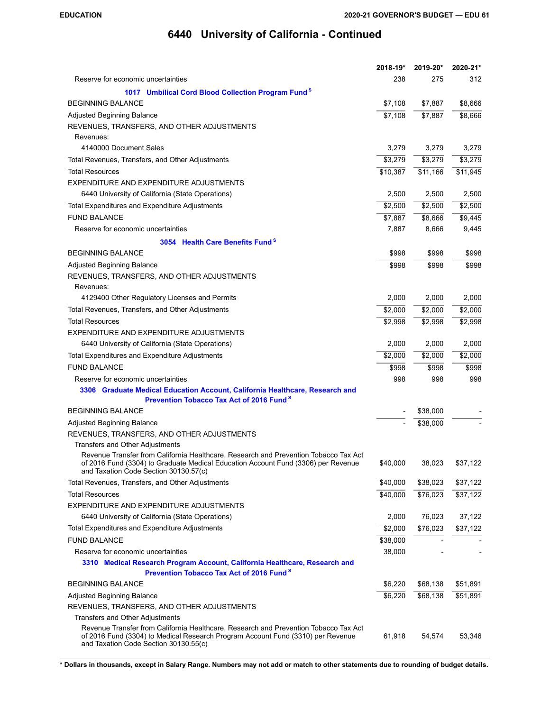|                                                                                                                                                                                                                  | $2018 - 19*$ | 2019-20* | 2020-21* |
|------------------------------------------------------------------------------------------------------------------------------------------------------------------------------------------------------------------|--------------|----------|----------|
| Reserve for economic uncertainties                                                                                                                                                                               | 238          | 275      | 312      |
| 1017 Umbilical Cord Blood Collection Program Fund <sup>8</sup>                                                                                                                                                   |              |          |          |
| <b>BEGINNING BALANCE</b>                                                                                                                                                                                         | \$7,108      | \$7,887  | \$8,666  |
| <b>Adjusted Beginning Balance</b>                                                                                                                                                                                | \$7,108      | \$7,887  | \$8,666  |
| REVENUES, TRANSFERS, AND OTHER ADJUSTMENTS                                                                                                                                                                       |              |          |          |
| Revenues:                                                                                                                                                                                                        |              |          |          |
| 4140000 Document Sales                                                                                                                                                                                           | 3,279        | 3,279    | 3,279    |
| Total Revenues, Transfers, and Other Adjustments                                                                                                                                                                 | \$3,279      | \$3,279  | \$3,279  |
| <b>Total Resources</b>                                                                                                                                                                                           | \$10,387     | \$11,166 | \$11,945 |
| EXPENDITURE AND EXPENDITURE ADJUSTMENTS                                                                                                                                                                          |              |          |          |
| 6440 University of California (State Operations)                                                                                                                                                                 | 2,500        | 2,500    | 2,500    |
| Total Expenditures and Expenditure Adjustments                                                                                                                                                                   | \$2,500      | \$2,500  | \$2,500  |
| <b>FUND BALANCE</b>                                                                                                                                                                                              | \$7,887      | \$8,666  | \$9,445  |
| Reserve for economic uncertainties                                                                                                                                                                               | 7,887        | 8,666    | 9,445    |
| 3054 Health Care Benefits Fund <sup>8</sup>                                                                                                                                                                      |              |          |          |
| <b>BEGINNING BALANCE</b>                                                                                                                                                                                         | \$998        | \$998    | \$998    |
| Adjusted Beginning Balance                                                                                                                                                                                       | \$998        | \$998    | \$998    |
| REVENUES, TRANSFERS, AND OTHER ADJUSTMENTS                                                                                                                                                                       |              |          |          |
| Revenues:                                                                                                                                                                                                        |              |          |          |
| 4129400 Other Regulatory Licenses and Permits                                                                                                                                                                    | 2,000        | 2,000    | 2,000    |
| Total Revenues, Transfers, and Other Adjustments                                                                                                                                                                 | \$2,000      | \$2,000  | \$2,000  |
| <b>Total Resources</b>                                                                                                                                                                                           | \$2,998      | \$2,998  | \$2,998  |
| EXPENDITURE AND EXPENDITURE ADJUSTMENTS                                                                                                                                                                          |              |          |          |
| 6440 University of California (State Operations)                                                                                                                                                                 | 2,000        | 2,000    | 2,000    |
| Total Expenditures and Expenditure Adjustments                                                                                                                                                                   | \$2,000      | \$2,000  | \$2,000  |
| <b>FUND BALANCE</b>                                                                                                                                                                                              | \$998        | \$998    | \$998    |
| Reserve for economic uncertainties                                                                                                                                                                               | 998          | 998      | 998      |
| 3306 Graduate Medical Education Account, California Healthcare, Research and<br><b>Prevention Tobacco Tax Act of 2016 Fund</b> <sup>8</sup>                                                                      |              |          |          |
| <b>BEGINNING BALANCE</b>                                                                                                                                                                                         |              | \$38,000 |          |
|                                                                                                                                                                                                                  |              |          |          |
| Adjusted Beginning Balance<br>REVENUES, TRANSFERS, AND OTHER ADJUSTMENTS                                                                                                                                         |              | \$38,000 |          |
| <b>Transfers and Other Adjustments</b>                                                                                                                                                                           |              |          |          |
| Revenue Transfer from California Healthcare, Research and Prevention Tobacco Tax Act                                                                                                                             |              |          |          |
| of 2016 Fund (3304) to Graduate Medical Education Account Fund (3306) per Revenue<br>and Taxation Code Section 30130.57(c)                                                                                       | \$40,000     | 38,023   | \$37,122 |
| Total Revenues, Transfers, and Other Adjustments                                                                                                                                                                 | \$40,000     | \$38,023 | \$37,122 |
| <b>Total Resources</b>                                                                                                                                                                                           | \$40,000     | \$76,023 | \$37,122 |
| EXPENDITURE AND EXPENDITURE ADJUSTMENTS                                                                                                                                                                          |              |          |          |
| 6440 University of California (State Operations)                                                                                                                                                                 | 2,000        | 76,023   | 37,122   |
| Total Expenditures and Expenditure Adjustments                                                                                                                                                                   | \$2,000      | \$76,023 | \$37,122 |
| <b>FUND BALANCE</b>                                                                                                                                                                                              | \$38,000     |          |          |
| Reserve for economic uncertainties                                                                                                                                                                               | 38,000       |          |          |
| 3310 Medical Research Program Account, California Healthcare, Research and                                                                                                                                       |              |          |          |
| Prevention Tobacco Tax Act of 2016 Fund <sup>S</sup>                                                                                                                                                             |              |          |          |
| <b>BEGINNING BALANCE</b>                                                                                                                                                                                         | \$6,220      | \$68,138 | \$51,891 |
| Adjusted Beginning Balance                                                                                                                                                                                       | \$6,220      | \$68,138 | \$51,891 |
| REVENUES, TRANSFERS, AND OTHER ADJUSTMENTS                                                                                                                                                                       |              |          |          |
| Transfers and Other Adjustments                                                                                                                                                                                  |              |          |          |
| Revenue Transfer from California Healthcare, Research and Prevention Tobacco Tax Act<br>of 2016 Fund (3304) to Medical Research Program Account Fund (3310) per Revenue<br>and Taxation Code Section 30130.55(c) | 61,918       | 54,574   | 53,346   |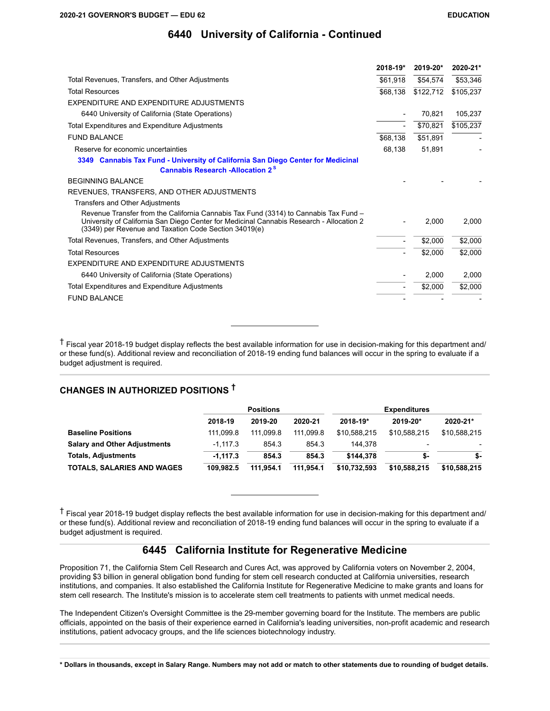|                                                                                                                                                                                                                                           | 2018-19* | 2019-20*  | 2020-21*  |
|-------------------------------------------------------------------------------------------------------------------------------------------------------------------------------------------------------------------------------------------|----------|-----------|-----------|
| Total Revenues, Transfers, and Other Adjustments                                                                                                                                                                                          | \$61,918 | \$54,574  | \$53,346  |
| <b>Total Resources</b>                                                                                                                                                                                                                    | \$68,138 | \$122,712 | \$105,237 |
| EXPENDITURE AND EXPENDITURE ADJUSTMENTS                                                                                                                                                                                                   |          |           |           |
| 6440 University of California (State Operations)                                                                                                                                                                                          |          | 70,821    | 105,237   |
| Total Expenditures and Expenditure Adjustments                                                                                                                                                                                            |          | \$70,821  | \$105,237 |
| <b>FUND BALANCE</b>                                                                                                                                                                                                                       | \$68,138 | \$51,891  |           |
| Reserve for economic uncertainties                                                                                                                                                                                                        | 68,138   | 51,891    |           |
| 3349 Cannabis Tax Fund - University of California San Diego Center for Medicinal                                                                                                                                                          |          |           |           |
| <b>Cannabis Research -Allocation 2<sup>S</sup></b>                                                                                                                                                                                        |          |           |           |
| <b>BEGINNING BALANCE</b>                                                                                                                                                                                                                  |          |           |           |
| REVENUES, TRANSFERS, AND OTHER ADJUSTMENTS                                                                                                                                                                                                |          |           |           |
| Transfers and Other Adjustments                                                                                                                                                                                                           |          |           |           |
| Revenue Transfer from the California Cannabis Tax Fund (3314) to Cannabis Tax Fund -<br>University of California San Diego Center for Medicinal Cannabis Research - Allocation 2<br>(3349) per Revenue and Taxation Code Section 34019(e) |          | 2.000     | 2.000     |
| Total Revenues, Transfers, and Other Adjustments                                                                                                                                                                                          |          | \$2,000   | \$2,000   |
| <b>Total Resources</b>                                                                                                                                                                                                                    |          | \$2,000   | \$2,000   |
| EXPENDITURE AND EXPENDITURE ADJUSTMENTS                                                                                                                                                                                                   |          |           |           |
| 6440 University of California (State Operations)                                                                                                                                                                                          |          | 2,000     | 2,000     |
| Total Expenditures and Expenditure Adjustments                                                                                                                                                                                            |          | \$2,000   | \$2,000   |
| <b>FUND BALANCE</b>                                                                                                                                                                                                                       |          |           |           |

† Fiscal year 2018-19 budget display reflects the best available information for use in decision-making for this department and/ or these fund(s). Additional review and reconciliation of 2018-19 ending fund balances will occur in the spring to evaluate if a budget adjustment is required.

## **CHANGES IN AUTHORIZED POSITIONS †**

|                                     |            | <b>Positions</b> |           | <b>Expenditures</b> |              |              |
|-------------------------------------|------------|------------------|-----------|---------------------|--------------|--------------|
|                                     | 2018-19    | 2019-20          | 2020-21   | 2018-19*            | 2019-20*     | 2020-21*     |
| <b>Baseline Positions</b>           | 111.099.8  | 111.099.8        | 111.099.8 | \$10.588.215        | \$10.588.215 | \$10,588,215 |
| <b>Salary and Other Adjustments</b> | $-1.117.3$ | 854.3            | 854.3     | 144.378             |              |              |
| <b>Totals, Adjustments</b>          | $-1.117.3$ | 854.3            | 854.3     | \$144.378           | \$-          | \$-          |
| <b>TOTALS, SALARIES AND WAGES</b>   | 109.982.5  | 111.954.1        | 111.954.1 | \$10,732,593        | \$10,588,215 | \$10,588,215 |

† Fiscal year 2018-19 budget display reflects the best available information for use in decision-making for this department and/ or these fund(s). Additional review and reconciliation of 2018-19 ending fund balances will occur in the spring to evaluate if a budget adjustment is required.

## **6445 California Institute for Regenerative Medicine**

Proposition 71, the California Stem Cell Research and Cures Act, was approved by California voters on November 2, 2004, providing \$3 billion in general obligation bond funding for stem cell research conducted at California universities, research institutions, and companies. It also established the California Institute for Regenerative Medicine to make grants and loans for stem cell research. The Institute's mission is to accelerate stem cell treatments to patients with unmet medical needs.

The Independent Citizen's Oversight Committee is the 29-member governing board for the Institute. The members are public officials, appointed on the basis of their experience earned in California's leading universities, non-profit academic and research institutions, patient advocacy groups, and the life sciences biotechnology industry.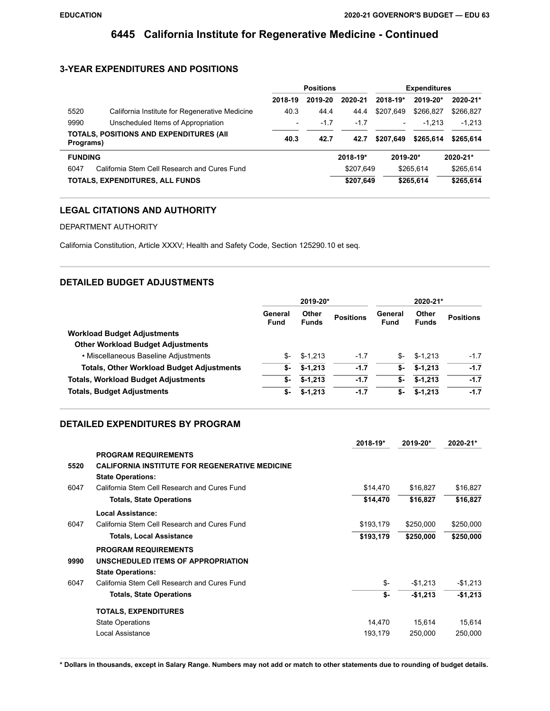# **6445 California Institute for Regenerative Medicine - Continued**

## **3-YEAR EXPENDITURES AND POSITIONS**

|                          | <b>Positions</b> |          |            |                        |                                                                                                                 |
|--------------------------|------------------|----------|------------|------------------------|-----------------------------------------------------------------------------------------------------------------|
| 2018-19                  | 2019-20          | 2020-21  | $2018-19*$ |                        | 2020-21*                                                                                                        |
| 40.3                     | 44.4             | 44.4     | \$207,649  |                        | \$266,827                                                                                                       |
| $\overline{\phantom{0}}$ | $-1.7$           | $-1.7$   | -          |                        | $-1,213$                                                                                                        |
| 40.3                     | 42.7             | 42.7     | \$207.649  |                        | \$265.614                                                                                                       |
|                          |                  | 2018-19* |            |                        | 2020-21*                                                                                                        |
|                          |                  |          |            |                        | \$265,614                                                                                                       |
|                          |                  |          |            |                        | \$265,614                                                                                                       |
|                          |                  |          |            | \$207.649<br>\$207,649 | <b>Expenditures</b><br>2019-20*<br>\$266.827<br>$-1.213$<br>\$265.614<br>$2019 - 20*$<br>\$265.614<br>\$265.614 |

## **LEGAL CITATIONS AND AUTHORITY**

### DEPARTMENT AUTHORITY

California Constitution, Article XXXV; Health and Safety Code, Section 125290.10 et seq.

## **DETAILED BUDGET ADJUSTMENTS**

|                                                  | 2019-20*               |                              |                  | 2020-21*               |                       |                  |
|--------------------------------------------------|------------------------|------------------------------|------------------|------------------------|-----------------------|------------------|
|                                                  | General<br><b>Fund</b> | <b>Other</b><br><b>Funds</b> | <b>Positions</b> | General<br><b>Fund</b> | Other<br><b>Funds</b> | <b>Positions</b> |
| <b>Workload Budget Adjustments</b>               |                        |                              |                  |                        |                       |                  |
| <b>Other Workload Budget Adjustments</b>         |                        |                              |                  |                        |                       |                  |
| • Miscellaneous Baseline Adjustments             | \$-                    | $$-1.213$                    | $-1.7$           | S-                     | $$-1.213$             | $-1.7$           |
| <b>Totals, Other Workload Budget Adjustments</b> | \$-                    | $$-1,213$                    | $-1.7$           | \$-                    | $$-1.213$             | $-1.7$           |
| <b>Totals, Workload Budget Adjustments</b>       | \$-                    | $$-1,213$                    | $-1.7$           | \$-                    | $$-1,213$             | $-1.7$           |
| <b>Totals, Budget Adjustments</b>                | \$-                    | $$-1,213$                    | $-1.7$           | \$-                    | $$-1,213$             | $-1.7$           |

### **DETAILED EXPENDITURES BY PROGRAM**

|      |                                                       | 2018-19*  | 2019-20*  | 2020-21*  |
|------|-------------------------------------------------------|-----------|-----------|-----------|
|      | <b>PROGRAM REQUIREMENTS</b>                           |           |           |           |
| 5520 | <b>CALIFORNIA INSTITUTE FOR REGENERATIVE MEDICINE</b> |           |           |           |
|      | <b>State Operations:</b>                              |           |           |           |
| 6047 | California Stem Cell Research and Cures Fund          | \$14,470  | \$16,827  | \$16,827  |
|      | <b>Totals, State Operations</b>                       | \$14,470  | \$16,827  | \$16,827  |
|      | <b>Local Assistance:</b>                              |           |           |           |
| 6047 | California Stem Cell Research and Cures Fund          | \$193,179 | \$250,000 | \$250,000 |
|      | <b>Totals, Local Assistance</b>                       | \$193,179 | \$250,000 | \$250,000 |
|      | <b>PROGRAM REQUIREMENTS</b>                           |           |           |           |
| 9990 | UNSCHEDULED ITEMS OF APPROPRIATION                    |           |           |           |
|      | <b>State Operations:</b>                              |           |           |           |
| 6047 | California Stem Cell Research and Cures Fund          | \$-       | $-$1,213$ | $-$1,213$ |
|      | <b>Totals, State Operations</b>                       | \$-       | $-$1,213$ | $-$1,213$ |
|      | <b>TOTALS, EXPENDITURES</b>                           |           |           |           |
|      | <b>State Operations</b>                               | 14,470    | 15,614    | 15,614    |
|      | Local Assistance                                      | 193,179   | 250,000   | 250,000   |
|      |                                                       |           |           |           |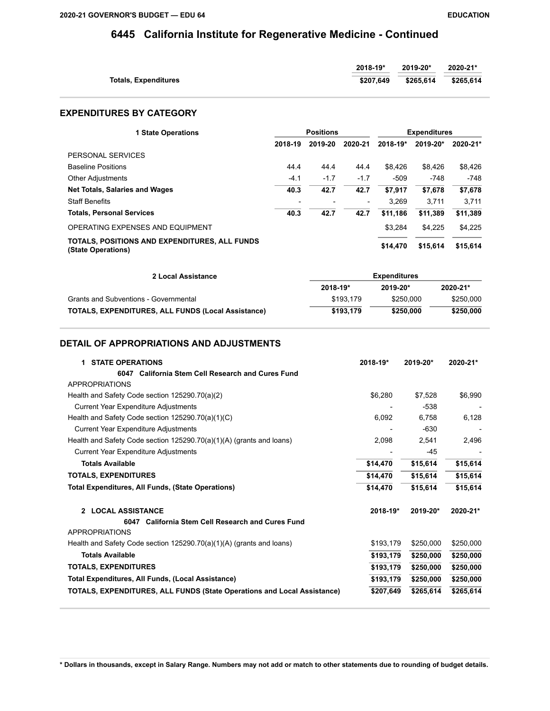# **6445 California Institute for Regenerative Medicine - Continued**

|                             | $2018 - 19*$ | 2019-20*  | 2020-21*  |
|-----------------------------|--------------|-----------|-----------|
| <b>Totals, Expenditures</b> | \$207.649    | \$265.614 | \$265.614 |

### **EXPENDITURES BY CATEGORY**

| <b>1 State Operations</b>                                           | <b>Positions</b> |         |                          | 2018-19*<br>2019-20* | <b>Expenditures</b> |          |  |
|---------------------------------------------------------------------|------------------|---------|--------------------------|----------------------|---------------------|----------|--|
|                                                                     | 2018-19          | 2019-20 | 2020-21                  |                      |                     | 2020-21* |  |
| PERSONAL SERVICES                                                   |                  |         |                          |                      |                     |          |  |
| <b>Baseline Positions</b>                                           | 44.4             | 44.4    | 44.4                     | \$8.426              | \$8.426             | \$8.426  |  |
| <b>Other Adjustments</b>                                            | $-4.1$           | $-1.7$  | $-1.7$                   | $-509$               | -748                | $-748$   |  |
| <b>Net Totals, Salaries and Wages</b>                               | 40.3             | 42.7    | 42.7                     | \$7.917              | \$7,678             | \$7,678  |  |
| <b>Staff Benefits</b>                                               |                  |         | $\overline{\phantom{a}}$ | 3.269                | 3.711               | 3.711    |  |
| <b>Totals, Personal Services</b>                                    | 40.3             | 42.7    | 42.7                     | \$11.186             | \$11.389            | \$11,389 |  |
| OPERATING EXPENSES AND EQUIPMENT                                    |                  |         |                          | \$3.284              | \$4,225             | \$4,225  |  |
| TOTALS. POSITIONS AND EXPENDITURES. ALL FUNDS<br>(State Operations) |                  |         |                          | \$14,470             | \$15,614            | \$15,614 |  |

| 2 Local Assistance                                        |           | <b>Expenditures</b> |              |
|-----------------------------------------------------------|-----------|---------------------|--------------|
|                                                           | 2018-19*  | 2019-20*            | $2020 - 21*$ |
| Grants and Subventions - Governmental                     | \$193.179 | \$250.000           | \$250.000    |
| <b>TOTALS, EXPENDITURES, ALL FUNDS (Local Assistance)</b> | \$193.179 | \$250,000           | \$250,000    |

### **DETAIL OF APPROPRIATIONS AND ADJUSTMENTS**

| <b>STATE OPERATIONS</b><br>$\mathbf 1$                                  | 2018-19*     | 2019-20*  | 2020-21*  |
|-------------------------------------------------------------------------|--------------|-----------|-----------|
| 6047 California Stem Cell Research and Cures Fund                       |              |           |           |
| <b>APPROPRIATIONS</b>                                                   |              |           |           |
| Health and Safety Code section 125290.70(a)(2)                          | \$6,280      | \$7.528   | \$6,990   |
| Current Year Expenditure Adjustments                                    |              | $-538$    |           |
| Health and Safety Code section 125290.70(a)(1)(C)                       | 6,092        | 6.758     | 6,128     |
| Current Year Expenditure Adjustments                                    |              | $-630$    |           |
| Health and Safety Code section 125290.70(a)(1)(A) (grants and loans)    | 2,098        | 2,541     | 2,496     |
| <b>Current Year Expenditure Adjustments</b>                             |              | -45       |           |
| <b>Totals Available</b>                                                 | \$14,470     | \$15,614  | \$15,614  |
| <b>TOTALS, EXPENDITURES</b>                                             | \$14,470     | \$15,614  | \$15,614  |
| <b>Total Expenditures, All Funds, (State Operations)</b>                | \$14,470     | \$15,614  | \$15,614  |
| 2 LOCAL ASSISTANCE                                                      | $2018 - 19*$ | 2019-20*  | 2020-21*  |
| 6047 California Stem Cell Research and Cures Fund                       |              |           |           |
| APPROPRIATIONS                                                          |              |           |           |
| Health and Safety Code section 125290.70(a)(1)(A) (grants and loans)    | \$193,179    | \$250,000 | \$250,000 |
| <b>Totals Available</b>                                                 | \$193,179    | \$250,000 | \$250,000 |
| <b>TOTALS, EXPENDITURES</b>                                             | \$193,179    | \$250,000 | \$250,000 |
| Total Expenditures, All Funds, (Local Assistance)                       | \$193,179    | \$250,000 | \$250,000 |
| TOTALS, EXPENDITURES, ALL FUNDS (State Operations and Local Assistance) | \$207,649    | \$265,614 | \$265,614 |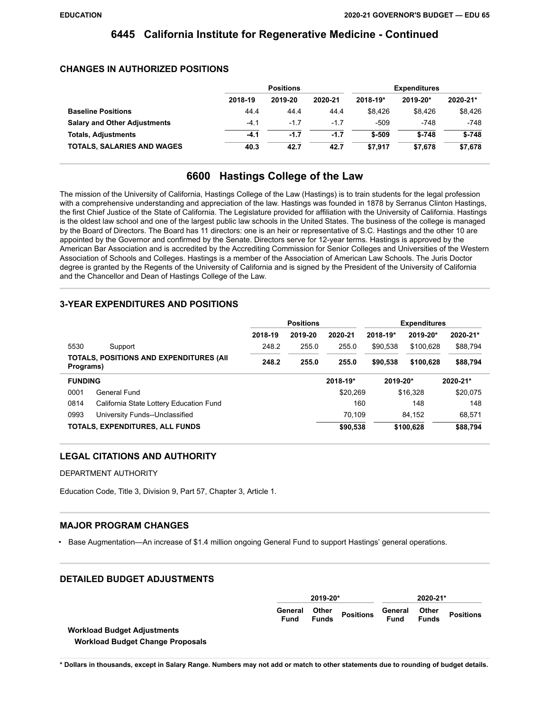## **6445 California Institute for Regenerative Medicine - Continued**

### **CHANGES IN AUTHORIZED POSITIONS**

|                                     |         | <b>Positions</b> |         |          | <b>Expenditures</b> |          |
|-------------------------------------|---------|------------------|---------|----------|---------------------|----------|
|                                     | 2018-19 | 2019-20          | 2020-21 | 2018-19* | 2019-20*            | 2020-21* |
| <b>Baseline Positions</b>           | 44.4    | 44.4             | 44.4    | \$8.426  | \$8.426             | \$8,426  |
| <b>Salary and Other Adjustments</b> | $-4.1$  | $-1.7$           | $-1.7$  | -509     | $-748$              | $-748$   |
| <b>Totals, Adjustments</b>          | $-4.1$  | $-1.7$           | $-1.7$  | $$-509$  | $$-748$             | $$-748$  |
| <b>TOTALS, SALARIES AND WAGES</b>   | 40.3    | 42.7             | 42.7    | \$7.917  | \$7.678             | \$7,678  |

## **6600 Hastings College of the Law**

The mission of the University of California, Hastings College of the Law (Hastings) is to train students for the legal profession with a comprehensive understanding and appreciation of the law. Hastings was founded in 1878 by Serranus Clinton Hastings, the first Chief Justice of the State of California. The Legislature provided for affiliation with the University of California. Hastings is the oldest law school and one of the largest public law schools in the United States. The business of the college is managed by the Board of Directors. The Board has 11 directors: one is an heir or representative of S.C. Hastings and the other 10 are appointed by the Governor and confirmed by the Senate. Directors serve for 12-year terms. Hastings is approved by the American Bar Association and is accredited by the Accrediting Commission for Senior Colleges and Universities of the Western Association of Schools and Colleges. Hastings is a member of the Association of American Law Schools. The Juris Doctor degree is granted by the Regents of the University of California and is signed by the President of the University of California and the Chancellor and Dean of Hastings College of the Law.

### **3-YEAR EXPENDITURES AND POSITIONS**

|                                                              |         | <b>Positions</b> |          |          | <b>Expenditures</b> |          |  |
|--------------------------------------------------------------|---------|------------------|----------|----------|---------------------|----------|--|
|                                                              | 2018-19 | 2019-20          | 2020-21  | 2018-19* | 2019-20*            | 2020-21* |  |
| 5530<br>Support                                              | 248.2   | 255.0            | 255.0    | \$90,538 | \$100,628           | \$88,794 |  |
| <b>TOTALS, POSITIONS AND EXPENDITURES (AII)</b><br>Programs) | 248.2   | 255.0            | 255.0    | \$90,538 | \$100.628           | \$88,794 |  |
| <b>FUNDING</b>                                               |         |                  | 2018-19* | 2019-20* |                     | 2020-21* |  |
| 0001<br>General Fund                                         |         |                  | \$20.269 |          | \$16,328            | \$20,075 |  |
| 0814<br>California State Lottery Education Fund              |         |                  | 160      |          | 148                 | 148      |  |
| 0993<br>University Funds--Unclassified                       |         |                  | 70.109   |          | 84.152              | 68,571   |  |
| TOTALS, EXPENDITURES, ALL FUNDS                              |         |                  | \$90,538 |          | \$100,628           | \$88,794 |  |

### **LEGAL CITATIONS AND AUTHORITY**

#### DEPARTMENT AUTHORITY

Education Code, Title 3, Division 9, Part 57, Chapter 3, Article 1.

### **MAJOR PROGRAM CHANGES**

• Base Augmentation—An increase of \$1.4 million ongoing General Fund to support Hastings' general operations.

### **DETAILED BUDGET ADJUSTMENTS**

|                                         | 2019-20*               |                       |                  | 2020-21*        |                       |                  |
|-----------------------------------------|------------------------|-----------------------|------------------|-----------------|-----------------------|------------------|
|                                         | General<br><b>Fund</b> | Other<br><b>Funds</b> | <b>Positions</b> | General<br>Fund | Other<br><b>Funds</b> | <b>Positions</b> |
| <b>Workload Budget Adjustments</b>      |                        |                       |                  |                 |                       |                  |
| <b>Workload Budget Change Proposals</b> |                        |                       |                  |                 |                       |                  |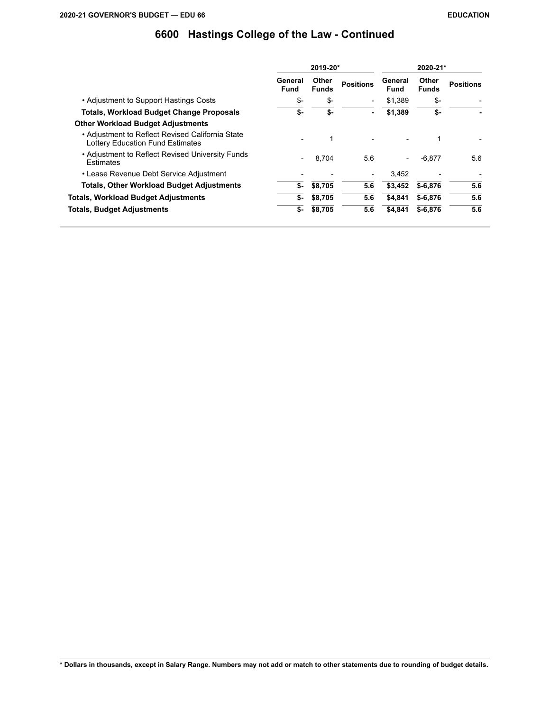|                                                                                             |                 | 2019-20*              |                          | 2020-21*               |                       |                  |  |
|---------------------------------------------------------------------------------------------|-----------------|-----------------------|--------------------------|------------------------|-----------------------|------------------|--|
|                                                                                             | General<br>Fund | Other<br><b>Funds</b> | <b>Positions</b>         | General<br><b>Fund</b> | Other<br><b>Funds</b> | <b>Positions</b> |  |
| • Adjustment to Support Hastings Costs                                                      | \$-             | \$-                   | $\overline{\phantom{0}}$ | \$1.389                | \$-                   |                  |  |
| <b>Totals, Workload Budget Change Proposals</b>                                             | \$-             | \$-                   | ۰                        | \$1,389                | \$-                   |                  |  |
| <b>Other Workload Budget Adjustments</b>                                                    |                 |                       |                          |                        |                       |                  |  |
| • Adjustment to Reflect Revised California State<br><b>Lottery Education Fund Estimates</b> |                 | 1                     |                          |                        | 1                     |                  |  |
| • Adjustment to Reflect Revised University Funds<br><b>Estimates</b>                        |                 | 8.704                 | 5.6                      |                        | $-6.877$              | 5.6              |  |
| • Lease Revenue Debt Service Adjustment                                                     |                 |                       | $\qquad \qquad$          | 3.452                  |                       |                  |  |
| <b>Totals, Other Workload Budget Adjustments</b>                                            | \$-             | \$8,705               | 5.6                      | \$3,452                | $$ -6,876$            | 5.6              |  |
| Totals, Workload Budget Adjustments                                                         | \$-             | \$8,705               | 5.6                      | \$4,841                | $$ -6, 876$           | 5.6              |  |
| Totals, Budget Adjustments                                                                  | \$-             | \$8,705               | 5.6                      | \$4.841                | $$-6.876$             | 5.6              |  |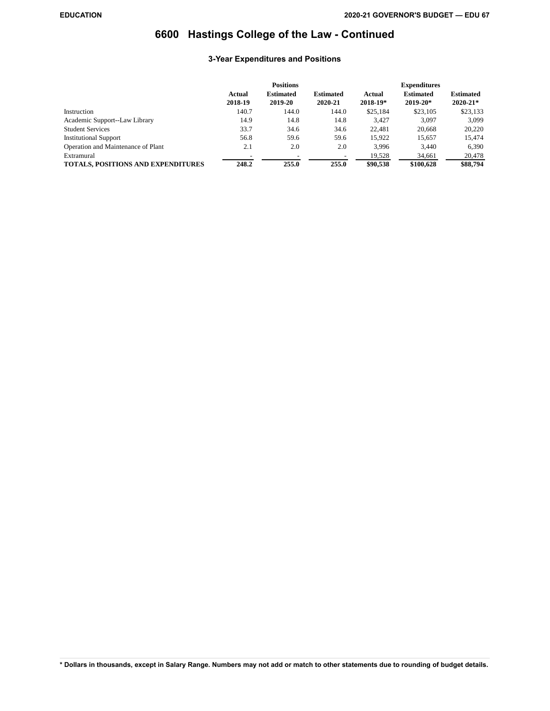## **3-Year Expenditures and Positions**

|                                           |                   | <b>Positions</b>            |                             |                        | <b>Expenditures</b>          |                                  |
|-------------------------------------------|-------------------|-----------------------------|-----------------------------|------------------------|------------------------------|----------------------------------|
|                                           | Actual<br>2018-19 | <b>Estimated</b><br>2019-20 | <b>Estimated</b><br>2020-21 | Actual<br>$2018 - 19*$ | <b>Estimated</b><br>2019-20* | <b>Estimated</b><br>$2020 - 21*$ |
| Instruction                               | 140.7             | 144.0                       | 144.0                       | \$25,184               | \$23,105                     | \$23,133                         |
| Academic Support--Law Library             | 14.9              | 14.8                        | 14.8                        | 3.427                  | 3.097                        | 3.099                            |
| <b>Student Services</b>                   | 33.7              | 34.6                        | 34.6                        | 22,481                 | 20.668                       | 20,220                           |
| <b>Institutional Support</b>              | 56.8              | 59.6                        | 59.6                        | 15.922                 | 15.657                       | 15,474                           |
| Operation and Maintenance of Plant        | 2.1               | 2.0                         | 2.0                         | 3.996                  | 3.440                        | 6,390                            |
| Extramural                                |                   |                             |                             | 19,528                 | 34,661                       | 20,478                           |
| <b>TOTALS, POSITIONS AND EXPENDITURES</b> | 248.2             | 255.0                       | 255.0                       | \$90.538               | \$100,628                    | \$88,794                         |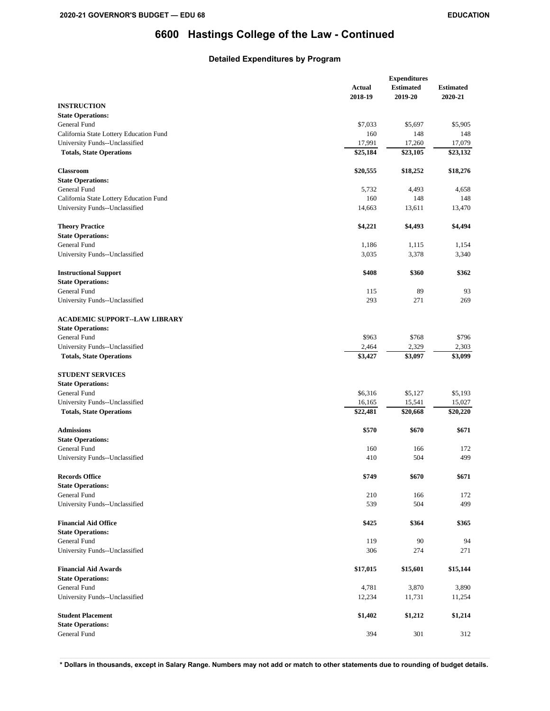## **Detailed Expenditures by Program**

|                                         |          | <b>Expenditures</b> |          |  |
|-----------------------------------------|----------|---------------------|----------|--|
|                                         | Actual   | <b>Estimated</b>    |          |  |
|                                         | 2018-19  | 2019-20             | 2020-21  |  |
| <b>INSTRUCTION</b>                      |          |                     |          |  |
| <b>State Operations:</b>                |          |                     |          |  |
| General Fund                            | \$7,033  | \$5,697             | \$5,905  |  |
| California State Lottery Education Fund | 160      | 148                 | 148      |  |
| University Funds--Unclassified          | 17,991   | 17,260              | 17,079   |  |
|                                         |          |                     |          |  |
| <b>Totals, State Operations</b>         | \$25,184 | \$23,105            | \$23,132 |  |
|                                         |          |                     |          |  |
| <b>Classroom</b>                        | \$20,555 | \$18,252            | \$18,276 |  |
| <b>State Operations:</b>                |          |                     |          |  |
| General Fund                            | 5,732    | 4,493               | 4,658    |  |
| California State Lottery Education Fund | 160      | 148                 | 148      |  |
| University Funds--Unclassified          | 14,663   | 13,611              | 13,470   |  |
|                                         |          |                     |          |  |
| <b>Theory Practice</b>                  | \$4,221  | \$4,493             | \$4,494  |  |
| <b>State Operations:</b>                |          |                     |          |  |
| General Fund                            | 1,186    | 1,115               | 1,154    |  |
| University Funds--Unclassified          | 3,035    | 3,378               | 3,340    |  |
|                                         |          |                     |          |  |
| <b>Instructional Support</b>            | \$408    | \$360               | \$362    |  |
| <b>State Operations:</b>                |          |                     |          |  |
| General Fund                            | 115      | 89                  | 93       |  |
| University Funds--Unclassified          | 293      | 271                 | 269      |  |
|                                         |          |                     |          |  |
| <b>ACADEMIC SUPPORT--LAW LIBRARY</b>    |          |                     |          |  |
| <b>State Operations:</b>                |          |                     |          |  |
| General Fund                            | \$963    | \$768               | \$796    |  |
| University Funds--Unclassified          | 2,464    | 2,329               | 2,303    |  |
| <b>Totals, State Operations</b>         | \$3,427  | \$3,097             | \$3,099  |  |
|                                         |          |                     |          |  |
| <b>STUDENT SERVICES</b>                 |          |                     |          |  |
| <b>State Operations:</b>                |          |                     |          |  |
| General Fund                            | \$6,316  | \$5,127             | \$5,193  |  |
| University Funds--Unclassified          | 16,165   | 15,541              | 15,027   |  |
| <b>Totals, State Operations</b>         | \$22,481 | \$20,668            | \$20,220 |  |
|                                         |          |                     |          |  |
| <b>Admissions</b>                       | \$570    | \$670               | \$671    |  |
| <b>State Operations:</b>                |          |                     |          |  |
| General Fund                            | 160      | 166                 | 172      |  |
| University Funds--Unclassified          | 410      | 504                 | 499      |  |
|                                         |          |                     |          |  |
| <b>Records Office</b>                   | \$749    | \$670               | \$671    |  |
| <b>State Operations:</b>                |          |                     |          |  |
| General Fund                            | 210      | 166                 | 172      |  |
| University Funds--Unclassified          | 539      | 504                 | 499      |  |
|                                         |          |                     |          |  |
| <b>Financial Aid Office</b>             | \$425    | \$364               | \$365    |  |
| <b>State Operations:</b>                |          |                     |          |  |
| General Fund                            | 119      | 90                  | 94       |  |
| University Funds--Unclassified          | 306      | 274                 | 271      |  |
|                                         |          |                     |          |  |
| <b>Financial Aid Awards</b>             | \$17,015 | \$15,601            | \$15,144 |  |
| <b>State Operations:</b>                |          |                     |          |  |
|                                         |          |                     |          |  |
| General Fund                            | 4,781    | 3,870               | 3,890    |  |
| University Funds--Unclassified          | 12,234   | 11,731              | 11,254   |  |
|                                         |          |                     |          |  |
| <b>Student Placement</b>                | \$1,402  | \$1,212             | \$1,214  |  |
| <b>State Operations:</b>                |          |                     |          |  |
| General Fund                            | 394      | 301                 | 312      |  |
|                                         |          |                     |          |  |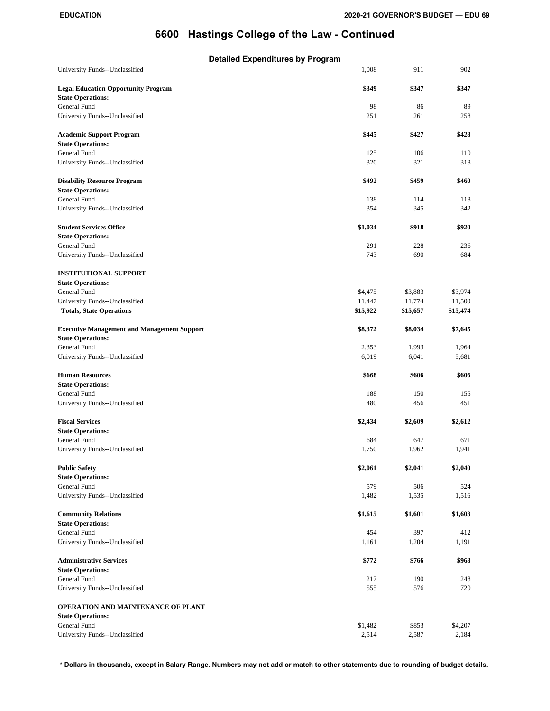| <b>Detailed Expenditures by Program</b>                                        |          |          |          |
|--------------------------------------------------------------------------------|----------|----------|----------|
| University Funds--Unclassified                                                 | 1.008    | 911      | 902      |
| <b>Legal Education Opportunity Program</b><br><b>State Operations:</b>         | \$349    | \$347    | \$347    |
| General Fund                                                                   | 98       | 86       | 89       |
| University Funds--Unclassified                                                 | 251      | 261      | 258      |
| <b>Academic Support Program</b><br><b>State Operations:</b>                    | \$445    | \$427    | \$428    |
| General Fund                                                                   | 125      | 106      | 110      |
| University Funds--Unclassified                                                 | 320      | 321      | 318      |
| <b>Disability Resource Program</b><br><b>State Operations:</b>                 | \$492    | \$459    | \$460    |
| General Fund                                                                   | 138      | 114      | 118      |
| University Funds--Unclassified                                                 | 354      | 345      | 342      |
| <b>Student Services Office</b>                                                 | \$1,034  | \$918    | \$920    |
| <b>State Operations:</b>                                                       |          |          |          |
| General Fund                                                                   | 291      | 228      | 236      |
| University Funds--Unclassified                                                 | 743      | 690      | 684      |
| <b>INSTITUTIONAL SUPPORT</b>                                                   |          |          |          |
| <b>State Operations:</b>                                                       |          |          |          |
| General Fund                                                                   | \$4,475  | \$3,883  | \$3,974  |
| University Funds--Unclassified                                                 | 11,447   | 11,774   | 11,500   |
| <b>Totals, State Operations</b>                                                | \$15,922 | \$15,657 | \$15,474 |
| <b>Executive Management and Management Support</b><br><b>State Operations:</b> | \$8,372  | \$8,034  | \$7,645  |
| General Fund                                                                   | 2,353    | 1,993    | 1,964    |
| University Funds--Unclassified                                                 | 6,019    | 6,041    | 5,681    |
| <b>Human Resources</b>                                                         | \$668    | \$606    | \$606    |
| <b>State Operations:</b>                                                       |          |          |          |
| General Fund                                                                   | 188      | 150      | 155      |
| University Funds--Unclassified                                                 | 480      | 456      | 451      |
| <b>Fiscal Services</b>                                                         | \$2,434  | \$2,609  | \$2,612  |
| <b>State Operations:</b>                                                       |          |          |          |
| General Fund                                                                   | 684      | 647      | 671      |
| University Funds--Unclassified                                                 | 1,750    | 1,962    | 1,941    |
| <b>Public Safety</b>                                                           | \$2,061  | \$2,041  | \$2,040  |
| <b>State Operations:</b>                                                       |          |          |          |
| General Fund                                                                   | 579      | 506      | 524      |
| University Funds--Unclassified                                                 | 1,482    | 1,535    | 1,516    |
| <b>Community Relations</b><br><b>State Operations:</b>                         | \$1,615  | \$1,601  | \$1,603  |
| General Fund                                                                   | 454      | 397      | 412      |
| University Funds--Unclassified                                                 | 1,161    | 1,204    | 1,191    |
|                                                                                |          |          |          |
| <b>Administrative Services</b><br><b>State Operations:</b>                     | \$772    | \$766    | \$968    |
| General Fund                                                                   | 217      | 190      | 248      |
| University Funds--Unclassified                                                 | 555      | 576      | 720      |
|                                                                                |          |          |          |
| OPERATION AND MAINTENANCE OF PLANT<br><b>State Operations:</b>                 |          |          |          |
| General Fund                                                                   | \$1,482  | \$853    | \$4,207  |
| University Funds--Unclassified                                                 | 2,514    | 2,587    | 2,184    |
|                                                                                |          |          |          |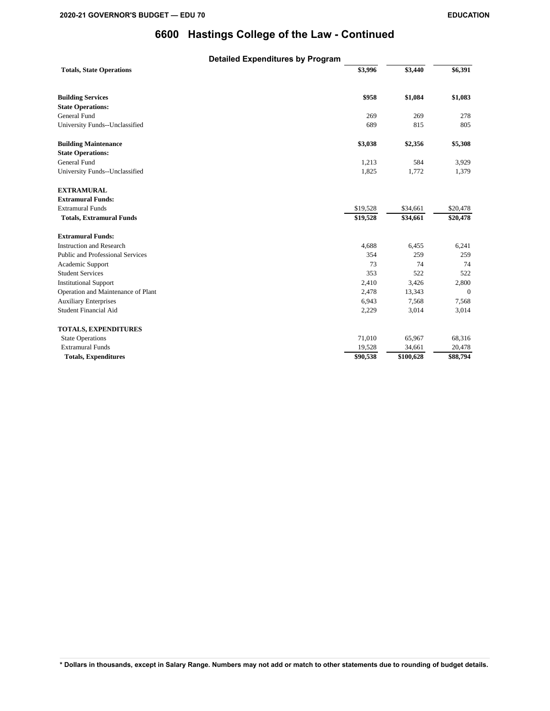|                                    | <b>Detailed Expenditures by Program</b> |           |          |
|------------------------------------|-----------------------------------------|-----------|----------|
| <b>Totals, State Operations</b>    | \$3,996                                 | \$3,440   | \$6,391  |
| <b>Building Services</b>           | \$958                                   | \$1,084   | \$1,083  |
| <b>State Operations:</b>           |                                         |           |          |
| General Fund                       | 269                                     | 269       | 278      |
| University Funds--Unclassified     | 689                                     | 815       | 805      |
| <b>Building Maintenance</b>        | \$3,038                                 | \$2,356   | \$5,308  |
| <b>State Operations:</b>           |                                         |           |          |
| General Fund                       | 1,213                                   | 584       | 3,929    |
| University Funds--Unclassified     | 1,825                                   | 1,772     | 1,379    |
| <b>EXTRAMURAL</b>                  |                                         |           |          |
| <b>Extramural Funds:</b>           |                                         |           |          |
| <b>Extramural Funds</b>            | \$19,528                                | \$34,661  | \$20,478 |
| <b>Totals, Extramural Funds</b>    | \$19,528                                | \$34,661  | \$20,478 |
| <b>Extramural Funds:</b>           |                                         |           |          |
| <b>Instruction and Research</b>    | 4,688                                   | 6,455     | 6,241    |
| Public and Professional Services   | 354                                     | 259       | 259      |
| Academic Support                   | 73                                      | 74        | 74       |
| <b>Student Services</b>            | 353                                     | 522       | 522      |
| <b>Institutional Support</b>       | 2,410                                   | 3,426     | 2,800    |
| Operation and Maintenance of Plant | 2,478                                   | 13,343    | $\Omega$ |
| <b>Auxiliary Enterprises</b>       | 6,943                                   | 7,568     | 7,568    |
| <b>Student Financial Aid</b>       | 2,229                                   | 3,014     | 3,014    |
| <b>TOTALS, EXPENDITURES</b>        |                                         |           |          |
| <b>State Operations</b>            | 71,010                                  | 65,967    | 68,316   |
| <b>Extramural Funds</b>            | 19,528                                  | 34,661    | 20,478   |
| <b>Totals, Expenditures</b>        | \$90,538                                | \$100,628 | \$88,794 |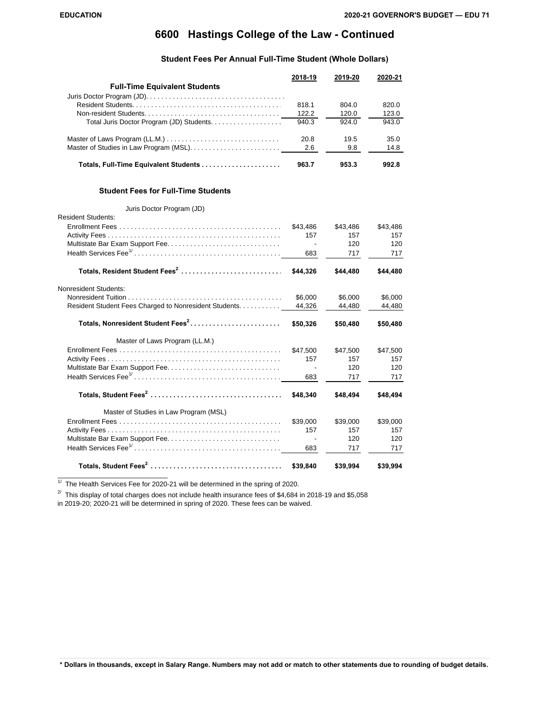## **6600 Hastings College of the Law - Continued**

#### **Student Fees Per Annual Full-Time Student (Whole Dollars)**

|                                           | 2018-19 | 2019-20 | 2020-21 |
|-------------------------------------------|---------|---------|---------|
| <b>Full-Time Equivalent Students</b>      |         |         |         |
|                                           |         |         |         |
|                                           | 818.1   | 804.0   | 820.0   |
|                                           | 122.2   | 120.0   | 123.0   |
| Total Juris Doctor Program (JD) Students. | 940.3   | 924.0   | 943.0   |
|                                           | 20.8    | 19.5    | 35.0    |
|                                           | 2.6     | 9.8     | 14.8    |
| Totals, Full-Time Equivalent Students     | 963.7   | 953.3   | 992.8   |

#### **Student Fees for Full-Time Students**

#### Juris Doctor Program (JD)

| <b>Resident Students:</b>                              |                          |          |          |
|--------------------------------------------------------|--------------------------|----------|----------|
|                                                        | \$43.486                 | \$43,486 | \$43,486 |
|                                                        | 157                      | 157      | 157      |
|                                                        | $\overline{\phantom{a}}$ | 120      | 120      |
|                                                        | 683                      | 717      | 717      |
| Totals, Resident Student Fees <sup>2</sup>             | \$44.326                 | \$44,480 | \$44.480 |
| Nonresident Students:                                  |                          |          |          |
|                                                        | \$6,000                  | \$6.000  | \$6,000  |
| Resident Student Fees Charged to Nonresident Students. | 44,326                   | 44,480   | 44,480   |
| Totals, Nonresident Student Fees <sup>2</sup>          | \$50,326                 | \$50,480 | \$50,480 |
| Master of Laws Program (LL.M.)                         |                          |          |          |
|                                                        | \$47.500                 | \$47,500 | \$47,500 |
|                                                        | 157                      | 157      | 157      |
|                                                        |                          | 120      | 120      |
|                                                        | 683                      | 717      | 717      |
|                                                        | \$48,340                 | \$48,494 | \$48,494 |
| Master of Studies in Law Program (MSL)                 |                          |          |          |
|                                                        | \$39,000                 | \$39,000 | \$39,000 |
|                                                        | 157                      | 157      | 157      |
|                                                        |                          | 120      | 120      |
|                                                        | 683                      | 717      | 717      |
|                                                        | \$39,840                 | \$39,994 | \$39,994 |

 $\overline{11}$  The Health Services Fee for 2020-21 will be determined in the spring of 2020.

 $2^{7}$  This display of total charges does not include health insurance fees of \$4,684 in 2018-19 and \$5,058

in 2019-20; 2020-21 will be determined in spring of 2020. These fees can be waived.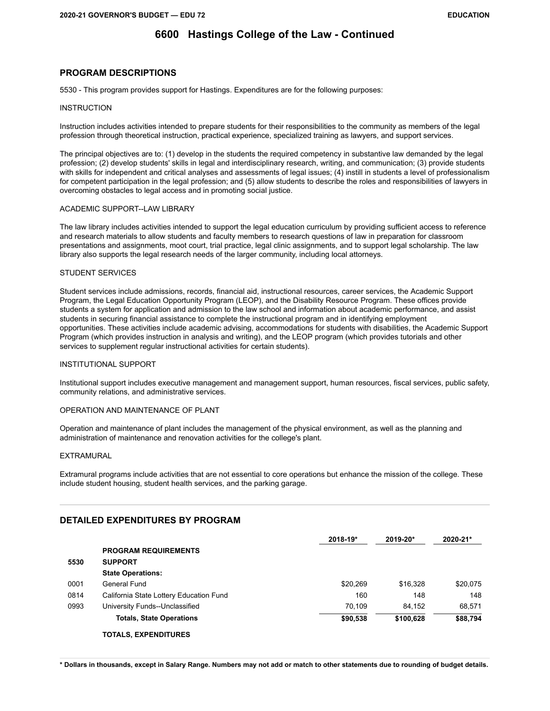## **6600 Hastings College of the Law - Continued**

### **PROGRAM DESCRIPTIONS**

5530 - This program provides support for Hastings. Expenditures are for the following purposes:

#### **INSTRUCTION**

Instruction includes activities intended to prepare students for their responsibilities to the community as members of the legal profession through theoretical instruction, practical experience, specialized training as lawyers, and support services.

The principal objectives are to: (1) develop in the students the required competency in substantive law demanded by the legal profession; (2) develop students' skills in legal and interdisciplinary research, writing, and communication; (3) provide students with skills for independent and critical analyses and assessments of legal issues; (4) instill in students a level of professionalism for competent participation in the legal profession; and (5) allow students to describe the roles and responsibilities of lawyers in overcoming obstacles to legal access and in promoting social justice.

### ACADEMIC SUPPORT--LAW LIBRARY

The law library includes activities intended to support the legal education curriculum by providing sufficient access to reference and research materials to allow students and faculty members to research questions of law in preparation for classroom presentations and assignments, moot court, trial practice, legal clinic assignments, and to support legal scholarship. The law library also supports the legal research needs of the larger community, including local attorneys.

### STUDENT SERVICES

Student services include admissions, records, financial aid, instructional resources, career services, the Academic Support Program, the Legal Education Opportunity Program (LEOP), and the Disability Resource Program. These offices provide students a system for application and admission to the law school and information about academic performance, and assist students in securing financial assistance to complete the instructional program and in identifying employment opportunities. These activities include academic advising, accommodations for students with disabilities, the Academic Support Program (which provides instruction in analysis and writing), and the LEOP program (which provides tutorials and other services to supplement regular instructional activities for certain students).

### INSTITUTIONAL SUPPORT

Institutional support includes executive management and management support, human resources, fiscal services, public safety, community relations, and administrative services.

### OPERATION AND MAINTENANCE OF PLANT

Operation and maintenance of plant includes the management of the physical environment, as well as the planning and administration of maintenance and renovation activities for the college's plant.

### EXTRAMURAL

Extramural programs include activities that are not essential to core operations but enhance the mission of the college. These include student housing, student health services, and the parking garage.

### **DETAILED EXPENDITURES BY PROGRAM**

|      |                                         | 2018-19* | 2019-20*  | 2020-21* |
|------|-----------------------------------------|----------|-----------|----------|
|      | <b>PROGRAM REQUIREMENTS</b>             |          |           |          |
| 5530 | <b>SUPPORT</b>                          |          |           |          |
|      | <b>State Operations:</b>                |          |           |          |
| 0001 | General Fund                            | \$20.269 | \$16,328  | \$20,075 |
| 0814 | California State Lottery Education Fund | 160      | 148       | 148      |
| 0993 | University Funds--Unclassified          | 70.109   | 84.152    | 68.571   |
|      | <b>Totals, State Operations</b>         | \$90,538 | \$100,628 | \$88,794 |
|      | <b>TOTALS, EXPENDITURES</b>             |          |           |          |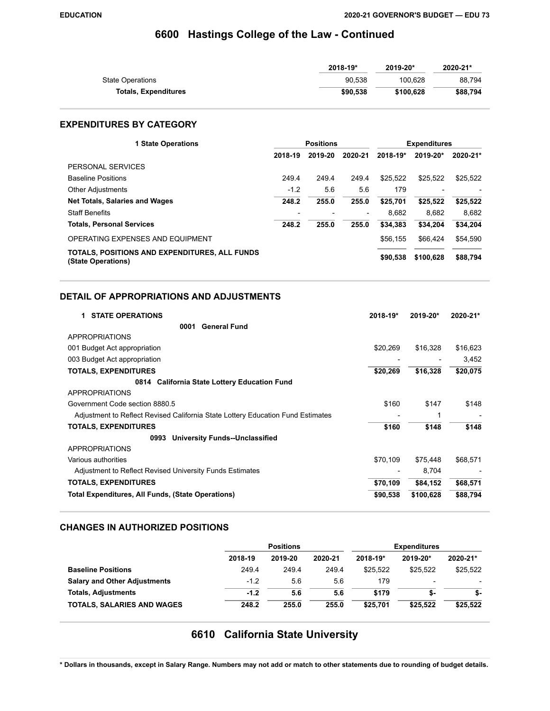## **6600 Hastings College of the Law - Continued**

|                             | 2018-19* | 2019-20*  | 2020-21* |
|-----------------------------|----------|-----------|----------|
| <b>State Operations</b>     | 90.538   | 100.628   | 88.794   |
| <b>Totals, Expenditures</b> | \$90,538 | \$100.628 | \$88.794 |

### **EXPENDITURES BY CATEGORY**

| <b>1 State Operations</b>                                           | <b>Positions</b> |         |         | <b>Expenditures</b> |                          |          |
|---------------------------------------------------------------------|------------------|---------|---------|---------------------|--------------------------|----------|
|                                                                     | 2018-19          | 2019-20 | 2020-21 | 2018-19*            | 2019-20*                 | 2020-21* |
| PERSONAL SERVICES                                                   |                  |         |         |                     |                          |          |
| <b>Baseline Positions</b>                                           | 249.4            | 249.4   | 249.4   | \$25.522            | \$25,522                 | \$25,522 |
| <b>Other Adjustments</b>                                            | $-1.2$           | 5.6     | 5.6     | 179                 | $\overline{\phantom{0}}$ |          |
| <b>Net Totals, Salaries and Wages</b>                               | 248.2            | 255.0   | 255.0   | \$25.701            | \$25.522                 | \$25,522 |
| <b>Staff Benefits</b>                                               |                  |         |         | 8.682               | 8.682                    | 8,682    |
| <b>Totals, Personal Services</b>                                    | 248.2            | 255.0   | 255.0   | \$34,383            | \$34.204                 | \$34,204 |
| OPERATING EXPENSES AND EQUIPMENT                                    |                  |         |         | \$56,155            | \$66.424                 | \$54,590 |
| TOTALS, POSITIONS AND EXPENDITURES, ALL FUNDS<br>(State Operations) |                  |         |         | \$90,538            | \$100.628                | \$88,794 |

### **DETAIL OF APPROPRIATIONS AND ADJUSTMENTS**

| <b>STATE OPERATIONS</b><br>1.                                                   | 2018-19* | 2019-20*  | 2020-21* |
|---------------------------------------------------------------------------------|----------|-----------|----------|
| <b>General Fund</b><br>0001                                                     |          |           |          |
| APPROPRIATIONS                                                                  |          |           |          |
| 001 Budget Act appropriation                                                    | \$20,269 | \$16,328  | \$16,623 |
| 003 Budget Act appropriation                                                    |          |           | 3,452    |
| <b>TOTALS, EXPENDITURES</b>                                                     | \$20,269 | \$16,328  | \$20,075 |
| 0814 California State Lottery Education Fund                                    |          |           |          |
| <b>APPROPRIATIONS</b>                                                           |          |           |          |
| Government Code section 8880.5                                                  | \$160    | \$147     | \$148    |
| Adjustment to Reflect Revised California State Lottery Education Fund Estimates |          |           |          |
| <b>TOTALS, EXPENDITURES</b>                                                     | \$160    | \$148     | \$148    |
| <b>University Funds--Unclassified</b><br>0993                                   |          |           |          |
| <b>APPROPRIATIONS</b>                                                           |          |           |          |
| Various authorities                                                             | \$70,109 | \$75,448  | \$68,571 |
| Adjustment to Reflect Revised University Funds Estimates                        |          | 8,704     |          |
| <b>TOTALS, EXPENDITURES</b>                                                     | \$70,109 | \$84,152  | \$68,571 |
| Total Expenditures, All Funds, (State Operations)                               | \$90,538 | \$100,628 | \$88,794 |

### **CHANGES IN AUTHORIZED POSITIONS**

|                                     | <b>Positions</b> |         |         | <b>Expenditures</b> |                          |          |
|-------------------------------------|------------------|---------|---------|---------------------|--------------------------|----------|
|                                     | 2018-19          | 2019-20 | 2020-21 | 2018-19*            | 2019-20*                 | 2020-21* |
| <b>Baseline Positions</b>           | 249.4            | 249.4   | 249.4   | \$25.522            | \$25.522                 | \$25.522 |
| <b>Salary and Other Adjustments</b> | $-1.2$           | 5.6     | 5.6     | 179                 | $\overline{\phantom{0}}$ |          |
| <b>Totals, Adjustments</b>          | $-1.2$           | 5.6     | 5.6     | \$179               | \$-                      | \$-      |
| <b>TOTALS, SALARIES AND WAGES</b>   | 248.2            | 255.0   | 255.0   | \$25.701            | \$25,522                 | \$25,522 |

# **6610 California State University**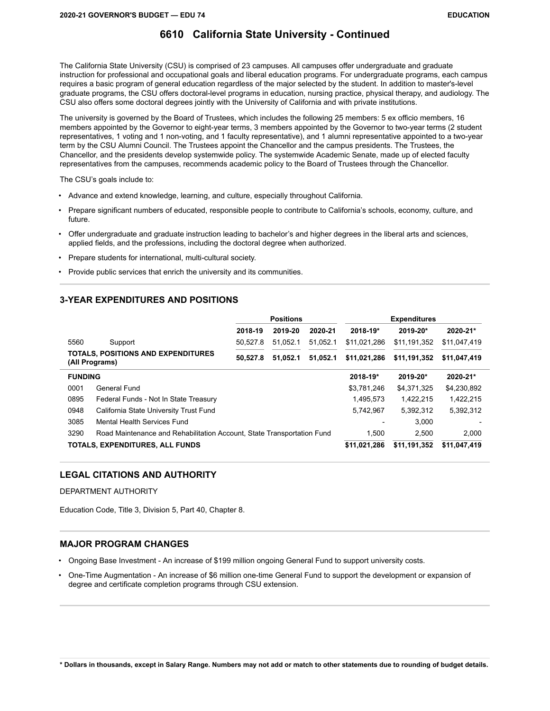The California State University (CSU) is comprised of 23 campuses. All campuses offer undergraduate and graduate instruction for professional and occupational goals and liberal education programs. For undergraduate programs, each campus requires a basic program of general education regardless of the major selected by the student. In addition to master's-level graduate programs, the CSU offers doctoral-level programs in education, nursing practice, physical therapy, and audiology. The CSU also offers some doctoral degrees jointly with the University of California and with private institutions.

The university is governed by the Board of Trustees, which includes the following 25 members: 5 ex officio members, 16 members appointed by the Governor to eight-year terms, 3 members appointed by the Governor to two-year terms (2 student representatives, 1 voting and 1 non-voting, and 1 faculty representative), and 1 alumni representative appointed to a two-year term by the CSU Alumni Council. The Trustees appoint the Chancellor and the campus presidents. The Trustees, the Chancellor, and the presidents develop systemwide policy. The systemwide Academic Senate, made up of elected faculty representatives from the campuses, recommends academic policy to the Board of Trustees through the Chancellor.

The CSU's goals include to:

- Advance and extend knowledge, learning, and culture, especially throughout California.
- Prepare significant numbers of educated, responsible people to contribute to California's schools, economy, culture, and future.
- Offer undergraduate and graduate instruction leading to bachelor's and higher degrees in the liberal arts and sciences, applied fields, and the professions, including the doctoral degree when authorized.
- Prepare students for international, multi-cultural society.
- Provide public services that enrich the university and its communities.

#### **3-YEAR EXPENDITURES AND POSITIONS**

|                |                                                                        | <b>Positions</b> |          |          | <b>Expenditures</b> |              |              |  |
|----------------|------------------------------------------------------------------------|------------------|----------|----------|---------------------|--------------|--------------|--|
|                |                                                                        | 2018-19          | 2019-20  | 2020-21  | 2018-19*            | 2019-20*     | 2020-21*     |  |
| 5560           | Support                                                                | 50.527.8         | 51.052.1 | 51.052.1 | \$11,021,286        | \$11,191,352 | \$11,047,419 |  |
|                | <b>TOTALS, POSITIONS AND EXPENDITURES</b><br>(All Programs)            | 50.527.8         | 51.052.1 | 51.052.1 | \$11,021,286        | \$11,191,352 | \$11,047,419 |  |
| <b>FUNDING</b> |                                                                        |                  |          |          | 2018-19*            | 2019-20*     | 2020-21*     |  |
| 0001           | General Fund                                                           |                  |          |          | \$3,781,246         | \$4,371,325  | \$4,230,892  |  |
| 0895           | Federal Funds - Not In State Treasury                                  |                  |          |          | 1.495.573           | 1.422.215    | 1,422,215    |  |
| 0948           | California State University Trust Fund                                 |                  |          |          | 5,742,967           | 5.392.312    | 5,392,312    |  |
| 3085           | Mental Health Services Fund                                            |                  |          |          |                     | 3.000        |              |  |
| 3290           | Road Maintenance and Rehabilitation Account, State Transportation Fund |                  |          |          | 1.500               | 2.500        | 2.000        |  |
|                | TOTALS, EXPENDITURES, ALL FUNDS                                        |                  |          |          | \$11,021,286        | \$11,191,352 | \$11,047,419 |  |

#### **LEGAL CITATIONS AND AUTHORITY**

DEPARTMENT AUTHORITY

Education Code, Title 3, Division 5, Part 40, Chapter 8.

#### **MAJOR PROGRAM CHANGES**

• Ongoing Base Investment - An increase of \$199 million ongoing General Fund to support university costs.

• One-Time Augmentation - An increase of \$6 million one-time General Fund to support the development or expansion of degree and certificate completion programs through CSU extension.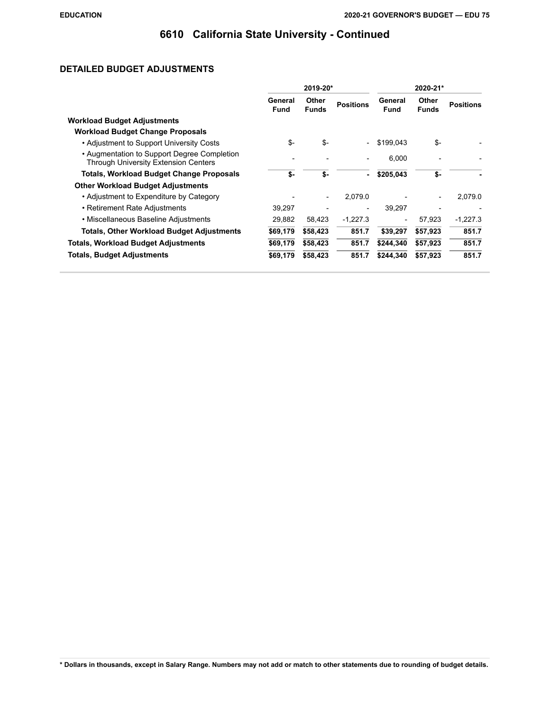### **DETAILED BUDGET ADJUSTMENTS**

|                                                                                            | 2019-20*               |                          |                  | 2020-21*                 |                       |                  |
|--------------------------------------------------------------------------------------------|------------------------|--------------------------|------------------|--------------------------|-----------------------|------------------|
|                                                                                            | General<br><b>Fund</b> | Other<br><b>Funds</b>    | <b>Positions</b> | General<br><b>Fund</b>   | Other<br><b>Funds</b> | <b>Positions</b> |
| <b>Workload Budget Adjustments</b>                                                         |                        |                          |                  |                          |                       |                  |
| <b>Workload Budget Change Proposals</b>                                                    |                        |                          |                  |                          |                       |                  |
| • Adjustment to Support University Costs                                                   | \$-                    | \$-                      |                  | \$199,043                | \$-                   |                  |
| • Augmentation to Support Degree Completion<br><b>Through University Extension Centers</b> |                        |                          |                  | 6,000                    |                       |                  |
| <b>Totals, Workload Budget Change Proposals</b>                                            | \$-                    | \$-                      |                  | \$205,043                | \$-                   |                  |
| <b>Other Workload Budget Adjustments</b>                                                   |                        |                          |                  |                          |                       |                  |
| • Adjustment to Expenditure by Category                                                    |                        | $\overline{\phantom{a}}$ | 2,079.0          |                          |                       | 2,079.0          |
| • Retirement Rate Adjustments                                                              | 39,297                 |                          |                  | 39.297                   |                       |                  |
| • Miscellaneous Baseline Adjustments                                                       | 29,882                 | 58,423                   | $-1,227.3$       | $\overline{\phantom{a}}$ | 57,923                | $-1,227.3$       |
| <b>Totals, Other Workload Budget Adjustments</b>                                           | \$69,179               | \$58,423                 | 851.7            | \$39,297                 | \$57,923              | 851.7            |
| <b>Totals, Workload Budget Adjustments</b>                                                 | \$69,179               | \$58,423                 | 851.7            | \$244,340                | \$57,923              | 851.7            |
| <b>Totals, Budget Adjustments</b>                                                          | \$69,179               | \$58,423                 | 851.7            | \$244,340                | \$57,923              | 851.7            |
|                                                                                            |                        |                          |                  |                          |                       |                  |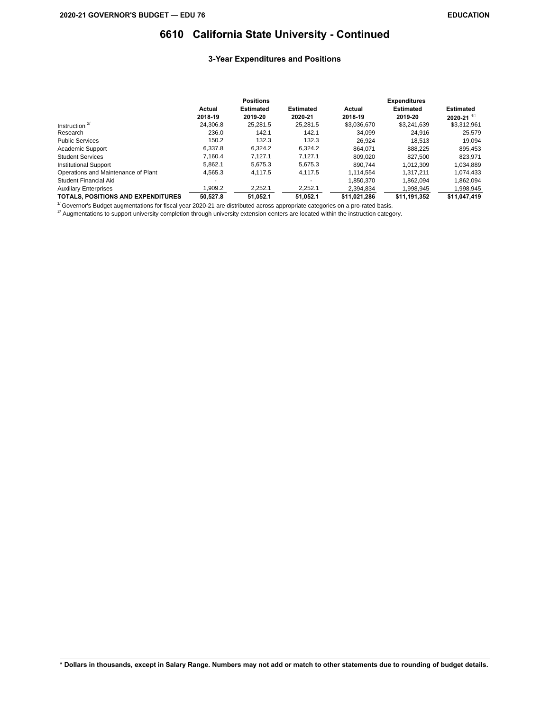#### **3-Year Expenditures and Positions**

|                                           | <b>Positions</b> |                  |                  | <b>Expenditures</b> |                  |                           |  |
|-------------------------------------------|------------------|------------------|------------------|---------------------|------------------|---------------------------|--|
|                                           | Actual           | <b>Estimated</b> | <b>Estimated</b> | Actual              | <b>Estimated</b> | <b>Estimated</b>          |  |
|                                           | 2018-19          | 2019-20          | 2020-21          | 2018-19             | 2019-20          | $2020 - 21$ <sup>1/</sup> |  |
| Instruction $2$                           | 24.306.8         | 25.281.5         | 25,281.5         | \$3,036,670         | \$3,241,639      | \$3,312,961               |  |
| Research                                  | 236.0            | 142.1            | 142.1            | 34.099              | 24.916           | 25,579                    |  |
| <b>Public Services</b>                    | 150.2            | 132.3            | 132.3            | 26.924              | 18.513           | 19.094                    |  |
| Academic Support                          | 6.337.8          | 6.324.2          | 6.324.2          | 864.071             | 888.225          | 895.453                   |  |
| <b>Student Services</b>                   | 7.160.4          | 7.127.1          | 7.127.1          | 809.020             | 827.500          | 823.971                   |  |
| <b>Institutional Support</b>              | 5.862.1          | 5.675.3          | 5.675.3          | 890.744             | 1.012.309        | 1.034.889                 |  |
| Operations and Maintenance of Plant       | 4,565.3          | 4.117.5          | 4,117.5          | 1.114.554           | 1.317.211        | 1,074,433                 |  |
| Student Financial Aid                     |                  |                  |                  | 1.850.370           | 1.862.094        | 1,862,094                 |  |
| <b>Auxiliary Enterprises</b>              | 1.909.2          | 2,252.1          | 2,252.1          | 2.394.834           | 1,998,945        | 1,998,945                 |  |
| <b>TOTALS, POSITIONS AND EXPENDITURES</b> | 50.527.8         | 51.052.1         | 51.052.1         | \$11.021.286        | \$11,191,352     | \$11,047,419              |  |

 $1/$  Governor's Budget augmentations for fiscal year 2020-21 are distributed across appropriate categories on a pro-rated basis.

 $^{27}$  Augmentations to support university completion through university extension centers are located within the instruction category.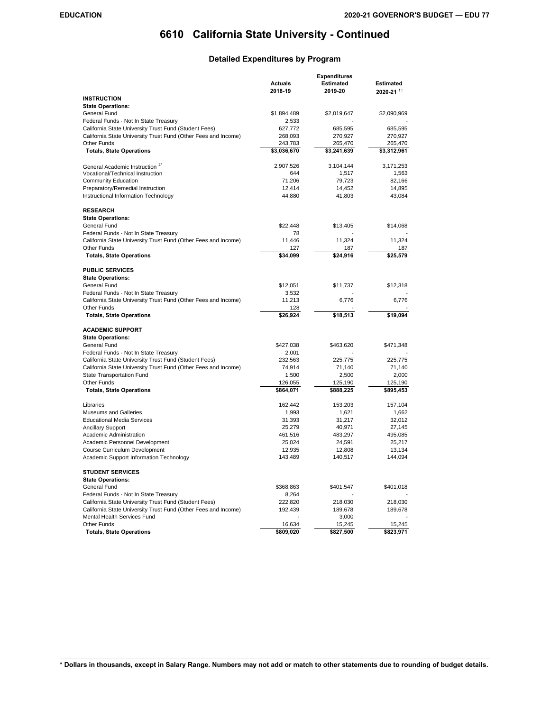### **Detailed Expenditures by Program**

|                                                                                                         | <b>Expenditures</b>    |                        |                                               |  |
|---------------------------------------------------------------------------------------------------------|------------------------|------------------------|-----------------------------------------------|--|
|                                                                                                         | Actuals<br>2018-19     | Estimated<br>2019-20   | <b>Estimated</b><br>$2020 - 21$ <sup>1/</sup> |  |
| <b>INSTRUCTION</b>                                                                                      |                        |                        |                                               |  |
| <b>State Operations:</b>                                                                                |                        |                        |                                               |  |
| General Fund                                                                                            | \$1,894,489            | \$2,019,647            | \$2,090,969                                   |  |
| Federal Funds - Not In State Treasury                                                                   | 2,533                  |                        |                                               |  |
| California State University Trust Fund (Student Fees)                                                   | 627,772                | 685,595                | 685,595                                       |  |
| California State University Trust Fund (Other Fees and Income)<br><b>Other Funds</b>                    | 268,093                | 270,927                | 270,927                                       |  |
| <b>Totals, State Operations</b>                                                                         | 243,783<br>\$3,036,670 | 265,470<br>\$3,241,639 | 265,470<br>\$3,312,961                        |  |
|                                                                                                         | 2,907,526              | 3,104,144              | 3,171,253                                     |  |
| General Academic Instruction <sup>27</sup><br>Vocational/Technical Instruction                          | 644                    | 1,517                  | 1,563                                         |  |
| <b>Community Education</b>                                                                              | 71,206                 | 79,723                 | 82,166                                        |  |
| Preparatory/Remedial Instruction                                                                        | 12,414                 | 14,452                 | 14,895                                        |  |
| Instructional Information Technology                                                                    | 44,880                 | 41,803                 | 43,084                                        |  |
| <b>RESEARCH</b>                                                                                         |                        |                        |                                               |  |
| <b>State Operations:</b>                                                                                |                        |                        |                                               |  |
| General Fund                                                                                            | \$22,448               | \$13,405               | \$14,068                                      |  |
| Federal Funds - Not In State Treasury                                                                   | 78                     |                        |                                               |  |
| California State University Trust Fund (Other Fees and Income)<br><b>Other Funds</b>                    | 11,446<br>127          | 11,324<br>187          | 11,324<br>187                                 |  |
| <b>Totals, State Operations</b>                                                                         | \$34,099               | \$24,916               | \$25,579                                      |  |
|                                                                                                         |                        |                        |                                               |  |
| <b>PUBLIC SERVICES</b>                                                                                  |                        |                        |                                               |  |
| <b>State Operations:</b>                                                                                |                        |                        |                                               |  |
| General Fund                                                                                            | \$12,051               | \$11,737               | \$12,318                                      |  |
| Federal Funds - Not In State Treasury<br>California State University Trust Fund (Other Fees and Income) | 3,532<br>11,213        |                        |                                               |  |
| <b>Other Funds</b>                                                                                      | 128                    | 6,776                  | 6,776                                         |  |
| <b>Totals, State Operations</b>                                                                         | \$26,924               | \$18,513               | \$19,094                                      |  |
| <b>ACADEMIC SUPPORT</b>                                                                                 |                        |                        |                                               |  |
| <b>State Operations:</b>                                                                                |                        |                        |                                               |  |
| General Fund                                                                                            | \$427,038              | \$463,620              | \$471,348                                     |  |
| Federal Funds - Not In State Treasury                                                                   | 2,001                  |                        |                                               |  |
| California State University Trust Fund (Student Fees)                                                   | 232,563                | 225,775                | 225,775                                       |  |
| California State University Trust Fund (Other Fees and Income)                                          | 74,914                 | 71,140                 | 71,140                                        |  |
| State Transportation Fund                                                                               | 1,500                  | 2,500                  | 2,000                                         |  |
| Other Funds                                                                                             | 126,055                | 125,190                | 125,190                                       |  |
| <b>Totals, State Operations</b>                                                                         | \$864,071              | \$888,225              | \$895,453                                     |  |
| Libraries                                                                                               | 162,442                | 153,203                | 157,104                                       |  |
| <b>Museums and Galleries</b>                                                                            | 1,993                  | 1,621                  | 1,662                                         |  |
| <b>Educational Media Services</b>                                                                       | 31,393                 | 31,217                 | 32,012                                        |  |
| <b>Ancillary Support</b>                                                                                | 25,279                 | 40,971                 | 27,145                                        |  |
| Academic Administration                                                                                 | 461,516                | 483,297                | 495,085                                       |  |
| Academic Personnel Development                                                                          | 25,024                 | 24,591                 | 25,217                                        |  |
| Course Curriculum Development                                                                           | 12,935                 | 12,808                 | 13,134                                        |  |
| Academic Support Information Technology                                                                 | 143,489                | 140,517                | 144,094                                       |  |
| <b>STUDENT SERVICES</b>                                                                                 |                        |                        |                                               |  |
| <b>State Operations:</b>                                                                                |                        |                        |                                               |  |
| General Fund                                                                                            | \$368,863              | \$401,547              | \$401,018                                     |  |
| Federal Funds - Not In State Treasury                                                                   | 8,264                  |                        |                                               |  |
| California State University Trust Fund (Student Fees)                                                   | 222,820                | 218,030                | 218,030                                       |  |
| California State University Trust Fund (Other Fees and Income)                                          | 192,439                | 189,678                | 189,678                                       |  |
| Mental Health Services Fund                                                                             |                        | 3,000                  |                                               |  |
| <b>Other Funds</b><br><b>Totals, State Operations</b>                                                   | 16,634<br>\$809,020    | 15,245<br>\$827,500    | 15,245<br>\$823,971                           |  |
|                                                                                                         |                        |                        |                                               |  |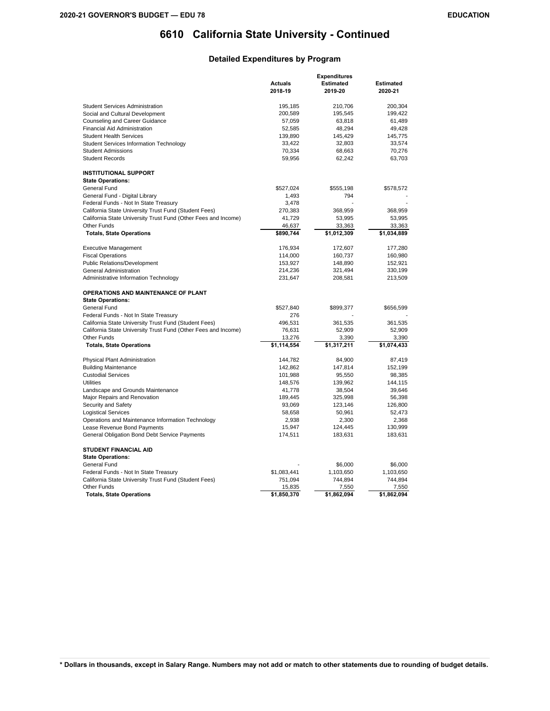#### **Detailed Expenditures by Program**

|                                                                | <b>Expenditures</b> |                  |                  |  |
|----------------------------------------------------------------|---------------------|------------------|------------------|--|
|                                                                | <b>Actuals</b>      | <b>Estimated</b> | <b>Estimated</b> |  |
|                                                                | 2018-19             | 2019-20          | 2020-21          |  |
| <b>Student Services Administration</b>                         | 195,185             | 210,706          | 200,304          |  |
| Social and Cultural Development                                | 200,589             | 195,545          | 199,422          |  |
| Counseling and Career Guidance                                 | 57,059              | 63,818           | 61,489           |  |
| Financial Aid Administration                                   | 52,585              | 48,294           | 49,428           |  |
| <b>Student Health Services</b>                                 | 139,890             | 145,429          | 145,775          |  |
| <b>Student Services Information Technology</b>                 | 33,422              | 32,803           | 33,574           |  |
| <b>Student Admissions</b>                                      | 70,334              | 68,663           | 70,276           |  |
| <b>Student Records</b>                                         | 59,956              | 62,242           | 63,703           |  |
| <b>INSTITUTIONAL SUPPORT</b>                                   |                     |                  |                  |  |
| <b>State Operations:</b>                                       |                     |                  |                  |  |
| General Fund                                                   | \$527,024           | \$555,198        | \$578,572        |  |
| General Fund - Digital Library                                 | 1,493               | 794              |                  |  |
| Federal Funds - Not In State Treasury                          | 3,478               |                  |                  |  |
| California State University Trust Fund (Student Fees)          | 270,383             | 368,959          | 368,959          |  |
| California State University Trust Fund (Other Fees and Income) | 41,729              | 53,995           | 53,995           |  |
| <b>Other Funds</b>                                             | 46,637              | 33,363           | 33,363           |  |
| <b>Totals, State Operations</b>                                | \$890,744           | \$1,012,309      | \$1,034,889      |  |
| <b>Executive Management</b>                                    | 176,934             | 172,607          | 177,280          |  |
| <b>Fiscal Operations</b>                                       | 114,000             | 160,737          | 160,980          |  |
| <b>Public Relations/Development</b>                            | 153,927             | 148,890          | 152,921          |  |
| General Administration                                         | 214,236             | 321,494          | 330,199          |  |
| Administrative Information Technology                          | 231,647             | 208,581          | 213,509          |  |
| <b>OPERATIONS AND MAINTENANCE OF PLANT</b>                     |                     |                  |                  |  |
| <b>State Operations:</b>                                       |                     |                  |                  |  |
| General Fund                                                   | \$527,840           | \$899,377        | \$656,599        |  |
| Federal Funds - Not In State Treasury                          | 276                 |                  |                  |  |
| California State University Trust Fund (Student Fees)          | 496,531             | 361,535          | 361,535          |  |
| California State University Trust Fund (Other Fees and Income) | 76,631              | 52,909           | 52,909           |  |
| <b>Other Funds</b>                                             | 13,276              | 3,390            | 3,390            |  |
| <b>Totals, State Operations</b>                                | \$1,114,554         | \$1,317,211      | \$1,074,433      |  |
| Physical Plant Administration                                  | 144,782             | 84,900           | 87,419           |  |
| <b>Building Maintenance</b>                                    | 142,862             | 147,814          | 152,199          |  |
| <b>Custodial Services</b>                                      | 101,988             | 95,550           | 98,385           |  |
| <b>Utilities</b>                                               | 148,576             | 139,962          | 144,115          |  |
| Landscape and Grounds Maintenance                              | 41,778              | 38,504           | 39,646           |  |
| Major Repairs and Renovation                                   | 189,445             | 325,998          | 56,398           |  |
| Security and Safety                                            | 93,069              | 123,146          | 126,800          |  |
| <b>Logistical Services</b>                                     | 58,658              | 50,961           | 52,473           |  |
| Operations and Maintenance Information Technology              | 2,938               | 2,300            | 2,368            |  |
| Lease Revenue Bond Payments                                    | 15,947              | 124,445          | 130,999          |  |
| General Obligation Bond Debt Service Payments                  | 174,511             | 183,631          | 183,631          |  |
| <b>STUDENT FINANCIAL AID</b>                                   |                     |                  |                  |  |
| <b>State Operations:</b>                                       |                     |                  |                  |  |
| General Fund                                                   |                     | \$6,000          | \$6,000          |  |
| Federal Funds - Not In State Treasury                          | \$1,083,441         | 1,103,650        | 1,103,650        |  |
| California State University Trust Fund (Student Fees)          | 751,094             | 744,894          | 744,894          |  |
| Other Funds                                                    | 15,835              | 7,550            | 7,550            |  |
| <b>Totals, State Operations</b>                                | \$1,850,370         | \$1,862,094      | \$1,862,094      |  |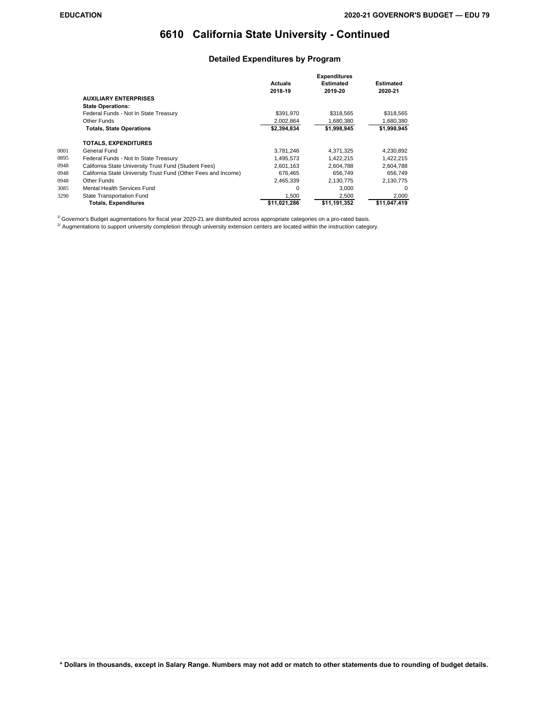### **Detailed Expenditures by Program**

|      |                                                                | <b>Actuals</b><br>2018-19 | <b>Expenditures</b><br><b>Estimated</b><br>2019-20 | Estimated<br>2020-21 |
|------|----------------------------------------------------------------|---------------------------|----------------------------------------------------|----------------------|
|      | <b>AUXILIARY ENTERPRISES</b>                                   |                           |                                                    |                      |
|      | <b>State Operations:</b>                                       |                           |                                                    |                      |
|      | Federal Funds - Not In State Treasury                          | \$391,970                 | \$318,565                                          | \$318,565            |
|      | Other Funds                                                    | 2,002,864                 | 1,680,380                                          | 1.680.380            |
|      | <b>Totals, State Operations</b>                                | \$2,394,834               | \$1,998,945                                        | \$1,998,945          |
|      | <b>TOTALS. EXPENDITURES</b>                                    |                           |                                                    |                      |
| 0001 | General Fund                                                   | 3,781,246                 | 4.371.325                                          | 4,230,892            |
| 0895 | Federal Funds - Not In State Treasury                          | 1.495.573                 | 1,422,215                                          | 1,422,215            |
| 0948 | California State University Trust Fund (Student Fees)          | 2,601,163                 | 2,604,788                                          | 2,604,788            |
| 0948 | California State University Trust Fund (Other Fees and Income) | 676.465                   | 656.749                                            | 656.749              |
| 0948 | Other Funds                                                    | 2,465,339                 | 2,130,775                                          | 2,130,775            |
| 3085 | Mental Health Services Fund                                    | $\Omega$                  | 3.000                                              | <sup>0</sup>         |
| 3290 | State Transportation Fund                                      | 1,500                     | 2,500                                              | 2,000                |
|      | <b>Totals, Expenditures</b>                                    | \$11,021,286              | \$11,191,352                                       | \$11,047,419         |

 $1/$  Governor's Budget augmentations for fiscal year 2020-21 are distributed across appropriate categories on a pro-rated basis.

 $^{27}$  Augmentations to support university completion through university extension centers are located within the instruction category.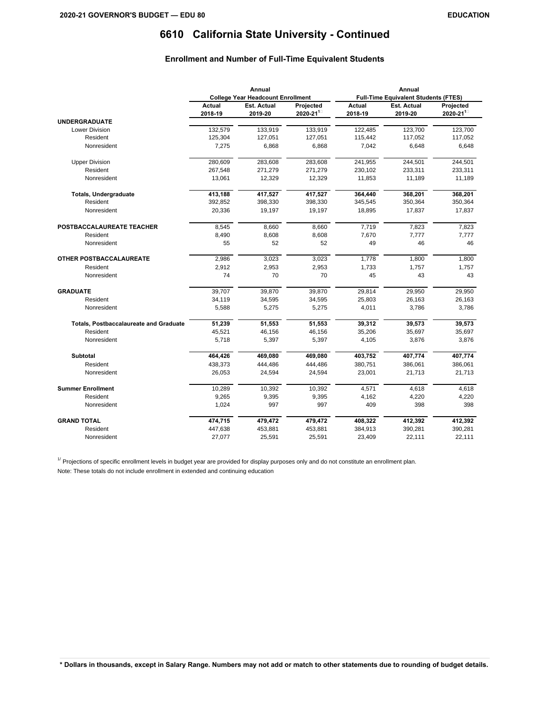### **Enrollment and Number of Full-Time Equivalent Students**

|                                               | Annual<br><b>College Year Headcount Enrollment</b> |                               |                                | Annual<br><b>Full-Time Equivalent Students (FTES)</b> |                               |                                |  |
|-----------------------------------------------|----------------------------------------------------|-------------------------------|--------------------------------|-------------------------------------------------------|-------------------------------|--------------------------------|--|
|                                               |                                                    |                               |                                |                                                       |                               |                                |  |
|                                               | Actual<br>2018-19                                  | <b>Est. Actual</b><br>2019-20 | Projected<br>$2020 - 21^{1/2}$ | Actual<br>2018-19                                     | <b>Est. Actual</b><br>2019-20 | Projected<br>$2020 - 21^{1/2}$ |  |
| <b>UNDERGRADUATE</b>                          |                                                    |                               |                                |                                                       |                               |                                |  |
| <b>Lower Division</b>                         | 132,579                                            | 133,919                       | 133,919                        | 122,485                                               | 123,700                       | 123,700                        |  |
| Resident                                      | 125,304                                            | 127,051                       | 127,051                        | 115,442                                               | 117,052                       | 117,052                        |  |
| Nonresident                                   | 7,275                                              | 6,868                         | 6,868                          | 7,042                                                 | 6,648                         | 6,648                          |  |
| <b>Upper Division</b>                         | 280,609                                            | 283,608                       | 283,608                        | 241,955                                               | 244,501                       | 244,501                        |  |
| Resident                                      | 267,548                                            | 271,279                       | 271,279                        | 230,102                                               | 233,311                       | 233,311                        |  |
| Nonresident                                   | 13,061                                             | 12,329                        | 12,329                         | 11,853                                                | 11,189                        | 11,189                         |  |
| <b>Totals, Undergraduate</b>                  | 413,188                                            | 417,527                       | 417,527                        | 364,440                                               | 368,201                       | 368,201                        |  |
| Resident                                      | 392,852                                            | 398,330                       | 398,330                        | 345,545                                               | 350,364                       | 350,364                        |  |
| Nonresident                                   | 20,336                                             | 19,197                        | 19,197                         | 18,895                                                | 17,837                        | 17,837                         |  |
| POSTBACCALAUREATE TEACHER                     | 8,545                                              | 8,660                         | 8,660                          | 7,719                                                 | 7,823                         | 7,823                          |  |
| Resident                                      | 8,490                                              | 8,608                         | 8,608                          | 7,670                                                 | 7,777                         | 7,777                          |  |
| Nonresident                                   | 55                                                 | 52                            | 52                             | 49                                                    | 46                            | 46                             |  |
| OTHER POSTBACCALAUREATE                       | 2,986                                              | 3,023                         | 3,023                          | 1,778                                                 | 1,800                         | 1,800                          |  |
| Resident                                      | 2,912                                              | 2,953                         | 2,953                          | 1,733                                                 | 1,757                         | 1,757                          |  |
| Nonresident                                   | 74                                                 | 70                            | 70                             | 45                                                    | 43                            | 43                             |  |
| <b>GRADUATE</b>                               | 39,707                                             | 39,870                        | 39,870                         | 29,814                                                | 29,950                        | 29.950                         |  |
| Resident                                      | 34,119                                             | 34,595                        | 34,595                         | 25,803                                                | 26,163                        | 26,163                         |  |
| Nonresident                                   | 5,588                                              | 5,275                         | 5,275                          | 4,011                                                 | 3,786                         | 3,786                          |  |
| <b>Totals, Postbaccalaureate and Graduate</b> | 51,239                                             | 51,553                        | 51,553                         | 39,312                                                | 39,573                        | 39,573                         |  |
| Resident                                      | 45,521                                             | 46,156                        | 46,156                         | 35,206                                                | 35,697                        | 35,697                         |  |
| Nonresident                                   | 5,718                                              | 5,397                         | 5,397                          | 4,105                                                 | 3,876                         | 3,876                          |  |
| <b>Subtotal</b>                               | 464,426                                            | 469,080                       | 469,080                        | 403,752                                               | 407,774                       | 407,774                        |  |
| Resident                                      | 438,373                                            | 444,486                       | 444,486                        | 380,751                                               | 386,061                       | 386,061                        |  |
| Nonresident                                   | 26,053                                             | 24,594                        | 24,594                         | 23,001                                                | 21,713                        | 21,713                         |  |
| <b>Summer Enrollment</b>                      | 10,289                                             | 10,392                        | 10,392                         | 4,571                                                 | 4,618                         | 4,618                          |  |
| Resident                                      | 9,265                                              | 9,395                         | 9,395                          | 4,162                                                 | 4,220                         | 4,220                          |  |
| Nonresident                                   | 1,024                                              | 997                           | 997                            | 409                                                   | 398                           | 398                            |  |
| <b>GRAND TOTAL</b>                            | 474,715                                            | 479,472                       | 479,472                        | 408,322                                               | 412,392                       | 412,392                        |  |
| Resident                                      | 447,638                                            | 453,881                       | 453,881                        | 384,913                                               | 390,281                       | 390,281                        |  |
| Nonresident                                   | 27,077                                             | 25,591                        | 25,591                         | 23,409                                                | 22,111                        | 22,111                         |  |

 $1/$  Projections of specific enrollment levels in budget year are provided for display purposes only and do not constitute an enrollment plan.

Note: These totals do not include enrollment in extended and continuing education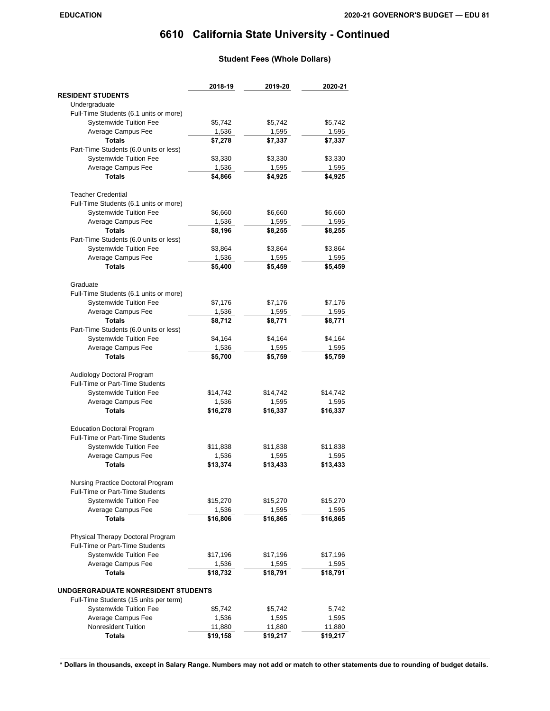### **Student Fees (Whole Dollars)**

|                                        | 2018-19  | 2019-20  | 2020-21  |
|----------------------------------------|----------|----------|----------|
| <b>RESIDENT STUDENTS</b>               |          |          |          |
| Undergraduate                          |          |          |          |
| Full-Time Students (6.1 units or more) |          |          |          |
| Systemwide Tuition Fee                 | \$5,742  | \$5,742  | \$5,742  |
| Average Campus Fee                     | 1,536    | 1,595    | 1,595    |
| <b>Totals</b>                          | \$7,278  | \$7,337  | \$7,337  |
| Part-Time Students (6.0 units or less) |          |          |          |
| Systemwide Tuition Fee                 | \$3,330  | \$3,330  | \$3,330  |
| Average Campus Fee                     | 1,536    | 1,595    | 1,595    |
| <b>Totals</b>                          | \$4,866  | \$4,925  | \$4,925  |
| <b>Teacher Credential</b>              |          |          |          |
| Full-Time Students (6.1 units or more) |          |          |          |
| <b>Systemwide Tuition Fee</b>          | \$6,660  | \$6,660  | \$6,660  |
| Average Campus Fee                     | 1,536    | 1,595    | 1,595    |
| <b>Totals</b>                          | \$8,196  | \$8,255  | \$8,255  |
| Part-Time Students (6.0 units or less) |          |          |          |
| Systemwide Tuition Fee                 | \$3,864  | \$3,864  | \$3,864  |
| Average Campus Fee                     | 1,536    | 1,595    | 1,595    |
| <b>Totals</b>                          | \$5,400  | \$5,459  | \$5,459  |
| Graduate                               |          |          |          |
| Full-Time Students (6.1 units or more) |          |          |          |
| Systemwide Tuition Fee                 | \$7,176  | \$7,176  | \$7,176  |
| Average Campus Fee                     | 1,536    | 1,595    | 1,595    |
| <b>Totals</b>                          | \$8,712  | \$8,771  | \$8,771  |
| Part-Time Students (6.0 units or less) |          |          |          |
| Systemwide Tuition Fee                 | \$4,164  | \$4,164  | \$4,164  |
| Average Campus Fee                     | 1,536    | 1,595    | 1,595    |
| <b>Totals</b>                          | \$5,700  | \$5,759  | \$5,759  |
| Audiology Doctoral Program             |          |          |          |
| Full-Time or Part-Time Students        |          |          |          |
| <b>Systemwide Tuition Fee</b>          | \$14,742 | \$14,742 | \$14,742 |
| Average Campus Fee                     | 1,536    | 1,595    | 1,595    |
| <b>Totals</b>                          | \$16,278 | \$16,337 | \$16,337 |
|                                        |          |          |          |
| <b>Education Doctoral Program</b>      |          |          |          |
| Full-Time or Part-Time Students        |          |          |          |
| <b>Systemwide Tuition Fee</b>          | \$11,838 | \$11,838 | \$11,838 |
| Average Campus Fee<br><b>Totals</b>    | 1,536    | 1,595    | 1,595    |
|                                        | \$13,374 | \$13,433 | \$13,433 |
| Nursing Practice Doctoral Program      |          |          |          |
| Full-Time or Part-Time Students        |          |          |          |
| <b>Systemwide Tuition Fee</b>          | \$15,270 | \$15,270 | \$15,270 |
| Average Campus Fee                     | 1,536    | 1,595    | 1,595    |
| <b>Totals</b>                          | \$16,806 | \$16,865 | \$16,865 |
| Physical Therapy Doctoral Program      |          |          |          |
| Full-Time or Part-Time Students        |          |          |          |
| <b>Systemwide Tuition Fee</b>          | \$17,196 | \$17,196 | \$17,196 |
| Average Campus Fee                     | 1,536    | 1,595    | 1,595    |
| <b>Totals</b>                          | \$18,732 | \$18,791 | \$18,791 |
| UNDGERGRADUATE NONRESIDENT STUDENTS    |          |          |          |
| Full-Time Students (15 units per term) |          |          |          |
| Systemwide Tuition Fee                 | \$5,742  | \$5,742  | 5,742    |
| Average Campus Fee                     | 1,536    | 1,595    | 1,595    |
| Nonresident Tuition                    | 11,880   | 11,880   | 11,880   |
| <b>Totals</b>                          | \$19,158 | \$19,217 | \$19,217 |
|                                        |          |          |          |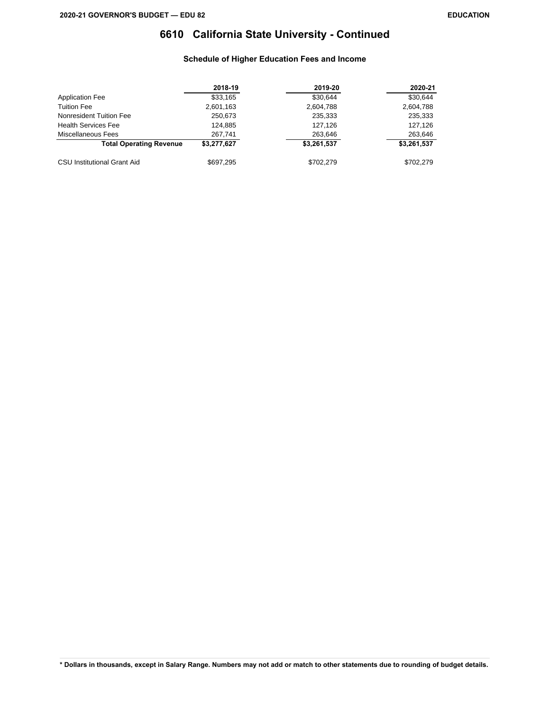### **Schedule of Higher Education Fees and Income**

|                                    | 2018-19     | 2019-20     | 2020-21     |
|------------------------------------|-------------|-------------|-------------|
| <b>Application Fee</b>             | \$33,165    | \$30.644    | \$30.644    |
| <b>Tuition Fee</b>                 | 2,601,163   | 2,604,788   | 2,604,788   |
| Nonresident Tuition Fee            | 250,673     | 235,333     | 235,333     |
| <b>Health Services Fee</b>         | 124.885     | 127,126     | 127,126     |
| Miscellaneous Fees                 | 267,741     | 263,646     | 263,646     |
| <b>Total Operating Revenue</b>     | \$3,277.627 | \$3,261,537 | \$3,261,537 |
| <b>CSU Institutional Grant Aid</b> | \$697,295   | \$702.279   | \$702.279   |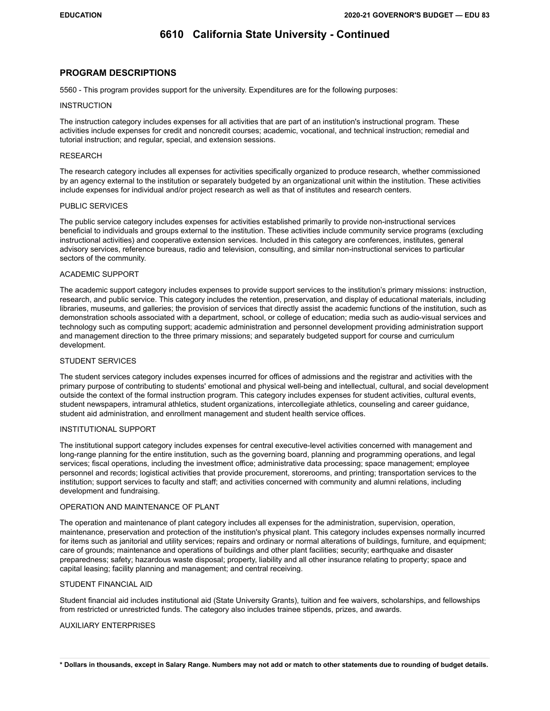#### **PROGRAM DESCRIPTIONS**

5560 - This program provides support for the university. Expenditures are for the following purposes:

#### **INSTRUCTION**

The instruction category includes expenses for all activities that are part of an institution's instructional program. These activities include expenses for credit and noncredit courses; academic, vocational, and technical instruction; remedial and tutorial instruction; and regular, special, and extension sessions.

#### RESEARCH

The research category includes all expenses for activities specifically organized to produce research, whether commissioned by an agency external to the institution or separately budgeted by an organizational unit within the institution. These activities include expenses for individual and/or project research as well as that of institutes and research centers.

#### PUBLIC SERVICES

The public service category includes expenses for activities established primarily to provide non-instructional services beneficial to individuals and groups external to the institution. These activities include community service programs (excluding instructional activities) and cooperative extension services. Included in this category are conferences, institutes, general advisory services, reference bureaus, radio and television, consulting, and similar non-instructional services to particular sectors of the community.

#### ACADEMIC SUPPORT

The academic support category includes expenses to provide support services to the institution's primary missions: instruction, research, and public service. This category includes the retention, preservation, and display of educational materials, including libraries, museums, and galleries; the provision of services that directly assist the academic functions of the institution, such as demonstration schools associated with a department, school, or college of education; media such as audio-visual services and technology such as computing support; academic administration and personnel development providing administration support and management direction to the three primary missions; and separately budgeted support for course and curriculum development.

#### STUDENT SERVICES

The student services category includes expenses incurred for offices of admissions and the registrar and activities with the primary purpose of contributing to students' emotional and physical well-being and intellectual, cultural, and social development outside the context of the formal instruction program. This category includes expenses for student activities, cultural events, student newspapers, intramural athletics, student organizations, intercollegiate athletics, counseling and career guidance, student aid administration, and enrollment management and student health service offices.

#### INSTITUTIONAL SUPPORT

The institutional support category includes expenses for central executive-level activities concerned with management and long-range planning for the entire institution, such as the governing board, planning and programming operations, and legal services; fiscal operations, including the investment office; administrative data processing; space management; employee personnel and records; logistical activities that provide procurement, storerooms, and printing; transportation services to the institution; support services to faculty and staff; and activities concerned with community and alumni relations, including development and fundraising.

#### OPERATION AND MAINTENANCE OF PLANT

The operation and maintenance of plant category includes all expenses for the administration, supervision, operation, maintenance, preservation and protection of the institution's physical plant. This category includes expenses normally incurred for items such as janitorial and utility services; repairs and ordinary or normal alterations of buildings, furniture, and equipment; care of grounds; maintenance and operations of buildings and other plant facilities; security; earthquake and disaster preparedness; safety; hazardous waste disposal; property, liability and all other insurance relating to property; space and capital leasing; facility planning and management; and central receiving.

#### STUDENT FINANCIAL AID

Student financial aid includes institutional aid (State University Grants), tuition and fee waivers, scholarships, and fellowships from restricted or unrestricted funds. The category also includes trainee stipends, prizes, and awards.

#### AUXILIARY ENTERPRISES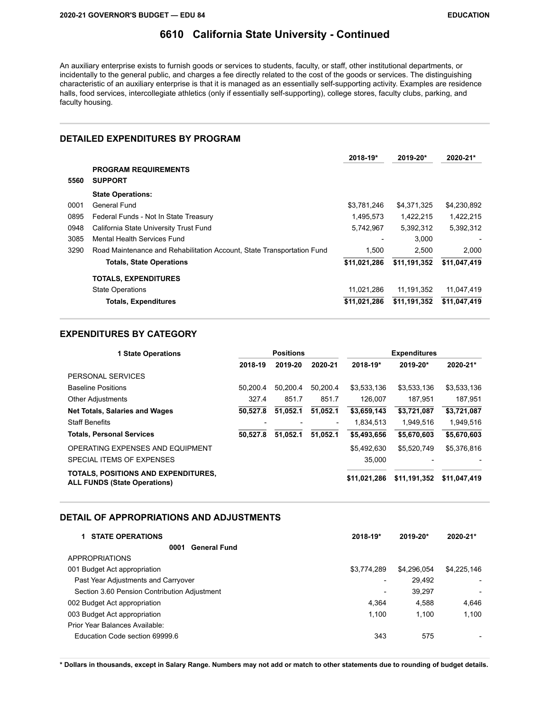An auxiliary enterprise exists to furnish goods or services to students, faculty, or staff, other institutional departments, or incidentally to the general public, and charges a fee directly related to the cost of the goods or services. The distinguishing characteristic of an auxiliary enterprise is that it is managed as an essentially self-supporting activity. Examples are residence halls, food services, intercollegiate athletics (only if essentially self-supporting), college stores, faculty clubs, parking, and faculty housing.

### **DETAILED EXPENDITURES BY PROGRAM**

|      |                                                                        | 2018-19*     | 2019-20*     | $2020 - 21*$ |
|------|------------------------------------------------------------------------|--------------|--------------|--------------|
|      | <b>PROGRAM REQUIREMENTS</b>                                            |              |              |              |
| 5560 | <b>SUPPORT</b>                                                         |              |              |              |
|      | <b>State Operations:</b>                                               |              |              |              |
| 0001 | General Fund                                                           | \$3,781,246  | \$4,371,325  | \$4,230,892  |
| 0895 | Federal Funds - Not In State Treasury                                  | 1,495,573    | 1,422,215    | 1,422,215    |
| 0948 | California State University Trust Fund                                 | 5,742,967    | 5,392,312    | 5,392,312    |
| 3085 | Mental Health Services Fund                                            |              | 3.000        |              |
| 3290 | Road Maintenance and Rehabilitation Account, State Transportation Fund | 1.500        | 2.500        | 2.000        |
|      | <b>Totals, State Operations</b>                                        | \$11,021,286 | \$11,191,352 | \$11,047,419 |
|      | <b>TOTALS, EXPENDITURES</b>                                            |              |              |              |
|      | <b>State Operations</b>                                                | 11,021,286   | 11.191.352   | 11.047.419   |
|      | <b>Totals, Expenditures</b>                                            | \$11,021,286 | \$11,191,352 | \$11,047,419 |

#### **EXPENDITURES BY CATEGORY**

| <b>1 State Operations</b>                                                  |                          | <b>Positions</b> |                          | <b>Expenditures</b> |              |              |  |
|----------------------------------------------------------------------------|--------------------------|------------------|--------------------------|---------------------|--------------|--------------|--|
|                                                                            | 2018-19                  | 2019-20          | 2020-21                  | 2018-19*            | 2019-20*     | 2020-21*     |  |
| PERSONAL SERVICES                                                          |                          |                  |                          |                     |              |              |  |
| <b>Baseline Positions</b>                                                  | 50.200.4                 | 50.200.4         | 50.200.4                 | \$3,533,136         | \$3,533,136  | \$3,533,136  |  |
| <b>Other Adjustments</b>                                                   | 327.4                    | 851.7            | 851.7                    | 126,007             | 187.951      | 187,951      |  |
| <b>Net Totals, Salaries and Wages</b>                                      | 50.527.8                 | 51.052.1         | 51,052.1                 | \$3,659,143         | \$3,721,087  | \$3,721,087  |  |
| <b>Staff Benefits</b>                                                      | $\overline{\phantom{0}}$ |                  | $\overline{\phantom{a}}$ | 1.834.513           | 1.949.516    | 1.949.516    |  |
| <b>Totals, Personal Services</b>                                           | 50.527.8                 | 51.052.1         | 51.052.1                 | \$5,493,656         | \$5,670,603  | \$5,670,603  |  |
| OPERATING EXPENSES AND EQUIPMENT                                           |                          |                  |                          | \$5.492.630         | \$5.520.749  | \$5,376,816  |  |
| SPECIAL ITEMS OF EXPENSES                                                  |                          |                  |                          | 35.000              |              |              |  |
| TOTALS, POSITIONS AND EXPENDITURES,<br><b>ALL FUNDS (State Operations)</b> |                          |                  |                          | \$11,021,286        | \$11,191,352 | \$11,047,419 |  |

#### **DETAIL OF APPROPRIATIONS AND ADJUSTMENTS**

| <b>STATE OPERATIONS</b>                      | 2018-19*        | 2019-20*    | 2020-21*                 |
|----------------------------------------------|-----------------|-------------|--------------------------|
| <b>General Fund</b><br>0001                  |                 |             |                          |
| <b>APPROPRIATIONS</b>                        |                 |             |                          |
| 001 Budget Act appropriation                 | \$3,774,289     | \$4,296,054 | \$4,225,146              |
| Past Year Adjustments and Carryover          |                 | 29,492      | $\overline{\phantom{a}}$ |
| Section 3.60 Pension Contribution Adjustment | $\qquad \qquad$ | 39.297      | $\overline{\phantom{a}}$ |
| 002 Budget Act appropriation                 | 4.364           | 4.588       | 4.646                    |
| 003 Budget Act appropriation                 | 1.100           | 1.100       | 1,100                    |
| Prior Year Balances Available:               |                 |             |                          |
| Education Code section 69999.6               | 343             | 575         |                          |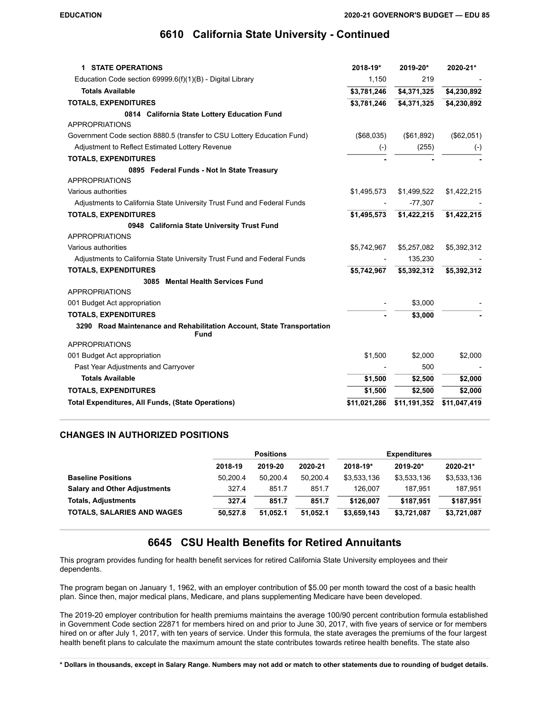| <b>1 STATE OPERATIONS</b>                                                             | 2018-19*     | 2019-20*     | 2020-21*     |
|---------------------------------------------------------------------------------------|--------------|--------------|--------------|
| Education Code section $69999.6(f)(1)(B)$ - Digital Library                           | 1,150        | 219          |              |
| <b>Totals Available</b>                                                               | \$3,781,246  | \$4,371,325  | \$4,230,892  |
| <b>TOTALS, EXPENDITURES</b>                                                           | \$3,781,246  | \$4,371,325  | \$4,230,892  |
| 0814 California State Lottery Education Fund                                          |              |              |              |
| <b>APPROPRIATIONS</b>                                                                 |              |              |              |
| Government Code section 8880.5 (transfer to CSU Lottery Education Fund)               | (\$68,035)   | (\$61,892)   | (\$62,051)   |
| Adjustment to Reflect Estimated Lottery Revenue                                       | $(-)$        | (255)        | $(-)$        |
| <b>TOTALS, EXPENDITURES</b>                                                           |              |              |              |
| 0895 Federal Funds - Not In State Treasury                                            |              |              |              |
| <b>APPROPRIATIONS</b>                                                                 |              |              |              |
| Various authorities                                                                   | \$1,495,573  | \$1,499,522  | \$1,422,215  |
| Adjustments to California State University Trust Fund and Federal Funds               |              | $-77,307$    |              |
| <b>TOTALS, EXPENDITURES</b>                                                           | \$1,495,573  | \$1,422,215  | \$1,422,215  |
| 0948 California State University Trust Fund                                           |              |              |              |
| <b>APPROPRIATIONS</b>                                                                 |              |              |              |
| Various authorities                                                                   | \$5,742,967  | \$5,257,082  | \$5,392,312  |
| Adjustments to California State University Trust Fund and Federal Funds               |              | 135,230      |              |
| <b>TOTALS, EXPENDITURES</b>                                                           | \$5,742,967  | \$5,392,312  | \$5,392,312  |
| 3085 Mental Health Services Fund                                                      |              |              |              |
| <b>APPROPRIATIONS</b>                                                                 |              |              |              |
| 001 Budget Act appropriation                                                          |              | \$3,000      |              |
| <b>TOTALS, EXPENDITURES</b>                                                           |              | \$3,000      |              |
| 3290 Road Maintenance and Rehabilitation Account, State Transportation<br><b>Fund</b> |              |              |              |
| <b>APPROPRIATIONS</b>                                                                 |              |              |              |
| 001 Budget Act appropriation                                                          | \$1,500      | \$2,000      | \$2,000      |
| Past Year Adjustments and Carryover                                                   |              | 500          |              |
| <b>Totals Available</b>                                                               | \$1,500      | \$2,500      | \$2,000      |
| <b>TOTALS, EXPENDITURES</b>                                                           | \$1,500      | \$2,500      | \$2,000      |
| <b>Total Expenditures, All Funds, (State Operations)</b>                              | \$11,021,286 | \$11,191,352 | \$11,047,419 |
|                                                                                       |              |              |              |

#### **CHANGES IN AUTHORIZED POSITIONS**

|                                     | <b>Positions</b> |          |          | <b>Expenditures</b> |             |             |
|-------------------------------------|------------------|----------|----------|---------------------|-------------|-------------|
|                                     | 2018-19          | 2019-20  | 2020-21  | 2018-19*            | 2019-20*    | 2020-21*    |
| <b>Baseline Positions</b>           | 50.200.4         | 50.200.4 | 50.200.4 | \$3,533,136         | \$3,533,136 | \$3,533,136 |
| <b>Salary and Other Adjustments</b> | 327.4            | 851.7    | 851.7    | 126.007             | 187.951     | 187.951     |
| <b>Totals, Adjustments</b>          | 327.4            | 851.7    | 851.7    | \$126.007           | \$187.951   | \$187.951   |
| <b>TOTALS, SALARIES AND WAGES</b>   | 50.527.8         | 51.052.1 | 51.052.1 | \$3,659,143         | \$3,721,087 | \$3,721,087 |

### **6645 CSU Health Benefits for Retired Annuitants**

This program provides funding for health benefit services for retired California State University employees and their dependents.

The program began on January 1, 1962, with an employer contribution of \$5.00 per month toward the cost of a basic health plan. Since then, major medical plans, Medicare, and plans supplementing Medicare have been developed.

The 2019-20 employer contribution for health premiums maintains the average 100/90 percent contribution formula established in Government Code section 22871 for members hired on and prior to June 30, 2017, with five years of service or for members hired on or after July 1, 2017, with ten years of service. Under this formula, the state averages the premiums of the four largest health benefit plans to calculate the maximum amount the state contributes towards retiree health benefits. The state also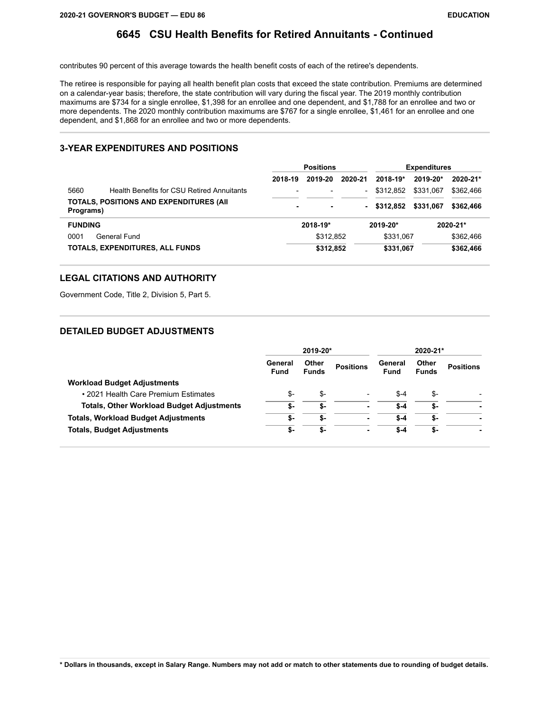## **6645 CSU Health Benefits for Retired Annuitants - Continued**

contributes 90 percent of this average towards the health benefit costs of each of the retiree's dependents.

The retiree is responsible for paying all health benefit plan costs that exceed the state contribution. Premiums are determined on a calendar-year basis; therefore, the state contribution will vary during the fiscal year. The 2019 monthly contribution maximums are \$734 for a single enrollee, \$1,398 for an enrollee and one dependent, and \$1,788 for an enrollee and two or more dependents. The 2020 monthly contribution maximums are \$767 for a single enrollee, \$1,461 for an enrollee and one dependent, and \$1,868 for an enrollee and two or more dependents.

### **3-YEAR EXPENDITURES AND POSITIONS**

|                |                                                 | <b>Positions</b>         |           |         | <b>Expenditures</b> |              |              |  |
|----------------|-------------------------------------------------|--------------------------|-----------|---------|---------------------|--------------|--------------|--|
|                |                                                 | 2018-19                  | 2019-20   | 2020-21 | $2018 - 19*$        | 2019-20*     | $2020 - 21*$ |  |
| 5660           | Health Benefits for CSU Retired Annuitants      | $\overline{\phantom{a}}$ |           | -       | \$312.852           | \$331.067    | \$362.466    |  |
| Programs)      | <b>TOTALS, POSITIONS AND EXPENDITURES (AII)</b> | ٠                        | ۰         | ۰       | \$312.852           | \$331.067    | \$362,466    |  |
| <b>FUNDING</b> |                                                 | 2018-19*                 |           |         | 2019-20*            | $2020 - 21*$ |              |  |
| 0001           | General Fund                                    |                          | \$312,852 |         | \$331.067           |              | \$362,466    |  |
|                | TOTALS, EXPENDITURES, ALL FUNDS                 |                          | \$312,852 |         | \$331,067           |              | \$362,466    |  |

### **LEGAL CITATIONS AND AUTHORITY**

Government Code, Title 2, Division 5, Part 5.

### **DETAILED BUDGET ADJUSTMENTS**

|                                                  | 2019-20*               |                       | 2020-21*         |                        |                       |                  |
|--------------------------------------------------|------------------------|-----------------------|------------------|------------------------|-----------------------|------------------|
|                                                  | General<br><b>Fund</b> | Other<br><b>Funds</b> | <b>Positions</b> | General<br><b>Fund</b> | Other<br><b>Funds</b> | <b>Positions</b> |
| <b>Workload Budget Adjustments</b>               |                        |                       |                  |                        |                       |                  |
| • 2021 Health Care Premium Estimates             | \$-                    | \$-                   |                  | $$ -4$                 | \$-                   |                  |
| <b>Totals, Other Workload Budget Adjustments</b> | \$-                    | \$-                   | ۰                | \$-4                   | \$-                   |                  |
| <b>Totals, Workload Budget Adjustments</b>       | \$-                    | \$-                   | ۰                | \$-4                   | \$-                   |                  |
| <b>Totals, Budget Adjustments</b>                | \$-                    | \$-                   | ۰                | \$-4                   | \$-                   |                  |
|                                                  |                        |                       |                  |                        |                       |                  |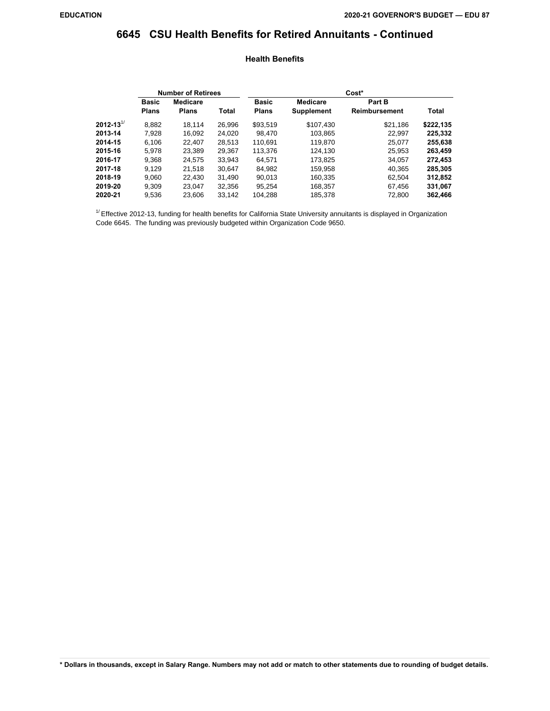### **6645 CSU Health Benefits for Retired Annuitants - Continued**

#### **Health Benefits**

|                           | <b>Number of Retirees</b> |                 |        | Cost*        |                   |               |              |  |  |
|---------------------------|---------------------------|-----------------|--------|--------------|-------------------|---------------|--------------|--|--|
|                           | <b>Basic</b>              | <b>Medicare</b> |        | <b>Basic</b> | <b>Medicare</b>   | Part B        |              |  |  |
|                           | <b>Plans</b>              | <b>Plans</b>    | Total  | <b>Plans</b> | <b>Supplement</b> | Reimbursement | <b>Total</b> |  |  |
| 2012-13 $^{\prime\prime}$ | 8,882                     | 18.114          | 26,996 | \$93,519     | \$107,430         | \$21,186      | \$222,135    |  |  |
| 2013-14                   | 7,928                     | 16,092          | 24,020 | 98,470       | 103,865           | 22,997        | 225,332      |  |  |
| 2014-15                   | 6,106                     | 22,407          | 28,513 | 110,691      | 119,870           | 25,077        | 255,638      |  |  |
| 2015-16                   | 5.978                     | 23,389          | 29,367 | 113,376      | 124,130           | 25,953        | 263,459      |  |  |
| 2016-17                   | 9,368                     | 24.575          | 33,943 | 64.571       | 173,825           | 34.057        | 272,453      |  |  |
| 2017-18                   | 9.129                     | 21,518          | 30.647 | 84,982       | 159,958           | 40.365        | 285,305      |  |  |
| 2018-19                   | 9,060                     | 22,430          | 31,490 | 90,013       | 160,335           | 62.504        | 312,852      |  |  |
| 2019-20                   | 9,309                     | 23.047          | 32,356 | 95.254       | 168,357           | 67.456        | 331,067      |  |  |
| 2020-21                   | 9,536                     | 23.606          | 33,142 | 104,288      | 185,378           | 72,800        | 362,466      |  |  |

 $1/$  Effective 2012-13, funding for health benefits for California State University annuitants is displayed in Organization Code 6645. The funding was previously budgeted within Organization Code 9650.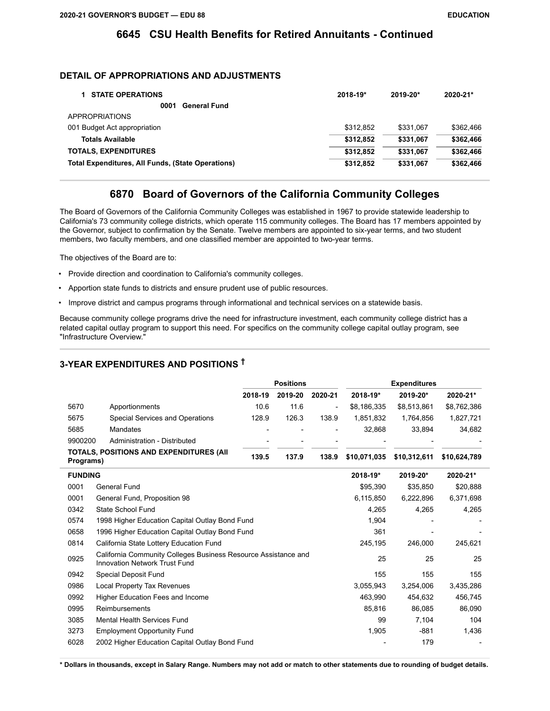### **6645 CSU Health Benefits for Retired Annuitants - Continued**

### **DETAIL OF APPROPRIATIONS AND ADJUSTMENTS**

| <b>STATE OPERATIONS</b>                                  | 2018-19*  | 2019-20*  | 2020-21*  |
|----------------------------------------------------------|-----------|-----------|-----------|
| <b>General Fund</b><br>0001                              |           |           |           |
| <b>APPROPRIATIONS</b>                                    |           |           |           |
| 001 Budget Act appropriation                             | \$312,852 | \$331.067 | \$362.466 |
| <b>Totals Available</b>                                  | \$312.852 | \$331.067 | \$362,466 |
| <b>TOTALS, EXPENDITURES</b>                              | \$312.852 | \$331.067 | \$362.466 |
| <b>Total Expenditures, All Funds, (State Operations)</b> | \$312,852 | \$331,067 | \$362.466 |

### **6870 Board of Governors of the California Community Colleges**

The Board of Governors of the California Community Colleges was established in 1967 to provide statewide leadership to California's 73 community college districts, which operate 115 community colleges. The Board has 17 members appointed by the Governor, subject to confirmation by the Senate. Twelve members are appointed to six-year terms, and two student members, two faculty members, and one classified member are appointed to two-year terms.

The objectives of the Board are to:

- Provide direction and coordination to California's community colleges.
- Apportion state funds to districts and ensure prudent use of public resources.
- Improve district and campus programs through informational and technical services on a statewide basis.

Because community college programs drive the need for infrastructure investment, each community college district has a related capital outlay program to support this need. For specifics on the community college capital outlay program, see "Infrastructure Overview."

## **3-YEAR EXPENDITURES AND POSITIONS †**

|                                                             |                                                                                                 |         | <b>Positions</b> |         |              |              |              |
|-------------------------------------------------------------|-------------------------------------------------------------------------------------------------|---------|------------------|---------|--------------|--------------|--------------|
|                                                             |                                                                                                 | 2018-19 | 2019-20          | 2020-21 | 2018-19*     | 2019-20*     | 2020-21*     |
| 5670                                                        | Apportionments                                                                                  | 10.6    | 11.6             |         | \$8,186,335  | \$8,513,861  | \$8,762,386  |
| 5675                                                        | Special Services and Operations                                                                 | 128.9   | 126.3            | 138.9   | 1,851,832    | 1,764,856    | 1,827,721    |
| 5685                                                        | <b>Mandates</b>                                                                                 |         |                  |         | 32,868       | 33.894       | 34,682       |
| 9900200                                                     | Administration - Distributed                                                                    |         |                  |         |              |              |              |
| <b>TOTALS, POSITIONS AND EXPENDITURES (AII</b><br>Programs) |                                                                                                 | 139.5   | 137.9            | 138.9   | \$10,071,035 | \$10,312,611 | \$10,624,789 |
| <b>FUNDING</b>                                              |                                                                                                 |         |                  |         | 2018-19*     | 2019-20*     | 2020-21*     |
| 0001                                                        | General Fund                                                                                    |         |                  |         | \$95,390     | \$35,850     | \$20,888     |
| 0001                                                        | General Fund, Proposition 98                                                                    |         |                  |         | 6,115,850    | 6,222,896    | 6,371,698    |
| 0342                                                        | State School Fund                                                                               |         |                  |         | 4,265        | 4,265        | 4,265        |
| 0574                                                        | 1998 Higher Education Capital Outlay Bond Fund                                                  |         |                  |         | 1,904        |              |              |
| 0658                                                        | 1996 Higher Education Capital Outlay Bond Fund                                                  |         |                  |         | 361          |              |              |
| 0814                                                        | California State Lottery Education Fund                                                         |         |                  |         | 245,195      | 246,000      | 245,621      |
| 0925                                                        | California Community Colleges Business Resource Assistance and<br>Innovation Network Trust Fund |         |                  |         | 25           | 25           | 25           |
| 0942                                                        | Special Deposit Fund                                                                            |         |                  |         | 155          | 155          | 155          |
| 0986                                                        | <b>Local Property Tax Revenues</b>                                                              |         |                  |         | 3,055,943    | 3,254,006    | 3,435,286    |
| 0992                                                        | Higher Education Fees and Income                                                                |         |                  |         | 463.990      | 454.632      | 456,745      |
| 0995                                                        | Reimbursements                                                                                  |         |                  |         | 85,816       | 86,085       | 86,090       |
| 3085                                                        | Mental Health Services Fund                                                                     |         |                  |         | 99           | 7,104        | 104          |
| 3273                                                        | <b>Employment Opportunity Fund</b>                                                              |         |                  |         | 1,905        | $-881$       | 1,436        |
| 6028                                                        | 2002 Higher Education Capital Outlay Bond Fund                                                  |         |                  |         |              | 179          |              |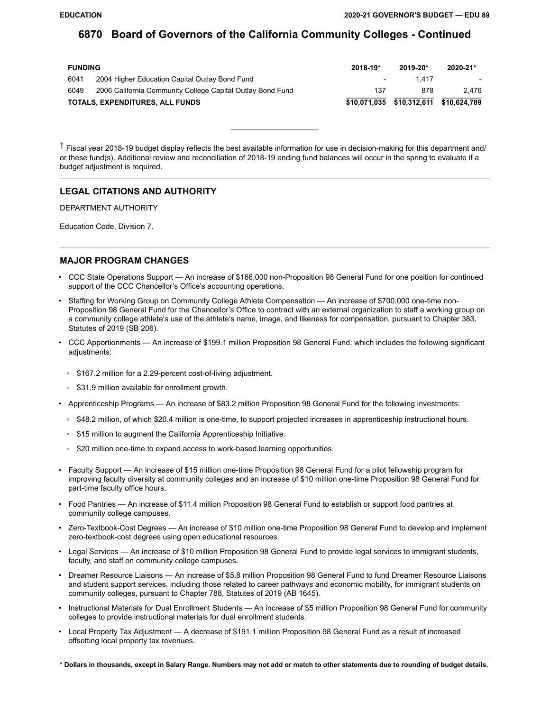| <b>FUNDING</b> |                                                            | $2018 - 19*$             | $2019 - 20*$                           | 2020-21* |
|----------------|------------------------------------------------------------|--------------------------|----------------------------------------|----------|
| 6041           | 2004 Higher Education Capital Outlay Bond Fund             | $\overline{\phantom{0}}$ | 1417                                   |          |
| 6049           | 2006 California Community College Capital Outlay Bond Fund | 137                      | 878                                    | 2.476    |
|                | TOTALS, EXPENDITURES, ALL FUNDS                            |                          | \$10,071,035 \$10,312,611 \$10,624,789 |          |

† Fiscal year 2018-19 budget display reflects the best available information for use in decision-making for this department and/ or these fund(s). Additional review and reconciliation of 2018-19 ending fund balances will occur in the spring to evaluate if a budget adjustment is required.

#### **LEGAL CITATIONS AND AUTHORITY**

DEPARTMENT AUTHORITY

Education Code, Division 7.

#### **MAJOR PROGRAM CHANGES**

- CCC State Operations Support An increase of \$166,000 non-Proposition 98 General Fund for one position for continued support of the CCC Chancellor's Office's accounting operations.
- Staffing for Working Group on Community College Athlete Compensation An increase of \$700,000 one-time non-Proposition 98 General Fund for the Chancellor's Office to contract with an external organization to staff a working group on a community college athlete's use of the athlete's name, image, and likeness for compensation, pursuant to Chapter 383, Statutes of 2019 (SB 206).
- CCC Apportionments An increase of \$199.1 million Proposition 98 General Fund, which includes the following significant adjustments:
	- \$167.2 million for a 2.29-percent cost-of-living adjustment.
	- \$31.9 million available for enrollment growth.
- Apprenticeship Programs An increase of \$83.2 million Proposition 98 General Fund for the following investments:
	- \$48.2 million, of which \$20.4 million is one-time, to support projected increases in apprenticeship instructional hours.
	- \$15 million to augment the California Apprenticeship Initiative.
	- \$20 million one-time to expand access to work-based learning opportunities.
- Faculty Support An increase of \$15 million one-time Proposition 98 General Fund for a pilot fellowship program for improving faculty diversity at community colleges and an increase of \$10 million one-time Proposition 98 General Fund for part-time faculty office hours.
- Food Pantries An increase of \$11.4 million Proposition 98 General Fund to establish or support food pantries at community college campuses.
- Zero-Textbook-Cost Degrees An increase of \$10 million one-time Proposition 98 General Fund to develop and implement zero-textbook-cost degrees using open educational resources.
- Legal Services An increase of \$10 million Proposition 98 General Fund to provide legal services to immigrant students, faculty, and staff on community college campuses.
- Dreamer Resource Liaisons An increase of \$5.8 million Proposition 98 General Fund to fund Dreamer Resource Liaisons and student support services, including those related to career pathways and economic mobility, for immigrant students on community colleges, pursuant to Chapter 788, Statutes of 2019 (AB 1645).
- Instructional Materials for Dual Enrollment Students An increase of \$5 million Proposition 98 General Fund for community colleges to provide instructional materials for dual enrollment students.
- Local Property Tax Adjustment A decrease of \$191.1 million Proposition 98 General Fund as a result of increased offsetting local property tax revenues.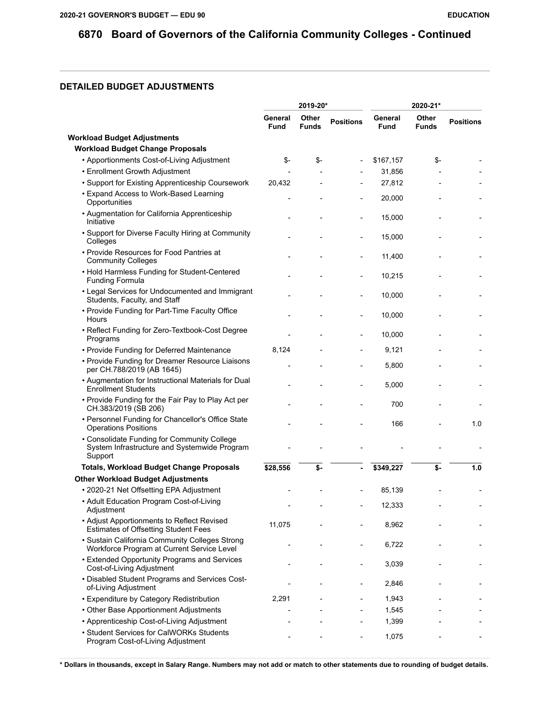## **DETAILED BUDGET ADJUSTMENTS**

|                                                                                                        |                        | 2019-20*              |                  | 2020-21*               |                       |                  |
|--------------------------------------------------------------------------------------------------------|------------------------|-----------------------|------------------|------------------------|-----------------------|------------------|
|                                                                                                        | General<br><b>Fund</b> | Other<br><b>Funds</b> | <b>Positions</b> | General<br><b>Fund</b> | Other<br><b>Funds</b> | <b>Positions</b> |
| <b>Workload Budget Adjustments</b>                                                                     |                        |                       |                  |                        |                       |                  |
| <b>Workload Budget Change Proposals</b>                                                                |                        |                       |                  |                        |                       |                  |
| • Apportionments Cost-of-Living Adjustment                                                             | \$-                    | \$-                   |                  | \$167,157              | \$-                   |                  |
| • Enrollment Growth Adjustment                                                                         |                        |                       |                  | 31,856                 |                       |                  |
| • Support for Existing Apprenticeship Coursework                                                       | 20,432                 |                       |                  | 27,812                 |                       |                  |
| • Expand Access to Work-Based Learning<br>Opportunities                                                |                        |                       |                  | 20,000                 |                       |                  |
| • Augmentation for California Apprenticeship<br>Initiative                                             |                        |                       | $\overline{a}$   | 15,000                 |                       |                  |
| • Support for Diverse Faculty Hiring at Community<br>Colleges                                          |                        |                       |                  | 15,000                 |                       |                  |
| • Provide Resources for Food Pantries at<br><b>Community Colleges</b>                                  |                        |                       |                  | 11,400                 |                       |                  |
| • Hold Harmless Funding for Student-Centered<br><b>Funding Formula</b>                                 |                        |                       |                  | 10,215                 |                       |                  |
| • Legal Services for Undocumented and Immigrant<br>Students, Faculty, and Staff                        |                        |                       |                  | 10,000                 |                       |                  |
| • Provide Funding for Part-Time Faculty Office<br>Hours                                                |                        |                       |                  | 10,000                 |                       |                  |
| • Reflect Funding for Zero-Textbook-Cost Degree<br>Programs                                            |                        |                       | $\overline{a}$   | 10,000                 |                       |                  |
| • Provide Funding for Deferred Maintenance                                                             | 8,124                  |                       |                  | 9,121                  |                       |                  |
| • Provide Funding for Dreamer Resource Liaisons<br>per CH.788/2019 (AB 1645)                           |                        |                       |                  | 5,800                  |                       |                  |
| • Augmentation for Instructional Materials for Dual<br><b>Enrollment Students</b>                      |                        |                       |                  | 5,000                  |                       |                  |
| • Provide Funding for the Fair Pay to Play Act per<br>CH.383/2019 (SB 206)                             |                        |                       |                  | 700                    |                       |                  |
| • Personnel Funding for Chancellor's Office State<br><b>Operations Positions</b>                       |                        |                       |                  | 166                    |                       | 1.0              |
| • Consolidate Funding for Community College<br>System Infrastructure and Systemwide Program<br>Support |                        |                       |                  |                        |                       |                  |
| <b>Totals, Workload Budget Change Proposals</b>                                                        | \$28,556               | \$-                   | ä,               | \$349,227              | \$-                   | 1.0              |
| <b>Other Workload Budget Adjustments</b>                                                               |                        |                       |                  |                        |                       |                  |
| • 2020-21 Net Offsetting EPA Adjustment                                                                |                        |                       |                  | 85,139                 |                       |                  |
| • Adult Education Program Cost-of-Living<br>Adjustment                                                 |                        |                       |                  | 12,333                 |                       |                  |
| • Adjust Apportionments to Reflect Revised<br><b>Estimates of Offsetting Student Fees</b>              | 11,075                 |                       |                  | 8,962                  |                       |                  |
| · Sustain California Community Colleges Strong<br>Workforce Program at Current Service Level           |                        |                       |                  | 6,722                  |                       |                  |
| • Extended Opportunity Programs and Services<br>Cost-of-Living Adjustment                              |                        |                       |                  | 3,039                  |                       |                  |
| • Disabled Student Programs and Services Cost-<br>of-Living Adjustment                                 |                        |                       |                  | 2,846                  |                       |                  |
| • Expenditure by Category Redistribution                                                               | 2,291                  |                       |                  | 1,943                  |                       |                  |
| • Other Base Apportionment Adjustments                                                                 |                        |                       |                  | 1,545                  |                       |                  |
| • Apprenticeship Cost-of-Living Adjustment                                                             |                        |                       |                  | 1,399                  |                       |                  |
| • Student Services for CalWORKs Students<br>Program Cost-of-Living Adjustment                          |                        |                       |                  | 1,075                  |                       |                  |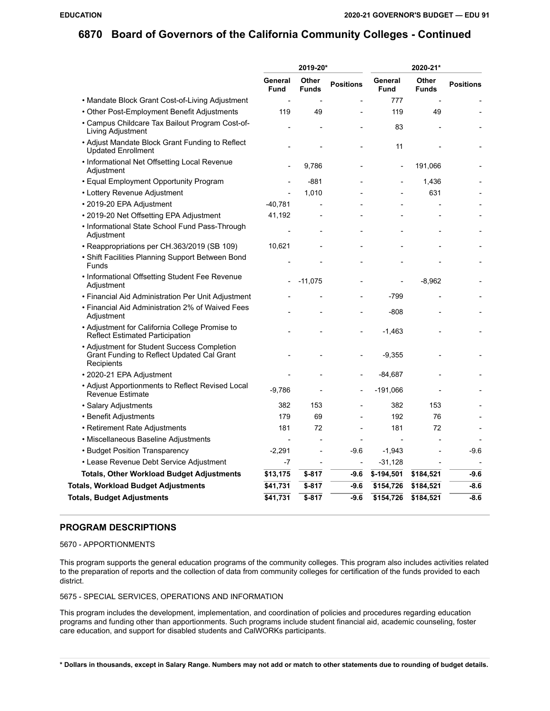|                                                                                                         | 2019-20*                 |                       |                          | 2020-21*               |                              |                  |  |
|---------------------------------------------------------------------------------------------------------|--------------------------|-----------------------|--------------------------|------------------------|------------------------------|------------------|--|
|                                                                                                         | General<br><b>Fund</b>   | Other<br><b>Funds</b> | <b>Positions</b>         | General<br><b>Fund</b> | <b>Other</b><br><b>Funds</b> | <b>Positions</b> |  |
| • Mandate Block Grant Cost-of-Living Adjustment                                                         |                          |                       |                          | 777                    |                              |                  |  |
| • Other Post-Employment Benefit Adjustments                                                             | 119                      | 49                    |                          | 119                    | 49                           |                  |  |
| • Campus Childcare Tax Bailout Program Cost-of-<br>Living Adjustment                                    |                          |                       |                          | 83                     |                              |                  |  |
| • Adjust Mandate Block Grant Funding to Reflect<br><b>Updated Enrollment</b>                            |                          |                       |                          | 11                     |                              |                  |  |
| • Informational Net Offsetting Local Revenue<br>Adjustment                                              |                          | 9,786                 |                          | $\qquad \qquad -$      | 191,066                      |                  |  |
| • Equal Employment Opportunity Program                                                                  |                          | $-881$                |                          |                        | 1,436                        |                  |  |
| • Lottery Revenue Adjustment                                                                            |                          | 1,010                 |                          |                        | 631                          |                  |  |
| • 2019-20 EPA Adjustment                                                                                | -40.781                  |                       |                          |                        |                              |                  |  |
| • 2019-20 Net Offsetting EPA Adjustment                                                                 | 41,192                   |                       |                          |                        |                              |                  |  |
| • Informational State School Fund Pass-Through<br>Adjustment                                            |                          |                       |                          |                        |                              |                  |  |
| • Reappropriations per CH.363/2019 (SB 109)                                                             | 10,621                   |                       |                          |                        |                              |                  |  |
| • Shift Facilities Planning Support Between Bond<br>Funds                                               |                          |                       |                          |                        |                              |                  |  |
| • Informational Offsetting Student Fee Revenue<br>Adjustment                                            |                          | $-11,075$             |                          |                        | $-8,962$                     |                  |  |
| • Financial Aid Administration Per Unit Adjustment                                                      |                          |                       |                          | $-799$                 |                              |                  |  |
| • Financial Aid Administration 2% of Waived Fees<br>Adjustment                                          |                          |                       |                          | $-808$                 |                              |                  |  |
| • Adjustment for California College Promise to<br><b>Reflect Estimated Participation</b>                |                          |                       |                          | $-1,463$               |                              |                  |  |
| • Adjustment for Student Success Completion<br>Grant Funding to Reflect Updated Cal Grant<br>Recipients |                          |                       |                          | $-9,355$               |                              |                  |  |
| • 2020-21 EPA Adjustment                                                                                |                          |                       |                          | -84,687                |                              |                  |  |
| • Adjust Apportionments to Reflect Revised Local<br><b>Revenue Estimate</b>                             | $-9,786$                 |                       |                          | -191,066               |                              |                  |  |
| • Salary Adjustments                                                                                    | 382                      | 153                   |                          | 382                    | 153                          |                  |  |
| • Benefit Adjustments                                                                                   | 179                      | 69                    |                          | 192                    | 76                           |                  |  |
| • Retirement Rate Adjustments                                                                           | 181                      | 72                    |                          | 181                    | 72                           |                  |  |
| • Miscellaneous Baseline Adjustments                                                                    | $\overline{\phantom{a}}$ |                       |                          |                        |                              |                  |  |
| • Budget Position Transparency                                                                          | $-2,291$                 | L,                    | $-9.6$                   | $-1,943$               |                              | $-9.6$           |  |
| • Lease Revenue Debt Service Adjustment                                                                 | -7                       |                       | $\overline{\phantom{a}}$ | $-31,128$              |                              |                  |  |
| <b>Totals, Other Workload Budget Adjustments</b>                                                        | \$13,175                 | \$-817                | -9.6                     | $$-194,501$            | \$184,521                    | $-9.6$           |  |
| <b>Totals, Workload Budget Adjustments</b>                                                              | \$41,731                 | \$-817                | -9.6                     | \$154,726              | \$184,521                    | $-8.6$           |  |
| <b>Totals, Budget Adjustments</b>                                                                       | \$41,731                 | $$-817$               | $-9.6$                   | \$154,726              | \$184,521                    | $-8.6$           |  |
|                                                                                                         |                          |                       |                          |                        |                              |                  |  |

#### **PROGRAM DESCRIPTIONS**

#### 5670 - APPORTIONMENTS

This program supports the general education programs of the community colleges. This program also includes activities related to the preparation of reports and the collection of data from community colleges for certification of the funds provided to each district.

#### 5675 - SPECIAL SERVICES, OPERATIONS AND INFORMATION

This program includes the development, implementation, and coordination of policies and procedures regarding education programs and funding other than apportionments. Such programs include student financial aid, academic counseling, foster care education, and support for disabled students and CalWORKs participants.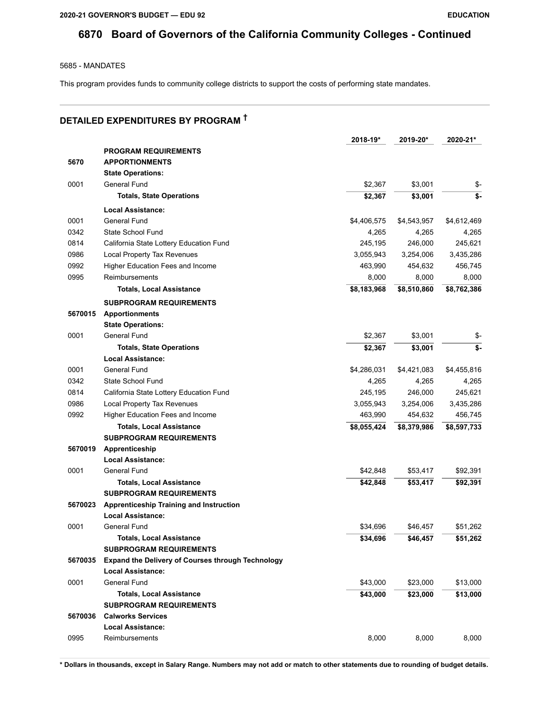5685 - MANDATES

This program provides funds to community college districts to support the costs of performing state mandates.

# **DETAILED EXPENDITURES BY PROGRAM †**

|         |                                                   | 2018-19*    | 2019-20*    | 2020-21*    |
|---------|---------------------------------------------------|-------------|-------------|-------------|
|         | <b>PROGRAM REQUIREMENTS</b>                       |             |             |             |
| 5670    | <b>APPORTIONMENTS</b>                             |             |             |             |
|         | <b>State Operations:</b>                          |             |             |             |
| 0001    | General Fund                                      | \$2,367     | \$3,001     | \$-         |
|         | <b>Totals, State Operations</b>                   | \$2,367     | \$3,001     | \$-         |
|         | <b>Local Assistance:</b>                          |             |             |             |
| 0001    | General Fund                                      | \$4,406,575 | \$4,543,957 | \$4,612,469 |
| 0342    | State School Fund                                 | 4,265       | 4,265       | 4,265       |
| 0814    | California State Lottery Education Fund           | 245,195     | 246,000     | 245,621     |
| 0986    | Local Property Tax Revenues                       | 3,055,943   | 3,254,006   | 3,435,286   |
| 0992    | Higher Education Fees and Income                  | 463,990     | 454,632     | 456,745     |
| 0995    | Reimbursements                                    | 8,000       | 8,000       | 8,000       |
|         | <b>Totals, Local Assistance</b>                   | \$8,183,968 | \$8,510,860 | \$8,762,386 |
|         | <b>SUBPROGRAM REQUIREMENTS</b>                    |             |             |             |
| 5670015 | <b>Apportionments</b>                             |             |             |             |
|         | <b>State Operations:</b>                          |             |             |             |
| 0001    | General Fund                                      | \$2,367     | \$3,001     | \$-         |
|         | <b>Totals, State Operations</b>                   | \$2,367     | \$3,001     | \$-         |
|         | Local Assistance:                                 |             |             |             |
| 0001    | General Fund                                      | \$4,286,031 | \$4,421,083 | \$4,455,816 |
| 0342    | State School Fund                                 | 4,265       | 4,265       | 4,265       |
| 0814    | California State Lottery Education Fund           | 245,195     | 246,000     | 245,621     |
| 0986    | Local Property Tax Revenues                       | 3,055,943   | 3,254,006   | 3,435,286   |
| 0992    | Higher Education Fees and Income                  | 463,990     | 454,632     | 456,745     |
|         | <b>Totals, Local Assistance</b>                   | \$8,055,424 | \$8,379,986 | \$8,597,733 |
|         | <b>SUBPROGRAM REQUIREMENTS</b>                    |             |             |             |
| 5670019 | Apprenticeship                                    |             |             |             |
|         | <b>Local Assistance:</b>                          |             |             |             |
| 0001    | General Fund                                      | \$42,848    | \$53,417    | \$92,391    |
|         | <b>Totals, Local Assistance</b>                   | \$42,848    | \$53,417    | \$92,391    |
|         | <b>SUBPROGRAM REQUIREMENTS</b>                    |             |             |             |
| 5670023 | Apprenticeship Training and Instruction           |             |             |             |
|         | <b>Local Assistance:</b>                          |             |             |             |
| 0001    | General Fund                                      | \$34,696    | \$46,457    | \$51,262    |
|         | <b>Totals, Local Assistance</b>                   | \$34,696    | \$46,457    | \$51,262    |
|         | <b>SUBPROGRAM REQUIREMENTS</b>                    |             |             |             |
| 5670035 | Expand the Delivery of Courses through Technology |             |             |             |
|         | <b>Local Assistance:</b>                          |             |             |             |
| 0001    | General Fund                                      | \$43,000    | \$23,000    | \$13,000    |
|         | <b>Totals, Local Assistance</b>                   | \$43,000    | \$23,000    | \$13,000    |
|         | <b>SUBPROGRAM REQUIREMENTS</b>                    |             |             |             |
| 5670036 | <b>Calworks Services</b>                          |             |             |             |
|         | Local Assistance:                                 |             |             |             |
| 0995    | Reimbursements                                    | 8,000       | 8,000       | 8,000       |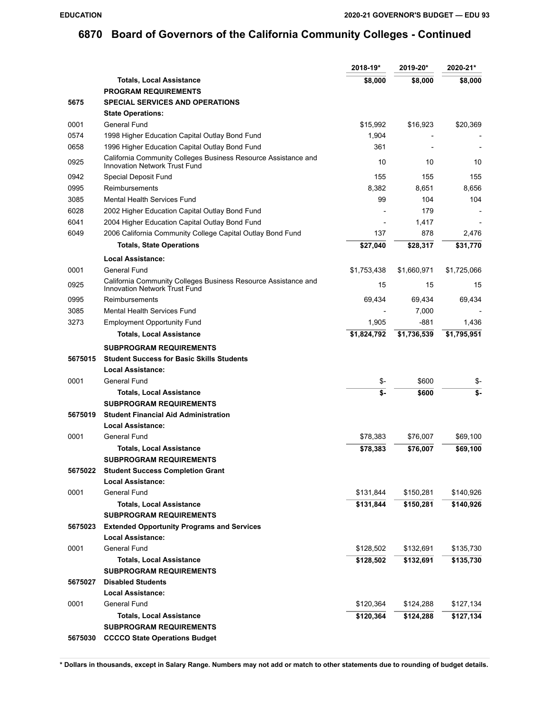|         |                                                                                                        | $2018 - 19*$ | 2019-20*    | 2020-21*    |
|---------|--------------------------------------------------------------------------------------------------------|--------------|-------------|-------------|
|         | <b>Totals, Local Assistance</b>                                                                        | \$8,000      | \$8,000     | \$8,000     |
|         | <b>PROGRAM REQUIREMENTS</b>                                                                            |              |             |             |
| 5675    | <b>SPECIAL SERVICES AND OPERATIONS</b>                                                                 |              |             |             |
|         | <b>State Operations:</b>                                                                               |              |             |             |
| 0001    | General Fund                                                                                           | \$15.992     | \$16,923    | \$20,369    |
| 0574    | 1998 Higher Education Capital Outlay Bond Fund                                                         | 1,904        |             |             |
| 0658    | 1996 Higher Education Capital Outlay Bond Fund                                                         | 361          |             |             |
| 0925    | California Community Colleges Business Resource Assistance and<br><b>Innovation Network Trust Fund</b> | 10           | 10          | 10          |
| 0942    | Special Deposit Fund                                                                                   | 155          | 155         | 155         |
| 0995    | Reimbursements                                                                                         | 8,382        | 8,651       | 8,656       |
| 3085    | <b>Mental Health Services Fund</b>                                                                     | 99           | 104         | 104         |
| 6028    | 2002 Higher Education Capital Outlay Bond Fund                                                         |              | 179         |             |
| 6041    | 2004 Higher Education Capital Outlay Bond Fund                                                         |              | 1,417       |             |
| 6049    | 2006 California Community College Capital Outlay Bond Fund                                             | 137          | 878         | 2,476       |
|         | <b>Totals, State Operations</b>                                                                        | \$27,040     | \$28,317    | \$31,770    |
|         | Local Assistance:                                                                                      |              |             |             |
| 0001    | General Fund                                                                                           | \$1,753,438  | \$1,660,971 | \$1,725,066 |
| 0925    | California Community Colleges Business Resource Assistance and<br><b>Innovation Network Trust Fund</b> | 15           | 15          | 15          |
| 0995    | Reimbursements                                                                                         | 69,434       | 69,434      | 69,434      |
| 3085    | Mental Health Services Fund                                                                            |              | 7,000       |             |
| 3273    | <b>Employment Opportunity Fund</b>                                                                     | 1,905        | -881        | 1,436       |
|         | <b>Totals, Local Assistance</b>                                                                        | \$1,824,792  | \$1,736,539 | \$1,795,951 |
|         | <b>SUBPROGRAM REQUIREMENTS</b>                                                                         |              |             |             |
| 5675015 | <b>Student Success for Basic Skills Students</b>                                                       |              |             |             |
|         | <b>Local Assistance:</b>                                                                               |              |             |             |
| 0001    | General Fund                                                                                           | \$-          | \$600       | \$-         |
|         | <b>Totals, Local Assistance</b>                                                                        | \$-          | \$600       | \$-         |
|         | <b>SUBPROGRAM REQUIREMENTS</b>                                                                         |              |             |             |
| 5675019 | <b>Student Financial Aid Administration</b>                                                            |              |             |             |
|         | <b>Local Assistance:</b>                                                                               |              |             |             |
| 0001    | General Fund                                                                                           | \$78,383     | \$76,007    | \$69,100    |
|         | <b>Totals, Local Assistance</b>                                                                        | \$78,383     | \$76,007    | \$69,100    |
|         | <b>SUBPROGRAM REQUIREMENTS</b>                                                                         |              |             |             |
| 5675022 | <b>Student Success Completion Grant</b>                                                                |              |             |             |
|         | <b>Local Assistance:</b>                                                                               |              |             |             |
| 0001    | General Fund                                                                                           | \$131,844    | \$150,281   | \$140,926   |
|         | <b>Totals, Local Assistance</b>                                                                        | \$131,844    | \$150,281   | \$140,926   |
|         | <b>SUBPROGRAM REQUIREMENTS</b>                                                                         |              |             |             |
| 5675023 | <b>Extended Opportunity Programs and Services</b>                                                      |              |             |             |
|         | <b>Local Assistance:</b>                                                                               |              |             |             |
| 0001    | General Fund                                                                                           | \$128,502    | \$132,691   | \$135,730   |
|         | <b>Totals, Local Assistance</b>                                                                        | \$128,502    | \$132,691   | \$135,730   |
|         | <b>SUBPROGRAM REQUIREMENTS</b>                                                                         |              |             |             |
| 5675027 | <b>Disabled Students</b>                                                                               |              |             |             |
|         | <b>Local Assistance:</b>                                                                               |              |             |             |
| 0001    | General Fund                                                                                           | \$120,364    | \$124,288   | \$127,134   |
|         | <b>Totals, Local Assistance</b>                                                                        | \$120,364    | \$124,288   | \$127,134   |
|         | <b>SUBPROGRAM REQUIREMENTS</b>                                                                         |              |             |             |
| 5675030 | <b>CCCCO State Operations Budget</b>                                                                   |              |             |             |
|         |                                                                                                        |              |             |             |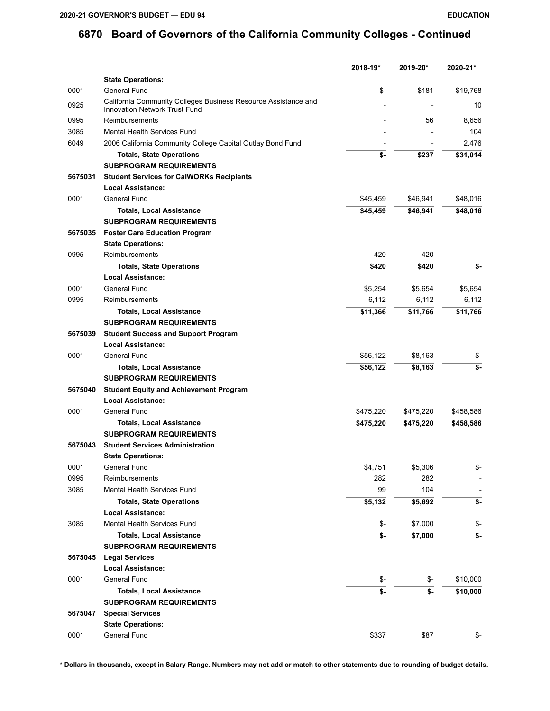|         |                                                                                                        | 2018-19*  | 2019-20*  | 2020-21*  |
|---------|--------------------------------------------------------------------------------------------------------|-----------|-----------|-----------|
|         | <b>State Operations:</b>                                                                               |           |           |           |
| 0001    | General Fund                                                                                           | \$-       | \$181     | \$19,768  |
| 0925    | California Community Colleges Business Resource Assistance and<br><b>Innovation Network Trust Fund</b> |           |           | 10        |
| 0995    | Reimbursements                                                                                         |           | 56        | 8,656     |
| 3085    | Mental Health Services Fund                                                                            |           |           | 104       |
| 6049    | 2006 California Community College Capital Outlay Bond Fund                                             |           |           | 2,476     |
|         | <b>Totals, State Operations</b>                                                                        | \$-       | \$237     | \$31,014  |
|         | <b>SUBPROGRAM REQUIREMENTS</b>                                                                         |           |           |           |
| 5675031 | <b>Student Services for CalWORKs Recipients</b>                                                        |           |           |           |
|         | <b>Local Assistance:</b>                                                                               |           |           |           |
| 0001    | General Fund                                                                                           | \$45,459  | \$46,941  | \$48,016  |
|         | <b>Totals, Local Assistance</b>                                                                        | \$45,459  | \$46,941  | \$48,016  |
|         | <b>SUBPROGRAM REQUIREMENTS</b>                                                                         |           |           |           |
| 5675035 | <b>Foster Care Education Program</b>                                                                   |           |           |           |
|         | <b>State Operations:</b>                                                                               |           |           |           |
| 0995    | Reimbursements                                                                                         | 420       | 420       |           |
|         | <b>Totals, State Operations</b>                                                                        | \$420     | \$420     | \$-       |
|         | <b>Local Assistance:</b>                                                                               |           |           |           |
| 0001    | General Fund                                                                                           | \$5,254   | \$5,654   | \$5,654   |
| 0995    | Reimbursements                                                                                         | 6,112     | 6,112     | 6,112     |
|         | <b>Totals, Local Assistance</b>                                                                        | \$11,366  | \$11,766  | \$11,766  |
|         | <b>SUBPROGRAM REQUIREMENTS</b>                                                                         |           |           |           |
| 5675039 | <b>Student Success and Support Program</b>                                                             |           |           |           |
|         | <b>Local Assistance:</b>                                                                               |           |           |           |
| 0001    | General Fund                                                                                           | \$56,122  | \$8,163   | \$-       |
|         | <b>Totals, Local Assistance</b>                                                                        | \$56,122  | \$8,163   | \$-       |
|         | <b>SUBPROGRAM REQUIREMENTS</b>                                                                         |           |           |           |
| 5675040 | <b>Student Equity and Achievement Program</b>                                                          |           |           |           |
|         | Local Assistance:                                                                                      |           |           |           |
| 0001    | General Fund                                                                                           | \$475,220 | \$475,220 | \$458,586 |
|         | <b>Totals, Local Assistance</b>                                                                        | \$475,220 | \$475,220 | \$458,586 |
|         | <b>SUBPROGRAM REQUIREMENTS</b>                                                                         |           |           |           |
| 5675043 | <b>Student Services Administration</b>                                                                 |           |           |           |
|         | <b>State Operations:</b>                                                                               |           |           |           |
| 0001    | General Fund                                                                                           | \$4,751   | \$5,306   | \$-       |
| 0995    | Reimbursements                                                                                         | 282       | 282       |           |
| 3085    | Mental Health Services Fund                                                                            | 99        | 104       |           |
|         | <b>Totals, State Operations</b>                                                                        | \$5,132   | \$5,692   | \$-       |
|         | <b>Local Assistance:</b>                                                                               |           |           |           |
| 3085    | Mental Health Services Fund                                                                            | \$-       | \$7,000   | \$-       |
|         | <b>Totals, Local Assistance</b>                                                                        | \$-       | \$7,000   | \$-       |
|         | <b>SUBPROGRAM REQUIREMENTS</b>                                                                         |           |           |           |
| 5675045 | <b>Legal Services</b>                                                                                  |           |           |           |
|         | <b>Local Assistance:</b>                                                                               |           |           |           |
| 0001    | General Fund                                                                                           | \$-       | \$-       | \$10,000  |
|         | <b>Totals, Local Assistance</b>                                                                        | \$-       | \$-       | \$10,000  |
|         | <b>SUBPROGRAM REQUIREMENTS</b>                                                                         |           |           |           |
| 5675047 | <b>Special Services</b>                                                                                |           |           |           |
|         | <b>State Operations:</b>                                                                               |           |           |           |
| 0001    | General Fund                                                                                           | \$337     | \$87      | \$-       |
|         |                                                                                                        |           |           |           |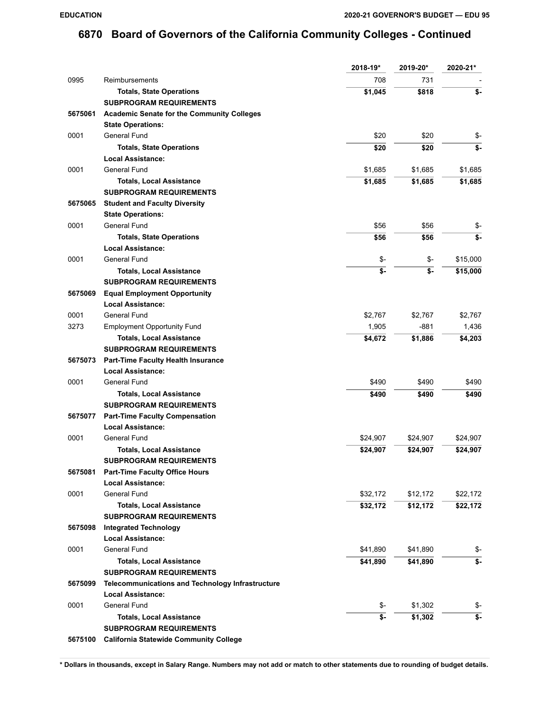|         |                                                   | 2018-19* | 2019-20* | 2020-21* |
|---------|---------------------------------------------------|----------|----------|----------|
| 0995    | Reimbursements                                    | 708      | 731      |          |
|         | <b>Totals, State Operations</b>                   | \$1,045  | \$818    | \$-      |
|         | <b>SUBPROGRAM REQUIREMENTS</b>                    |          |          |          |
| 5675061 | <b>Academic Senate for the Community Colleges</b> |          |          |          |
|         | <b>State Operations:</b>                          |          |          |          |
| 0001    | General Fund                                      | \$20     | \$20     | \$-      |
|         | <b>Totals, State Operations</b>                   | \$20     | \$20     | \$-      |
|         | <b>Local Assistance:</b>                          |          |          |          |
| 0001    | General Fund                                      | \$1,685  | \$1,685  | \$1,685  |
|         | <b>Totals, Local Assistance</b>                   | \$1,685  | \$1,685  | \$1,685  |
|         | <b>SUBPROGRAM REQUIREMENTS</b>                    |          |          |          |
| 5675065 | <b>Student and Faculty Diversity</b>              |          |          |          |
|         | <b>State Operations:</b>                          |          |          |          |
| 0001    | General Fund                                      | \$56     | \$56     | \$-      |
|         | <b>Totals, State Operations</b>                   | \$56     | \$56     | \$-      |
|         | <b>Local Assistance:</b>                          |          |          |          |
| 0001    | General Fund                                      | \$-      | \$-      | \$15,000 |
|         | <b>Totals, Local Assistance</b>                   | \$-      | \$-      | \$15,000 |
|         | <b>SUBPROGRAM REQUIREMENTS</b>                    |          |          |          |
| 5675069 | <b>Equal Employment Opportunity</b>               |          |          |          |
|         | <b>Local Assistance:</b>                          |          |          |          |
| 0001    | General Fund                                      | \$2,767  | \$2,767  | \$2,767  |
| 3273    | <b>Employment Opportunity Fund</b>                | 1,905    | $-881$   | 1,436    |
|         | <b>Totals, Local Assistance</b>                   | \$4,672  | \$1,886  | \$4,203  |
|         | <b>SUBPROGRAM REQUIREMENTS</b>                    |          |          |          |
| 5675073 | Part-Time Faculty Health Insurance                |          |          |          |
|         | <b>Local Assistance:</b>                          |          |          |          |
| 0001    | General Fund                                      | \$490    | \$490    | \$490    |
|         | <b>Totals, Local Assistance</b>                   | \$490    | \$490    | \$490    |
|         | <b>SUBPROGRAM REQUIREMENTS</b>                    |          |          |          |
| 5675077 | <b>Part-Time Faculty Compensation</b>             |          |          |          |
|         | <b>Local Assistance:</b>                          |          |          |          |
| 0001    | General Fund                                      | \$24,907 | \$24,907 | \$24,907 |
|         | <b>Totals, Local Assistance</b>                   | \$24,907 | \$24,907 | \$24,907 |
|         | <b>SUBPROGRAM REQUIREMENTS</b>                    |          |          |          |
| 5675081 | <b>Part-Time Faculty Office Hours</b>             |          |          |          |
|         | <b>Local Assistance:</b>                          |          |          |          |
| 0001    | General Fund                                      | \$32,172 | \$12,172 | \$22,172 |
|         | <b>Totals, Local Assistance</b>                   | \$32,172 | \$12,172 | \$22,172 |
|         | <b>SUBPROGRAM REQUIREMENTS</b>                    |          |          |          |
| 5675098 | <b>Integrated Technology</b>                      |          |          |          |
|         | <b>Local Assistance:</b>                          |          |          |          |
| 0001    | General Fund                                      | \$41,890 | \$41,890 | \$-      |
|         | <b>Totals, Local Assistance</b>                   | \$41,890 | \$41,890 | \$-      |
|         | <b>SUBPROGRAM REQUIREMENTS</b>                    |          |          |          |
| 5675099 | Telecommunications and Technology Infrastructure  |          |          |          |
|         | <b>Local Assistance:</b>                          |          |          |          |
| 0001    | General Fund                                      | \$-      | \$1,302  | \$-      |
|         | <b>Totals, Local Assistance</b>                   | \$-      | \$1,302  | \$-      |
|         | <b>SUBPROGRAM REQUIREMENTS</b>                    |          |          |          |
| 5675100 | <b>California Statewide Community College</b>     |          |          |          |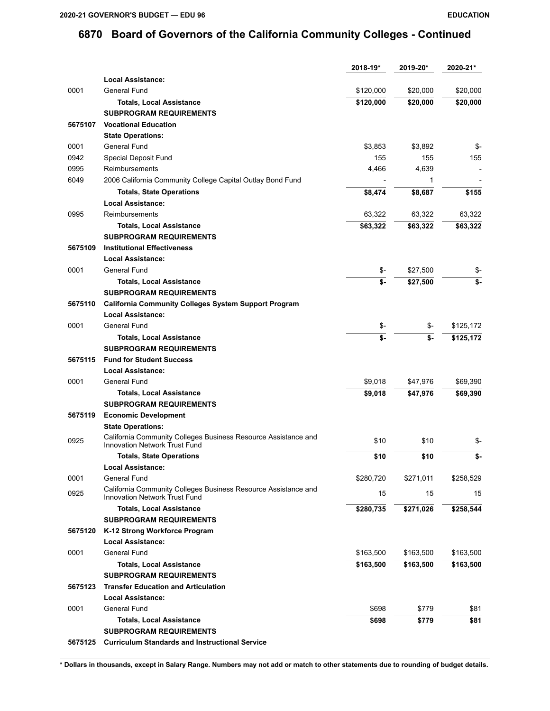|         |                                                                                                        | 2018-19*  | 2019-20*  | 2020-21*  |
|---------|--------------------------------------------------------------------------------------------------------|-----------|-----------|-----------|
|         | <b>Local Assistance:</b>                                                                               |           |           |           |
| 0001    | General Fund                                                                                           | \$120,000 | \$20,000  | \$20,000  |
|         | <b>Totals, Local Assistance</b>                                                                        | \$120,000 | \$20,000  | \$20,000  |
|         | <b>SUBPROGRAM REQUIREMENTS</b>                                                                         |           |           |           |
| 5675107 | <b>Vocational Education</b>                                                                            |           |           |           |
|         | <b>State Operations:</b>                                                                               |           |           |           |
| 0001    | General Fund                                                                                           | \$3,853   | \$3,892   | \$-       |
| 0942    | Special Deposit Fund                                                                                   | 155       | 155       | 155       |
| 0995    | Reimbursements                                                                                         | 4,466     | 4,639     |           |
| 6049    | 2006 California Community College Capital Outlay Bond Fund                                             |           | 1         |           |
|         | <b>Totals, State Operations</b>                                                                        | \$8,474   | \$8,687   | \$155     |
|         | <b>Local Assistance:</b>                                                                               |           |           |           |
| 0995    | Reimbursements                                                                                         | 63,322    | 63,322    | 63,322    |
|         | <b>Totals, Local Assistance</b>                                                                        | \$63,322  | \$63,322  | \$63,322  |
|         | <b>SUBPROGRAM REQUIREMENTS</b>                                                                         |           |           |           |
| 5675109 | <b>Institutional Effectiveness</b>                                                                     |           |           |           |
|         | <b>Local Assistance:</b>                                                                               |           |           |           |
| 0001    | General Fund                                                                                           | \$-       | \$27,500  |           |
|         |                                                                                                        |           |           | \$-       |
|         | <b>Totals, Local Assistance</b>                                                                        | \$-       | \$27,500  | \$-       |
|         | <b>SUBPROGRAM REQUIREMENTS</b>                                                                         |           |           |           |
| 5675110 | <b>California Community Colleges System Support Program</b>                                            |           |           |           |
|         | <b>Local Assistance:</b>                                                                               |           |           |           |
| 0001    | General Fund                                                                                           | \$-       | \$-       | \$125,172 |
|         | <b>Totals, Local Assistance</b>                                                                        | \$-       | \$-       | \$125,172 |
|         | <b>SUBPROGRAM REQUIREMENTS</b>                                                                         |           |           |           |
| 5675115 | <b>Fund for Student Success</b>                                                                        |           |           |           |
|         | <b>Local Assistance:</b>                                                                               |           |           |           |
| 0001    | General Fund                                                                                           | \$9,018   | \$47,976  | \$69,390  |
|         | <b>Totals, Local Assistance</b>                                                                        | \$9,018   | \$47,976  | \$69,390  |
|         | <b>SUBPROGRAM REQUIREMENTS</b>                                                                         |           |           |           |
| 5675119 | <b>Economic Development</b>                                                                            |           |           |           |
|         | <b>State Operations:</b>                                                                               |           |           |           |
| 0925    | California Community Colleges Business Resource Assistance and<br>Innovation Network Trust Fund        | \$10      | \$10      | \$-       |
|         | <b>Totals, State Operations</b>                                                                        | \$10      | \$10      | \$-       |
|         | Local Assistance:                                                                                      |           |           |           |
| 0001    | General Fund                                                                                           | \$280,720 | \$271,011 | \$258,529 |
| 0925    | California Community Colleges Business Resource Assistance and<br><b>Innovation Network Trust Fund</b> | 15        | 15        | 15        |
|         | <b>Totals, Local Assistance</b>                                                                        | \$280,735 | \$271,026 | \$258,544 |
|         | <b>SUBPROGRAM REQUIREMENTS</b>                                                                         |           |           |           |
| 5675120 | K-12 Strong Workforce Program                                                                          |           |           |           |
|         | Local Assistance:                                                                                      |           |           |           |
| 0001    | General Fund                                                                                           | \$163,500 | \$163,500 | \$163,500 |
|         | <b>Totals, Local Assistance</b>                                                                        | \$163,500 | \$163,500 | \$163,500 |
|         | <b>SUBPROGRAM REQUIREMENTS</b>                                                                         |           |           |           |
| 5675123 | <b>Transfer Education and Articulation</b>                                                             |           |           |           |
|         | <b>Local Assistance:</b>                                                                               |           |           |           |
| 0001    | General Fund                                                                                           | \$698     | \$779     | \$81      |
|         | <b>Totals, Local Assistance</b>                                                                        | \$698     | \$779     | \$81      |
|         | <b>SUBPROGRAM REQUIREMENTS</b>                                                                         |           |           |           |
| 5675125 | <b>Curriculum Standards and Instructional Service</b>                                                  |           |           |           |
|         |                                                                                                        |           |           |           |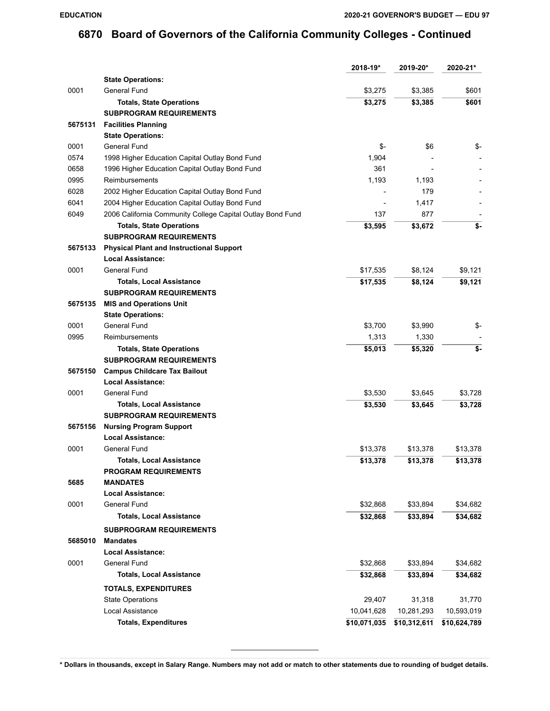|         |                                                            | 2018-19*       | 2019-20*     | 2020-21*     |
|---------|------------------------------------------------------------|----------------|--------------|--------------|
|         | <b>State Operations:</b>                                   |                |              |              |
| 0001    | General Fund                                               | \$3,275        | \$3,385      | \$601        |
|         | <b>Totals, State Operations</b>                            | \$3,275        | \$3,385      | \$601        |
|         | <b>SUBPROGRAM REQUIREMENTS</b>                             |                |              |              |
| 5675131 | <b>Facilities Planning</b>                                 |                |              |              |
|         | <b>State Operations:</b>                                   |                |              |              |
| 0001    | General Fund                                               | \$-            | \$6          | \$-          |
| 0574    | 1998 Higher Education Capital Outlay Bond Fund             | 1,904          |              |              |
| 0658    | 1996 Higher Education Capital Outlay Bond Fund             | 361            |              |              |
| 0995    | Reimbursements                                             | 1,193          | 1,193        |              |
| 6028    | 2002 Higher Education Capital Outlay Bond Fund             |                | 179          |              |
| 6041    | 2004 Higher Education Capital Outlay Bond Fund             | $\overline{a}$ | 1,417        |              |
| 6049    | 2006 California Community College Capital Outlay Bond Fund | 137            | 877          |              |
|         | <b>Totals, State Operations</b>                            | \$3,595        | \$3,672      | \$-          |
|         | <b>SUBPROGRAM REQUIREMENTS</b>                             |                |              |              |
| 5675133 | <b>Physical Plant and Instructional Support</b>            |                |              |              |
|         | <b>Local Assistance:</b>                                   |                |              |              |
| 0001    | General Fund                                               | \$17,535       | \$8,124      | \$9,121      |
|         | <b>Totals, Local Assistance</b>                            | \$17,535       | \$8,124      | \$9,121      |
|         | <b>SUBPROGRAM REQUIREMENTS</b>                             |                |              |              |
| 5675135 | <b>MIS and Operations Unit</b>                             |                |              |              |
|         | <b>State Operations:</b>                                   |                |              |              |
| 0001    | General Fund                                               | \$3,700        | \$3,990      | \$-          |
| 0995    | Reimbursements                                             | 1,313          | 1,330        |              |
|         | <b>Totals, State Operations</b>                            | \$5,013        | \$5,320      | \$-          |
|         | <b>SUBPROGRAM REQUIREMENTS</b>                             |                |              |              |
| 5675150 | <b>Campus Childcare Tax Bailout</b>                        |                |              |              |
|         | Local Assistance:                                          |                |              |              |
| 0001    | General Fund                                               | \$3,530        | \$3,645      | \$3,728      |
|         | <b>Totals, Local Assistance</b>                            | \$3,530        | \$3,645      | \$3,728      |
|         | <b>SUBPROGRAM REQUIREMENTS</b>                             |                |              |              |
| 5675156 | <b>Nursing Program Support</b>                             |                |              |              |
|         | <b>Local Assistance:</b>                                   |                |              |              |
| 0001    | General Fund                                               | \$13,378       | \$13,378     | \$13,378     |
|         | <b>Totals, Local Assistance</b>                            | \$13,378       | \$13,378     | \$13,378     |
|         | <b>PROGRAM REQUIREMENTS</b>                                |                |              |              |
| 5685    | <b>MANDATES</b>                                            |                |              |              |
|         | <b>Local Assistance:</b>                                   |                |              |              |
| 0001    | General Fund                                               | \$32,868       | \$33,894     | \$34,682     |
|         | <b>Totals, Local Assistance</b>                            | \$32,868       | \$33,894     | \$34,682     |
|         | <b>SUBPROGRAM REQUIREMENTS</b>                             |                |              |              |
| 5685010 | <b>Mandates</b>                                            |                |              |              |
|         | <b>Local Assistance:</b>                                   |                |              |              |
| 0001    | General Fund                                               | \$32,868       | \$33,894     | \$34,682     |
|         | <b>Totals, Local Assistance</b>                            | \$32,868       | \$33,894     | \$34,682     |
|         |                                                            |                |              |              |
|         | <b>TOTALS, EXPENDITURES</b>                                |                |              |              |
|         | <b>State Operations</b>                                    | 29,407         | 31,318       | 31,770       |
|         | Local Assistance                                           | 10,041,628     | 10,281,293   | 10,593,019   |
|         | <b>Totals, Expenditures</b>                                | \$10,071,035   | \$10,312,611 | \$10,624,789 |
|         |                                                            |                |              |              |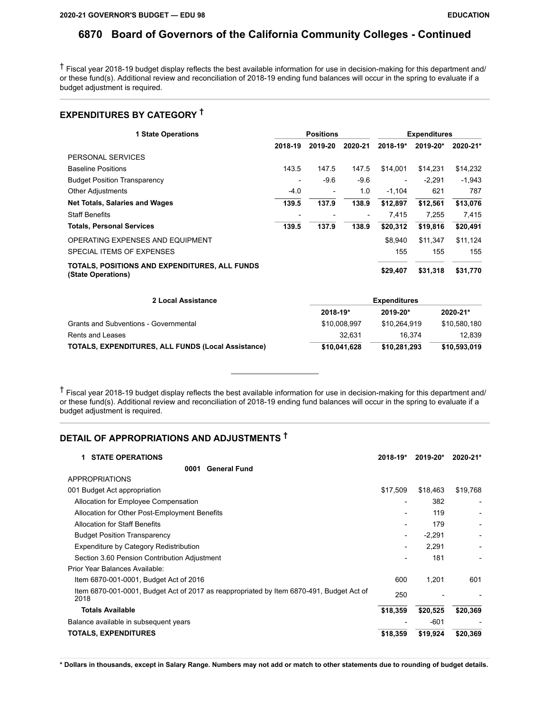† Fiscal year 2018-19 budget display reflects the best available information for use in decision-making for this department and/ or these fund(s). Additional review and reconciliation of 2018-19 ending fund balances will occur in the spring to evaluate if a budget adjustment is required.

## **EXPENDITURES BY CATEGORY †**

| <b>1 State Operations</b>                                           | <b>Positions</b> |                          | <b>Expenditures</b> |              |          |          |
|---------------------------------------------------------------------|------------------|--------------------------|---------------------|--------------|----------|----------|
|                                                                     | 2018-19          | 2019-20                  | 2020-21             | $2018 - 19*$ | 2019-20* | 2020-21* |
| PERSONAL SERVICES                                                   |                  |                          |                     |              |          |          |
| <b>Baseline Positions</b>                                           | 143.5            | 147.5                    | 147.5               | \$14.001     | \$14.231 | \$14,232 |
| <b>Budget Position Transparency</b>                                 |                  | $-9.6$                   | $-9.6$              |              | $-2.291$ | $-1,943$ |
| <b>Other Adjustments</b>                                            | $-4.0$           | $\overline{\phantom{a}}$ | 1.0                 | $-1.104$     | 621      | 787      |
| <b>Net Totals, Salaries and Wages</b>                               | 139.5            | 137.9                    | 138.9               | \$12,897     | \$12,561 | \$13,076 |
| <b>Staff Benefits</b>                                               |                  |                          | -                   | 7.415        | 7.255    | 7,415    |
| <b>Totals, Personal Services</b>                                    | 139.5            | 137.9                    | 138.9               | \$20,312     | \$19,816 | \$20,491 |
| OPERATING EXPENSES AND EQUIPMENT                                    |                  |                          |                     | \$8.940      | \$11,347 | \$11,124 |
| SPECIAL ITEMS OF EXPENSES                                           |                  |                          |                     | 155          | 155      | 155      |
| TOTALS, POSITIONS AND EXPENDITURES, ALL FUNDS<br>(State Operations) |                  |                          |                     | \$29,407     | \$31,318 | \$31,770 |

| 2 Local Assistance                                        | <b>Expenditures</b> |              |              |
|-----------------------------------------------------------|---------------------|--------------|--------------|
|                                                           | 2018-19*            | $2019 - 20*$ | 2020-21*     |
| Grants and Subventions - Governmental                     | \$10,008.997        | \$10.264.919 | \$10.580.180 |
| Rents and Leases                                          | 32.631              | 16.374       | 12.839       |
| <b>TOTALS, EXPENDITURES, ALL FUNDS (Local Assistance)</b> | \$10,041,628        | \$10,281,293 | \$10,593,019 |

† Fiscal year 2018-19 budget display reflects the best available information for use in decision-making for this department and/ or these fund(s). Additional review and reconciliation of 2018-19 ending fund balances will occur in the spring to evaluate if a budget adjustment is required.

## **DETAIL OF APPROPRIATIONS AND ADJUSTMENTS †**

| <b>STATE OPERATIONS</b><br>1                                                                     | 2018-19* | 2019-20* | 2020-21*                 |
|--------------------------------------------------------------------------------------------------|----------|----------|--------------------------|
| <b>General Fund</b><br>0001                                                                      |          |          |                          |
| <b>APPROPRIATIONS</b>                                                                            |          |          |                          |
| 001 Budget Act appropriation                                                                     | \$17,509 | \$18,463 | \$19,768                 |
| Allocation for Employee Compensation                                                             |          | 382      | $\overline{\phantom{a}}$ |
| Allocation for Other Post-Employment Benefits                                                    |          | 119      |                          |
| <b>Allocation for Staff Benefits</b>                                                             |          | 179      |                          |
| <b>Budget Position Transparency</b>                                                              |          | $-2,291$ |                          |
| Expenditure by Category Redistribution                                                           |          | 2,291    |                          |
| Section 3.60 Pension Contribution Adjustment                                                     |          | 181      |                          |
| Prior Year Balances Available:                                                                   |          |          |                          |
| Item 6870-001-0001, Budget Act of 2016                                                           | 600      | 1,201    | 601                      |
| Item 6870-001-0001, Budget Act of 2017 as reappropriated by Item 6870-491, Budget Act of<br>2018 | 250      |          |                          |
| <b>Totals Available</b>                                                                          | \$18,359 | \$20,525 | \$20,369                 |
| Balance available in subsequent years                                                            |          | $-601$   |                          |
| <b>TOTALS, EXPENDITURES</b>                                                                      | \$18,359 | \$19,924 | \$20,369                 |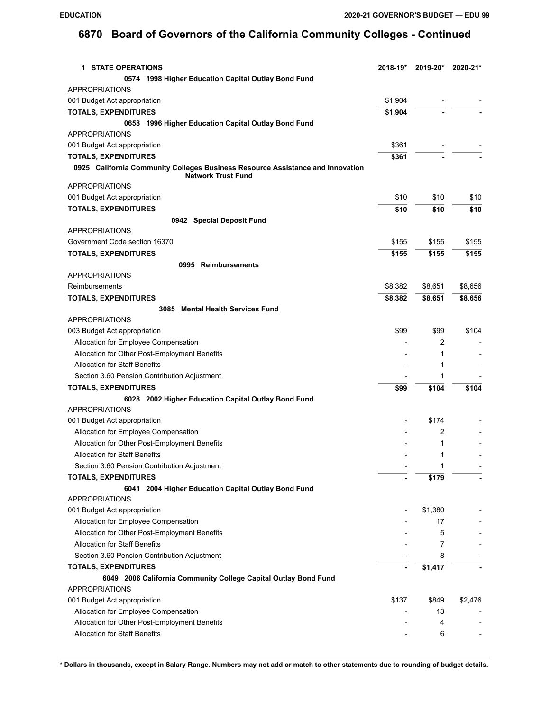| <b>1 STATE OPERATIONS</b>                                                                                   | 2018-19* | 2019-20*                | 2020-21* |
|-------------------------------------------------------------------------------------------------------------|----------|-------------------------|----------|
| 0574 1998 Higher Education Capital Outlay Bond Fund                                                         |          |                         |          |
| <b>APPROPRIATIONS</b>                                                                                       |          |                         |          |
| 001 Budget Act appropriation                                                                                | \$1,904  |                         |          |
| <b>TOTALS, EXPENDITURES</b>                                                                                 | \$1,904  |                         |          |
| 0658 1996 Higher Education Capital Outlay Bond Fund                                                         |          |                         |          |
| <b>APPROPRIATIONS</b>                                                                                       |          |                         |          |
| 001 Budget Act appropriation                                                                                | \$361    |                         |          |
| <b>TOTALS, EXPENDITURES</b>                                                                                 | \$361    |                         |          |
| 0925 California Community Colleges Business Resource Assistance and Innovation<br><b>Network Trust Fund</b> |          |                         |          |
| <b>APPROPRIATIONS</b>                                                                                       |          |                         |          |
| 001 Budget Act appropriation                                                                                | \$10     | \$10                    | \$10     |
| <b>TOTALS, EXPENDITURES</b>                                                                                 | \$10     | \$10                    | \$10     |
| 0942 Special Deposit Fund                                                                                   |          |                         |          |
| <b>APPROPRIATIONS</b>                                                                                       |          |                         |          |
| Government Code section 16370                                                                               | \$155    | \$155                   | \$155    |
| <b>TOTALS, EXPENDITURES</b>                                                                                 | \$155    | \$155                   | \$155    |
| 0995 Reimbursements<br><b>APPROPRIATIONS</b>                                                                |          |                         |          |
| Reimbursements                                                                                              | \$8,382  | \$8,651                 | \$8,656  |
| <b>TOTALS, EXPENDITURES</b>                                                                                 | \$8,382  | \$8,651                 | \$8,656  |
| 3085 Mental Health Services Fund                                                                            |          |                         |          |
| <b>APPROPRIATIONS</b>                                                                                       |          |                         |          |
| 003 Budget Act appropriation                                                                                | \$99     | \$99                    | \$104    |
| Allocation for Employee Compensation                                                                        |          | 2                       |          |
| Allocation for Other Post-Employment Benefits                                                               |          | 1                       |          |
| <b>Allocation for Staff Benefits</b>                                                                        |          | 1                       |          |
| Section 3.60 Pension Contribution Adjustment                                                                |          | 1                       |          |
| <b>TOTALS, EXPENDITURES</b>                                                                                 | \$99     | \$104                   | \$104    |
| 6028 2002 Higher Education Capital Outlay Bond Fund                                                         |          |                         |          |
| <b>APPROPRIATIONS</b>                                                                                       |          |                         |          |
| 001 Budget Act appropriation                                                                                |          | \$174                   |          |
| Allocation for Employee Compensation                                                                        |          | 2                       |          |
| Allocation for Other Post-Employment Benefits                                                               |          | 1                       |          |
| <b>Allocation for Staff Benefits</b>                                                                        |          | 1                       |          |
| Section 3.60 Pension Contribution Adjustment                                                                |          | $\overline{\mathbf{A}}$ |          |
| <b>TOTALS, EXPENDITURES</b>                                                                                 |          | \$179                   |          |
| 6041 2004 Higher Education Capital Outlay Bond Fund                                                         |          |                         |          |
| <b>APPROPRIATIONS</b>                                                                                       |          |                         |          |
| 001 Budget Act appropriation                                                                                |          | \$1,380                 |          |
| Allocation for Employee Compensation                                                                        |          | 17                      |          |
| Allocation for Other Post-Employment Benefits                                                               |          | 5                       |          |
| <b>Allocation for Staff Benefits</b>                                                                        |          | 7                       |          |
| Section 3.60 Pension Contribution Adjustment                                                                |          | 8                       |          |
| <b>TOTALS, EXPENDITURES</b>                                                                                 |          | \$1,417                 |          |
| 6049 2006 California Community College Capital Outlay Bond Fund<br><b>APPROPRIATIONS</b>                    |          |                         |          |
| 001 Budget Act appropriation                                                                                | \$137    | \$849                   | \$2,476  |
| Allocation for Employee Compensation                                                                        |          | 13                      |          |
| Allocation for Other Post-Employment Benefits                                                               |          | 4                       |          |
| <b>Allocation for Staff Benefits</b>                                                                        |          | 6                       |          |
|                                                                                                             |          |                         |          |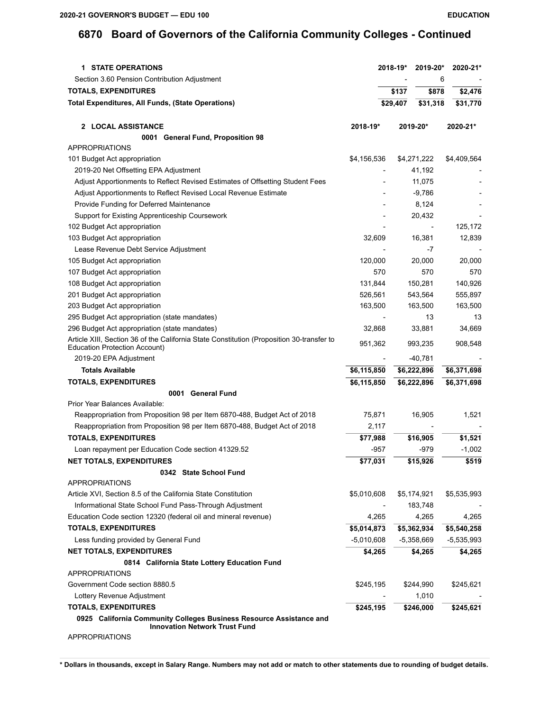| Section 3.60 Pension Contribution Adjustment<br>6<br><b>TOTALS, EXPENDITURES</b><br>\$137<br>\$878<br>\$2,476<br><b>Total Expenditures, All Funds, (State Operations)</b><br>\$29,407<br>\$31,318<br>\$31,770<br>2 LOCAL ASSISTANCE<br>2018-19*<br>2019-20*<br>2020-21*<br>0001 General Fund, Proposition 98<br><b>APPROPRIATIONS</b><br>101 Budget Act appropriation<br>\$4,156,536<br>\$4,409,564<br>\$4,271,222<br>2019-20 Net Offsetting EPA Adjustment<br>41,192<br>Adjust Apportionments to Reflect Revised Estimates of Offsetting Student Fees<br>11,075<br>Adjust Apportionments to Reflect Revised Local Revenue Estimate<br>$-9,786$<br>Provide Funding for Deferred Maintenance<br>8,124<br>20,432<br>Support for Existing Apprenticeship Coursework<br>125,172<br>102 Budget Act appropriation<br>103 Budget Act appropriation<br>32,609<br>16,381<br>12,839<br>Lease Revenue Debt Service Adjustment<br>-7<br>20.000<br>105 Budget Act appropriation<br>120,000<br>20,000<br>107 Budget Act appropriation<br>570<br>570<br>570<br>108 Budget Act appropriation<br>131,844<br>150,281<br>140,926<br>201 Budget Act appropriation<br>526,561<br>543,564<br>555,897<br>203 Budget Act appropriation<br>163,500<br>163,500<br>163,500<br>295 Budget Act appropriation (state mandates)<br>13<br>13<br>296 Budget Act appropriation (state mandates)<br>32,868<br>33,881<br>34,669<br>Article XIII, Section 36 of the California State Constitution (Proposition 30-transfer to<br>951,362<br>993,235<br>908,548<br><b>Education Protection Account)</b><br>2019-20 EPA Adjustment<br>$-40,781$<br><b>Totals Available</b><br>\$6,115,850<br>\$6,222,896<br>\$6,371,698<br><b>TOTALS, EXPENDITURES</b><br>\$6,115,850<br>\$6,222,896<br>\$6,371,698<br>0001 General Fund<br>Prior Year Balances Available:<br>Reappropriation from Proposition 98 per Item 6870-488, Budget Act of 2018<br>75,871<br>16,905<br>1,521<br>Reappropriation from Proposition 98 per Item 6870-488, Budget Act of 2018<br>2,117<br><b>TOTALS, EXPENDITURES</b><br>\$77,988<br>\$16,905<br>\$1,521<br>$-1,002$<br>Loan repayment per Education Code section 41329.52<br>-957<br>-979<br><b>NET TOTALS, EXPENDITURES</b><br>\$519<br>\$77,031<br>\$15,926<br>0342 State School Fund<br><b>APPROPRIATIONS</b><br>\$5,010,608<br>Article XVI, Section 8.5 of the California State Constitution<br>\$5,174,921<br>\$5,535,993<br>Informational State School Fund Pass-Through Adjustment<br>183,748<br>Education Code section 12320 (federal oil and mineral revenue)<br>4,265<br>4,265<br>4,265<br><b>TOTALS, EXPENDITURES</b><br>\$5,014,873<br>\$5,362,934<br>\$5,540,258<br>$-5,010,608$<br>Less funding provided by General Fund<br>$-5,358,669$<br>$-5,535,993$<br>NET TOTALS, EXPENDITURES<br>\$4,265<br>\$4,265<br>\$4,265<br>0814 California State Lottery Education Fund<br>APPROPRIATIONS<br>Government Code section 8880.5<br>\$245,195<br>\$244,990<br>\$245,621<br>Lottery Revenue Adjustment<br>1,010<br><b>TOTALS, EXPENDITURES</b><br>\$246,000<br>\$245,621<br>\$245,195<br>0925 California Community Colleges Business Resource Assistance and<br><b>Innovation Network Trust Fund</b><br><b>APPROPRIATIONS</b> | <b>1 STATE OPERATIONS</b> | $2018 - 19*$ | 2019-20* | 2020-21* |
|-------------------------------------------------------------------------------------------------------------------------------------------------------------------------------------------------------------------------------------------------------------------------------------------------------------------------------------------------------------------------------------------------------------------------------------------------------------------------------------------------------------------------------------------------------------------------------------------------------------------------------------------------------------------------------------------------------------------------------------------------------------------------------------------------------------------------------------------------------------------------------------------------------------------------------------------------------------------------------------------------------------------------------------------------------------------------------------------------------------------------------------------------------------------------------------------------------------------------------------------------------------------------------------------------------------------------------------------------------------------------------------------------------------------------------------------------------------------------------------------------------------------------------------------------------------------------------------------------------------------------------------------------------------------------------------------------------------------------------------------------------------------------------------------------------------------------------------------------------------------------------------------------------------------------------------------------------------------------------------------------------------------------------------------------------------------------------------------------------------------------------------------------------------------------------------------------------------------------------------------------------------------------------------------------------------------------------------------------------------------------------------------------------------------------------------------------------------------------------------------------------------------------------------------------------------------------------------------------------------------------------------------------------------------------------------------------------------------------------------------------------------------------------------------------------------------------------------------------------------------------------------------------------------------------------------------------------------------------------------------------------------------------------------------------------------------------------------------------------------------------------------------------------------------------------------------------------------------|---------------------------|--------------|----------|----------|
|                                                                                                                                                                                                                                                                                                                                                                                                                                                                                                                                                                                                                                                                                                                                                                                                                                                                                                                                                                                                                                                                                                                                                                                                                                                                                                                                                                                                                                                                                                                                                                                                                                                                                                                                                                                                                                                                                                                                                                                                                                                                                                                                                                                                                                                                                                                                                                                                                                                                                                                                                                                                                                                                                                                                                                                                                                                                                                                                                                                                                                                                                                                                                                                                                   |                           |              |          |          |
|                                                                                                                                                                                                                                                                                                                                                                                                                                                                                                                                                                                                                                                                                                                                                                                                                                                                                                                                                                                                                                                                                                                                                                                                                                                                                                                                                                                                                                                                                                                                                                                                                                                                                                                                                                                                                                                                                                                                                                                                                                                                                                                                                                                                                                                                                                                                                                                                                                                                                                                                                                                                                                                                                                                                                                                                                                                                                                                                                                                                                                                                                                                                                                                                                   |                           |              |          |          |
|                                                                                                                                                                                                                                                                                                                                                                                                                                                                                                                                                                                                                                                                                                                                                                                                                                                                                                                                                                                                                                                                                                                                                                                                                                                                                                                                                                                                                                                                                                                                                                                                                                                                                                                                                                                                                                                                                                                                                                                                                                                                                                                                                                                                                                                                                                                                                                                                                                                                                                                                                                                                                                                                                                                                                                                                                                                                                                                                                                                                                                                                                                                                                                                                                   |                           |              |          |          |
|                                                                                                                                                                                                                                                                                                                                                                                                                                                                                                                                                                                                                                                                                                                                                                                                                                                                                                                                                                                                                                                                                                                                                                                                                                                                                                                                                                                                                                                                                                                                                                                                                                                                                                                                                                                                                                                                                                                                                                                                                                                                                                                                                                                                                                                                                                                                                                                                                                                                                                                                                                                                                                                                                                                                                                                                                                                                                                                                                                                                                                                                                                                                                                                                                   |                           |              |          |          |
|                                                                                                                                                                                                                                                                                                                                                                                                                                                                                                                                                                                                                                                                                                                                                                                                                                                                                                                                                                                                                                                                                                                                                                                                                                                                                                                                                                                                                                                                                                                                                                                                                                                                                                                                                                                                                                                                                                                                                                                                                                                                                                                                                                                                                                                                                                                                                                                                                                                                                                                                                                                                                                                                                                                                                                                                                                                                                                                                                                                                                                                                                                                                                                                                                   |                           |              |          |          |
|                                                                                                                                                                                                                                                                                                                                                                                                                                                                                                                                                                                                                                                                                                                                                                                                                                                                                                                                                                                                                                                                                                                                                                                                                                                                                                                                                                                                                                                                                                                                                                                                                                                                                                                                                                                                                                                                                                                                                                                                                                                                                                                                                                                                                                                                                                                                                                                                                                                                                                                                                                                                                                                                                                                                                                                                                                                                                                                                                                                                                                                                                                                                                                                                                   |                           |              |          |          |
|                                                                                                                                                                                                                                                                                                                                                                                                                                                                                                                                                                                                                                                                                                                                                                                                                                                                                                                                                                                                                                                                                                                                                                                                                                                                                                                                                                                                                                                                                                                                                                                                                                                                                                                                                                                                                                                                                                                                                                                                                                                                                                                                                                                                                                                                                                                                                                                                                                                                                                                                                                                                                                                                                                                                                                                                                                                                                                                                                                                                                                                                                                                                                                                                                   |                           |              |          |          |
|                                                                                                                                                                                                                                                                                                                                                                                                                                                                                                                                                                                                                                                                                                                                                                                                                                                                                                                                                                                                                                                                                                                                                                                                                                                                                                                                                                                                                                                                                                                                                                                                                                                                                                                                                                                                                                                                                                                                                                                                                                                                                                                                                                                                                                                                                                                                                                                                                                                                                                                                                                                                                                                                                                                                                                                                                                                                                                                                                                                                                                                                                                                                                                                                                   |                           |              |          |          |
|                                                                                                                                                                                                                                                                                                                                                                                                                                                                                                                                                                                                                                                                                                                                                                                                                                                                                                                                                                                                                                                                                                                                                                                                                                                                                                                                                                                                                                                                                                                                                                                                                                                                                                                                                                                                                                                                                                                                                                                                                                                                                                                                                                                                                                                                                                                                                                                                                                                                                                                                                                                                                                                                                                                                                                                                                                                                                                                                                                                                                                                                                                                                                                                                                   |                           |              |          |          |
|                                                                                                                                                                                                                                                                                                                                                                                                                                                                                                                                                                                                                                                                                                                                                                                                                                                                                                                                                                                                                                                                                                                                                                                                                                                                                                                                                                                                                                                                                                                                                                                                                                                                                                                                                                                                                                                                                                                                                                                                                                                                                                                                                                                                                                                                                                                                                                                                                                                                                                                                                                                                                                                                                                                                                                                                                                                                                                                                                                                                                                                                                                                                                                                                                   |                           |              |          |          |
|                                                                                                                                                                                                                                                                                                                                                                                                                                                                                                                                                                                                                                                                                                                                                                                                                                                                                                                                                                                                                                                                                                                                                                                                                                                                                                                                                                                                                                                                                                                                                                                                                                                                                                                                                                                                                                                                                                                                                                                                                                                                                                                                                                                                                                                                                                                                                                                                                                                                                                                                                                                                                                                                                                                                                                                                                                                                                                                                                                                                                                                                                                                                                                                                                   |                           |              |          |          |
|                                                                                                                                                                                                                                                                                                                                                                                                                                                                                                                                                                                                                                                                                                                                                                                                                                                                                                                                                                                                                                                                                                                                                                                                                                                                                                                                                                                                                                                                                                                                                                                                                                                                                                                                                                                                                                                                                                                                                                                                                                                                                                                                                                                                                                                                                                                                                                                                                                                                                                                                                                                                                                                                                                                                                                                                                                                                                                                                                                                                                                                                                                                                                                                                                   |                           |              |          |          |
|                                                                                                                                                                                                                                                                                                                                                                                                                                                                                                                                                                                                                                                                                                                                                                                                                                                                                                                                                                                                                                                                                                                                                                                                                                                                                                                                                                                                                                                                                                                                                                                                                                                                                                                                                                                                                                                                                                                                                                                                                                                                                                                                                                                                                                                                                                                                                                                                                                                                                                                                                                                                                                                                                                                                                                                                                                                                                                                                                                                                                                                                                                                                                                                                                   |                           |              |          |          |
|                                                                                                                                                                                                                                                                                                                                                                                                                                                                                                                                                                                                                                                                                                                                                                                                                                                                                                                                                                                                                                                                                                                                                                                                                                                                                                                                                                                                                                                                                                                                                                                                                                                                                                                                                                                                                                                                                                                                                                                                                                                                                                                                                                                                                                                                                                                                                                                                                                                                                                                                                                                                                                                                                                                                                                                                                                                                                                                                                                                                                                                                                                                                                                                                                   |                           |              |          |          |
|                                                                                                                                                                                                                                                                                                                                                                                                                                                                                                                                                                                                                                                                                                                                                                                                                                                                                                                                                                                                                                                                                                                                                                                                                                                                                                                                                                                                                                                                                                                                                                                                                                                                                                                                                                                                                                                                                                                                                                                                                                                                                                                                                                                                                                                                                                                                                                                                                                                                                                                                                                                                                                                                                                                                                                                                                                                                                                                                                                                                                                                                                                                                                                                                                   |                           |              |          |          |
|                                                                                                                                                                                                                                                                                                                                                                                                                                                                                                                                                                                                                                                                                                                                                                                                                                                                                                                                                                                                                                                                                                                                                                                                                                                                                                                                                                                                                                                                                                                                                                                                                                                                                                                                                                                                                                                                                                                                                                                                                                                                                                                                                                                                                                                                                                                                                                                                                                                                                                                                                                                                                                                                                                                                                                                                                                                                                                                                                                                                                                                                                                                                                                                                                   |                           |              |          |          |
|                                                                                                                                                                                                                                                                                                                                                                                                                                                                                                                                                                                                                                                                                                                                                                                                                                                                                                                                                                                                                                                                                                                                                                                                                                                                                                                                                                                                                                                                                                                                                                                                                                                                                                                                                                                                                                                                                                                                                                                                                                                                                                                                                                                                                                                                                                                                                                                                                                                                                                                                                                                                                                                                                                                                                                                                                                                                                                                                                                                                                                                                                                                                                                                                                   |                           |              |          |          |
|                                                                                                                                                                                                                                                                                                                                                                                                                                                                                                                                                                                                                                                                                                                                                                                                                                                                                                                                                                                                                                                                                                                                                                                                                                                                                                                                                                                                                                                                                                                                                                                                                                                                                                                                                                                                                                                                                                                                                                                                                                                                                                                                                                                                                                                                                                                                                                                                                                                                                                                                                                                                                                                                                                                                                                                                                                                                                                                                                                                                                                                                                                                                                                                                                   |                           |              |          |          |
|                                                                                                                                                                                                                                                                                                                                                                                                                                                                                                                                                                                                                                                                                                                                                                                                                                                                                                                                                                                                                                                                                                                                                                                                                                                                                                                                                                                                                                                                                                                                                                                                                                                                                                                                                                                                                                                                                                                                                                                                                                                                                                                                                                                                                                                                                                                                                                                                                                                                                                                                                                                                                                                                                                                                                                                                                                                                                                                                                                                                                                                                                                                                                                                                                   |                           |              |          |          |
|                                                                                                                                                                                                                                                                                                                                                                                                                                                                                                                                                                                                                                                                                                                                                                                                                                                                                                                                                                                                                                                                                                                                                                                                                                                                                                                                                                                                                                                                                                                                                                                                                                                                                                                                                                                                                                                                                                                                                                                                                                                                                                                                                                                                                                                                                                                                                                                                                                                                                                                                                                                                                                                                                                                                                                                                                                                                                                                                                                                                                                                                                                                                                                                                                   |                           |              |          |          |
|                                                                                                                                                                                                                                                                                                                                                                                                                                                                                                                                                                                                                                                                                                                                                                                                                                                                                                                                                                                                                                                                                                                                                                                                                                                                                                                                                                                                                                                                                                                                                                                                                                                                                                                                                                                                                                                                                                                                                                                                                                                                                                                                                                                                                                                                                                                                                                                                                                                                                                                                                                                                                                                                                                                                                                                                                                                                                                                                                                                                                                                                                                                                                                                                                   |                           |              |          |          |
|                                                                                                                                                                                                                                                                                                                                                                                                                                                                                                                                                                                                                                                                                                                                                                                                                                                                                                                                                                                                                                                                                                                                                                                                                                                                                                                                                                                                                                                                                                                                                                                                                                                                                                                                                                                                                                                                                                                                                                                                                                                                                                                                                                                                                                                                                                                                                                                                                                                                                                                                                                                                                                                                                                                                                                                                                                                                                                                                                                                                                                                                                                                                                                                                                   |                           |              |          |          |
|                                                                                                                                                                                                                                                                                                                                                                                                                                                                                                                                                                                                                                                                                                                                                                                                                                                                                                                                                                                                                                                                                                                                                                                                                                                                                                                                                                                                                                                                                                                                                                                                                                                                                                                                                                                                                                                                                                                                                                                                                                                                                                                                                                                                                                                                                                                                                                                                                                                                                                                                                                                                                                                                                                                                                                                                                                                                                                                                                                                                                                                                                                                                                                                                                   |                           |              |          |          |
|                                                                                                                                                                                                                                                                                                                                                                                                                                                                                                                                                                                                                                                                                                                                                                                                                                                                                                                                                                                                                                                                                                                                                                                                                                                                                                                                                                                                                                                                                                                                                                                                                                                                                                                                                                                                                                                                                                                                                                                                                                                                                                                                                                                                                                                                                                                                                                                                                                                                                                                                                                                                                                                                                                                                                                                                                                                                                                                                                                                                                                                                                                                                                                                                                   |                           |              |          |          |
|                                                                                                                                                                                                                                                                                                                                                                                                                                                                                                                                                                                                                                                                                                                                                                                                                                                                                                                                                                                                                                                                                                                                                                                                                                                                                                                                                                                                                                                                                                                                                                                                                                                                                                                                                                                                                                                                                                                                                                                                                                                                                                                                                                                                                                                                                                                                                                                                                                                                                                                                                                                                                                                                                                                                                                                                                                                                                                                                                                                                                                                                                                                                                                                                                   |                           |              |          |          |
|                                                                                                                                                                                                                                                                                                                                                                                                                                                                                                                                                                                                                                                                                                                                                                                                                                                                                                                                                                                                                                                                                                                                                                                                                                                                                                                                                                                                                                                                                                                                                                                                                                                                                                                                                                                                                                                                                                                                                                                                                                                                                                                                                                                                                                                                                                                                                                                                                                                                                                                                                                                                                                                                                                                                                                                                                                                                                                                                                                                                                                                                                                                                                                                                                   |                           |              |          |          |
|                                                                                                                                                                                                                                                                                                                                                                                                                                                                                                                                                                                                                                                                                                                                                                                                                                                                                                                                                                                                                                                                                                                                                                                                                                                                                                                                                                                                                                                                                                                                                                                                                                                                                                                                                                                                                                                                                                                                                                                                                                                                                                                                                                                                                                                                                                                                                                                                                                                                                                                                                                                                                                                                                                                                                                                                                                                                                                                                                                                                                                                                                                                                                                                                                   |                           |              |          |          |
|                                                                                                                                                                                                                                                                                                                                                                                                                                                                                                                                                                                                                                                                                                                                                                                                                                                                                                                                                                                                                                                                                                                                                                                                                                                                                                                                                                                                                                                                                                                                                                                                                                                                                                                                                                                                                                                                                                                                                                                                                                                                                                                                                                                                                                                                                                                                                                                                                                                                                                                                                                                                                                                                                                                                                                                                                                                                                                                                                                                                                                                                                                                                                                                                                   |                           |              |          |          |
|                                                                                                                                                                                                                                                                                                                                                                                                                                                                                                                                                                                                                                                                                                                                                                                                                                                                                                                                                                                                                                                                                                                                                                                                                                                                                                                                                                                                                                                                                                                                                                                                                                                                                                                                                                                                                                                                                                                                                                                                                                                                                                                                                                                                                                                                                                                                                                                                                                                                                                                                                                                                                                                                                                                                                                                                                                                                                                                                                                                                                                                                                                                                                                                                                   |                           |              |          |          |
|                                                                                                                                                                                                                                                                                                                                                                                                                                                                                                                                                                                                                                                                                                                                                                                                                                                                                                                                                                                                                                                                                                                                                                                                                                                                                                                                                                                                                                                                                                                                                                                                                                                                                                                                                                                                                                                                                                                                                                                                                                                                                                                                                                                                                                                                                                                                                                                                                                                                                                                                                                                                                                                                                                                                                                                                                                                                                                                                                                                                                                                                                                                                                                                                                   |                           |              |          |          |
|                                                                                                                                                                                                                                                                                                                                                                                                                                                                                                                                                                                                                                                                                                                                                                                                                                                                                                                                                                                                                                                                                                                                                                                                                                                                                                                                                                                                                                                                                                                                                                                                                                                                                                                                                                                                                                                                                                                                                                                                                                                                                                                                                                                                                                                                                                                                                                                                                                                                                                                                                                                                                                                                                                                                                                                                                                                                                                                                                                                                                                                                                                                                                                                                                   |                           |              |          |          |
|                                                                                                                                                                                                                                                                                                                                                                                                                                                                                                                                                                                                                                                                                                                                                                                                                                                                                                                                                                                                                                                                                                                                                                                                                                                                                                                                                                                                                                                                                                                                                                                                                                                                                                                                                                                                                                                                                                                                                                                                                                                                                                                                                                                                                                                                                                                                                                                                                                                                                                                                                                                                                                                                                                                                                                                                                                                                                                                                                                                                                                                                                                                                                                                                                   |                           |              |          |          |
|                                                                                                                                                                                                                                                                                                                                                                                                                                                                                                                                                                                                                                                                                                                                                                                                                                                                                                                                                                                                                                                                                                                                                                                                                                                                                                                                                                                                                                                                                                                                                                                                                                                                                                                                                                                                                                                                                                                                                                                                                                                                                                                                                                                                                                                                                                                                                                                                                                                                                                                                                                                                                                                                                                                                                                                                                                                                                                                                                                                                                                                                                                                                                                                                                   |                           |              |          |          |
|                                                                                                                                                                                                                                                                                                                                                                                                                                                                                                                                                                                                                                                                                                                                                                                                                                                                                                                                                                                                                                                                                                                                                                                                                                                                                                                                                                                                                                                                                                                                                                                                                                                                                                                                                                                                                                                                                                                                                                                                                                                                                                                                                                                                                                                                                                                                                                                                                                                                                                                                                                                                                                                                                                                                                                                                                                                                                                                                                                                                                                                                                                                                                                                                                   |                           |              |          |          |
|                                                                                                                                                                                                                                                                                                                                                                                                                                                                                                                                                                                                                                                                                                                                                                                                                                                                                                                                                                                                                                                                                                                                                                                                                                                                                                                                                                                                                                                                                                                                                                                                                                                                                                                                                                                                                                                                                                                                                                                                                                                                                                                                                                                                                                                                                                                                                                                                                                                                                                                                                                                                                                                                                                                                                                                                                                                                                                                                                                                                                                                                                                                                                                                                                   |                           |              |          |          |
|                                                                                                                                                                                                                                                                                                                                                                                                                                                                                                                                                                                                                                                                                                                                                                                                                                                                                                                                                                                                                                                                                                                                                                                                                                                                                                                                                                                                                                                                                                                                                                                                                                                                                                                                                                                                                                                                                                                                                                                                                                                                                                                                                                                                                                                                                                                                                                                                                                                                                                                                                                                                                                                                                                                                                                                                                                                                                                                                                                                                                                                                                                                                                                                                                   |                           |              |          |          |
|                                                                                                                                                                                                                                                                                                                                                                                                                                                                                                                                                                                                                                                                                                                                                                                                                                                                                                                                                                                                                                                                                                                                                                                                                                                                                                                                                                                                                                                                                                                                                                                                                                                                                                                                                                                                                                                                                                                                                                                                                                                                                                                                                                                                                                                                                                                                                                                                                                                                                                                                                                                                                                                                                                                                                                                                                                                                                                                                                                                                                                                                                                                                                                                                                   |                           |              |          |          |
|                                                                                                                                                                                                                                                                                                                                                                                                                                                                                                                                                                                                                                                                                                                                                                                                                                                                                                                                                                                                                                                                                                                                                                                                                                                                                                                                                                                                                                                                                                                                                                                                                                                                                                                                                                                                                                                                                                                                                                                                                                                                                                                                                                                                                                                                                                                                                                                                                                                                                                                                                                                                                                                                                                                                                                                                                                                                                                                                                                                                                                                                                                                                                                                                                   |                           |              |          |          |
|                                                                                                                                                                                                                                                                                                                                                                                                                                                                                                                                                                                                                                                                                                                                                                                                                                                                                                                                                                                                                                                                                                                                                                                                                                                                                                                                                                                                                                                                                                                                                                                                                                                                                                                                                                                                                                                                                                                                                                                                                                                                                                                                                                                                                                                                                                                                                                                                                                                                                                                                                                                                                                                                                                                                                                                                                                                                                                                                                                                                                                                                                                                                                                                                                   |                           |              |          |          |
|                                                                                                                                                                                                                                                                                                                                                                                                                                                                                                                                                                                                                                                                                                                                                                                                                                                                                                                                                                                                                                                                                                                                                                                                                                                                                                                                                                                                                                                                                                                                                                                                                                                                                                                                                                                                                                                                                                                                                                                                                                                                                                                                                                                                                                                                                                                                                                                                                                                                                                                                                                                                                                                                                                                                                                                                                                                                                                                                                                                                                                                                                                                                                                                                                   |                           |              |          |          |
|                                                                                                                                                                                                                                                                                                                                                                                                                                                                                                                                                                                                                                                                                                                                                                                                                                                                                                                                                                                                                                                                                                                                                                                                                                                                                                                                                                                                                                                                                                                                                                                                                                                                                                                                                                                                                                                                                                                                                                                                                                                                                                                                                                                                                                                                                                                                                                                                                                                                                                                                                                                                                                                                                                                                                                                                                                                                                                                                                                                                                                                                                                                                                                                                                   |                           |              |          |          |
|                                                                                                                                                                                                                                                                                                                                                                                                                                                                                                                                                                                                                                                                                                                                                                                                                                                                                                                                                                                                                                                                                                                                                                                                                                                                                                                                                                                                                                                                                                                                                                                                                                                                                                                                                                                                                                                                                                                                                                                                                                                                                                                                                                                                                                                                                                                                                                                                                                                                                                                                                                                                                                                                                                                                                                                                                                                                                                                                                                                                                                                                                                                                                                                                                   |                           |              |          |          |
|                                                                                                                                                                                                                                                                                                                                                                                                                                                                                                                                                                                                                                                                                                                                                                                                                                                                                                                                                                                                                                                                                                                                                                                                                                                                                                                                                                                                                                                                                                                                                                                                                                                                                                                                                                                                                                                                                                                                                                                                                                                                                                                                                                                                                                                                                                                                                                                                                                                                                                                                                                                                                                                                                                                                                                                                                                                                                                                                                                                                                                                                                                                                                                                                                   |                           |              |          |          |
|                                                                                                                                                                                                                                                                                                                                                                                                                                                                                                                                                                                                                                                                                                                                                                                                                                                                                                                                                                                                                                                                                                                                                                                                                                                                                                                                                                                                                                                                                                                                                                                                                                                                                                                                                                                                                                                                                                                                                                                                                                                                                                                                                                                                                                                                                                                                                                                                                                                                                                                                                                                                                                                                                                                                                                                                                                                                                                                                                                                                                                                                                                                                                                                                                   |                           |              |          |          |
|                                                                                                                                                                                                                                                                                                                                                                                                                                                                                                                                                                                                                                                                                                                                                                                                                                                                                                                                                                                                                                                                                                                                                                                                                                                                                                                                                                                                                                                                                                                                                                                                                                                                                                                                                                                                                                                                                                                                                                                                                                                                                                                                                                                                                                                                                                                                                                                                                                                                                                                                                                                                                                                                                                                                                                                                                                                                                                                                                                                                                                                                                                                                                                                                                   |                           |              |          |          |
|                                                                                                                                                                                                                                                                                                                                                                                                                                                                                                                                                                                                                                                                                                                                                                                                                                                                                                                                                                                                                                                                                                                                                                                                                                                                                                                                                                                                                                                                                                                                                                                                                                                                                                                                                                                                                                                                                                                                                                                                                                                                                                                                                                                                                                                                                                                                                                                                                                                                                                                                                                                                                                                                                                                                                                                                                                                                                                                                                                                                                                                                                                                                                                                                                   |                           |              |          |          |
|                                                                                                                                                                                                                                                                                                                                                                                                                                                                                                                                                                                                                                                                                                                                                                                                                                                                                                                                                                                                                                                                                                                                                                                                                                                                                                                                                                                                                                                                                                                                                                                                                                                                                                                                                                                                                                                                                                                                                                                                                                                                                                                                                                                                                                                                                                                                                                                                                                                                                                                                                                                                                                                                                                                                                                                                                                                                                                                                                                                                                                                                                                                                                                                                                   |                           |              |          |          |
|                                                                                                                                                                                                                                                                                                                                                                                                                                                                                                                                                                                                                                                                                                                                                                                                                                                                                                                                                                                                                                                                                                                                                                                                                                                                                                                                                                                                                                                                                                                                                                                                                                                                                                                                                                                                                                                                                                                                                                                                                                                                                                                                                                                                                                                                                                                                                                                                                                                                                                                                                                                                                                                                                                                                                                                                                                                                                                                                                                                                                                                                                                                                                                                                                   |                           |              |          |          |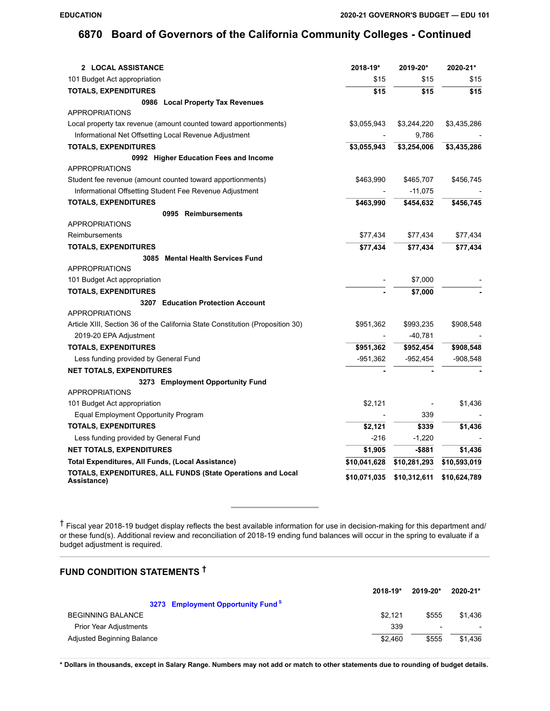| 2 LOCAL ASSISTANCE                                                             | 2018-19*     | 2019-20*     | 2020-21*     |
|--------------------------------------------------------------------------------|--------------|--------------|--------------|
| 101 Budget Act appropriation                                                   | \$15         | \$15         | \$15         |
| <b>TOTALS, EXPENDITURES</b>                                                    | \$15         | \$15         | \$15         |
| 0986 Local Property Tax Revenues                                               |              |              |              |
| <b>APPROPRIATIONS</b>                                                          |              |              |              |
| Local property tax revenue (amount counted toward apportionments)              | \$3,055,943  | \$3,244,220  | \$3,435,286  |
| Informational Net Offsetting Local Revenue Adjustment                          |              | 9,786        |              |
| <b>TOTALS, EXPENDITURES</b>                                                    | \$3,055,943  | \$3,254,006  | \$3,435,286  |
| 0992 Higher Education Fees and Income                                          |              |              |              |
| <b>APPROPRIATIONS</b>                                                          |              |              |              |
| Student fee revenue (amount counted toward apportionments)                     | \$463,990    | \$465,707    | \$456,745    |
| Informational Offsetting Student Fee Revenue Adjustment                        |              | $-11,075$    |              |
| <b>TOTALS, EXPENDITURES</b>                                                    | \$463,990    | \$454,632    | \$456,745    |
| 0995 Reimbursements                                                            |              |              |              |
| <b>APPROPRIATIONS</b>                                                          |              |              |              |
| Reimbursements                                                                 | \$77,434     | \$77,434     | \$77,434     |
| <b>TOTALS, EXPENDITURES</b>                                                    | \$77,434     | \$77,434     | \$77,434     |
| 3085 Mental Health Services Fund                                               |              |              |              |
| <b>APPROPRIATIONS</b>                                                          |              |              |              |
| 101 Budget Act appropriation                                                   |              | \$7,000      |              |
| <b>TOTALS, EXPENDITURES</b>                                                    |              | \$7,000      |              |
| 3207 Education Protection Account                                              |              |              |              |
| <b>APPROPRIATIONS</b>                                                          |              |              |              |
| Article XIII, Section 36 of the California State Constitution (Proposition 30) | \$951,362    | \$993,235    | \$908,548    |
| 2019-20 EPA Adjustment                                                         |              | $-40,781$    |              |
| <b>TOTALS, EXPENDITURES</b>                                                    | \$951,362    | \$952,454    | \$908,548    |
| Less funding provided by General Fund                                          | -951,362     | -952,454     | $-908,548$   |
| <b>NET TOTALS, EXPENDITURES</b>                                                |              |              |              |
| 3273 Employment Opportunity Fund                                               |              |              |              |
| <b>APPROPRIATIONS</b>                                                          |              |              |              |
| 101 Budget Act appropriation                                                   | \$2,121      |              | \$1,436      |
| Equal Employment Opportunity Program                                           |              | 339          |              |
| <b>TOTALS, EXPENDITURES</b>                                                    | \$2,121      | \$339        | \$1,436      |
| Less funding provided by General Fund                                          | $-216$       | $-1,220$     |              |
| <b>NET TOTALS, EXPENDITURES</b>                                                | \$1,905      | -\$881       | \$1,436      |
| Total Expenditures, All Funds, (Local Assistance)                              | \$10,041,628 | \$10,281,293 | \$10,593,019 |
| TOTALS, EXPENDITURES, ALL FUNDS (State Operations and Local<br>Assistance)     | \$10,071,035 | \$10,312,611 | \$10,624,789 |

† Fiscal year 2018-19 budget display reflects the best available information for use in decision-making for this department and/ or these fund(s). Additional review and reconciliation of 2018-19 ending fund balances will occur in the spring to evaluate if a budget adjustment is required.

# **FUND CONDITION STATEMENTS †**

|                                               | $2018 - 19*$ | 2019-20*                 | 2020-21* |
|-----------------------------------------------|--------------|--------------------------|----------|
| 3273 Employment Opportunity Fund <sup>S</sup> |              |                          |          |
| <b>BEGINNING BALANCE</b>                      | \$2.121      | \$555                    | \$1.436  |
| <b>Prior Year Adjustments</b>                 | 339          | $\overline{\phantom{a}}$ |          |
| Adjusted Beginning Balance                    | \$2.460      | \$555                    | \$1.436  |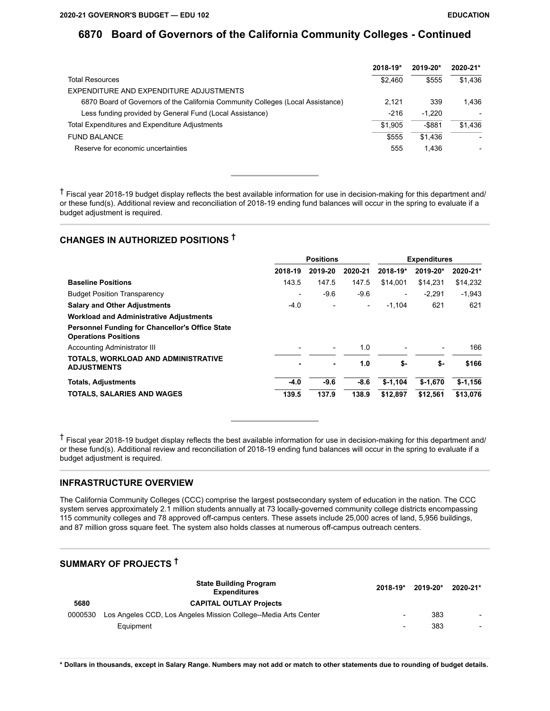|                                                                                 | $2018 - 19*$ | $2019 - 20*$ | 2020-21*                 |
|---------------------------------------------------------------------------------|--------------|--------------|--------------------------|
| <b>Total Resources</b>                                                          | \$2.460      | \$555        | \$1.436                  |
| EXPENDITURE AND EXPENDITURE ADJUSTMENTS                                         |              |              |                          |
| 6870 Board of Governors of the California Community Colleges (Local Assistance) | 2.121        | 339          | 1.436                    |
| Less funding provided by General Fund (Local Assistance)                        | $-216$       | $-1.220$     |                          |
| Total Expenditures and Expenditure Adjustments                                  | \$1.905      | $-$ \$881    | \$1.436                  |
| <b>FUND BALANCE</b>                                                             | \$555        | \$1.436      | $\overline{\phantom{a}}$ |
| Reserve for economic uncertainties                                              | 555          | 1.436        | $\overline{\phantom{0}}$ |

† Fiscal year 2018-19 budget display reflects the best available information for use in decision-making for this department and/ or these fund(s). Additional review and reconciliation of 2018-19 ending fund balances will occur in the spring to evaluate if a budget adjustment is required.

## **CHANGES IN AUTHORIZED POSITIONS †**

|                                                                                |         | <b>Positions</b> |                          | <b>Expenditures</b>      |           |           |
|--------------------------------------------------------------------------------|---------|------------------|--------------------------|--------------------------|-----------|-----------|
|                                                                                | 2018-19 | 2019-20          | 2020-21                  | 2018-19*                 | 2019-20*  | 2020-21*  |
| <b>Baseline Positions</b>                                                      | 143.5   | 147.5            | 147.5                    | \$14.001                 | \$14.231  | \$14,232  |
| <b>Budget Position Transparency</b>                                            |         | $-9.6$           | $-9.6$                   | $\overline{\phantom{0}}$ | $-2.291$  | $-1,943$  |
| <b>Salary and Other Adjustments</b>                                            | $-4.0$  |                  | $\overline{\phantom{a}}$ | $-1.104$                 | 621       | 621       |
| <b>Workload and Administrative Adjustments</b>                                 |         |                  |                          |                          |           |           |
| Personnel Funding for Chancellor's Office State<br><b>Operations Positions</b> |         |                  |                          |                          |           |           |
| Accounting Administrator III                                                   |         | -                | 1.0                      |                          | -         | 166       |
| TOTALS, WORKLOAD AND ADMINISTRATIVE<br><b>ADJUSTMENTS</b>                      |         | ٠                | 1.0                      | \$-                      | \$-       | \$166     |
| <b>Totals, Adjustments</b>                                                     | $-4.0$  | $-9.6$           | $-8.6$                   | $$-1,104$                | $$-1.670$ | $$-1,156$ |
| <b>TOTALS, SALARIES AND WAGES</b>                                              | 139.5   | 137.9            | 138.9                    | \$12.897                 | \$12.561  | \$13,076  |

† Fiscal year 2018-19 budget display reflects the best available information for use in decision-making for this department and/ or these fund(s). Additional review and reconciliation of 2018-19 ending fund balances will occur in the spring to evaluate if a budget adjustment is required.

#### **INFRASTRUCTURE OVERVIEW**

The California Community Colleges (CCC) comprise the largest postsecondary system of education in the nation. The CCC system serves approximately 2.1 million students annually at 73 locally-governed community college districts encompassing 115 community colleges and 78 approved off-campus centers. These assets include 25,000 acres of land, 5,956 buildings, and 87 million gross square feet. The system also holds classes at numerous off-campus outreach centers.

## **SUMMARY OF PROJECTS †**

|         | <b>State Building Program</b><br><b>Expenditures</b>            | $2018 - 19*$             | 2019-20* | 2020-21* |
|---------|-----------------------------------------------------------------|--------------------------|----------|----------|
| 5680    | <b>CAPITAL OUTLAY Projects</b>                                  |                          |          |          |
| 0000530 | Los Angeles CCD, Los Angeles Mission College--Media Arts Center | $\overline{\phantom{a}}$ | 383      |          |
|         | Equipment                                                       | $\overline{\phantom{0}}$ | 383      |          |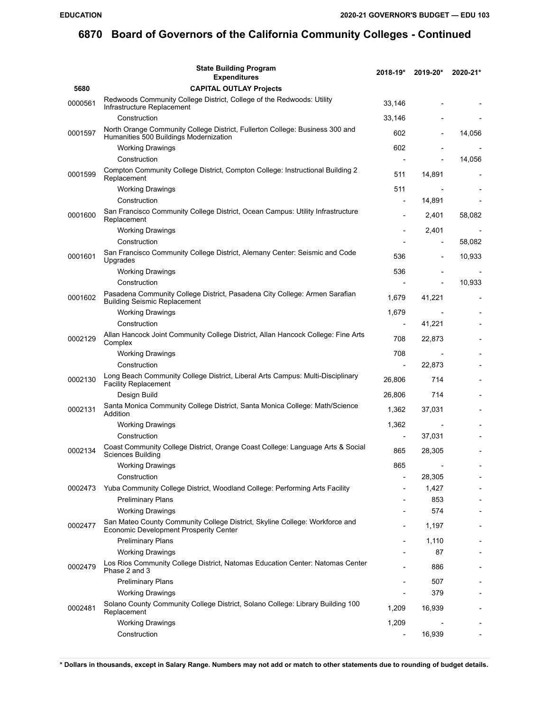|         | <b>State Building Program</b><br><b>Expenditures</b>                                                                         | 2018-19*       | 2019-20*                 | 2020-21* |
|---------|------------------------------------------------------------------------------------------------------------------------------|----------------|--------------------------|----------|
| 5680    | <b>CAPITAL OUTLAY Projects</b>                                                                                               |                |                          |          |
| 0000561 | Redwoods Community College District, College of the Redwoods: Utility<br>Infrastructure Replacement                          | 33,146         |                          |          |
|         | Construction                                                                                                                 | 33,146         |                          |          |
| 0001597 | North Orange Community College District, Fullerton College: Business 300 and<br>Humanities 500 Buildings Modernization       | 602            |                          | 14,056   |
|         | <b>Working Drawings</b>                                                                                                      | 602            |                          |          |
|         | Construction                                                                                                                 |                |                          | 14,056   |
| 0001599 | Compton Community College District, Compton College: Instructional Building 2<br>Replacement                                 | 511            | 14,891                   |          |
|         | <b>Working Drawings</b>                                                                                                      | 511            |                          |          |
|         | Construction                                                                                                                 |                | 14,891                   |          |
| 0001600 | San Francisco Community College District, Ocean Campus: Utility Infrastructure<br>Replacement                                |                | 2,401                    | 58,082   |
|         | <b>Working Drawings</b>                                                                                                      |                | 2,401                    |          |
|         | Construction                                                                                                                 |                |                          | 58,082   |
| 0001601 | San Francisco Community College District, Alemany Center: Seismic and Code<br>Upgrades                                       | 536            |                          | 10,933   |
|         | <b>Working Drawings</b>                                                                                                      | 536            |                          |          |
|         | Construction                                                                                                                 |                |                          | 10,933   |
| 0001602 | Pasadena Community College District, Pasadena City College: Armen Sarafian<br><b>Building Seismic Replacement</b>            | 1,679          | 41,221                   |          |
|         | <b>Working Drawings</b>                                                                                                      | 1,679          | $\overline{\phantom{a}}$ |          |
|         | Construction                                                                                                                 | $\overline{a}$ | 41,221                   |          |
| 0002129 | Allan Hancock Joint Community College District, Allan Hancock College: Fine Arts<br>Complex                                  | 708            | 22,873                   |          |
|         | <b>Working Drawings</b>                                                                                                      | 708            |                          |          |
|         | Construction                                                                                                                 |                | 22,873                   |          |
| 0002130 | Long Beach Community College District, Liberal Arts Campus: Multi-Disciplinary<br><b>Facility Replacement</b>                | 26,806         | 714                      |          |
|         | Design Build                                                                                                                 | 26,806         | 714                      |          |
| 0002131 | Santa Monica Community College District, Santa Monica College: Math/Science<br>Addition                                      | 1,362          | 37,031                   |          |
|         | <b>Working Drawings</b>                                                                                                      | 1,362          |                          |          |
|         | Construction                                                                                                                 |                | 37,031                   |          |
| 0002134 | Coast Community College District, Orange Coast College: Language Arts & Social<br>Sciences Building                          | 865            | 28,305                   |          |
|         | <b>Working Drawings</b>                                                                                                      | 865            |                          |          |
|         | Construction                                                                                                                 |                | 28,305                   |          |
| 0002473 | Yuba Community College District, Woodland College: Performing Arts Facility                                                  |                | 1,427                    |          |
|         | <b>Preliminary Plans</b>                                                                                                     |                | 853                      |          |
|         | <b>Working Drawings</b>                                                                                                      |                | 574                      |          |
| 0002477 | San Mateo County Community College District, Skyline College: Workforce and<br><b>Economic Development Prosperity Center</b> |                | 1,197                    |          |
|         | <b>Preliminary Plans</b>                                                                                                     |                | 1,110                    |          |
|         | <b>Working Drawings</b>                                                                                                      |                | 87                       |          |
| 0002479 | Los Rios Community College District, Natomas Education Center: Natomas Center<br>Phase 2 and 3                               |                | 886                      |          |
|         | <b>Preliminary Plans</b>                                                                                                     |                | 507                      |          |
|         | <b>Working Drawings</b>                                                                                                      |                | 379                      |          |
| 0002481 | Solano County Community College District, Solano College: Library Building 100<br>Replacement                                | 1,209          | 16,939                   |          |
|         | <b>Working Drawings</b>                                                                                                      | 1,209          |                          |          |
|         | Construction                                                                                                                 |                | 16,939                   |          |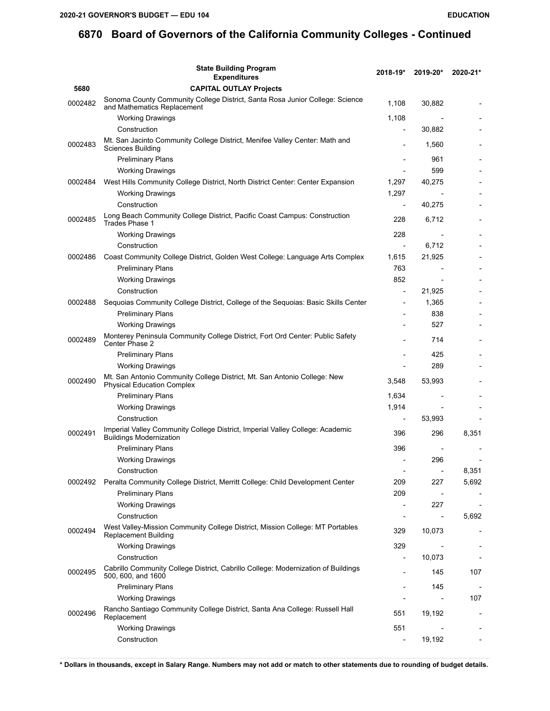|         | <b>State Building Program</b><br><b>Expenditures</b>                                                            | 2018-19*                     | 2019-20*                 | 2020-21*                 |
|---------|-----------------------------------------------------------------------------------------------------------------|------------------------------|--------------------------|--------------------------|
| 5680    | <b>CAPITAL OUTLAY Projects</b>                                                                                  |                              |                          |                          |
| 0002482 | Sonoma County Community College District, Santa Rosa Junior College: Science<br>and Mathematics Replacement     | 1,108                        | 30,882                   |                          |
|         | <b>Working Drawings</b>                                                                                         | 1,108                        |                          |                          |
|         | Construction                                                                                                    |                              | 30,882                   |                          |
| 0002483 | Mt. San Jacinto Community College District, Menifee Valley Center: Math and<br>Sciences Building                |                              | 1,560                    |                          |
|         | <b>Preliminary Plans</b>                                                                                        |                              | 961                      |                          |
|         | <b>Working Drawings</b>                                                                                         |                              | 599                      |                          |
| 0002484 | West Hills Community College District, North District Center: Center Expansion                                  | 1,297                        | 40,275                   |                          |
|         | Working Drawings                                                                                                | 1,297                        |                          |                          |
|         | Construction                                                                                                    |                              | 40,275                   |                          |
| 0002485 | Long Beach Community College District, Pacific Coast Campus: Construction<br>Trades Phase 1                     | 228                          | 6,712                    |                          |
|         | <b>Working Drawings</b>                                                                                         | 228                          |                          |                          |
|         | Construction                                                                                                    |                              | 6,712                    |                          |
| 0002486 | Coast Community College District, Golden West College: Language Arts Complex                                    | 1,615                        | 21,925                   |                          |
|         | <b>Preliminary Plans</b>                                                                                        | 763                          |                          |                          |
|         | <b>Working Drawings</b>                                                                                         | 852                          |                          |                          |
|         | Construction                                                                                                    | $\overline{\phantom{a}}$     | 21,925                   |                          |
| 0002488 | Sequoias Community College District, College of the Sequoias: Basic Skills Center                               |                              | 1,365                    |                          |
|         | <b>Preliminary Plans</b>                                                                                        |                              | 838                      |                          |
|         | <b>Working Drawings</b>                                                                                         |                              | 527                      |                          |
| 0002489 | Monterey Peninsula Community College District, Fort Ord Center: Public Safety<br>Center Phase 2                 |                              | 714                      |                          |
|         | <b>Preliminary Plans</b>                                                                                        |                              | 425                      |                          |
|         | <b>Working Drawings</b>                                                                                         |                              | 289                      |                          |
| 0002490 | Mt. San Antonio Community College District, Mt. San Antonio College: New<br><b>Physical Education Complex</b>   | 3,548                        | 53,993                   |                          |
|         | <b>Preliminary Plans</b>                                                                                        | 1,634                        |                          |                          |
|         | <b>Working Drawings</b>                                                                                         | 1,914                        |                          |                          |
|         | Construction                                                                                                    | $\qquad \qquad \blacksquare$ | 53,993                   |                          |
| 0002491 | Imperial Valley Community College District, Imperial Valley College: Academic<br><b>Buildings Modernization</b> | 396                          | 296                      | 8,351                    |
|         | <b>Preliminary Plans</b>                                                                                        | 396                          |                          |                          |
|         | <b>Working Drawings</b>                                                                                         |                              | 296                      |                          |
|         | Construction                                                                                                    | $\overline{\phantom{a}}$     | $\overline{\phantom{a}}$ | 8,351                    |
| 0002492 | Peralta Community College District, Merritt College: Child Development Center                                   | 209                          | 227                      | 5,692                    |
|         | <b>Preliminary Plans</b>                                                                                        | 209                          |                          |                          |
|         | <b>Working Drawings</b>                                                                                         | $\overline{a}$               | 227                      |                          |
|         | Construction                                                                                                    |                              | $\overline{a}$           | 5,692                    |
| 0002494 | West Valley-Mission Community College District, Mission College: MT Portables<br>Replacement Building           | 329                          | 10,073                   |                          |
|         | <b>Working Drawings</b>                                                                                         | 329                          | $\overline{\phantom{a}}$ | $\overline{\phantom{a}}$ |
|         | Construction                                                                                                    | $\overline{a}$               | 10,073                   |                          |
| 0002495 | Cabrillo Community College District, Cabrillo College: Modernization of Buildings<br>500, 600, and 1600         |                              | 145                      | 107                      |
|         | <b>Preliminary Plans</b>                                                                                        |                              | 145                      |                          |
|         | <b>Working Drawings</b>                                                                                         |                              |                          | 107                      |
| 0002496 | Rancho Santiago Community College District, Santa Ana College: Russell Hall<br>Replacement                      | 551                          | 19,192                   |                          |
|         | <b>Working Drawings</b>                                                                                         | 551                          |                          |                          |
|         | Construction                                                                                                    |                              | 19,192                   |                          |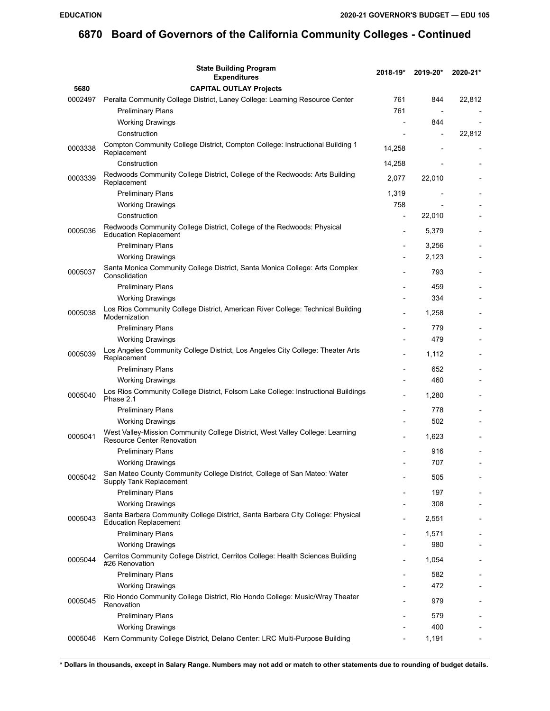|         | <b>State Building Program</b><br><b>Expenditures</b>                                                               | $2018 - 19*$ | 2019-20*                 | 2020-21* |
|---------|--------------------------------------------------------------------------------------------------------------------|--------------|--------------------------|----------|
| 5680    | <b>CAPITAL OUTLAY Projects</b>                                                                                     |              |                          |          |
| 0002497 | Peralta Community College District, Laney College: Learning Resource Center                                        | 761          | 844                      | 22,812   |
|         | <b>Preliminary Plans</b>                                                                                           | 761          | $\overline{\phantom{a}}$ |          |
|         | <b>Working Drawings</b>                                                                                            |              | 844                      |          |
|         | Construction                                                                                                       |              |                          | 22,812   |
| 0003338 | Compton Community College District, Compton College: Instructional Building 1<br>Replacement                       | 14,258       |                          |          |
|         | Construction                                                                                                       | 14,258       |                          |          |
|         | Redwoods Community College District, College of the Redwoods: Arts Building                                        |              |                          |          |
| 0003339 | Replacement                                                                                                        | 2,077        | 22,010                   |          |
|         | <b>Preliminary Plans</b>                                                                                           | 1,319        |                          |          |
|         | <b>Working Drawings</b>                                                                                            | 758          |                          |          |
|         | Construction                                                                                                       |              | 22,010                   |          |
| 0005036 | Redwoods Community College District, College of the Redwoods: Physical<br><b>Education Replacement</b>             |              | 5,379                    |          |
|         | <b>Preliminary Plans</b>                                                                                           |              | 3,256                    |          |
|         | <b>Working Drawings</b>                                                                                            |              | 2,123                    |          |
| 0005037 | Santa Monica Community College District, Santa Monica College: Arts Complex<br>Consolidation                       |              | 793                      |          |
|         | <b>Preliminary Plans</b>                                                                                           |              | 459                      |          |
|         | <b>Working Drawings</b>                                                                                            |              | 334                      |          |
| 0005038 | Los Rios Community College District, American River College: Technical Building<br>Modernization                   |              | 1,258                    |          |
|         | <b>Preliminary Plans</b>                                                                                           |              | 779                      |          |
|         | <b>Working Drawings</b>                                                                                            |              | 479                      |          |
| 0005039 | Los Angeles Community College District, Los Angeles City College: Theater Arts<br>Replacement                      |              | 1,112                    |          |
|         | <b>Preliminary Plans</b>                                                                                           |              | 652                      |          |
|         | <b>Working Drawings</b>                                                                                            |              | 460                      |          |
| 0005040 | Los Rios Community College District, Folsom Lake College: Instructional Buildings<br>Phase 2.1                     |              | 1,280                    |          |
|         | <b>Preliminary Plans</b>                                                                                           |              | 778                      |          |
|         | <b>Working Drawings</b>                                                                                            |              | 502                      |          |
| 0005041 | West Valley-Mission Community College District, West Valley College: Learning<br><b>Resource Center Renovation</b> |              | 1,623                    |          |
|         | <b>Preliminary Plans</b>                                                                                           |              | 916                      |          |
|         | <b>Working Drawings</b>                                                                                            |              | 707                      |          |
| 0005042 | San Mateo County Community College District, College of San Mateo: Water<br>Supply Tank Replacement                |              | 505                      |          |
|         | <b>Preliminary Plans</b>                                                                                           |              | 197                      |          |
|         | <b>Working Drawings</b>                                                                                            |              | 308                      |          |
| 0005043 | Santa Barbara Community College District, Santa Barbara City College: Physical<br><b>Education Replacement</b>     |              | 2,551                    |          |
|         | <b>Preliminary Plans</b>                                                                                           |              | 1,571                    |          |
|         | <b>Working Drawings</b>                                                                                            |              | 980                      |          |
| 0005044 | Cerritos Community College District, Cerritos College: Health Sciences Building<br>#26 Renovation                  |              | 1.054                    |          |
|         | <b>Preliminary Plans</b>                                                                                           |              | 582                      |          |
|         | <b>Working Drawings</b>                                                                                            |              | 472                      |          |
| 0005045 | Rio Hondo Community College District, Rio Hondo College: Music/Wray Theater<br>Renovation                          |              | 979                      |          |
|         | <b>Preliminary Plans</b>                                                                                           |              | 579                      |          |
|         | <b>Working Drawings</b>                                                                                            |              | 400                      |          |
| 0005046 | Kern Community College District, Delano Center: LRC Multi-Purpose Building                                         |              | 1,191                    |          |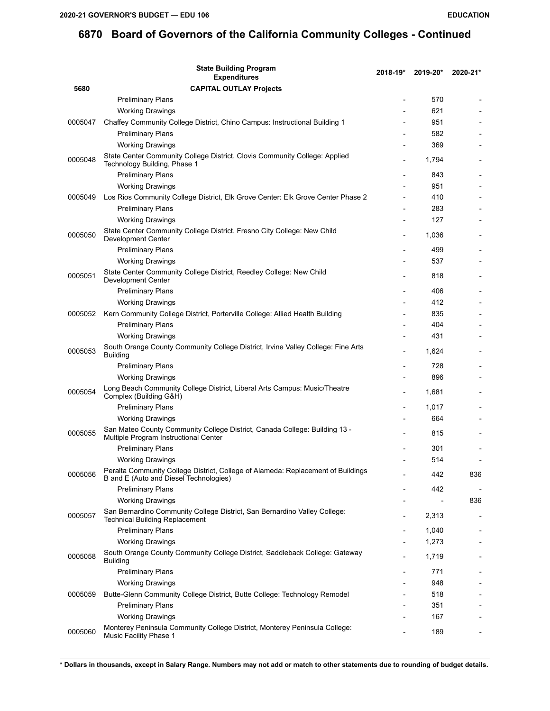|                    | <b>State Building Program</b><br><b>Expenditures</b>                                                                       | 2018-19* | 2019-20* | 2020-21* |
|--------------------|----------------------------------------------------------------------------------------------------------------------------|----------|----------|----------|
| 5680               | <b>CAPITAL OUTLAY Projects</b>                                                                                             |          |          |          |
|                    | <b>Preliminary Plans</b>                                                                                                   |          | 570      |          |
|                    | <b>Working Drawings</b>                                                                                                    |          | 621      |          |
| 0005047            | Chaffey Community College District, Chino Campus: Instructional Building 1                                                 |          | 951      |          |
|                    | <b>Preliminary Plans</b>                                                                                                   |          | 582      |          |
|                    | <b>Working Drawings</b>                                                                                                    |          | 369      |          |
| 0005048            | State Center Community College District, Clovis Community College: Applied<br>Technology Building, Phase 1                 |          | 1,794    |          |
|                    | <b>Preliminary Plans</b>                                                                                                   |          | 843      |          |
|                    | <b>Working Drawings</b>                                                                                                    |          | 951      |          |
| 0005049            | Los Rios Community College District, Elk Grove Center: Elk Grove Center Phase 2                                            |          | 410      |          |
|                    | <b>Preliminary Plans</b>                                                                                                   |          | 283      |          |
|                    | <b>Working Drawings</b>                                                                                                    |          | 127      |          |
| 0005050            | State Center Community College District, Fresno City College: New Child<br>Development Center                              |          | 1,036    |          |
|                    | <b>Preliminary Plans</b>                                                                                                   |          | 499      |          |
|                    | <b>Working Drawings</b>                                                                                                    |          | 537      |          |
| 0005051<br>0005052 | State Center Community College District, Reedley College: New Child<br><b>Development Center</b>                           |          | 818      |          |
|                    | <b>Preliminary Plans</b>                                                                                                   |          | 406      |          |
|                    | <b>Working Drawings</b>                                                                                                    |          | 412      |          |
|                    | Kern Community College District, Porterville College: Allied Health Building                                               |          | 835      |          |
|                    | <b>Preliminary Plans</b>                                                                                                   |          | 404      |          |
|                    | <b>Working Drawings</b>                                                                                                    |          | 431      |          |
| 0005053            | South Orange County Community College District, Irvine Valley College: Fine Arts<br><b>Building</b>                        |          | 1,624    |          |
|                    | <b>Preliminary Plans</b>                                                                                                   |          | 728      |          |
|                    | <b>Working Drawings</b>                                                                                                    |          | 896      |          |
| 0005054<br>0005055 | Long Beach Community College District, Liberal Arts Campus: Music/Theatre<br>Complex (Building G&H)                        |          | 1,681    |          |
|                    | <b>Preliminary Plans</b>                                                                                                   |          | 1,017    |          |
|                    | <b>Working Drawings</b>                                                                                                    |          | 664      |          |
|                    | San Mateo County Community College District, Canada College: Building 13 -<br>Multiple Program Instructional Center        |          | 815      |          |
|                    | <b>Preliminary Plans</b>                                                                                                   |          | 301      |          |
|                    | <b>Working Drawings</b>                                                                                                    |          | 514      |          |
| 0005056            | Peralta Community College District, College of Alameda: Replacement of Buildings<br>B and E (Auto and Diesel Technologies) |          | 442      | 836      |
|                    | <b>Preliminary Plans</b>                                                                                                   |          | 442      |          |
|                    | <b>Working Drawings</b>                                                                                                    |          |          | 836      |
| 0005057            | San Bernardino Community College District, San Bernardino Valley College:<br><b>Technical Building Replacement</b>         |          | 2,313    |          |
|                    | <b>Preliminary Plans</b>                                                                                                   |          | 1,040    |          |
|                    | <b>Working Drawings</b>                                                                                                    |          | 1,273    |          |
| 0005058            | South Orange County Community College District, Saddleback College: Gateway<br><b>Building</b>                             |          | 1,719    |          |
|                    | <b>Preliminary Plans</b>                                                                                                   |          | 771      |          |
| 0005059            | <b>Working Drawings</b>                                                                                                    |          | 948      |          |
|                    | Butte-Glenn Community College District, Butte College: Technology Remodel                                                  |          | 518      |          |
|                    | <b>Preliminary Plans</b>                                                                                                   |          | 351      |          |
|                    | <b>Working Drawings</b>                                                                                                    |          | 167      |          |
| 0005060            | Monterey Peninsula Community College District, Monterey Peninsula College:<br>Music Facility Phase 1                       |          | 189      |          |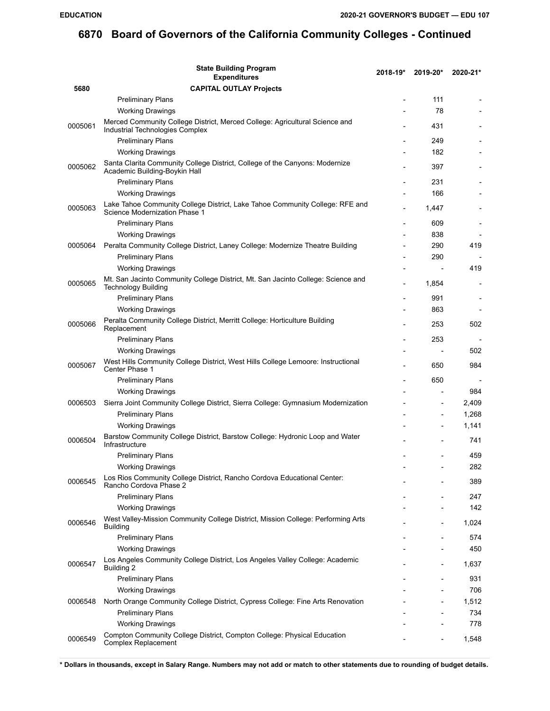|         | <b>State Building Program</b><br><b>Expenditures</b>                                                           | $2018 - 19*$ | 2019-20* | 2020-21* |
|---------|----------------------------------------------------------------------------------------------------------------|--------------|----------|----------|
| 5680    | <b>CAPITAL OUTLAY Projects</b>                                                                                 |              |          |          |
|         | <b>Preliminary Plans</b>                                                                                       |              | 111      |          |
|         | <b>Working Drawings</b>                                                                                        |              | 78       |          |
| 0005061 | Merced Community College District, Merced College: Agricultural Science and<br>Industrial Technologies Complex |              | 431      |          |
|         | <b>Preliminary Plans</b>                                                                                       |              | 249      |          |
|         | <b>Working Drawings</b>                                                                                        |              | 182      |          |
| 0005062 | Santa Clarita Community College District, College of the Canyons: Modernize<br>Academic Building-Boykin Hall   |              | 397      |          |
|         | <b>Preliminary Plans</b>                                                                                       |              | 231      |          |
|         | <b>Working Drawings</b>                                                                                        |              | 166      |          |
| 0005063 | Lake Tahoe Community College District, Lake Tahoe Community College: RFE and<br>Science Modernization Phase 1  |              | 1,447    |          |
|         | <b>Preliminary Plans</b>                                                                                       |              | 609      |          |
|         | <b>Working Drawings</b>                                                                                        |              | 838      |          |
| 0005064 | Peralta Community College District, Laney College: Modernize Theatre Building                                  |              | 290      | 419      |
|         | <b>Preliminary Plans</b>                                                                                       |              | 290      |          |
|         | <b>Working Drawings</b>                                                                                        |              |          | 419      |
| 0005065 | Mt. San Jacinto Community College District, Mt. San Jacinto College: Science and<br><b>Technology Building</b> |              | 1,854    |          |
|         | <b>Preliminary Plans</b>                                                                                       |              | 991      |          |
|         | <b>Working Drawings</b>                                                                                        |              | 863      |          |
| 0005066 | Peralta Community College District, Merritt College: Horticulture Building<br>Replacement                      |              | 253      | 502      |
|         | <b>Preliminary Plans</b>                                                                                       |              | 253      |          |
|         | <b>Working Drawings</b>                                                                                        |              |          | 502      |
| 0005067 | West Hills Community College District, West Hills College Lemoore: Instructional<br>Center Phase 1             |              | 650      | 984      |
|         | <b>Preliminary Plans</b>                                                                                       |              | 650      |          |
|         | <b>Working Drawings</b>                                                                                        |              |          | 984      |
| 0006503 | Sierra Joint Community College District, Sierra College: Gymnasium Modernization                               |              |          | 2,409    |
|         | <b>Preliminary Plans</b>                                                                                       |              |          | 1,268    |
|         | <b>Working Drawings</b>                                                                                        |              |          | 1,141    |
| 0006504 | Barstow Community College District, Barstow College: Hydronic Loop and Water<br>Infrastructure                 |              |          | 741      |
|         | <b>Preliminary Plans</b>                                                                                       |              |          | 459      |
|         | <b>Working Drawings</b>                                                                                        |              |          | 282      |
| 0006545 | Los Rios Community College District, Rancho Cordova Educational Center:<br>Rancho Cordova Phase 2              |              |          | 389      |
|         | <b>Preliminary Plans</b>                                                                                       |              |          | 247      |
|         | <b>Working Drawings</b>                                                                                        |              |          | 142      |
| 0006546 | West Valley-Mission Community College District, Mission College: Performing Arts<br><b>Building</b>            |              |          | 1,024    |
|         | <b>Preliminary Plans</b>                                                                                       |              |          | 574      |
|         | <b>Working Drawings</b>                                                                                        |              |          | 450      |
| 0006547 | Los Angeles Community College District, Los Angeles Valley College: Academic<br>Building 2                     |              |          | 1,637    |
|         | <b>Preliminary Plans</b>                                                                                       |              |          | 931      |
|         | <b>Working Drawings</b>                                                                                        |              |          | 706      |
| 0006548 | North Orange Community College District, Cypress College: Fine Arts Renovation                                 |              |          | 1,512    |
|         | <b>Preliminary Plans</b>                                                                                       |              |          | 734      |
|         | <b>Working Drawings</b>                                                                                        |              |          | 778      |
| 0006549 | Compton Community College District, Compton College: Physical Education<br><b>Complex Replacement</b>          |              |          | 1,548    |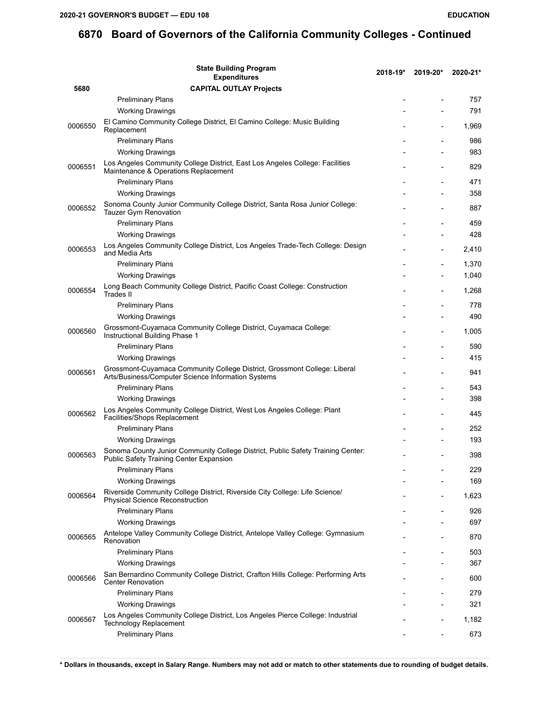|         | <b>State Building Program</b><br><b>Expenditures</b>                                                                            | 2018-19* | 2019-20*                 | 2020-21*     |
|---------|---------------------------------------------------------------------------------------------------------------------------------|----------|--------------------------|--------------|
| 5680    | <b>CAPITAL OUTLAY Projects</b>                                                                                                  |          |                          |              |
|         | <b>Preliminary Plans</b>                                                                                                        |          |                          | 757          |
|         | <b>Working Drawings</b>                                                                                                         |          |                          | 791          |
| 0006550 | El Camino Community College District, El Camino College: Music Building<br>Replacement                                          |          |                          | 1,969        |
|         | <b>Preliminary Plans</b>                                                                                                        |          | $\overline{a}$           | 986          |
|         | <b>Working Drawings</b>                                                                                                         |          |                          | 983          |
| 0006551 | Los Angeles Community College District, East Los Angeles College: Facilities<br>Maintenance & Operations Replacement            |          |                          | 829          |
|         | <b>Preliminary Plans</b>                                                                                                        |          |                          | 471          |
|         | <b>Working Drawings</b>                                                                                                         |          |                          | 358          |
| 0006552 | Sonoma County Junior Community College District, Santa Rosa Junior College:<br>Tauzer Gym Renovation                            |          |                          | 887          |
|         | <b>Preliminary Plans</b>                                                                                                        |          |                          | 459          |
|         | <b>Working Drawings</b>                                                                                                         |          |                          | 428          |
| 0006553 | Los Angeles Community College District, Los Angeles Trade-Tech College: Design<br>and Media Arts                                |          | $\overline{\phantom{a}}$ | 2,410        |
|         | <b>Preliminary Plans</b>                                                                                                        |          |                          | 1,370        |
|         | <b>Working Drawings</b>                                                                                                         |          |                          | 1,040        |
| 0006554 | Long Beach Community College District, Pacific Coast College: Construction<br>Trades II                                         |          |                          | 1,268        |
|         | <b>Preliminary Plans</b>                                                                                                        |          |                          | 778          |
|         | <b>Working Drawings</b>                                                                                                         |          |                          | 490          |
| 0006560 | Grossmont-Cuyamaca Community College District, Cuyamaca College:<br>Instructional Building Phase 1                              |          |                          | 1,005        |
|         | <b>Preliminary Plans</b>                                                                                                        |          | $\overline{\phantom{a}}$ | 590          |
|         | <b>Working Drawings</b>                                                                                                         |          |                          | 415          |
| 0006561 | Grossmont-Cuyamaca Community College District, Grossmont College: Liberal<br>Arts/Business/Computer Science Information Systems |          |                          | 941          |
|         | <b>Preliminary Plans</b>                                                                                                        |          |                          | 543          |
|         | <b>Working Drawings</b>                                                                                                         |          |                          | 398          |
| 0006562 | Los Angeles Community College District, West Los Angeles College: Plant<br>Facilities/Shops Replacement                         |          |                          | 445          |
|         | <b>Preliminary Plans</b>                                                                                                        |          |                          | 252          |
|         | <b>Working Drawings</b>                                                                                                         |          |                          | 193          |
| 0006563 | Sonoma County Junior Community College District, Public Safety Training Center:<br>Public Safety Training Center Expansion      |          |                          | 398          |
|         | <b>Preliminary Plans</b>                                                                                                        |          |                          | 229          |
|         | <b>Working Drawings</b>                                                                                                         |          |                          | 169          |
| 0006564 | Riverside Community College District, Riverside City College: Life Science/<br><b>Physical Science Reconstruction</b>           |          |                          | 1,623        |
|         | <b>Preliminary Plans</b>                                                                                                        |          |                          | 926          |
|         | <b>Working Drawings</b>                                                                                                         |          |                          | 697          |
| 0006565 | Antelope Valley Community College District, Antelope Valley College: Gymnasium<br>Renovation                                    |          |                          | 870          |
|         | <b>Preliminary Plans</b>                                                                                                        |          |                          | 503          |
| 0006566 | <b>Working Drawings</b><br>San Bernardino Community College District, Crafton Hills College: Performing Arts                    |          | $\overline{\phantom{a}}$ | 367<br>600   |
|         | <b>Center Renovation</b>                                                                                                        |          |                          |              |
|         | <b>Preliminary Plans</b><br><b>Working Drawings</b>                                                                             |          |                          | 279<br>321   |
|         | Los Angeles Community College District, Los Angeles Pierce College: Industrial                                                  |          |                          |              |
| 0006567 | Technology Replacement<br><b>Preliminary Plans</b>                                                                              |          |                          | 1,182<br>673 |
|         |                                                                                                                                 |          |                          |              |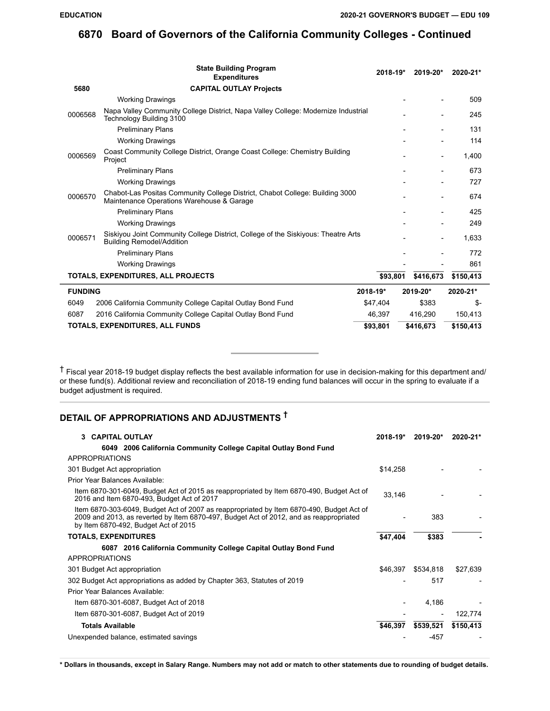| <b>State Building Program</b><br><b>Expenditures</b>                                                                                 | 2018-19* | 2019-20*  | 2020-21*  |
|--------------------------------------------------------------------------------------------------------------------------------------|----------|-----------|-----------|
| 5680<br><b>CAPITAL OUTLAY Projects</b>                                                                                               |          |           |           |
| <b>Working Drawings</b>                                                                                                              |          |           | 509       |
| Napa Valley Community College District, Napa Valley College: Modernize Industrial<br>0006568<br>Technology Building 3100             |          |           | 245       |
| <b>Preliminary Plans</b>                                                                                                             |          |           | 131       |
| <b>Working Drawings</b>                                                                                                              |          |           | 114       |
| Coast Community College District, Orange Coast College: Chemistry Building<br>0006569<br>Project                                     |          |           | 1,400     |
| <b>Preliminary Plans</b>                                                                                                             |          |           | 673       |
| <b>Working Drawings</b>                                                                                                              |          |           | 727       |
| Chabot-Las Positas Community College District, Chabot College: Building 3000<br>0006570<br>Maintenance Operations Warehouse & Garage |          |           | 674       |
| <b>Preliminary Plans</b>                                                                                                             |          |           | 425       |
| <b>Working Drawings</b>                                                                                                              |          |           | 249       |
| Siskiyou Joint Community College District, College of the Siskiyous: Theatre Arts<br>0006571<br><b>Building Remodel/Addition</b>     |          |           | 1,633     |
| <b>Preliminary Plans</b>                                                                                                             |          |           | 772       |
| <b>Working Drawings</b>                                                                                                              |          |           | 861       |
| TOTALS, EXPENDITURES, ALL PROJECTS                                                                                                   | \$93,801 | \$416,673 | \$150,413 |
| <b>FUNDING</b>                                                                                                                       | 2018-19* | 2019-20*  | 2020-21*  |
| 6049<br>2006 California Community College Capital Outlay Bond Fund                                                                   | \$47,404 | \$383     | \$-       |
| 6087<br>2016 California Community College Capital Outlay Bond Fund                                                                   | 46,397   | 416,290   | 150,413   |
| TOTALS, EXPENDITURES, ALL FUNDS                                                                                                      | \$93,801 | \$416,673 | \$150,413 |

 $\dagger$  Fiscal year 2018-19 budget display reflects the best available information for use in decision-making for this department and/ or these fund(s). Additional review and reconciliation of 2018-19 ending fund balances will occur in the spring to evaluate if a budget adjustment is required.

# **DETAIL OF APPROPRIATIONS AND ADJUSTMENTS †**

| 3 CAPITAL OUTLAY                                                                                                                                                                                                           | $2018 - 19*$ | 2019-20*  | 2020-21*  |
|----------------------------------------------------------------------------------------------------------------------------------------------------------------------------------------------------------------------------|--------------|-----------|-----------|
| 6049 2006 California Community College Capital Outlay Bond Fund                                                                                                                                                            |              |           |           |
| APPROPRIATIONS                                                                                                                                                                                                             |              |           |           |
| 301 Budget Act appropriation                                                                                                                                                                                               | \$14,258     |           |           |
| Prior Year Balances Available:                                                                                                                                                                                             |              |           |           |
| Item 6870-301-6049, Budget Act of 2015 as reappropriated by Item 6870-490, Budget Act of<br>2016 and Item 6870-493, Budget Act of 2017                                                                                     | 33,146       |           |           |
| Item 6870-303-6049, Budget Act of 2007 as reappropriated by Item 6870-490, Budget Act of<br>2009 and 2013, as reverted by Item 6870-497, Budget Act of 2012, and as reappropriated<br>by Item 6870-492, Budget Act of 2015 |              | 383       |           |
| <b>TOTALS, EXPENDITURES</b>                                                                                                                                                                                                | \$47,404     | \$383     |           |
| 6087 2016 California Community College Capital Outlay Bond Fund                                                                                                                                                            |              |           |           |
| <b>APPROPRIATIONS</b>                                                                                                                                                                                                      |              |           |           |
| 301 Budget Act appropriation                                                                                                                                                                                               | \$46,397     | \$534,818 | \$27,639  |
| 302 Budget Act appropriations as added by Chapter 363, Statutes of 2019                                                                                                                                                    |              | 517       |           |
| Prior Year Balances Available:                                                                                                                                                                                             |              |           |           |
| Item 6870-301-6087, Budget Act of 2018                                                                                                                                                                                     |              | 4,186     |           |
| Item 6870-301-6087, Budget Act of 2019                                                                                                                                                                                     |              |           | 122,774   |
| <b>Totals Available</b>                                                                                                                                                                                                    | \$46,397     | \$539,521 | \$150,413 |
| Unexpended balance, estimated savings                                                                                                                                                                                      |              | -457      |           |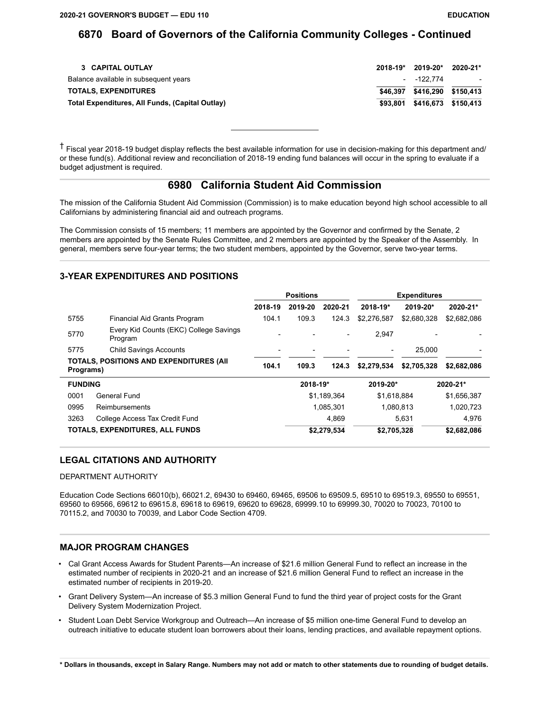| 3 CAPITAL OUTLAY                                | $2018 - 19*$ | 2019-20*                     | 2020-21*                |
|-------------------------------------------------|--------------|------------------------------|-------------------------|
| Balance available in subsequent years           |              | - -122.774                   | $\sim 100$ km s $^{-1}$ |
| <b>TOTALS, EXPENDITURES</b>                     |              | \$46,397 \$416,290 \$150,413 |                         |
| Total Expenditures, All Funds, (Capital Outlay) | \$93.801     | \$416.673 \$150.413          |                         |

† Fiscal year 2018-19 budget display reflects the best available information for use in decision-making for this department and/ or these fund(s). Additional review and reconciliation of 2018-19 ending fund balances will occur in the spring to evaluate if a budget adjustment is required.

### **6980 California Student Aid Commission**

The mission of the California Student Aid Commission (Commission) is to make education beyond high school accessible to all Californians by administering financial aid and outreach programs.

The Commission consists of 15 members; 11 members are appointed by the Governor and confirmed by the Senate, 2 members are appointed by the Senate Rules Committee, and 2 members are appointed by the Speaker of the Assembly. In general, members serve four-year terms; the two student members, appointed by the Governor, serve two-year terms.

### **3-YEAR EXPENDITURES AND POSITIONS**

|                |                                                   | <b>Positions</b> |          |                          |              | <b>Expenditures</b> |              |
|----------------|---------------------------------------------------|------------------|----------|--------------------------|--------------|---------------------|--------------|
|                |                                                   | 2018-19          | 2019-20  | 2020-21                  | $2018 - 19*$ | 2019-20*            | 2020-21*     |
| 5755           | Financial Aid Grants Program                      | 104.1            | 109.3    | 124.3                    | \$2.276.587  | \$2,680,328         | \$2,682,086  |
| 5770           | Every Kid Counts (EKC) College Savings<br>Program |                  |          | $\overline{\phantom{a}}$ | 2.947        |                     |              |
| 5775           | <b>Child Savings Accounts</b>                     |                  |          |                          |              | 25.000              |              |
| Programs)      | <b>TOTALS, POSITIONS AND EXPENDITURES (AII</b>    | 104.1            | 109.3    | 124.3                    | \$2,279,534  | \$2,705,328         | \$2,682,086  |
| <b>FUNDING</b> |                                                   |                  | 2018-19* |                          | 2019-20*     |                     | $2020 - 21*$ |
| 0001           | General Fund                                      |                  |          | \$1,189,364              | \$1,618,884  |                     | \$1,656,387  |
| 0995           | Reimbursements                                    |                  |          | 1,085,301                |              | 1,080,813           | 1,020,723    |
| 3263           | College Access Tax Credit Fund                    |                  |          | 4.869                    |              | 5,631               | 4.976        |
|                | TOTALS, EXPENDITURES, ALL FUNDS                   |                  |          | \$2,279,534              | \$2,705,328  |                     | \$2,682,086  |

### **LEGAL CITATIONS AND AUTHORITY**

#### DEPARTMENT AUTHORITY

Education Code Sections 66010(b), 66021.2, 69430 to 69460, 69465, 69506 to 69509.5, 69510 to 69519.3, 69550 to 69551, 69560 to 69566, 69612 to 69615.8, 69618 to 69619, 69620 to 69628, 69999.10 to 69999.30, 70020 to 70023, 70100 to 70115.2, and 70030 to 70039, and Labor Code Section 4709.

#### **MAJOR PROGRAM CHANGES**

- Cal Grant Access Awards for Student Parents—An increase of \$21.6 million General Fund to reflect an increase in the estimated number of recipients in 2020-21 and an increase of \$21.6 million General Fund to reflect an increase in the estimated number of recipients in 2019-20.
- Grant Delivery System—An increase of \$5.3 million General Fund to fund the third year of project costs for the Grant Delivery System Modernization Project.
- Student Loan Debt Service Workgroup and Outreach—An increase of \$5 million one-time General Fund to develop an outreach initiative to educate student loan borrowers about their loans, lending practices, and available repayment options.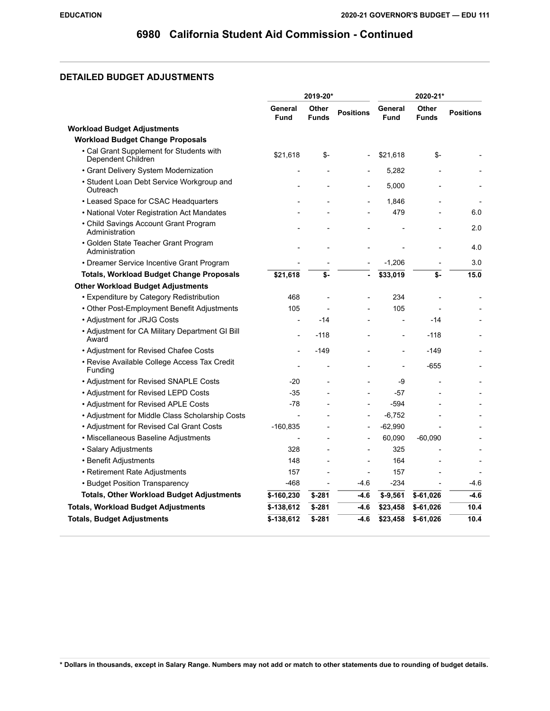## **DETAILED BUDGET ADJUSTMENTS**

|                                                                | 2019-20*               |                       | 2020-21*         |                        |                       |                  |
|----------------------------------------------------------------|------------------------|-----------------------|------------------|------------------------|-----------------------|------------------|
|                                                                | General<br><b>Fund</b> | Other<br><b>Funds</b> | <b>Positions</b> | General<br><b>Fund</b> | Other<br><b>Funds</b> | <b>Positions</b> |
| <b>Workload Budget Adjustments</b>                             |                        |                       |                  |                        |                       |                  |
| <b>Workload Budget Change Proposals</b>                        |                        |                       |                  |                        |                       |                  |
| • Cal Grant Supplement for Students with<br>Dependent Children | \$21,618               | \$-                   |                  | \$21,618               | \$-                   |                  |
| • Grant Delivery System Modernization                          |                        |                       |                  | 5,282                  |                       |                  |
| • Student Loan Debt Service Workgroup and<br>Outreach          |                        |                       |                  | 5,000                  |                       |                  |
| • Leased Space for CSAC Headquarters                           |                        |                       |                  | 1,846                  |                       |                  |
| • National Voter Registration Act Mandates                     |                        |                       |                  | 479                    |                       | 6.0              |
| • Child Savings Account Grant Program<br>Administration        |                        |                       |                  |                        |                       | 2.0              |
| • Golden State Teacher Grant Program<br>Administration         |                        |                       |                  |                        |                       | 4.0              |
| • Dreamer Service Incentive Grant Program                      |                        |                       |                  | $-1,206$               |                       | 3.0              |
| <b>Totals, Workload Budget Change Proposals</b>                | \$21,618               | \$-                   |                  | \$33,019               | \$-                   | 15.0             |
| <b>Other Workload Budget Adjustments</b>                       |                        |                       |                  |                        |                       |                  |
| • Expenditure by Category Redistribution                       | 468                    |                       |                  | 234                    |                       |                  |
| • Other Post-Employment Benefit Adjustments                    | 105                    |                       |                  | 105                    |                       |                  |
| • Adjustment for JRJG Costs                                    |                        | -14                   |                  |                        | $-14$                 |                  |
| • Adjustment for CA Military Department GI Bill<br>Award       |                        | -118                  |                  | $\overline{a}$         | $-118$                |                  |
| • Adjustment for Revised Chafee Costs                          |                        | $-149$                |                  | $\overline{a}$         | $-149$                |                  |
| • Revise Available College Access Tax Credit<br>Funding        |                        |                       |                  |                        | $-655$                |                  |
| • Adjustment for Revised SNAPLE Costs                          | $-20$                  |                       |                  | -9                     |                       |                  |
| • Adjustment for Revised LEPD Costs                            | -35                    |                       |                  | -57                    |                       |                  |
| • Adjustment for Revised APLE Costs                            | $-78$                  |                       |                  | $-594$                 |                       |                  |
| • Adjustment for Middle Class Scholarship Costs                | $\overline{a}$         |                       |                  | $-6,752$               |                       |                  |
| • Adjustment for Revised Cal Grant Costs                       | $-160,835$             |                       |                  | $-62,990$              |                       |                  |
| • Miscellaneous Baseline Adjustments                           |                        |                       |                  | 60,090                 | $-60,090$             |                  |
| · Salary Adjustments                                           | 328                    |                       |                  | 325                    |                       |                  |
| • Benefit Adjustments                                          | 148                    |                       |                  | 164                    |                       |                  |
| • Retirement Rate Adjustments                                  | 157                    |                       |                  | 157                    |                       |                  |
| • Budget Position Transparency                                 | $-468$                 |                       | $-4.6$           | $-234$                 |                       | $-4.6$           |
| <b>Totals, Other Workload Budget Adjustments</b>               | \$-160,230             | $$ -281$              | $-4.6$           | $$ -9,561$             | $$-61,026$            | $-4.6$           |
| <b>Totals, Workload Budget Adjustments</b>                     | $$-138,612$            | $$-281$               | $-4.6$           | \$23,458               | $$-61,026$            | 10.4             |
| <b>Totals, Budget Adjustments</b>                              | $$-138,612$            | $$-281$               | $-4.6$           | \$23,458               | $$-61,026$            | 10.4             |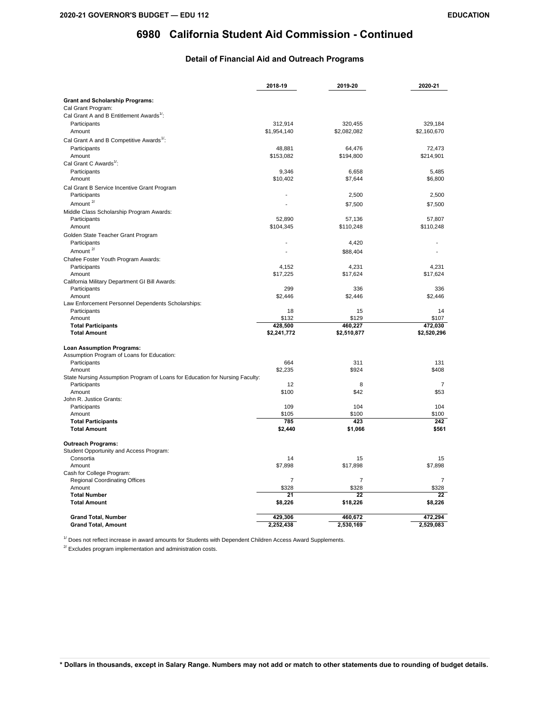### **Detail of Financial Aid and Outreach Programs**

|                                                                              | 2018-19        | 2019-20        | 2020-21        |
|------------------------------------------------------------------------------|----------------|----------------|----------------|
|                                                                              |                |                |                |
| <b>Grant and Scholarship Programs:</b>                                       |                |                |                |
| Cal Grant Program:                                                           |                |                |                |
| Cal Grant A and B Entitlement Awards <sup>1/</sup> :                         |                |                |                |
| Participants                                                                 | 312.914        | 320.455        | 329.184        |
| Amount                                                                       | \$1,954,140    | \$2,082,082    | \$2,160,670    |
| Cal Grant A and B Competitive Awards <sup>1/</sup> :                         |                |                |                |
| Participants                                                                 | 48,881         | 64,476         | 72.473         |
| Amount                                                                       | \$153,082      | \$194,800      | \$214,901      |
| Cal Grant C Awards <sup>1/</sup> :                                           |                |                |                |
| Participants                                                                 | 9,346          | 6,658          | 5,485          |
| Amount                                                                       | \$10,402       | \$7,644        | \$6,800        |
| Cal Grant B Service Incentive Grant Program                                  |                |                |                |
| Participants                                                                 | ÷              | 2,500          | 2,500          |
| Amount $2/$                                                                  |                | \$7,500        | \$7,500        |
| Middle Class Scholarship Program Awards:                                     |                |                |                |
| Participants                                                                 | 52,890         | 57,136         | 57,807         |
| Amount                                                                       | \$104,345      | \$110,248      | \$110,248      |
| Golden State Teacher Grant Program                                           |                |                |                |
| Participants                                                                 |                | 4,420          |                |
| Amount <sup>2/</sup>                                                         |                | \$88,404       |                |
| Chafee Foster Youth Program Awards:                                          |                |                |                |
| Participants                                                                 | 4,152          | 4,231          | 4,231          |
| Amount                                                                       | \$17,225       | \$17,624       | \$17,624       |
| California Military Department GI Bill Awards:                               |                |                |                |
| Participants                                                                 | 299            | 336            | 336            |
| Amount                                                                       | \$2,446        | \$2,446        | \$2,446        |
| Law Enforcement Personnel Dependents Scholarships:                           |                |                |                |
| Participants                                                                 | 18             | 15             | 14             |
| Amount                                                                       | \$132          | \$129          | \$107          |
| <b>Total Participants</b>                                                    | 428,500        | 460,227        | 472,030        |
| <b>Total Amount</b>                                                          | \$2,241,772    | \$2,510,877    | \$2,520,296    |
| <b>Loan Assumption Programs:</b>                                             |                |                |                |
| Assumption Program of Loans for Education:                                   |                |                |                |
| Participants                                                                 | 664            | 311            | 131            |
| Amount                                                                       | \$2,235        | \$924          | \$408          |
| State Nursing Assumption Program of Loans for Education for Nursing Faculty: |                |                |                |
| Participants                                                                 | 12             | 8              | $\overline{7}$ |
| Amount                                                                       | \$100          | \$42           | \$53           |
| John R. Justice Grants:                                                      |                |                |                |
| Participants                                                                 | 109            | 104            | 104            |
| Amount                                                                       | \$105          | \$100          | \$100          |
| <b>Total Participants</b>                                                    | 785            | 423            | 242            |
| <b>Total Amount</b>                                                          | \$2,440        | \$1,066        | \$561          |
| <b>Outreach Programs:</b>                                                    |                |                |                |
| Student Opportunity and Access Program:                                      |                |                |                |
| Consortia                                                                    | 14             | 15             | 15             |
| Amount                                                                       | \$7,898        | \$17,898       | \$7,898        |
| Cash for College Program:                                                    |                |                |                |
| <b>Regional Coordinating Offices</b>                                         | $\overline{7}$ | $\overline{7}$ | 7              |
| Amount                                                                       | \$328          | \$328          | \$328          |
| <b>Total Number</b>                                                          | 21             | 22             | 22             |
| <b>Total Amount</b>                                                          | \$8,226        | \$18,226       | \$8,226        |
| <b>Grand Total, Number</b>                                                   | 429,306        | 460,672        | 472,294        |
| <b>Grand Total, Amount</b>                                                   | 2,252,438      | 2,530,169      | 2,529,083      |
|                                                                              |                |                |                |

 $1/1$  Does not reflect increase in award amounts for Students with Dependent Children Access Award Supplements.

 $2^{7}$  Excludes program implementation and administration costs.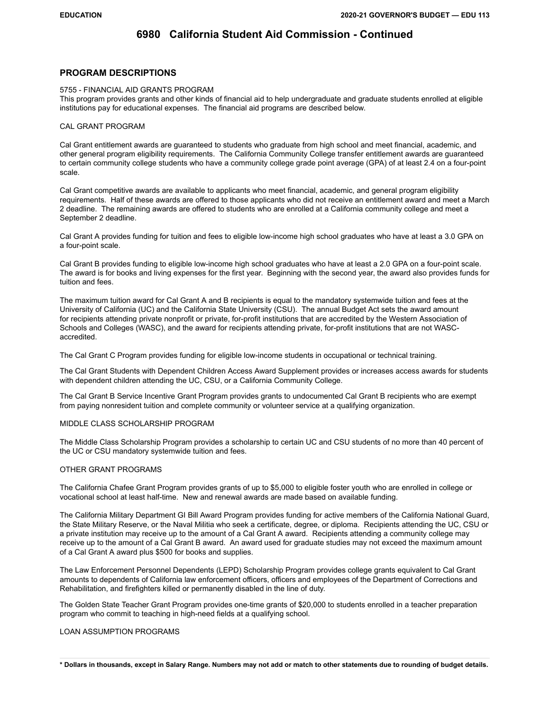#### **PROGRAM DESCRIPTIONS**

#### 5755 - FINANCIAL AID GRANTS PROGRAM

This program provides grants and other kinds of financial aid to help undergraduate and graduate students enrolled at eligible institutions pay for educational expenses. The financial aid programs are described below.

#### CAL GRANT PROGRAM

Cal Grant entitlement awards are guaranteed to students who graduate from high school and meet financial, academic, and other general program eligibility requirements. The California Community College transfer entitlement awards are guaranteed to certain community college students who have a community college grade point average (GPA) of at least 2.4 on a four-point scale.

Cal Grant competitive awards are available to applicants who meet financial, academic, and general program eligibility requirements. Half of these awards are offered to those applicants who did not receive an entitlement award and meet a March 2 deadline. The remaining awards are offered to students who are enrolled at a California community college and meet a September 2 deadline.

Cal Grant A provides funding for tuition and fees to eligible low-income high school graduates who have at least a 3.0 GPA on a four-point scale.

Cal Grant B provides funding to eligible low-income high school graduates who have at least a 2.0 GPA on a four-point scale. The award is for books and living expenses for the first year. Beginning with the second year, the award also provides funds for tuition and fees.

The maximum tuition award for Cal Grant A and B recipients is equal to the mandatory systemwide tuition and fees at the University of California (UC) and the California State University (CSU). The annual Budget Act sets the award amount for recipients attending private nonprofit or private, for-profit institutions that are accredited by the Western Association of Schools and Colleges (WASC), and the award for recipients attending private, for-profit institutions that are not WASCaccredited.

The Cal Grant C Program provides funding for eligible low-income students in occupational or technical training.

The Cal Grant Students with Dependent Children Access Award Supplement provides or increases access awards for students with dependent children attending the UC, CSU, or a California Community College.

The Cal Grant B Service Incentive Grant Program provides grants to undocumented Cal Grant B recipients who are exempt from paying nonresident tuition and complete community or volunteer service at a qualifying organization.

#### MIDDLE CLASS SCHOLARSHIP PROGRAM

The Middle Class Scholarship Program provides a scholarship to certain UC and CSU students of no more than 40 percent of the UC or CSU mandatory systemwide tuition and fees.

#### OTHER GRANT PROGRAMS

The California Chafee Grant Program provides grants of up to \$5,000 to eligible foster youth who are enrolled in college or vocational school at least half-time. New and renewal awards are made based on available funding.

The California Military Department GI Bill Award Program provides funding for active members of the California National Guard, the State Military Reserve, or the Naval Militia who seek a certificate, degree, or diploma. Recipients attending the UC, CSU or a private institution may receive up to the amount of a Cal Grant A award. Recipients attending a community college may receive up to the amount of a Cal Grant B award. An award used for graduate studies may not exceed the maximum amount of a Cal Grant A award plus \$500 for books and supplies.

The Law Enforcement Personnel Dependents (LEPD) Scholarship Program provides college grants equivalent to Cal Grant amounts to dependents of California law enforcement officers, officers and employees of the Department of Corrections and Rehabilitation, and firefighters killed or permanently disabled in the line of duty.

The Golden State Teacher Grant Program provides one-time grants of \$20,000 to students enrolled in a teacher preparation program who commit to teaching in high-need fields at a qualifying school.

#### LOAN ASSUMPTION PROGRAMS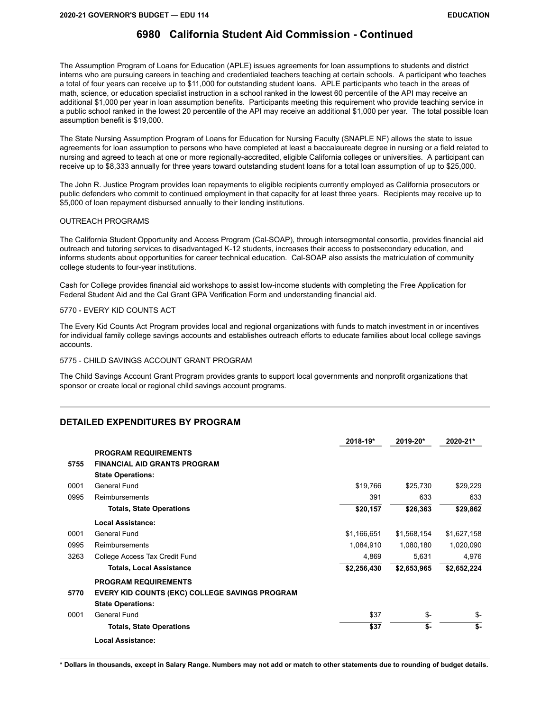The Assumption Program of Loans for Education (APLE) issues agreements for loan assumptions to students and district interns who are pursuing careers in teaching and credentialed teachers teaching at certain schools. A participant who teaches a total of four years can receive up to \$11,000 for outstanding student loans. APLE participants who teach in the areas of math, science, or education specialist instruction in a school ranked in the lowest 60 percentile of the API may receive an additional \$1,000 per year in loan assumption benefits. Participants meeting this requirement who provide teaching service in a public school ranked in the lowest 20 percentile of the API may receive an additional \$1,000 per year. The total possible loan assumption benefit is \$19,000.

The State Nursing Assumption Program of Loans for Education for Nursing Faculty (SNAPLE NF) allows the state to issue agreements for loan assumption to persons who have completed at least a baccalaureate degree in nursing or a field related to nursing and agreed to teach at one or more regionally-accredited, eligible California colleges or universities. A participant can receive up to \$8,333 annually for three years toward outstanding student loans for a total loan assumption of up to \$25,000.

The John R. Justice Program provides loan repayments to eligible recipients currently employed as California prosecutors or public defenders who commit to continued employment in that capacity for at least three years. Recipients may receive up to \$5,000 of loan repayment disbursed annually to their lending institutions.

#### OUTREACH PROGRAMS

The California Student Opportunity and Access Program (Cal-SOAP), through intersegmental consortia, provides financial aid outreach and tutoring services to disadvantaged K-12 students, increases their access to postsecondary education, and informs students about opportunities for career technical education. Cal-SOAP also assists the matriculation of community college students to four-year institutions.

Cash for College provides financial aid workshops to assist low-income students with completing the Free Application for Federal Student Aid and the Cal Grant GPA Verification Form and understanding financial aid.

#### 5770 - EVERY KID COUNTS ACT

The Every Kid Counts Act Program provides local and regional organizations with funds to match investment in or incentives for individual family college savings accounts and establishes outreach efforts to educate families about local college savings accounts.

5775 - CHILD SAVINGS ACCOUNT GRANT PROGRAM

The Child Savings Account Grant Program provides grants to support local governments and nonprofit organizations that sponsor or create local or regional child savings account programs.

#### **DETAILED EXPENDITURES BY PROGRAM**

|      |                                                       | 2018-19*    | 2019-20*    | 2020-21*    |
|------|-------------------------------------------------------|-------------|-------------|-------------|
|      | <b>PROGRAM REQUIREMENTS</b>                           |             |             |             |
| 5755 | <b>FINANCIAL AID GRANTS PROGRAM</b>                   |             |             |             |
|      | <b>State Operations:</b>                              |             |             |             |
| 0001 | General Fund                                          | \$19,766    | \$25.730    | \$29,229    |
| 0995 | Reimbursements                                        | 391         | 633         | 633         |
|      | <b>Totals, State Operations</b>                       | \$20,157    | \$26,363    | \$29,862    |
|      | Local Assistance:                                     |             |             |             |
| 0001 | <b>General Fund</b>                                   | \$1,166,651 | \$1,568,154 | \$1,627,158 |
| 0995 | Reimbursements                                        | 1,084,910   | 1,080,180   | 1,020,090   |
| 3263 | College Access Tax Credit Fund                        | 4,869       | 5,631       | 4,976       |
|      | <b>Totals, Local Assistance</b>                       | \$2,256,430 | \$2,653,965 | \$2,652,224 |
|      | <b>PROGRAM REQUIREMENTS</b>                           |             |             |             |
| 5770 | <b>EVERY KID COUNTS (EKC) COLLEGE SAVINGS PROGRAM</b> |             |             |             |
|      | <b>State Operations:</b>                              |             |             |             |
| 0001 | General Fund                                          | \$37        | \$-         | \$-         |
|      | <b>Totals, State Operations</b>                       | \$37        | \$-         | \$-         |
|      | Local Assistance:                                     |             |             |             |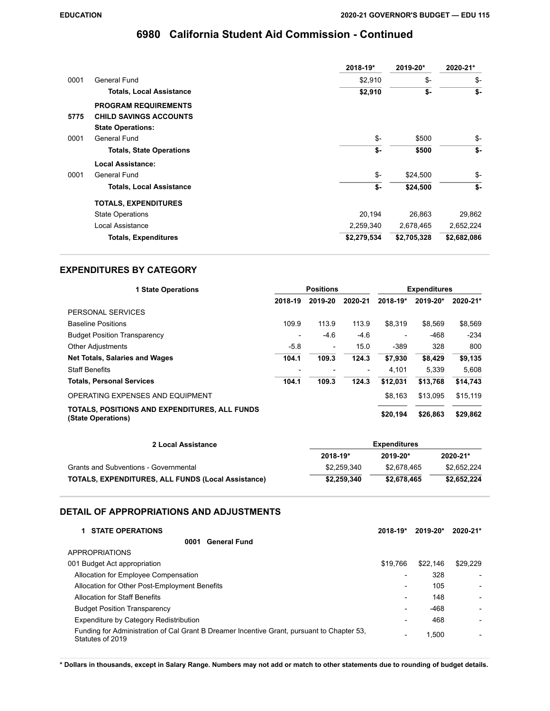|      |                                 | 2018-19*    | 2019-20*    | 2020-21*    |
|------|---------------------------------|-------------|-------------|-------------|
| 0001 | General Fund                    | \$2,910     | \$-         | \$-         |
|      | <b>Totals, Local Assistance</b> | \$2,910     | \$-         | \$-         |
|      | <b>PROGRAM REQUIREMENTS</b>     |             |             |             |
| 5775 | <b>CHILD SAVINGS ACCOUNTS</b>   |             |             |             |
|      | <b>State Operations:</b>        |             |             |             |
| 0001 | General Fund                    | \$-         | \$500       | \$-         |
|      | <b>Totals, State Operations</b> | \$-         | \$500       | \$-         |
|      | <b>Local Assistance:</b>        |             |             |             |
| 0001 | General Fund                    | \$-         | \$24,500    | \$-         |
|      | <b>Totals, Local Assistance</b> | \$-         | \$24,500    | \$-         |
|      | <b>TOTALS, EXPENDITURES</b>     |             |             |             |
|      | <b>State Operations</b>         | 20,194      | 26.863      | 29,862      |
|      | Local Assistance                | 2,259,340   | 2,678,465   | 2,652,224   |
|      | <b>Totals, Expenditures</b>     | \$2,279,534 | \$2,705,328 | \$2,682,086 |

### **EXPENDITURES BY CATEGORY**

| <b>1 State Operations</b>                                           | <b>Positions</b> |                          | <b>Expenditures</b>      |          |          |          |
|---------------------------------------------------------------------|------------------|--------------------------|--------------------------|----------|----------|----------|
|                                                                     | 2018-19          | 2019-20                  | 2020-21                  | 2018-19* | 2019-20* | 2020-21* |
| PERSONAL SERVICES                                                   |                  |                          |                          |          |          |          |
| <b>Baseline Positions</b>                                           | 109.9            | 113.9                    | 113.9                    | \$8.319  | \$8.569  | \$8,569  |
| <b>Budget Position Transparency</b>                                 |                  | $-4.6$                   | $-4.6$                   |          | $-468$   | $-234$   |
| <b>Other Adjustments</b>                                            | $-5.8$           | $\overline{\phantom{a}}$ | 15.0                     | $-389$   | 328      | 800      |
| <b>Net Totals, Salaries and Wages</b>                               | 104.1            | 109.3                    | 124.3                    | \$7,930  | \$8,429  | \$9,135  |
| <b>Staff Benefits</b>                                               |                  |                          | $\overline{\phantom{a}}$ | 4,101    | 5.339    | 5.608    |
| <b>Totals, Personal Services</b>                                    | 104.1            | 109.3                    | 124.3                    | \$12.031 | \$13.768 | \$14,743 |
| OPERATING EXPENSES AND EQUIPMENT                                    |                  |                          |                          | \$8.163  | \$13.095 | \$15,119 |
| TOTALS, POSITIONS AND EXPENDITURES, ALL FUNDS<br>(State Operations) |                  |                          |                          | \$20,194 | \$26,863 | \$29,862 |

| 2 Local Assistance                                        | <b>Expenditures</b> |              |               |  |  |
|-----------------------------------------------------------|---------------------|--------------|---------------|--|--|
|                                                           | 2018-19*            | $2019 - 20*$ | $2020 - 21$ * |  |  |
| Grants and Subventions - Governmental                     | \$2,259,340         | \$2.678.465  | \$2,652,224   |  |  |
| <b>TOTALS, EXPENDITURES, ALL FUNDS (Local Assistance)</b> | \$2.259.340         | \$2.678.465  | \$2,652,224   |  |  |

### **DETAIL OF APPROPRIATIONS AND ADJUSTMENTS**

| <b>1 STATE OPERATIONS</b>                                                                                      | $2018 - 19*$             | $2019 - 20*$ | 2020-21* |
|----------------------------------------------------------------------------------------------------------------|--------------------------|--------------|----------|
| <b>General Fund</b><br>0001                                                                                    |                          |              |          |
| <b>APPROPRIATIONS</b>                                                                                          |                          |              |          |
| 001 Budget Act appropriation                                                                                   | \$19.766                 | \$22,146     | \$29,229 |
| Allocation for Employee Compensation                                                                           |                          | 328          |          |
| Allocation for Other Post-Employment Benefits                                                                  | $\overline{\phantom{0}}$ | 105          |          |
| <b>Allocation for Staff Benefits</b>                                                                           | $\overline{\phantom{0}}$ | 148          |          |
| <b>Budget Position Transparency</b>                                                                            | $\overline{\phantom{a}}$ | $-468$       |          |
| Expenditure by Category Redistribution                                                                         |                          | 468          |          |
| Funding for Administration of Cal Grant B Dreamer Incentive Grant, pursuant to Chapter 53,<br>Statutes of 2019 |                          | 1.500        |          |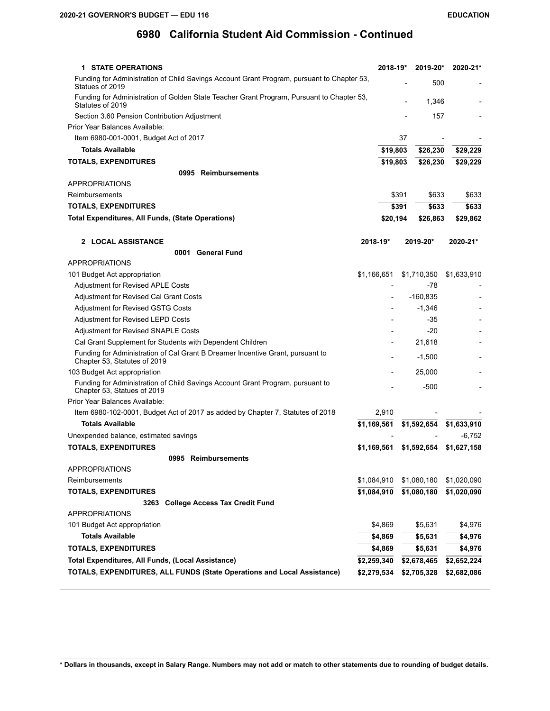| <b>1 STATE OPERATIONS</b>                                                                                      | 2018-19*     | 2019-20*       | 2020-21*    |
|----------------------------------------------------------------------------------------------------------------|--------------|----------------|-------------|
| Funding for Administration of Child Savings Account Grant Program, pursuant to Chapter 53,<br>Statues of 2019  |              | 500            |             |
| Funding for Administration of Golden State Teacher Grant Program, Pursuant to Chapter 53,<br>Statutes of 2019  |              | 1,346          |             |
| Section 3.60 Pension Contribution Adjustment                                                                   |              | 157            |             |
| Prior Year Balances Available:                                                                                 |              |                |             |
| Item 6980-001-0001, Budget Act of 2017                                                                         |              | 37             |             |
| <b>Totals Available</b>                                                                                        | \$19,803     | \$26,230       | \$29,229    |
| <b>TOTALS, EXPENDITURES</b>                                                                                    | \$19,803     | \$26,230       | \$29,229    |
| 0995 Reimbursements                                                                                            |              |                |             |
| <b>APPROPRIATIONS</b>                                                                                          |              |                |             |
| Reimbursements                                                                                                 |              | \$391<br>\$633 | \$633       |
| <b>TOTALS, EXPENDITURES</b>                                                                                    |              | \$391<br>\$633 | \$633       |
| <b>Total Expenditures, All Funds, (State Operations)</b>                                                       | \$20,194     | \$26,863       | \$29,862    |
| 2 LOCAL ASSISTANCE                                                                                             | $2018 - 19*$ | $2019 - 20*$   | 2020-21*    |
| 0001 General Fund                                                                                              |              |                |             |
| <b>APPROPRIATIONS</b>                                                                                          |              |                |             |
| 101 Budget Act appropriation                                                                                   | \$1,166,651  | \$1,710,350    | \$1,633,910 |
| Adjustment for Revised APLE Costs                                                                              |              | -78            |             |
| Adjustment for Revised Cal Grant Costs                                                                         |              | $-160,835$     |             |
| Adjustment for Revised GSTG Costs                                                                              |              | $-1,346$       |             |
| <b>Adjustment for Revised LEPD Costs</b>                                                                       |              | -35            |             |
| Adjustment for Revised SNAPLE Costs                                                                            |              | $-20$          |             |
| Cal Grant Supplement for Students with Dependent Children                                                      |              | 21,618         |             |
| Funding for Administration of Cal Grant B Dreamer Incentive Grant, pursuant to<br>Chapter 53, Statutes of 2019 |              | $-1,500$       |             |
| 103 Budget Act appropriation                                                                                   |              | 25,000         |             |
| Funding for Administration of Child Savings Account Grant Program, pursuant to<br>Chapter 53, Statues of 2019  |              | $-500$         |             |
| Prior Year Balances Available:                                                                                 |              |                |             |
| Item 6980-102-0001, Budget Act of 2017 as added by Chapter 7, Statutes of 2018                                 | 2,910        |                |             |
| <b>Totals Available</b>                                                                                        | \$1,169,561  | \$1,592,654    | \$1,633,910 |
| Unexpended balance, estimated savings                                                                          |              |                | -6,752      |
| <b>TOTALS, EXPENDITURES</b>                                                                                    | \$1,169,561  | \$1,592,654    | \$1,627,158 |
| 0995 Reimbursements                                                                                            |              |                |             |
| <b>APPROPRIATIONS</b>                                                                                          |              |                |             |
| Reimbursements                                                                                                 | \$1,084,910  | \$1,080,180    | \$1,020,090 |
| <b>TOTALS, EXPENDITURES</b>                                                                                    | \$1,084,910  | \$1,080,180    | \$1,020,090 |
| 3263 College Access Tax Credit Fund<br><b>APPROPRIATIONS</b>                                                   |              |                |             |
|                                                                                                                |              |                |             |
| 101 Budget Act appropriation                                                                                   | \$4,869      | \$5,631        | \$4,976     |
| <b>Totals Available</b>                                                                                        | \$4,869      | \$5,631        | \$4,976     |
| <b>TOTALS, EXPENDITURES</b>                                                                                    | \$4,869      | \$5,631        | \$4,976     |
| Total Expenditures, All Funds, (Local Assistance)                                                              | \$2,259,340  | \$2,678,465    | \$2,652,224 |
| <b>TOTALS, EXPENDITURES, ALL FUNDS (State Operations and Local Assistance)</b>                                 | \$2,279,534  | \$2,705,328    | \$2,682,086 |